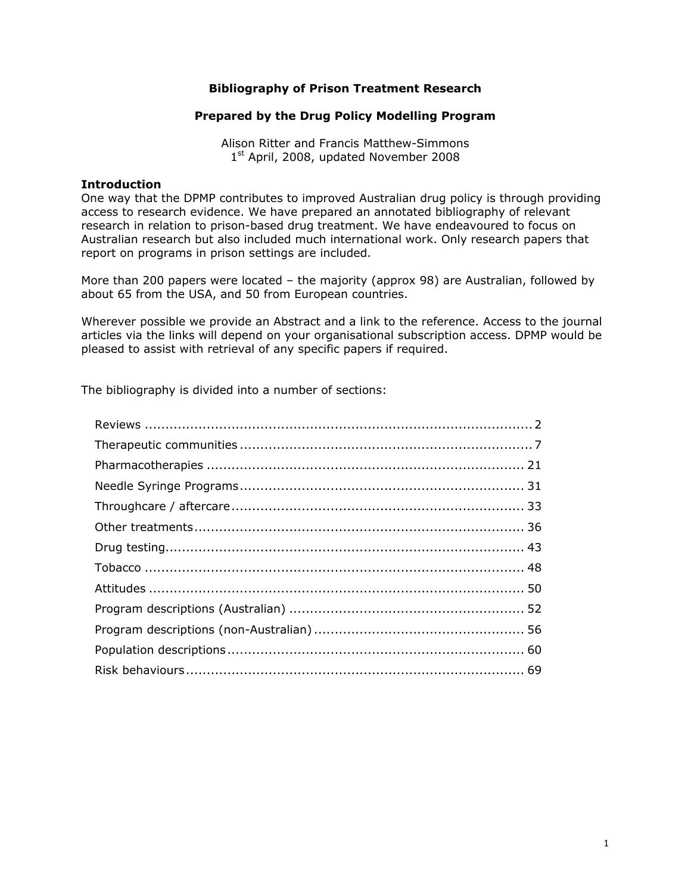#### **Bibliography of Prison Treatment Research**

#### **Prepared by the Drug Policy Modelling Program**

Alison Ritter and Francis Matthew-Simmons 1<sup>st</sup> April, 2008, updated November 2008

#### **Introduction**

One way that the DPMP contributes to improved Australian drug policy is through providing access to research evidence. We have prepared an annotated bibliography of relevant research in relation to prison-based drug treatment. We have endeavoured to focus on Australian research but also included much international work. Only research papers that report on programs in prison settings are included.

More than 200 papers were located – the majority (approx 98) are Australian, followed by about 65 from the USA, and 50 from European countries.

Wherever possible we provide an Abstract and a link to the reference. Access to the journal articles via the links will depend on your organisational subscription access. DPMP would be pleased to assist with retrieval of any specific papers if required.

The bibliography is divided into a number of sections: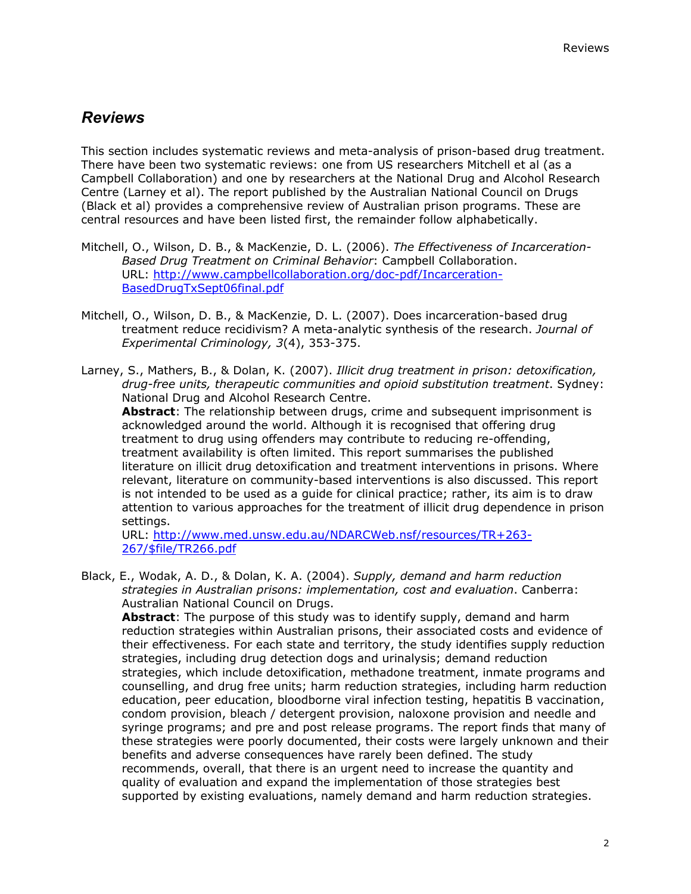## <span id="page-1-0"></span>*Reviews*

This section includes systematic reviews and meta-analysis of prison-based drug treatment. There have been two systematic reviews: one from US researchers Mitchell et al (as a Campbell Collaboration) and one by researchers at the National Drug and Alcohol Research Centre (Larney et al). The report published by the Australian National Council on Drugs (Black et al) provides a comprehensive review of Australian prison programs. These are central resources and have been listed first, the remainder follow alphabetically.

- Mitchell, O., Wilson, D. B., & MacKenzie, D. L. (2006). *The Effectiveness of Incarceration-Based Drug Treatment on Criminal Behavior*: Campbell Collaboration. URL: [http://www.campbellcollaboration.org/doc-pdf/Incarceration-](http://www.campbellcollaboration.org/doc-pdf/Incarceration-BasedDrugTxSept06final.pdf)[BasedDrugTxSept06final.pdf](http://www.campbellcollaboration.org/doc-pdf/Incarceration-BasedDrugTxSept06final.pdf)
- Mitchell, O., Wilson, D. B., & MacKenzie, D. L. (2007). Does incarceration-based drug treatment reduce recidivism? A meta-analytic synthesis of the research. *Journal of Experimental Criminology, 3*(4), 353-375.
- Larney, S., Mathers, B., & Dolan, K. (2007). *Illicit drug treatment in prison: detoxification, drug-free units, therapeutic communities and opioid substitution treatment*. Sydney: National Drug and Alcohol Research Centre.

**Abstract**: The relationship between drugs, crime and subsequent imprisonment is acknowledged around the world. Although it is recognised that offering drug treatment to drug using offenders may contribute to reducing re-offending, treatment availability is often limited. This report summarises the published literature on illicit drug detoxification and treatment interventions in prisons. Where relevant, literature on community-based interventions is also discussed. This report is not intended to be used as a guide for clinical practice; rather, its aim is to draw attention to various approaches for the treatment of illicit drug dependence in prison settings.

URL: [http://www.med.unsw.edu.au/NDARCWeb.nsf/resources/TR+263-](http://www.med.unsw.edu.au/NDARCWeb.nsf/resources/TR+263-267/$file/TR266.pdf) [267/\\$file/TR266.pdf](http://www.med.unsw.edu.au/NDARCWeb.nsf/resources/TR+263-267/$file/TR266.pdf)

Black, E., Wodak, A. D., & Dolan, K. A. (2004). *Supply, demand and harm reduction strategies in Australian prisons: implementation, cost and evaluation*. Canberra: Australian National Council on Drugs.

**Abstract**: The purpose of this study was to identify supply, demand and harm reduction strategies within Australian prisons, their associated costs and evidence of their effectiveness. For each state and territory, the study identifies supply reduction strategies, including drug detection dogs and urinalysis; demand reduction strategies, which include detoxification, methadone treatment, inmate programs and counselling, and drug free units; harm reduction strategies, including harm reduction education, peer education, bloodborne viral infection testing, hepatitis B vaccination, condom provision, bleach / detergent provision, naloxone provision and needle and syringe programs; and pre and post release programs. The report finds that many of these strategies were poorly documented, their costs were largely unknown and their benefits and adverse consequences have rarely been defined. The study recommends, overall, that there is an urgent need to increase the quantity and quality of evaluation and expand the implementation of those strategies best supported by existing evaluations, namely demand and harm reduction strategies.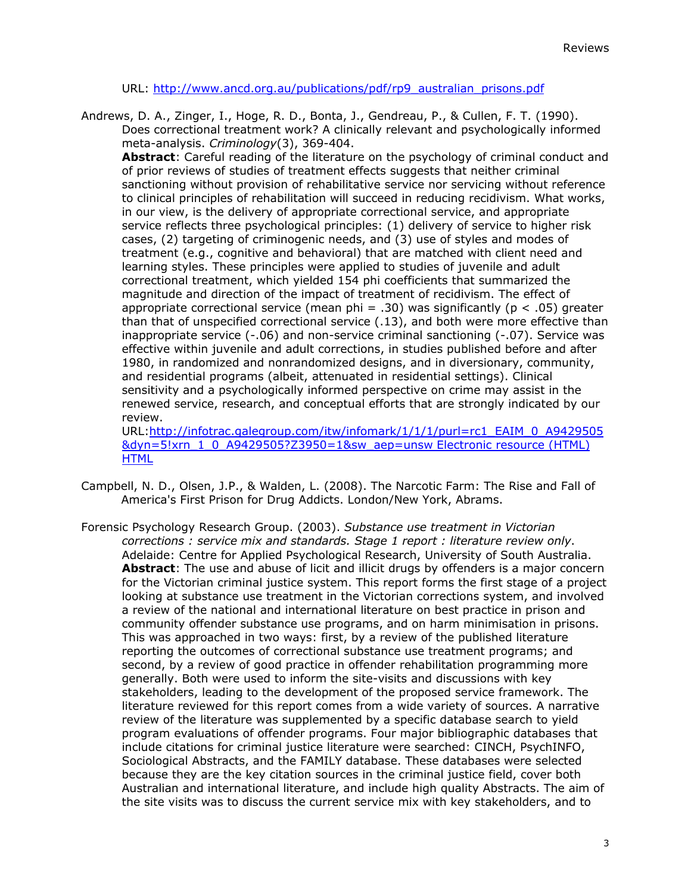URL: [http://www.ancd.org.au/publications/pdf/rp9\\_australian\\_prisons.pdf](http://www.ancd.org.au/publications/pdf/rp9_australian_prisons.pdf)

Andrews, D. A., Zinger, I., Hoge, R. D., Bonta, J., Gendreau, P., & Cullen, F. T. (1990). Does correctional treatment work? A clinically relevant and psychologically informed meta-analysis. *Criminology*(3), 369-404.

**Abstract**: Careful reading of the literature on the psychology of criminal conduct and of prior reviews of studies of treatment effects suggests that neither criminal sanctioning without provision of rehabilitative service nor servicing without reference to clinical principles of rehabilitation will succeed in reducing recidivism. What works, in our view, is the delivery of appropriate correctional service, and appropriate service reflects three psychological principles: (1) delivery of service to higher risk cases, (2) targeting of criminogenic needs, and (3) use of styles and modes of treatment (e.g., cognitive and behavioral) that are matched with client need and learning styles. These principles were applied to studies of juvenile and adult correctional treatment, which yielded 154 phi coefficients that summarized the magnitude and direction of the impact of treatment of recidivism. The effect of appropriate correctional service (mean phi = .30) was significantly ( $p < .05$ ) greater than that of unspecified correctional service (.13), and both were more effective than inappropriate service (-.06) and non-service criminal sanctioning (-.07). Service was effective within juvenile and adult corrections, in studies published before and after 1980, in randomized and nonrandomized designs, and in diversionary, community, and residential programs (albeit, attenuated in residential settings). Clinical sensitivity and a psychologically informed perspective on crime may assist in the renewed service, research, and conceptual efforts that are strongly indicated by our review.

URL[:http://infotrac.galegroup.com/itw/infomark/1/1/1/purl=rc1\\_EAIM\\_0\\_A9429505](http://infotrac.galegroup.com/itw/infomark/1/1/1/purl=rc1_EAIM_0_A9429505&dyn=5!xrn_1_0_A9429505?Z3950=1&sw_aep=unsw%20Electronic%20resource%20(HTML)%20HTML%20) [&dyn=5!xrn\\_1\\_0\\_A9429505?Z3950=1&sw\\_aep=unsw Electronic resource \(HTML\)](http://infotrac.galegroup.com/itw/infomark/1/1/1/purl=rc1_EAIM_0_A9429505&dyn=5!xrn_1_0_A9429505?Z3950=1&sw_aep=unsw%20Electronic%20resource%20(HTML)%20HTML%20)  **HTML** 

- Campbell, N. D., Olsen, J.P., & Walden, L. (2008). The Narcotic Farm: The Rise and Fall of America's First Prison for Drug Addicts. London/New York, Abrams.
- Forensic Psychology Research Group. (2003). *Substance use treatment in Victorian corrections : service mix and standards. Stage 1 report : literature review only*. Adelaide: Centre for Applied Psychological Research, University of South Australia. **Abstract**: The use and abuse of licit and illicit drugs by offenders is a major concern for the Victorian criminal justice system. This report forms the first stage of a project looking at substance use treatment in the Victorian corrections system, and involved a review of the national and international literature on best practice in prison and community offender substance use programs, and on harm minimisation in prisons. This was approached in two ways: first, by a review of the published literature reporting the outcomes of correctional substance use treatment programs; and second, by a review of good practice in offender rehabilitation programming more generally. Both were used to inform the site-visits and discussions with key stakeholders, leading to the development of the proposed service framework. The literature reviewed for this report comes from a wide variety of sources. A narrative review of the literature was supplemented by a specific database search to yield program evaluations of offender programs. Four major bibliographic databases that include citations for criminal justice literature were searched: CINCH, PsychINFO, Sociological Abstracts, and the FAMILY database. These databases were selected because they are the key citation sources in the criminal justice field, cover both Australian and international literature, and include high quality Abstracts. The aim of the site visits was to discuss the current service mix with key stakeholders, and to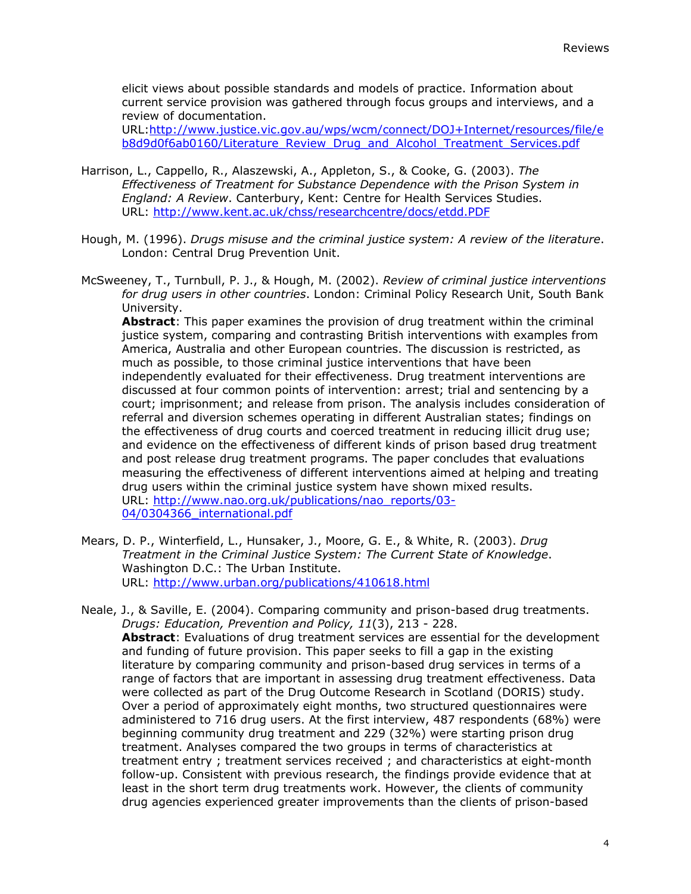elicit views about possible standards and models of practice. Information about current service provision was gathered through focus groups and interviews, and a review of documentation.

URL[:http://www.justice.vic.gov.au/wps/wcm/connect/DOJ+Internet/resources/file/e](http://www.justice.vic.gov.au/wps/wcm/connect/DOJ+Internet/resources/file/eb8d9d0f6ab0160/Literature_Review_Drug_and_Alcohol_Treatment_Services.pdf) [b8d9d0f6ab0160/Literature\\_Review\\_Drug\\_and\\_Alcohol\\_Treatment\\_Services.pdf](http://www.justice.vic.gov.au/wps/wcm/connect/DOJ+Internet/resources/file/eb8d9d0f6ab0160/Literature_Review_Drug_and_Alcohol_Treatment_Services.pdf)

- Harrison, L., Cappello, R., Alaszewski, A., Appleton, S., & Cooke, G. (2003). *The Effectiveness of Treatment for Substance Dependence with the Prison System in England: A Review*. Canterbury, Kent: Centre for Health Services Studies. URL: <http://www.kent.ac.uk/chss/researchcentre/docs/etdd.PDF>
- Hough, M. (1996). *Drugs misuse and the criminal justice system: A review of the literature*. London: Central Drug Prevention Unit.
- McSweeney, T., Turnbull, P. J., & Hough, M. (2002). *Review of criminal justice interventions for drug users in other countries*. London: Criminal Policy Research Unit, South Bank University.

**Abstract**: This paper examines the provision of drug treatment within the criminal justice system, comparing and contrasting British interventions with examples from America, Australia and other European countries. The discussion is restricted, as much as possible, to those criminal justice interventions that have been independently evaluated for their effectiveness. Drug treatment interventions are discussed at four common points of intervention: arrest; trial and sentencing by a court; imprisonment; and release from prison. The analysis includes consideration of referral and diversion schemes operating in different Australian states; findings on the effectiveness of drug courts and coerced treatment in reducing illicit drug use; and evidence on the effectiveness of different kinds of prison based drug treatment and post release drug treatment programs. The paper concludes that evaluations measuring the effectiveness of different interventions aimed at helping and treating drug users within the criminal justice system have shown mixed results. URL: [http://www.nao.org.uk/publications/nao\\_reports/03-](http://www.nao.org.uk/publications/nao_reports/03-04/0304366_international.pdf) [04/0304366\\_international.pdf](http://www.nao.org.uk/publications/nao_reports/03-04/0304366_international.pdf)

- Mears, D. P., Winterfield, L., Hunsaker, J., Moore, G. E., & White, R. (2003). *Drug Treatment in the Criminal Justice System: The Current State of Knowledge*. Washington D.C.: The Urban Institute. URL: <http://www.urban.org/publications/410618.html>
- Neale, J., & Saville, E. (2004). Comparing community and prison-based drug treatments. *Drugs: Education, Prevention and Policy, 11*(3), 213 - 228. **Abstract**: Evaluations of drug treatment services are essential for the development and funding of future provision. This paper seeks to fill a gap in the existing literature by comparing community and prison-based drug services in terms of a range of factors that are important in assessing drug treatment effectiveness. Data were collected as part of the Drug Outcome Research in Scotland (DORIS) study. Over a period of approximately eight months, two structured questionnaires were administered to 716 drug users. At the first interview, 487 respondents (68%) were beginning community drug treatment and 229 (32%) were starting prison drug treatment. Analyses compared the two groups in terms of characteristics at treatment entry ; treatment services received ; and characteristics at eight-month follow-up. Consistent with previous research, the findings provide evidence that at least in the short term drug treatments work. However, the clients of community drug agencies experienced greater improvements than the clients of prison-based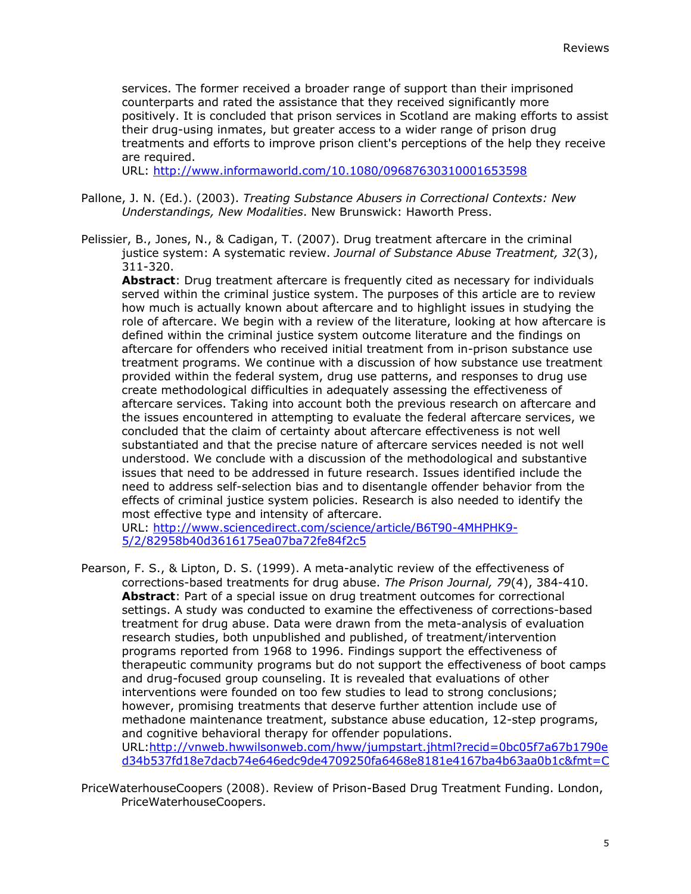services. The former received a broader range of support than their imprisoned counterparts and rated the assistance that they received significantly more positively. It is concluded that prison services in Scotland are making efforts to assist their drug-using inmates, but greater access to a wider range of prison drug treatments and efforts to improve prison client's perceptions of the help they receive are required.

URL: <http://www.informaworld.com/10.1080/09687630310001653598>

- Pallone, J. N. (Ed.). (2003). *Treating Substance Abusers in Correctional Contexts: New Understandings, New Modalities*. New Brunswick: Haworth Press.
- Pelissier, B., Jones, N., & Cadigan, T. (2007). Drug treatment aftercare in the criminal justice system: A systematic review. *Journal of Substance Abuse Treatment, 32*(3), 311-320.

**Abstract**: Drug treatment aftercare is frequently cited as necessary for individuals served within the criminal justice system. The purposes of this article are to review how much is actually known about aftercare and to highlight issues in studying the role of aftercare. We begin with a review of the literature, looking at how aftercare is defined within the criminal justice system outcome literature and the findings on aftercare for offenders who received initial treatment from in-prison substance use treatment programs. We continue with a discussion of how substance use treatment provided within the federal system, drug use patterns, and responses to drug use create methodological difficulties in adequately assessing the effectiveness of aftercare services. Taking into account both the previous research on aftercare and the issues encountered in attempting to evaluate the federal aftercare services, we concluded that the claim of certainty about aftercare effectiveness is not well substantiated and that the precise nature of aftercare services needed is not well understood. We conclude with a discussion of the methodological and substantive issues that need to be addressed in future research. Issues identified include the need to address self-selection bias and to disentangle offender behavior from the effects of criminal justice system policies. Research is also needed to identify the most effective type and intensity of aftercare.

URL: [http://www.sciencedirect.com/science/article/B6T90-4MHPHK9-](http://www.sciencedirect.com/science/article/B6T90-4MHPHK9-5/2/82958b40d3616175ea07ba72fe84f2c5) [5/2/82958b40d3616175ea07ba72fe84f2c5](http://www.sciencedirect.com/science/article/B6T90-4MHPHK9-5/2/82958b40d3616175ea07ba72fe84f2c5)

Pearson, F. S., & Lipton, D. S. (1999). A meta-analytic review of the effectiveness of corrections-based treatments for drug abuse. *The Prison Journal, 79*(4), 384-410. **Abstract**: Part of a special issue on drug treatment outcomes for correctional settings. A study was conducted to examine the effectiveness of corrections-based treatment for drug abuse. Data were drawn from the meta-analysis of evaluation research studies, both unpublished and published, of treatment/intervention programs reported from 1968 to 1996. Findings support the effectiveness of therapeutic community programs but do not support the effectiveness of boot camps and drug-focused group counseling. It is revealed that evaluations of other interventions were founded on too few studies to lead to strong conclusions; however, promising treatments that deserve further attention include use of methadone maintenance treatment, substance abuse education, 12-step programs, and cognitive behavioral therapy for offender populations. URL[:http://vnweb.hwwilsonweb.com/hww/jumpstart.jhtml?recid=0bc05f7a67b1790e](http://vnweb.hwwilsonweb.com/hww/jumpstart.jhtml?recid=0bc05f7a67b1790ed34b537fd18e7dacb74e646edc9de4709250fa6468e8181e4167ba4b63aa0b1c&fmt=C%20) [d34b537fd18e7dacb74e646edc9de4709250fa6468e8181e4167ba4b63aa0b1c&fmt=C](http://vnweb.hwwilsonweb.com/hww/jumpstart.jhtml?recid=0bc05f7a67b1790ed34b537fd18e7dacb74e646edc9de4709250fa6468e8181e4167ba4b63aa0b1c&fmt=C%20) 

PriceWaterhouseCoopers (2008). Review of Prison-Based Drug Treatment Funding. London, PriceWaterhouseCoopers.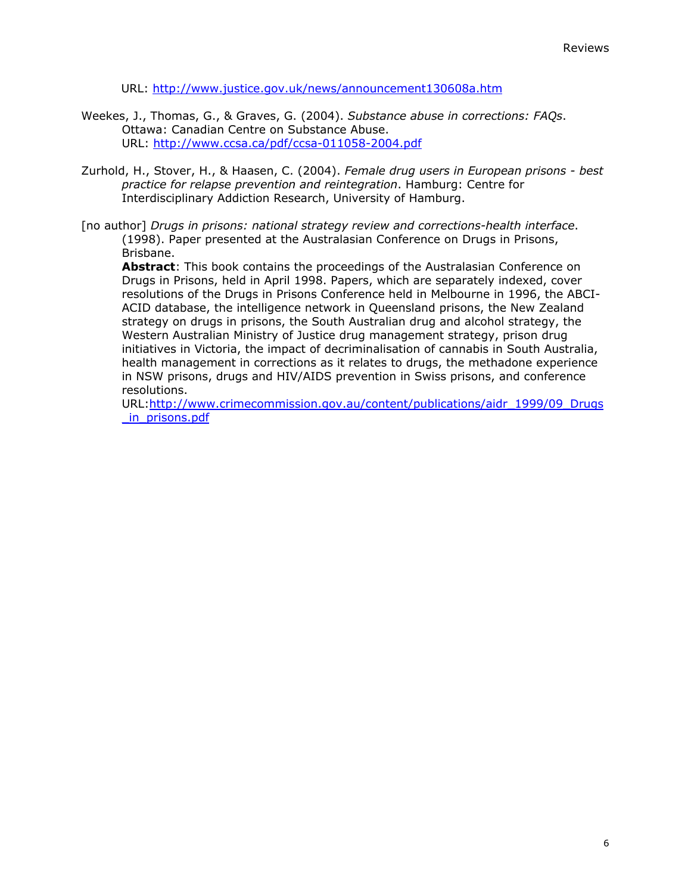URL:<http://www.justice.gov.uk/news/announcement130608a.htm>

- Weekes, J., Thomas, G., & Graves, G. (2004). *Substance abuse in corrections: FAQs*. Ottawa: Canadian Centre on Substance Abuse. URL: <http://www.ccsa.ca/pdf/ccsa-011058-2004.pdf>
- Zurhold, H., Stover, H., & Haasen, C. (2004). *Female drug users in European prisons best practice for relapse prevention and reintegration*. Hamburg: Centre for Interdisciplinary Addiction Research, University of Hamburg.
- [no author] *Drugs in prisons: national strategy review and corrections-health interface*. (1998). Paper presented at the Australasian Conference on Drugs in Prisons, Brisbane.

**Abstract**: This book contains the proceedings of the Australasian Conference on Drugs in Prisons, held in April 1998. Papers, which are separately indexed, cover resolutions of the Drugs in Prisons Conference held in Melbourne in 1996, the ABCI-ACID database, the intelligence network in Queensland prisons, the New Zealand strategy on drugs in prisons, the South Australian drug and alcohol strategy, the Western Australian Ministry of Justice drug management strategy, prison drug initiatives in Victoria, the impact of decriminalisation of cannabis in South Australia, health management in corrections as it relates to drugs, the methadone experience in NSW prisons, drugs and HIV/AIDS prevention in Swiss prisons, and conference resolutions.

URL[:http://www.crimecommission.gov.au/content/publications/aidr\\_1999/09\\_Drugs](http://www.crimecommission.gov.au/content/publications/aidr_1999/09_Drugs_in_prisons.pdf) [\\_in\\_prisons.pdf](http://www.crimecommission.gov.au/content/publications/aidr_1999/09_Drugs_in_prisons.pdf)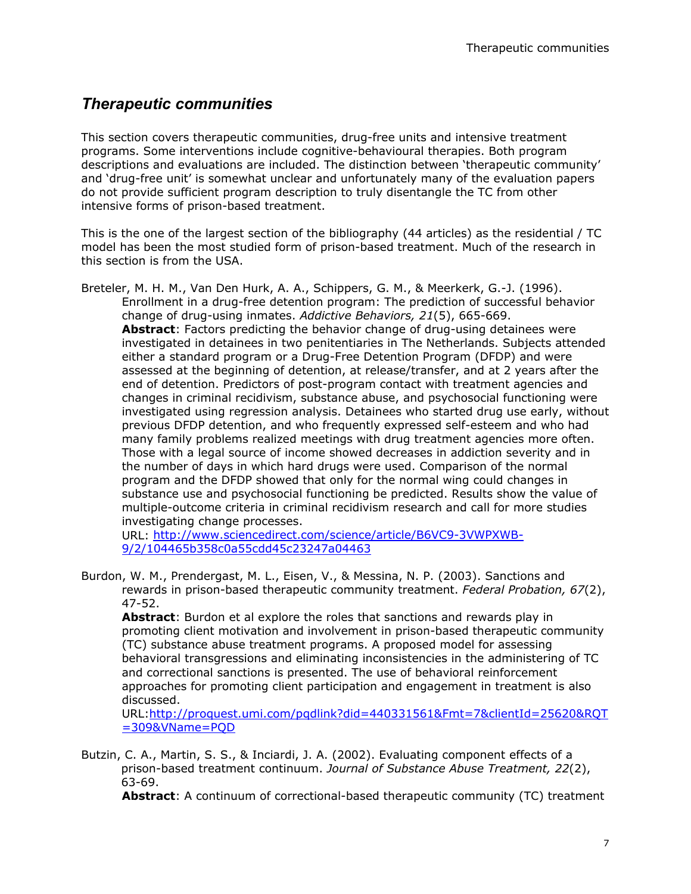# <span id="page-6-0"></span>*Therapeutic communities*

This section covers therapeutic communities, drug-free units and intensive treatment programs. Some interventions include cognitive-behavioural therapies. Both program descriptions and evaluations are included. The distinction between 'therapeutic community' and 'drug-free unit' is somewhat unclear and unfortunately many of the evaluation papers do not provide sufficient program description to truly disentangle the TC from other intensive forms of prison-based treatment.

This is the one of the largest section of the bibliography (44 articles) as the residential / TC model has been the most studied form of prison-based treatment. Much of the research in this section is from the USA.

Breteler, M. H. M., Van Den Hurk, A. A., Schippers, G. M., & Meerkerk, G.-J. (1996). Enrollment in a drug-free detention program: The prediction of successful behavior change of drug-using inmates. *Addictive Behaviors, 21*(5), 665-669. **Abstract**: Factors predicting the behavior change of drug-using detainees were investigated in detainees in two penitentiaries in The Netherlands. Subjects attended either a standard program or a Drug-Free Detention Program (DFDP) and were assessed at the beginning of detention, at release/transfer, and at 2 years after the end of detention. Predictors of post-program contact with treatment agencies and changes in criminal recidivism, substance abuse, and psychosocial functioning were investigated using regression analysis. Detainees who started drug use early, without previous DFDP detention, and who frequently expressed self-esteem and who had many family problems realized meetings with drug treatment agencies more often. Those with a legal source of income showed decreases in addiction severity and in the number of days in which hard drugs were used. Comparison of the normal program and the DFDP showed that only for the normal wing could changes in substance use and psychosocial functioning be predicted. Results show the value of multiple-outcome criteria in criminal recidivism research and call for more studies investigating change processes.

URL: [http://www.sciencedirect.com/science/article/B6VC9-3VWPXWB-](http://www.sciencedirect.com/science/article/B6VC9-3VWPXWB-9/2/104465b358c0a55cdd45c23247a04463)[9/2/104465b358c0a55cdd45c23247a04463](http://www.sciencedirect.com/science/article/B6VC9-3VWPXWB-9/2/104465b358c0a55cdd45c23247a04463)

Burdon, W. M., Prendergast, M. L., Eisen, V., & Messina, N. P. (2003). Sanctions and rewards in prison-based therapeutic community treatment. *Federal Probation, 67*(2), 47-52.

**Abstract**: Burdon et al explore the roles that sanctions and rewards play in promoting client motivation and involvement in prison-based therapeutic community (TC) substance abuse treatment programs. A proposed model for assessing behavioral transgressions and eliminating inconsistencies in the administering of TC and correctional sanctions is presented. The use of behavioral reinforcement approaches for promoting client participation and engagement in treatment is also discussed.

URL[:http://proquest.umi.com/pqdlink?did=440331561&Fmt=7&clientId=25620&RQT](http://proquest.umi.com/pqdlink?did=440331561&Fmt=7&clientId=25620&RQT=309&VName=PQD) [=309&VName=PQD](http://proquest.umi.com/pqdlink?did=440331561&Fmt=7&clientId=25620&RQT=309&VName=PQD)

Butzin, C. A., Martin, S. S., & Inciardi, J. A. (2002). Evaluating component effects of a prison-based treatment continuum. *Journal of Substance Abuse Treatment, 22*(2), 63-69.

**Abstract**: A continuum of correctional-based therapeutic community (TC) treatment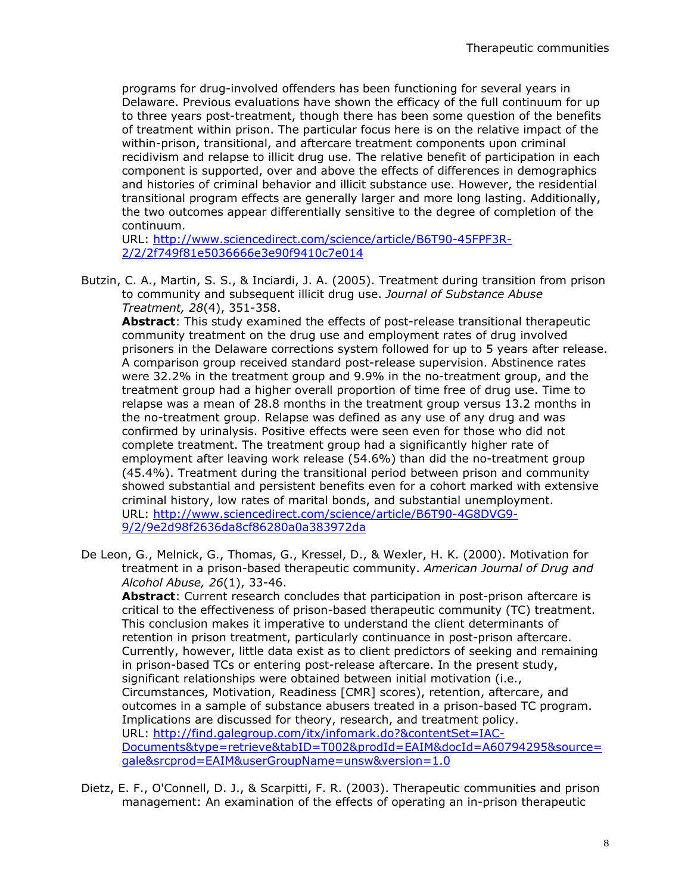programs for drug-involved offenders has been functioning for several years in Delaware. Previous evaluations have shown the efficacy of the full continuum for up to three years post-treatment, though there has been some question of the benefits of treatment within prison. The particular focus here is on the relative impact of the within-prison, transitional, and aftercare treatment components upon criminal recidivism and relapse to illicit drug use. The relative benefit of participation in each component is supported, over and above the effects of differences in demographics and histories of criminal behavior and illicit substance use. However, the residential transitional program effects are generally larger and more long lasting. Additionally, the two outcomes appear differentially sensitive to the degree of completion of the continuum.

URL: [http://www.sciencedirect.com/science/article/B6T90-45FPF3R-](http://www.sciencedirect.com/science/article/B6T90-45FPF3R-2/2/2f749f81e5036666e3e90f9410c7e014)[2/2/2f749f81e5036666e3e90f9410c7e014](http://www.sciencedirect.com/science/article/B6T90-45FPF3R-2/2/2f749f81e5036666e3e90f9410c7e014) 

Butzin, C. A., Martin, S. S., & Inciardi, J. A. (2005). Treatment during transition from prison to community and subsequent illicit drug use. *Journal of Substance Abuse Treatment, 28*(4), 351-358.

**Abstract**: This study examined the effects of post-release transitional therapeutic community treatment on the drug use and employment rates of drug involved prisoners in the Delaware corrections system followed for up to 5 years after release. A comparison group received standard post-release supervision. Abstinence rates were 32.2% in the treatment group and 9.9% in the no-treatment group, and the treatment group had a higher overall proportion of time free of drug use. Time to relapse was a mean of 28.8 months in the treatment group versus 13.2 months in the no-treatment group. Relapse was defined as any use of any drug and was confirmed by urinalysis. Positive effects were seen even for those who did not complete treatment. The treatment group had a significantly higher rate of employment after leaving work release (54.6%) than did the no-treatment group (45.4%). Treatment during the transitional period between prison and community showed substantial and persistent benefits even for a cohort marked with extensive criminal history, low rates of marital bonds, and substantial unemployment. URL: [http://www.sciencedirect.com/science/article/B6T90-4G8DVG9-](http://www.sciencedirect.com/science/article/B6T90-4G8DVG9-9/2/9e2d98f2636da8cf86280a0a383972da) [9/2/9e2d98f2636da8cf86280a0a383972da](http://www.sciencedirect.com/science/article/B6T90-4G8DVG9-9/2/9e2d98f2636da8cf86280a0a383972da)

De Leon, G., Melnick, G., Thomas, G., Kressel, D., & Wexler, H. K. (2000). Motivation for treatment in a prison-based therapeutic community. *American Journal of Drug and Alcohol Abuse, 26*(1), 33-46.

**Abstract**: Current research concludes that participation in post-prison aftercare is critical to the effectiveness of prison-based therapeutic community (TC) treatment. This conclusion makes it imperative to understand the client determinants of retention in prison treatment, particularly continuance in post-prison aftercare. Currently, however, little data exist as to client predictors of seeking and remaining in prison-based TCs or entering post-release aftercare. In the present study, significant relationships were obtained between initial motivation (i.e., Circumstances, Motivation, Readiness [CMR] scores), retention, aftercare, and outcomes in a sample of substance abusers treated in a prison-based TC program. Implications are discussed for theory, research, and treatment policy. URL: [http://find.galegroup.com/itx/infomark.do?&contentSet=IAC-](http://find.galegroup.com/itx/infomark.do?&contentSet=IAC-Documents&type=retrieve&tabID=T002&prodId=EAIM&docId=A60794295&source=gale&srcprod=EAIM&userGroupName=unsw&version=1.0)[Documents&type=retrieve&tabID=T002&prodId=EAIM&docId=A60794295&source=](http://find.galegroup.com/itx/infomark.do?&contentSet=IAC-Documents&type=retrieve&tabID=T002&prodId=EAIM&docId=A60794295&source=gale&srcprod=EAIM&userGroupName=unsw&version=1.0) [gale&srcprod=EAIM&userGroupName=unsw&version=1.0](http://find.galegroup.com/itx/infomark.do?&contentSet=IAC-Documents&type=retrieve&tabID=T002&prodId=EAIM&docId=A60794295&source=gale&srcprod=EAIM&userGroupName=unsw&version=1.0)

Dietz, E. F., O'Connell, D. J., & Scarpitti, F. R. (2003). Therapeutic communities and prison management: An examination of the effects of operating an in-prison therapeutic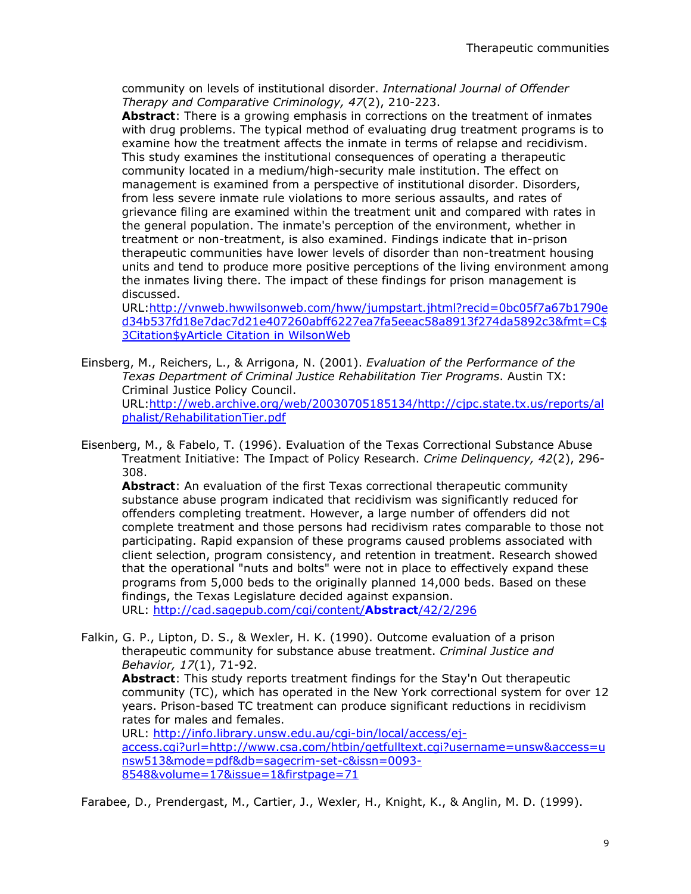community on levels of institutional disorder. *International Journal of Offender Therapy and Comparative Criminology, 47*(2), 210-223.

**Abstract**: There is a growing emphasis in corrections on the treatment of inmates with drug problems. The typical method of evaluating drug treatment programs is to examine how the treatment affects the inmate in terms of relapse and recidivism. This study examines the institutional consequences of operating a therapeutic community located in a medium/high-security male institution. The effect on management is examined from a perspective of institutional disorder. Disorders, from less severe inmate rule violations to more serious assaults, and rates of grievance filing are examined within the treatment unit and compared with rates in the general population. The inmate's perception of the environment, whether in treatment or non-treatment, is also examined. Findings indicate that in-prison therapeutic communities have lower levels of disorder than non-treatment housing units and tend to produce more positive perceptions of the living environment among the inmates living there. The impact of these findings for prison management is discussed.

URL[:http://vnweb.hwwilsonweb.com/hww/jumpstart.jhtml?recid=0bc05f7a67b1790e](http://vnweb.hwwilsonweb.com/hww/jumpstart.jhtml?recid=0bc05f7a67b1790ed34b537fd18e7dac7d21e407260abff6227ea7fa5eeac58a8913f274da5892c3&fmt=C$3Citation$yArticle%20Citation%20in%20WilsonWeb) [d34b537fd18e7dac7d21e407260abff6227ea7fa5eeac58a8913f274da5892c3&fmt=C\\$](http://vnweb.hwwilsonweb.com/hww/jumpstart.jhtml?recid=0bc05f7a67b1790ed34b537fd18e7dac7d21e407260abff6227ea7fa5eeac58a8913f274da5892c3&fmt=C$3Citation$yArticle%20Citation%20in%20WilsonWeb) [3Citation\\$yArticle Citation in WilsonWeb](http://vnweb.hwwilsonweb.com/hww/jumpstart.jhtml?recid=0bc05f7a67b1790ed34b537fd18e7dac7d21e407260abff6227ea7fa5eeac58a8913f274da5892c3&fmt=C$3Citation$yArticle%20Citation%20in%20WilsonWeb)

Einsberg, M., Reichers, L., & Arrigona, N. (2001). *Evaluation of the Performance of the Texas Department of Criminal Justice Rehabilitation Tier Programs*. Austin TX: Criminal Justice Policy Council. URL[:http://web.archive.org/web/20030705185134/http://cjpc.state.tx.us/reports/al](http://web.archive.org/web/20030705185134/http:/cjpc.state.tx.us/reports/alphalist/RehabilitationTier.pdf) [phalist/RehabilitationTier.pdf](http://web.archive.org/web/20030705185134/http:/cjpc.state.tx.us/reports/alphalist/RehabilitationTier.pdf)

Eisenberg, M., & Fabelo, T. (1996). Evaluation of the Texas Correctional Substance Abuse Treatment Initiative: The Impact of Policy Research. *Crime Delinquency, 42*(2), 296- 308.

**Abstract**: An evaluation of the first Texas correctional therapeutic community substance abuse program indicated that recidivism was significantly reduced for offenders completing treatment. However, a large number of offenders did not complete treatment and those persons had recidivism rates comparable to those not participating. Rapid expansion of these programs caused problems associated with client selection, program consistency, and retention in treatment. Research showed that the operational "nuts and bolts" were not in place to effectively expand these programs from 5,000 beds to the originally planned 14,000 beds. Based on these findings, the Texas Legislature decided against expansion. URL: [http://cad.sagepub.com/cgi/content/](http://cad.sagepub.com/cgi/content/abstract/42/2/296)**Abstract**/42/2/296

Falkin, G. P., Lipton, D. S., & Wexler, H. K. (1990). Outcome evaluation of a prison therapeutic community for substance abuse treatment. *Criminal Justice and Behavior, 17*(1), 71-92. **Abstract**: This study reports treatment findings for the Stay'n Out therapeutic community (TC), which has operated in the New York correctional system for over 12 years. Prison-based TC treatment can produce significant reductions in recidivism rates for males and females. URL: [http://info.library.unsw.edu.au/cgi-bin/local/access/ej](http://info.library.unsw.edu.au/cgi-bin/local/access/ej-access.cgi?url=http://www.csa.com/htbin/getfulltext.cgi?username=unsw&access=unsw513&mode=pdf&db=sagecrim-set-c&issn=0093-8548&volume=17&issue=1&firstpage=71)[access.cgi?url=http://www.csa.com/htbin/getfulltext.cgi?username=unsw&access=u](http://info.library.unsw.edu.au/cgi-bin/local/access/ej-access.cgi?url=http://www.csa.com/htbin/getfulltext.cgi?username=unsw&access=unsw513&mode=pdf&db=sagecrim-set-c&issn=0093-8548&volume=17&issue=1&firstpage=71) [nsw513&mode=pdf&db=sagecrim-set-c&issn=0093-](http://info.library.unsw.edu.au/cgi-bin/local/access/ej-access.cgi?url=http://www.csa.com/htbin/getfulltext.cgi?username=unsw&access=unsw513&mode=pdf&db=sagecrim-set-c&issn=0093-8548&volume=17&issue=1&firstpage=71) [8548&volume=17&issue=1&firstpage=71](http://info.library.unsw.edu.au/cgi-bin/local/access/ej-access.cgi?url=http://www.csa.com/htbin/getfulltext.cgi?username=unsw&access=unsw513&mode=pdf&db=sagecrim-set-c&issn=0093-8548&volume=17&issue=1&firstpage=71)

Farabee, D., Prendergast, M., Cartier, J., Wexler, H., Knight, K., & Anglin, M. D. (1999).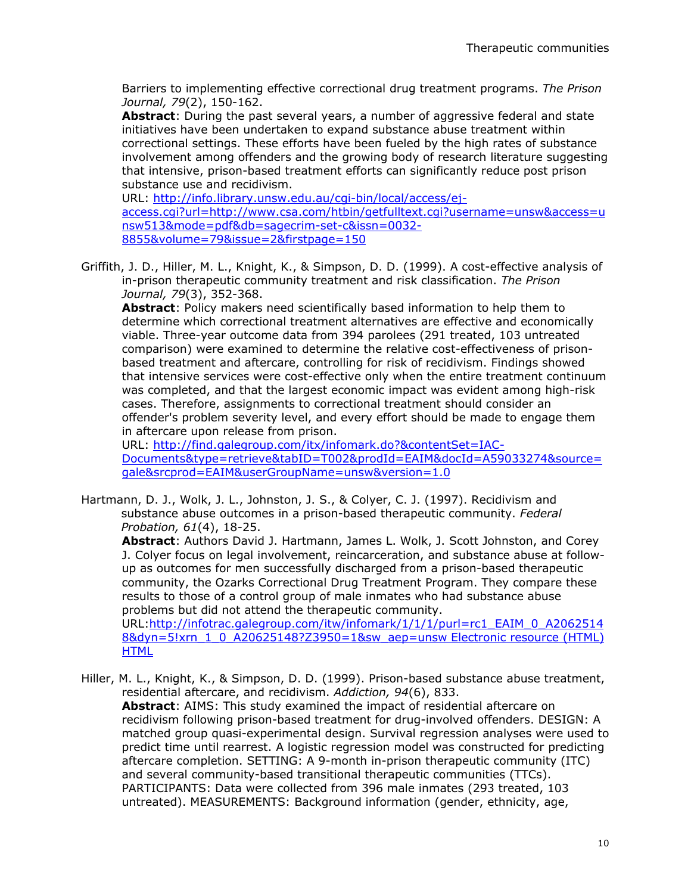Barriers to implementing effective correctional drug treatment programs. *The Prison Journal, 79*(2), 150-162.

**Abstract**: During the past several years, a number of aggressive federal and state initiatives have been undertaken to expand substance abuse treatment within correctional settings. These efforts have been fueled by the high rates of substance involvement among offenders and the growing body of research literature suggesting that intensive, prison-based treatment efforts can significantly reduce post prison substance use and recidivism.

URL: [http://info.library.unsw.edu.au/cgi-bin/local/access/ej](http://info.library.unsw.edu.au/cgi-bin/local/access/ej-access.cgi?url=http://www.csa.com/htbin/getfulltext.cgi?username=unsw&access=unsw513&mode=pdf&db=sagecrim-set-c&issn=0032-8855&volume=79&issue=2&firstpage=150)[access.cgi?url=http://www.csa.com/htbin/getfulltext.cgi?username=unsw&access=u](http://info.library.unsw.edu.au/cgi-bin/local/access/ej-access.cgi?url=http://www.csa.com/htbin/getfulltext.cgi?username=unsw&access=unsw513&mode=pdf&db=sagecrim-set-c&issn=0032-8855&volume=79&issue=2&firstpage=150) [nsw513&mode=pdf&db=sagecrim-set-c&issn=0032-](http://info.library.unsw.edu.au/cgi-bin/local/access/ej-access.cgi?url=http://www.csa.com/htbin/getfulltext.cgi?username=unsw&access=unsw513&mode=pdf&db=sagecrim-set-c&issn=0032-8855&volume=79&issue=2&firstpage=150) [8855&volume=79&issue=2&firstpage=150](http://info.library.unsw.edu.au/cgi-bin/local/access/ej-access.cgi?url=http://www.csa.com/htbin/getfulltext.cgi?username=unsw&access=unsw513&mode=pdf&db=sagecrim-set-c&issn=0032-8855&volume=79&issue=2&firstpage=150)

Griffith, J. D., Hiller, M. L., Knight, K., & Simpson, D. D. (1999). A cost-effective analysis of in-prison therapeutic community treatment and risk classification. *The Prison Journal, 79*(3), 352-368.

**Abstract**: Policy makers need scientifically based information to help them to determine which correctional treatment alternatives are effective and economically viable. Three-year outcome data from 394 parolees (291 treated, 103 untreated comparison) were examined to determine the relative cost-effectiveness of prisonbased treatment and aftercare, controlling for risk of recidivism. Findings showed that intensive services were cost-effective only when the entire treatment continuum was completed, and that the largest economic impact was evident among high-risk cases. Therefore, assignments to correctional treatment should consider an offender's problem severity level, and every effort should be made to engage them in aftercare upon release from prison.

URL: [http://find.galegroup.com/itx/infomark.do?&contentSet=IAC-](http://find.galegroup.com/itx/infomark.do?&contentSet=IAC-Documents&type=retrieve&tabID=T002&prodId=EAIM&docId=A59033274&source=gale&srcprod=EAIM&userGroupName=unsw&version=1.0)[Documents&type=retrieve&tabID=T002&prodId=EAIM&docId=A59033274&source=](http://find.galegroup.com/itx/infomark.do?&contentSet=IAC-Documents&type=retrieve&tabID=T002&prodId=EAIM&docId=A59033274&source=gale&srcprod=EAIM&userGroupName=unsw&version=1.0) [gale&srcprod=EAIM&userGroupName=unsw&version=1.0](http://find.galegroup.com/itx/infomark.do?&contentSet=IAC-Documents&type=retrieve&tabID=T002&prodId=EAIM&docId=A59033274&source=gale&srcprod=EAIM&userGroupName=unsw&version=1.0)

Hartmann, D. J., Wolk, J. L., Johnston, J. S., & Colyer, C. J. (1997). Recidivism and substance abuse outcomes in a prison-based therapeutic community. *Federal Probation, 61*(4), 18-25.

**Abstract**: Authors David J. Hartmann, James L. Wolk, J. Scott Johnston, and Corey J. Colyer focus on legal involvement, reincarceration, and substance abuse at followup as outcomes for men successfully discharged from a prison-based therapeutic community, the Ozarks Correctional Drug Treatment Program. They compare these results to those of a control group of male inmates who had substance abuse problems but did not attend the therapeutic community.

URL[:http://infotrac.galegroup.com/itw/infomark/1/1/1/purl=rc1\\_EAIM\\_0\\_A2062514](http://infotrac.galegroup.com/itw/infomark/1/1/1/purl=rc1_EAIM_0_A20625148&dyn=5!xrn_1_0_A20625148?Z3950=1&sw_aep=unsw%20Electronic%20resource%20(HTML)%20HTML) [8&dyn=5!xrn\\_1\\_0\\_A20625148?Z3950=1&sw\\_aep=unsw Electronic resource \(HTML\)](http://infotrac.galegroup.com/itw/infomark/1/1/1/purl=rc1_EAIM_0_A20625148&dyn=5!xrn_1_0_A20625148?Z3950=1&sw_aep=unsw%20Electronic%20resource%20(HTML)%20HTML)  **[HTML](http://infotrac.galegroup.com/itw/infomark/1/1/1/purl=rc1_EAIM_0_A20625148&dyn=5!xrn_1_0_A20625148?Z3950=1&sw_aep=unsw%20Electronic%20resource%20(HTML)%20HTML)** 

Hiller, M. L., Knight, K., & Simpson, D. D. (1999). Prison-based substance abuse treatment, residential aftercare, and recidivism. *Addiction, 94*(6), 833. **Abstract**: AIMS: This study examined the impact of residential aftercare on recidivism following prison-based treatment for drug-involved offenders. DESIGN: A matched group quasi-experimental design. Survival regression analyses were used to predict time until rearrest. A logistic regression model was constructed for predicting aftercare completion. SETTING: A 9-month in-prison therapeutic community (ITC) and several community-based transitional therapeutic communities (TTCs). PARTICIPANTS: Data were collected from 396 male inmates (293 treated, 103 untreated). MEASUREMENTS: Background information (gender, ethnicity, age,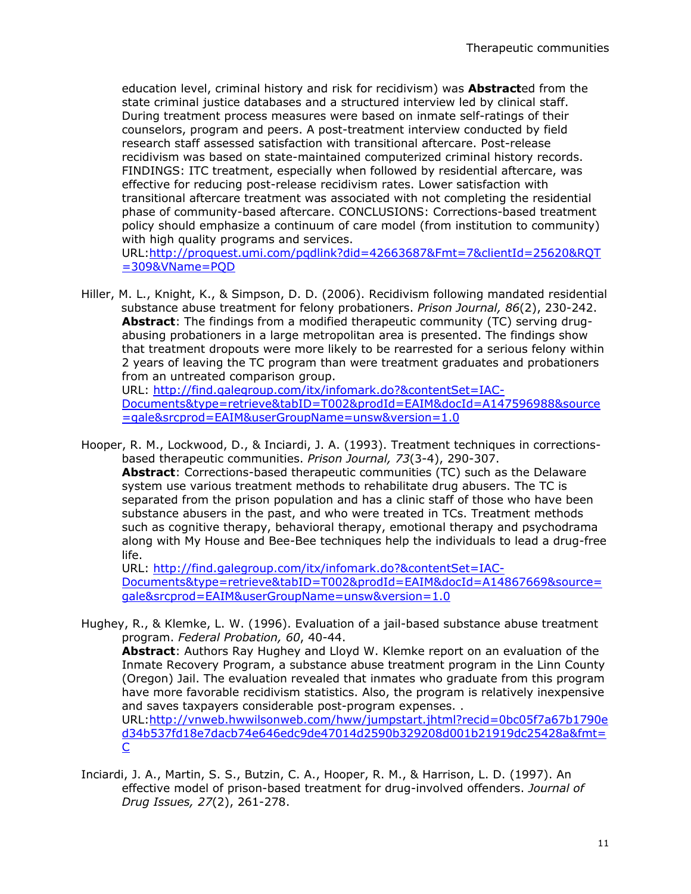education level, criminal history and risk for recidivism) was **Abstract**ed from the state criminal justice databases and a structured interview led by clinical staff. During treatment process measures were based on inmate self-ratings of their counselors, program and peers. A post-treatment interview conducted by field research staff assessed satisfaction with transitional aftercare. Post-release recidivism was based on state-maintained computerized criminal history records. FINDINGS: ITC treatment, especially when followed by residential aftercare, was effective for reducing post-release recidivism rates. Lower satisfaction with transitional aftercare treatment was associated with not completing the residential phase of community-based aftercare. CONCLUSIONS: Corrections-based treatment policy should emphasize a continuum of care model (from institution to community) with high quality programs and services.

URL[:http://proquest.umi.com/pqdlink?did=42663687&Fmt=7&clientId=25620&RQT](http://proquest.umi.com/pqdlink?did=42663687&Fmt=7&clientId=25620&RQT=309&VName=PQD) [=309&VName=PQD](http://proquest.umi.com/pqdlink?did=42663687&Fmt=7&clientId=25620&RQT=309&VName=PQD)

Hiller, M. L., Knight, K., & Simpson, D. D. (2006). Recidivism following mandated residential substance abuse treatment for felony probationers. *Prison Journal, 86*(2), 230-242. **Abstract**: The findings from a modified therapeutic community (TC) serving drugabusing probationers in a large metropolitan area is presented. The findings show that treatment dropouts were more likely to be rearrested for a serious felony within 2 years of leaving the TC program than were treatment graduates and probationers from an untreated comparison group.

URL: [http://find.galegroup.com/itx/infomark.do?&contentSet=IAC-](http://find.galegroup.com/itx/infomark.do?&contentSet=IAC-Documents&type=retrieve&tabID=T002&prodId=EAIM&docId=A147596988&source=gale&srcprod=EAIM&userGroupName=unsw&version=1.0)[Documents&type=retrieve&tabID=T002&prodId=EAIM&docId=A147596988&source](http://find.galegroup.com/itx/infomark.do?&contentSet=IAC-Documents&type=retrieve&tabID=T002&prodId=EAIM&docId=A147596988&source=gale&srcprod=EAIM&userGroupName=unsw&version=1.0) [=gale&srcprod=EAIM&userGroupName=unsw&version=1.0](http://find.galegroup.com/itx/infomark.do?&contentSet=IAC-Documents&type=retrieve&tabID=T002&prodId=EAIM&docId=A147596988&source=gale&srcprod=EAIM&userGroupName=unsw&version=1.0)

Hooper, R. M., Lockwood, D., & Inciardi, J. A. (1993). Treatment techniques in correctionsbased therapeutic communities. *Prison Journal, 73*(3-4), 290-307. **Abstract**: Corrections-based therapeutic communities (TC) such as the Delaware

system use various treatment methods to rehabilitate drug abusers. The TC is separated from the prison population and has a clinic staff of those who have been substance abusers in the past, and who were treated in TCs. Treatment methods such as cognitive therapy, behavioral therapy, emotional therapy and psychodrama along with My House and Bee-Bee techniques help the individuals to lead a drug-free life.

URL: [http://find.galegroup.com/itx/infomark.do?&contentSet=IAC-](http://find.galegroup.com/itx/infomark.do?&contentSet=IAC-Documents&type=retrieve&tabID=T002&prodId=EAIM&docId=A14867669&source=gale&srcprod=EAIM&userGroupName=unsw&version=1)[Documents&type=retrieve&tabID=T002&prodId=EAIM&docId=A14867669&source=](http://find.galegroup.com/itx/infomark.do?&contentSet=IAC-Documents&type=retrieve&tabID=T002&prodId=EAIM&docId=A14867669&source=gale&srcprod=EAIM&userGroupName=unsw&version=1) [gale&srcprod=EAIM&userGroupName=unsw&version=1](http://find.galegroup.com/itx/infomark.do?&contentSet=IAC-Documents&type=retrieve&tabID=T002&prodId=EAIM&docId=A14867669&source=gale&srcprod=EAIM&userGroupName=unsw&version=1).0

Hughey, R., & Klemke, L. W. (1996). Evaluation of a jail-based substance abuse treatment program. *Federal Probation, 60*, 40-44.

**Abstract**: Authors Ray Hughey and Lloyd W. Klemke report on an evaluation of the Inmate Recovery Program, a substance abuse treatment program in the Linn County (Oregon) Jail. The evaluation revealed that inmates who graduate from this program have more favorable recidivism statistics. Also, the program is relatively inexpensive and saves taxpayers considerable post-program expenses. .

URL[:http://vnweb.hwwilsonweb.com/hww/jumpstart.jhtml?recid=0bc05f7a67b1790e](http://vnweb.hwwilsonweb.com/hww/jumpstart.jhtml?recid=0bc05f7a67b1790ed34b537fd18e7dacb74e646edc9de47014d2590b329208d001b21919dc25428a&fmt=C) [d34b537fd18e7dacb74e646edc9de47014d2590b329208d001b21919dc25428a&fmt=](http://vnweb.hwwilsonweb.com/hww/jumpstart.jhtml?recid=0bc05f7a67b1790ed34b537fd18e7dacb74e646edc9de47014d2590b329208d001b21919dc25428a&fmt=C) [C](http://vnweb.hwwilsonweb.com/hww/jumpstart.jhtml?recid=0bc05f7a67b1790ed34b537fd18e7dacb74e646edc9de47014d2590b329208d001b21919dc25428a&fmt=C)

Inciardi, J. A., Martin, S. S., Butzin, C. A., Hooper, R. M., & Harrison, L. D. (1997). An effective model of prison-based treatment for drug-involved offenders. *Journal of Drug Issues, 27*(2), 261-278.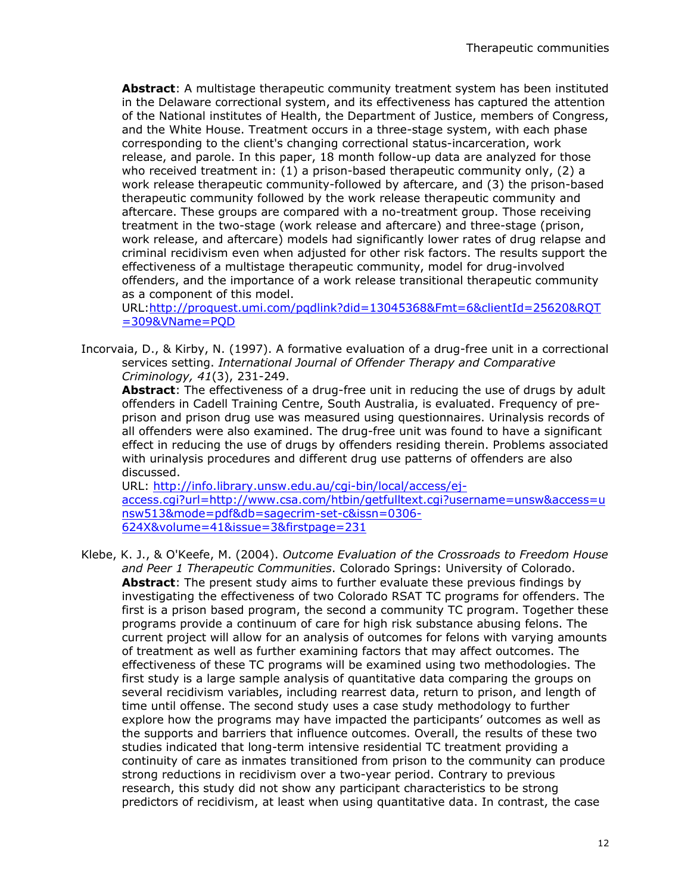**Abstract**: A multistage therapeutic community treatment system has been instituted in the Delaware correctional system, and its effectiveness has captured the attention of the National institutes of Health, the Department of Justice, members of Congress, and the White House. Treatment occurs in a three-stage system, with each phase corresponding to the client's changing correctional status-incarceration, work release, and parole. In this paper, 18 month follow-up data are analyzed for those who received treatment in: (1) a prison-based therapeutic community only, (2) a work release therapeutic community-followed by aftercare, and (3) the prison-based therapeutic community followed by the work release therapeutic community and aftercare. These groups are compared with a no-treatment group. Those receiving treatment in the two-stage (work release and aftercare) and three-stage (prison, work release, and aftercare) models had significantly lower rates of drug relapse and criminal recidivism even when adjusted for other risk factors. The results support the effectiveness of a multistage therapeutic community, model for drug-involved offenders, and the importance of a work release transitional therapeutic community as a component of this model.

URL[:http://proquest.umi.com/pqdlink?did=13045368&Fmt=6&clientId=25620&RQT](http://proquest.umi.com/pqdlink?did=13045368&Fmt=6&clientId=25620&RQT=309&VName=PQD) [=309&VName=PQD](http://proquest.umi.com/pqdlink?did=13045368&Fmt=6&clientId=25620&RQT=309&VName=PQD)

Incorvaia, D., & Kirby, N. (1997). A formative evaluation of a drug-free unit in a correctional services setting. *International Journal of Offender Therapy and Comparative Criminology, 41*(3), 231-249.

**Abstract**: The effectiveness of a drug-free unit in reducing the use of drugs by adult offenders in Cadell Training Centre, South Australia, is evaluated. Frequency of preprison and prison drug use was measured using questionnaires. Urinalysis records of all offenders were also examined. The drug-free unit was found to have a significant effect in reducing the use of drugs by offenders residing therein. Problems associated with urinalysis procedures and different drug use patterns of offenders are also discussed.

URL: [http://info.library.unsw.edu.au/cgi-bin/local/access/ej](http://info.library.unsw.edu.au/cgi-bin/local/access/ej-access.cgi?url=http://www.csa.com/htbin/getfulltext.cgi?username=unsw&access=unsw513&mode=pdf&db=sagecrim-set-c&issn=0306-624X&volume=41&issue=3&firstpage=231)[access.cgi?url=http://www.csa.com/htbin/getfulltext.cgi?username=unsw&access=u](http://info.library.unsw.edu.au/cgi-bin/local/access/ej-access.cgi?url=http://www.csa.com/htbin/getfulltext.cgi?username=unsw&access=unsw513&mode=pdf&db=sagecrim-set-c&issn=0306-624X&volume=41&issue=3&firstpage=231) [nsw513&mode=pdf&db=sagecrim-set-c&issn=0306-](http://info.library.unsw.edu.au/cgi-bin/local/access/ej-access.cgi?url=http://www.csa.com/htbin/getfulltext.cgi?username=unsw&access=unsw513&mode=pdf&db=sagecrim-set-c&issn=0306-624X&volume=41&issue=3&firstpage=231) [624X&volume=41&issue=3&firstpage=231](http://info.library.unsw.edu.au/cgi-bin/local/access/ej-access.cgi?url=http://www.csa.com/htbin/getfulltext.cgi?username=unsw&access=unsw513&mode=pdf&db=sagecrim-set-c&issn=0306-624X&volume=41&issue=3&firstpage=231)

Klebe, K. J., & O'Keefe, M. (2004). *Outcome Evaluation of the Crossroads to Freedom House and Peer 1 Therapeutic Communities*. Colorado Springs: University of Colorado. **Abstract**: The present study aims to further evaluate these previous findings by investigating the effectiveness of two Colorado RSAT TC programs for offenders. The first is a prison based program, the second a community TC program. Together these programs provide a continuum of care for high risk substance abusing felons. The current project will allow for an analysis of outcomes for felons with varying amounts of treatment as well as further examining factors that may affect outcomes. The effectiveness of these TC programs will be examined using two methodologies. The first study is a large sample analysis of quantitative data comparing the groups on several recidivism variables, including rearrest data, return to prison, and length of time until offense. The second study uses a case study methodology to further explore how the programs may have impacted the participants' outcomes as well as the supports and barriers that influence outcomes. Overall, the results of these two studies indicated that long-term intensive residential TC treatment providing a continuity of care as inmates transitioned from prison to the community can produce strong reductions in recidivism over a two-year period. Contrary to previous research, this study did not show any participant characteristics to be strong predictors of recidivism, at least when using quantitative data. In contrast, the case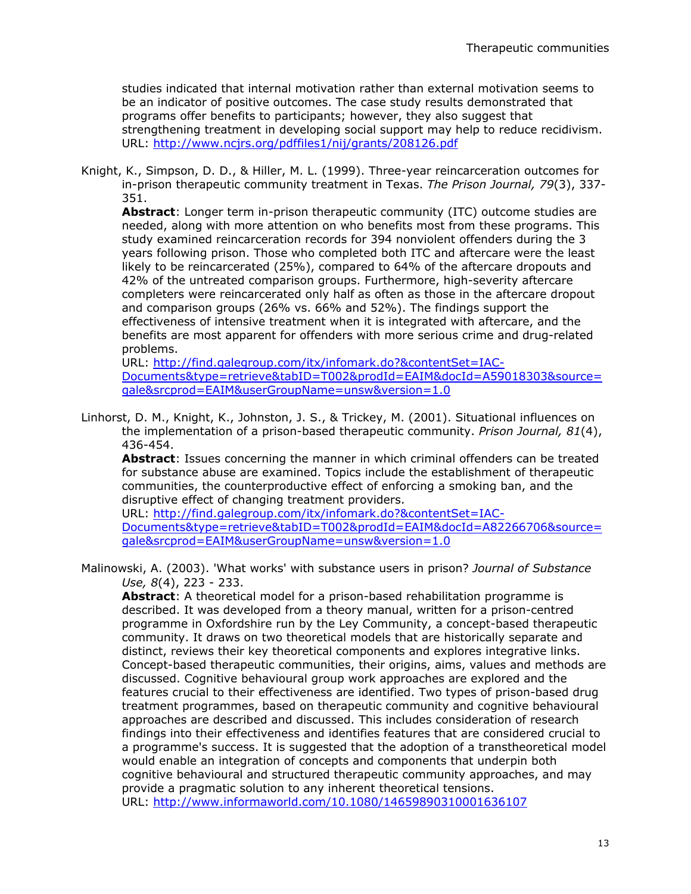studies indicated that internal motivation rather than external motivation seems to be an indicator of positive outcomes. The case study results demonstrated that programs offer benefits to participants; however, they also suggest that strengthening treatment in developing social support may help to reduce recidivism. URL: <http://www.ncjrs.org/pdffiles1/nij/grants/208126.pdf>

Knight, K., Simpson, D. D., & Hiller, M. L. (1999). Three-year reincarceration outcomes for in-prison therapeutic community treatment in Texas. *The Prison Journal, 79*(3), 337- 351.

**Abstract**: Longer term in-prison therapeutic community (ITC) outcome studies are needed, along with more attention on who benefits most from these programs. This study examined reincarceration records for 394 nonviolent offenders during the 3 years following prison. Those who completed both ITC and aftercare were the least likely to be reincarcerated (25%), compared to 64% of the aftercare dropouts and 42% of the untreated comparison groups. Furthermore, high-severity aftercare completers were reincarcerated only half as often as those in the aftercare dropout and comparison groups (26% vs. 66% and 52%). The findings support the effectiveness of intensive treatment when it is integrated with aftercare, and the benefits are most apparent for offenders with more serious crime and drug-related problems.

URL: [http://find.galegroup.com/itx/infomark.do?&contentSet=IAC-](http://find.galegroup.com/itx/infomark.do?&contentSet=IAC-Documents&type=retrieve&tabID=T002&prodId=EAIM&docId=A59018303&source=gale&srcprod=EAIM&userGroupName=unsw&version=1.0%20)[Documents&type=retrieve&tabID=T002&prodId=EAIM&docId=A59018303&source=](http://find.galegroup.com/itx/infomark.do?&contentSet=IAC-Documents&type=retrieve&tabID=T002&prodId=EAIM&docId=A59018303&source=gale&srcprod=EAIM&userGroupName=unsw&version=1.0%20) [gale&srcprod=EAIM&userGroupName=unsw&version=1.0](http://find.galegroup.com/itx/infomark.do?&contentSet=IAC-Documents&type=retrieve&tabID=T002&prodId=EAIM&docId=A59018303&source=gale&srcprod=EAIM&userGroupName=unsw&version=1.0%20)

Linhorst, D. M., Knight, K., Johnston, J. S., & Trickey, M. (2001). Situational influences on the implementation of a prison-based therapeutic community. *Prison Journal, 81*(4), 436-454.

**Abstract**: Issues concerning the manner in which criminal offenders can be treated for substance abuse are examined. Topics include the establishment of therapeutic communities, the counterproductive effect of enforcing a smoking ban, and the disruptive effect of changing treatment providers.

URL: [http://find.galegroup.com/itx/infomark.do?&contentSet=IAC-](http://find.galegroup.com/itx/infomark.do?&contentSet=IAC-Documents&type=retrieve&tabID=T002&prodId=EAIM&docId=A82266706&source=gale&srcprod=EAIM&userGroupName=unsw&version=1.0%20)[Documents&type=retrieve&tabID=T002&prodId=EAIM&docId=A82266706&source=](http://find.galegroup.com/itx/infomark.do?&contentSet=IAC-Documents&type=retrieve&tabID=T002&prodId=EAIM&docId=A82266706&source=gale&srcprod=EAIM&userGroupName=unsw&version=1.0%20) [gale&srcprod=EAIM&userGroupName=unsw&version=1.0](http://find.galegroup.com/itx/infomark.do?&contentSet=IAC-Documents&type=retrieve&tabID=T002&prodId=EAIM&docId=A82266706&source=gale&srcprod=EAIM&userGroupName=unsw&version=1.0%20)

Malinowski, A. (2003). 'What works' with substance users in prison? *Journal of Substance Use, 8*(4), 223 - 233.

**Abstract**: A theoretical model for a prison-based rehabilitation programme is described. It was developed from a theory manual, written for a prison-centred programme in Oxfordshire run by the Ley Community, a concept-based therapeutic community. It draws on two theoretical models that are historically separate and distinct, reviews their key theoretical components and explores integrative links. Concept-based therapeutic communities, their origins, aims, values and methods are discussed. Cognitive behavioural group work approaches are explored and the features crucial to their effectiveness are identified. Two types of prison-based drug treatment programmes, based on therapeutic community and cognitive behavioural approaches are described and discussed. This includes consideration of research findings into their effectiveness and identifies features that are considered crucial to a programme's success. It is suggested that the adoption of a transtheoretical model would enable an integration of concepts and components that underpin both cognitive behavioural and structured therapeutic community approaches, and may provide a pragmatic solution to any inherent theoretical tensions. URL: <http://www.informaworld.com/10.1080/14659890310001636107>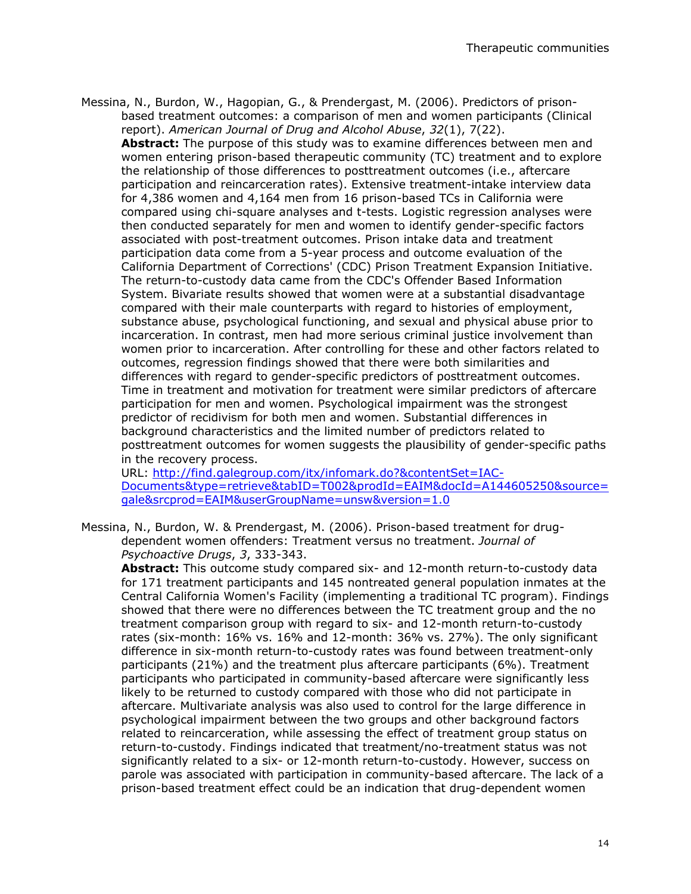Messina, N., Burdon, W., Hagopian, G., & Prendergast, M. (2006). Predictors of prisonbased treatment outcomes: a comparison of men and women participants (Clinical report). *American Journal of Drug and Alcohol Abuse*, *32*(1), 7(22). **Abstract:** The purpose of this study was to examine differences between men and women entering prison-based therapeutic community (TC) treatment and to explore the relationship of those differences to posttreatment outcomes (i.e., aftercare participation and reincarceration rates). Extensive treatment-intake interview data for 4,386 women and 4,164 men from 16 prison-based TCs in California were compared using chi-square analyses and t-tests. Logistic regression analyses were then conducted separately for men and women to identify gender-specific factors associated with post-treatment outcomes. Prison intake data and treatment participation data come from a 5-year process and outcome evaluation of the California Department of Corrections' (CDC) Prison Treatment Expansion Initiative. The return-to-custody data came from the CDC's Offender Based Information System. Bivariate results showed that women were at a substantial disadvantage compared with their male counterparts with regard to histories of employment, substance abuse, psychological functioning, and sexual and physical abuse prior to incarceration. In contrast, men had more serious criminal justice involvement than women prior to incarceration. After controlling for these and other factors related to outcomes, regression findings showed that there were both similarities and differences with regard to gender-specific predictors of posttreatment outcomes. Time in treatment and motivation for treatment were similar predictors of aftercare participation for men and women. Psychological impairment was the strongest predictor of recidivism for both men and women. Substantial differences in background characteristics and the limited number of predictors related to posttreatment outcomes for women suggests the plausibility of gender-specific paths in the recovery process.

URL: [http://find.galegroup.com/itx/infomark.do?&contentSet=IAC-](http://find.galegroup.com/itx/infomark.do?&contentSet=IAC-Documents&type=retrieve&tabID=T002&prodId=EAIM&docId=A144605250&source=gale&srcprod=EAIM&userGroupName=unsw&version=1.0)[Documents&type=retrieve&tabID=T002&prodId=EAIM&docId=A144605250&source=](http://find.galegroup.com/itx/infomark.do?&contentSet=IAC-Documents&type=retrieve&tabID=T002&prodId=EAIM&docId=A144605250&source=gale&srcprod=EAIM&userGroupName=unsw&version=1.0) [gale&srcprod=EAIM&userGroupName=unsw&version=1.0](http://find.galegroup.com/itx/infomark.do?&contentSet=IAC-Documents&type=retrieve&tabID=T002&prodId=EAIM&docId=A144605250&source=gale&srcprod=EAIM&userGroupName=unsw&version=1.0)

Messina, N., Burdon, W. & Prendergast, M. (2006). Prison-based treatment for drugdependent women offenders: Treatment versus no treatment. *Journal of Psychoactive Drugs*, *3*, 333-343.

**Abstract:** This outcome study compared six- and 12-month return-to-custody data for 171 treatment participants and 145 nontreated general population inmates at the Central California Women's Facility (implementing a traditional TC program). Findings showed that there were no differences between the TC treatment group and the no treatment comparison group with regard to six- and 12-month return-to-custody rates (six-month: 16% vs. 16% and 12-month: 36% vs. 27%). The only significant difference in six-month return-to-custody rates was found between treatment-only participants (21%) and the treatment plus aftercare participants (6%). Treatment participants who participated in community-based aftercare were significantly less likely to be returned to custody compared with those who did not participate in aftercare. Multivariate analysis was also used to control for the large difference in psychological impairment between the two groups and other background factors related to reincarceration, while assessing the effect of treatment group status on return-to-custody. Findings indicated that treatment/no-treatment status was not significantly related to a six- or 12-month return-to-custody. However, success on parole was associated with participation in community-based aftercare. The lack of a prison-based treatment effect could be an indication that drug-dependent women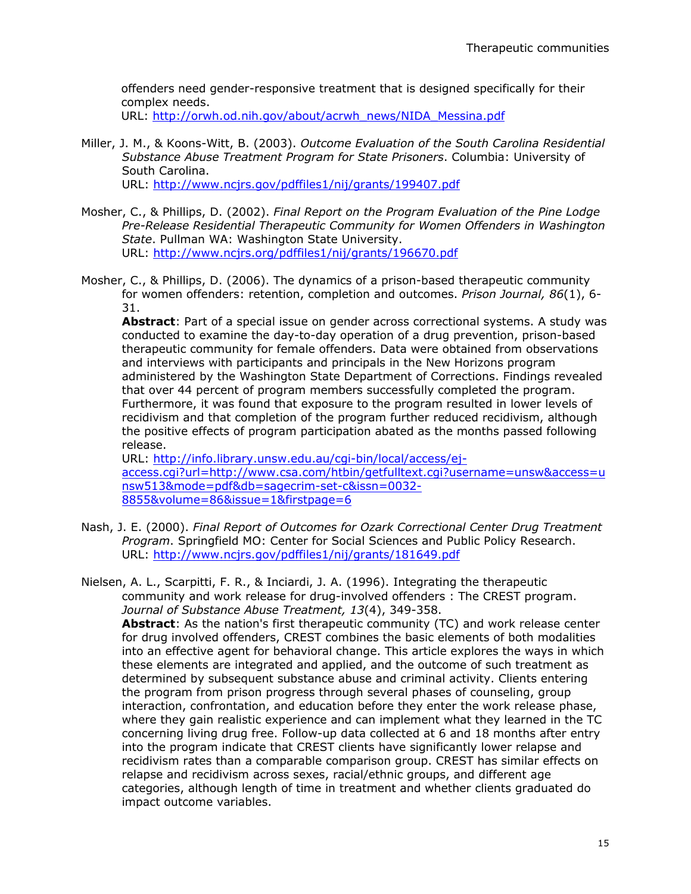offenders need gender-responsive treatment that is designed specifically for their complex needs.

URL: [http://orwh.od.nih.gov/about/acrwh\\_news/NIDA\\_Messina.pdf](http://orwh.od.nih.gov/about/acrwh_news/NIDA_Messina.pdf)

Miller, J. M., & Koons-Witt, B. (2003). *Outcome Evaluation of the South Carolina Residential Substance Abuse Treatment Program for State Prisoners*. Columbia: University of South Carolina. URL: <http://www.ncjrs.gov/pdffiles1/nij/grants/199407.pdf>

Mosher, C., & Phillips, D. (2002). *Final Report on the Program Evaluation of the Pine Lodge Pre-Release Residential Therapeutic Community for Women Offenders in Washington State*. Pullman WA: Washington State University.

URL: <http://www.ncjrs.org/pdffiles1/nij/grants/196670.pdf>

Mosher, C., & Phillips, D. (2006). The dynamics of a prison-based therapeutic community for women offenders: retention, completion and outcomes. *Prison Journal, 86*(1), 6- 31.

**Abstract**: Part of a special issue on gender across correctional systems. A study was conducted to examine the day-to-day operation of a drug prevention, prison-based therapeutic community for female offenders. Data were obtained from observations and interviews with participants and principals in the New Horizons program administered by the Washington State Department of Corrections. Findings revealed that over 44 percent of program members successfully completed the program. Furthermore, it was found that exposure to the program resulted in lower levels of recidivism and that completion of the program further reduced recidivism, although the positive effects of program participation abated as the months passed following release.

URL: [http://info.library.unsw.edu.au/cgi-bin/local/access/ej](http://info.library.unsw.edu.au/cgi-bin/local/access/ej-access.cgi?url=http://www.csa.com/htbin/getfulltext.cgi?username=unsw&access=unsw513&mode=pdf&db=sagecrim-set-c&issn=0032-8855&volume=86&issue=1&firstpage=6)[access.cgi?url=http://www.csa.com/htbin/getfulltext.cgi?username=unsw&access=u](http://info.library.unsw.edu.au/cgi-bin/local/access/ej-access.cgi?url=http://www.csa.com/htbin/getfulltext.cgi?username=unsw&access=unsw513&mode=pdf&db=sagecrim-set-c&issn=0032-8855&volume=86&issue=1&firstpage=6) [nsw513&mode=pdf&db=sagecrim-set-c&issn=0032-](http://info.library.unsw.edu.au/cgi-bin/local/access/ej-access.cgi?url=http://www.csa.com/htbin/getfulltext.cgi?username=unsw&access=unsw513&mode=pdf&db=sagecrim-set-c&issn=0032-8855&volume=86&issue=1&firstpage=6) [8855&volume=86&issue=1&firstpage=6](http://info.library.unsw.edu.au/cgi-bin/local/access/ej-access.cgi?url=http://www.csa.com/htbin/getfulltext.cgi?username=unsw&access=unsw513&mode=pdf&db=sagecrim-set-c&issn=0032-8855&volume=86&issue=1&firstpage=6)

- Nash, J. E. (2000). *Final Report of Outcomes for Ozark Correctional Center Drug Treatment Program*. Springfield MO: Center for Social Sciences and Public Policy Research. URL: <http://www.ncjrs.gov/pdffiles1/nij/grants/181649.pdf>
- Nielsen, A. L., Scarpitti, F. R., & Inciardi, J. A. (1996). Integrating the therapeutic community and work release for drug-involved offenders : The CREST program. *Journal of Substance Abuse Treatment, 13*(4), 349-358.

**Abstract**: As the nation's first therapeutic community (TC) and work release center for drug involved offenders, CREST combines the basic elements of both modalities into an effective agent for behavioral change. This article explores the ways in which these elements are integrated and applied, and the outcome of such treatment as determined by subsequent substance abuse and criminal activity. Clients entering the program from prison progress through several phases of counseling, group interaction, confrontation, and education before they enter the work release phase, where they gain realistic experience and can implement what they learned in the TC concerning living drug free. Follow-up data collected at 6 and 18 months after entry into the program indicate that CREST clients have significantly lower relapse and recidivism rates than a comparable comparison group. CREST has similar effects on relapse and recidivism across sexes, racial/ethnic groups, and different age categories, although length of time in treatment and whether clients graduated do impact outcome variables.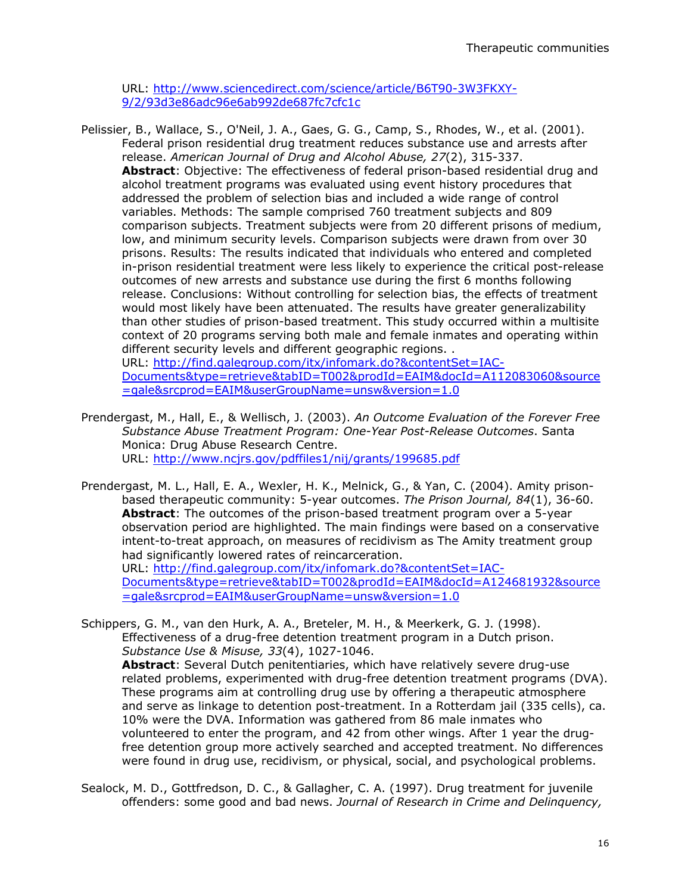URL: [http://www.sciencedirect.com/science/article/B6T90-3W3FKXY-](http://www.sciencedirect.com/science/article/B6T90-3W3FKXY-9/2/93d3e86adc96e6ab992de687fc7cfc1c)[9/2/93d3e86adc96e6ab992de687fc7cfc1c](http://www.sciencedirect.com/science/article/B6T90-3W3FKXY-9/2/93d3e86adc96e6ab992de687fc7cfc1c) 

Pelissier, B., Wallace, S., O'Neil, J. A., Gaes, G. G., Camp, S., Rhodes, W., et al. (2001). Federal prison residential drug treatment reduces substance use and arrests after release. *American Journal of Drug and Alcohol Abuse, 27*(2), 315-337. **Abstract**: Objective: The effectiveness of federal prison-based residential drug and alcohol treatment programs was evaluated using event history procedures that addressed the problem of selection bias and included a wide range of control variables. Methods: The sample comprised 760 treatment subjects and 809 comparison subjects. Treatment subjects were from 20 different prisons of medium, low, and minimum security levels. Comparison subjects were drawn from over 30 prisons. Results: The results indicated that individuals who entered and completed in-prison residential treatment were less likely to experience the critical post-release outcomes of new arrests and substance use during the first 6 months following release. Conclusions: Without controlling for selection bias, the effects of treatment would most likely have been attenuated. The results have greater generalizability than other studies of prison-based treatment. This study occurred within a multisite context of 20 programs serving both male and female inmates and operating within different security levels and different geographic regions. .

URL: [http://find.galegroup.com/itx/infomark.do?&contentSet=IAC-](http://find.galegroup.com/itx/infomark.do?&contentSet=IAC-Documents&type=retrieve&tabID=T002&prodId=EAIM&docId=A112083060&source=gale&srcprod=EAIM&userGroupName=unsw&version=1.0%20)[Documents&type=retrieve&tabID=T002&prodId=EAIM&docId=A112083060&source](http://find.galegroup.com/itx/infomark.do?&contentSet=IAC-Documents&type=retrieve&tabID=T002&prodId=EAIM&docId=A112083060&source=gale&srcprod=EAIM&userGroupName=unsw&version=1.0%20) [=gale&srcprod=EAIM&userGroupName=unsw&version=1.0](http://find.galegroup.com/itx/infomark.do?&contentSet=IAC-Documents&type=retrieve&tabID=T002&prodId=EAIM&docId=A112083060&source=gale&srcprod=EAIM&userGroupName=unsw&version=1.0%20)

- Prendergast, M., Hall, E., & Wellisch, J. (2003). *An Outcome Evaluation of the Forever Free Substance Abuse Treatment Program: One-Year Post-Release Outcomes*. Santa Monica: Drug Abuse Research Centre. URL: <http://www.ncjrs.gov/pdffiles1/nij/grants/199685.pdf>
- Prendergast, M. L., Hall, E. A., Wexler, H. K., Melnick, G., & Yan, C. (2004). Amity prisonbased therapeutic community: 5-year outcomes. *The Prison Journal, 84*(1), 36-60. **Abstract**: The outcomes of the prison-based treatment program over a 5-year observation period are highlighted. The main findings were based on a conservative intent-to-treat approach, on measures of recidivism as The Amity treatment group had significantly lowered rates of reincarceration. URL: [http://find.galegroup.com/itx/infomark.do?&contentSet=IAC-](http://find.galegroup.com/itx/infomark.do?&contentSet=IAC-Documents&type=retrieve&tabID=T002&prodId=EAIM&docId=A124681932&source=gale&srcprod=EAIM&userGroupName=unsw&version=1.0%20)[Documents&type=retrieve&tabID=T002&prodId=EAIM&docId=A124681932&source](http://find.galegroup.com/itx/infomark.do?&contentSet=IAC-Documents&type=retrieve&tabID=T002&prodId=EAIM&docId=A124681932&source=gale&srcprod=EAIM&userGroupName=unsw&version=1.0%20) [=gale&srcprod=EAIM&userGroupName=unsw&version=1.0](http://find.galegroup.com/itx/infomark.do?&contentSet=IAC-Documents&type=retrieve&tabID=T002&prodId=EAIM&docId=A124681932&source=gale&srcprod=EAIM&userGroupName=unsw&version=1.0%20)
- Schippers, G. M., van den Hurk, A. A., Breteler, M. H., & Meerkerk, G. J. (1998). Effectiveness of a drug-free detention treatment program in a Dutch prison. *Substance Use & Misuse, 33*(4), 1027-1046. **Abstract**: Several Dutch penitentiaries, which have relatively severe drug-use related problems, experimented with drug-free detention treatment programs (DVA). These programs aim at controlling drug use by offering a therapeutic atmosphere and serve as linkage to detention post-treatment. In a Rotterdam jail (335 cells), ca. 10% were the DVA. Information was gathered from 86 male inmates who volunteered to enter the program, and 42 from other wings. After 1 year the drugfree detention group more actively searched and accepted treatment. No differences were found in drug use, recidivism, or physical, social, and psychological problems.
- Sealock, M. D., Gottfredson, D. C., & Gallagher, C. A. (1997). Drug treatment for juvenile offenders: some good and bad news. *Journal of Research in Crime and Delinquency,*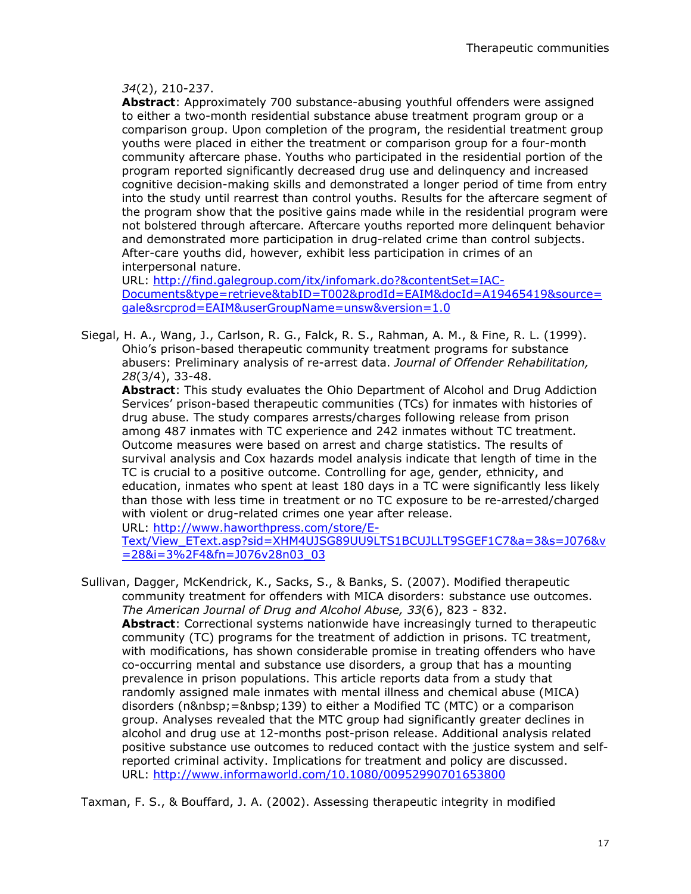### *34*(2), 210-237.

**Abstract**: Approximately 700 substance-abusing youthful offenders were assigned to either a two-month residential substance abuse treatment program group or a comparison group. Upon completion of the program, the residential treatment group youths were placed in either the treatment or comparison group for a four-month community aftercare phase. Youths who participated in the residential portion of the program reported significantly decreased drug use and delinquency and increased cognitive decision-making skills and demonstrated a longer period of time from entry into the study until rearrest than control youths. Results for the aftercare segment of the program show that the positive gains made while in the residential program were not bolstered through aftercare. Aftercare youths reported more delinquent behavior and demonstrated more participation in drug-related crime than control subjects. After-care youths did, however, exhibit less participation in crimes of an interpersonal nature.

URL: [http://find.galegroup.com/itx/infomark.do?&contentSet=IAC-](http://find.galegroup.com/itx/infomark.do?&contentSet=IAC-Documents&type=retrieve&tabID=T002&prodId=EAIM&docId=A19465419&source=gale&srcprod=EAIM&userGroupName=unsw&version=1.0%20)[Documents&type=retrieve&tabID=T002&prodId=EAIM&docId=A19465419&source=](http://find.galegroup.com/itx/infomark.do?&contentSet=IAC-Documents&type=retrieve&tabID=T002&prodId=EAIM&docId=A19465419&source=gale&srcprod=EAIM&userGroupName=unsw&version=1.0%20) [gale&srcprod=EAIM&userGroupName=unsw&version=1.0](http://find.galegroup.com/itx/infomark.do?&contentSet=IAC-Documents&type=retrieve&tabID=T002&prodId=EAIM&docId=A19465419&source=gale&srcprod=EAIM&userGroupName=unsw&version=1.0%20)

Siegal, H. A., Wang, J., Carlson, R. G., Falck, R. S., Rahman, A. M., & Fine, R. L. (1999). Ohio's prison-based therapeutic community treatment programs for substance abusers: Preliminary analysis of re-arrest data. *Journal of Offender Rehabilitation, 28*(3/4), 33-48.

**Abstract**: This study evaluates the Ohio Department of Alcohol and Drug Addiction Services' prison-based therapeutic communities (TCs) for inmates with histories of drug abuse. The study compares arrests/charges following release from prison among 487 inmates with TC experience and 242 inmates without TC treatment. Outcome measures were based on arrest and charge statistics. The results of survival analysis and Cox hazards model analysis indicate that length of time in the TC is crucial to a positive outcome. Controlling for age, gender, ethnicity, and education, inmates who spent at least 180 days in a TC were significantly less likely than those with less time in treatment or no TC exposure to be re-arrested/charged with violent or drug-related crimes one year after release.

URL: [http://www.haworthpress.com/store/E-](http://www.haworthpress.com/store/E-Text/View_EText.asp?sid=XHM4UJSG89UU9LTS1BCUJLLT9SGEF1C7&a=3&s=J076&v=28&i=3%2F4&fn=J076v28n03_03)

[Text/View\\_EText.asp?sid=XHM4UJSG89UU9LTS1BCUJLLT9SGEF1C7&a=3&s=J076&v](http://www.haworthpress.com/store/E-Text/View_EText.asp?sid=XHM4UJSG89UU9LTS1BCUJLLT9SGEF1C7&a=3&s=J076&v=28&i=3%2F4&fn=J076v28n03_03) [=28&i=3%2F4&fn=J076v28n03\\_03](http://www.haworthpress.com/store/E-Text/View_EText.asp?sid=XHM4UJSG89UU9LTS1BCUJLLT9SGEF1C7&a=3&s=J076&v=28&i=3%2F4&fn=J076v28n03_03)

Sullivan, Dagger, McKendrick, K., Sacks, S., & Banks, S. (2007). Modified therapeutic community treatment for offenders with MICA disorders: substance use outcomes. *The American Journal of Drug and Alcohol Abuse, 33*(6), 823 - 832.

**Abstract**: Correctional systems nationwide have increasingly turned to therapeutic community (TC) programs for the treatment of addiction in prisons. TC treatment, with modifications, has shown considerable promise in treating offenders who have co-occurring mental and substance use disorders, a group that has a mounting prevalence in prison populations. This article reports data from a study that randomly assigned male inmates with mental illness and chemical abuse (MICA) disorders ( $n$  = 139) to either a Modified TC (MTC) or a comparison group. Analyses revealed that the MTC group had significantly greater declines in alcohol and drug use at 12-months post-prison release. Additional analysis related positive substance use outcomes to reduced contact with the justice system and selfreported criminal activity. Implications for treatment and policy are discussed. URL: <http://www.informaworld.com/10.1080/00952990701653800>

Taxman, F. S., & Bouffard, J. A. (2002). Assessing therapeutic integrity in modified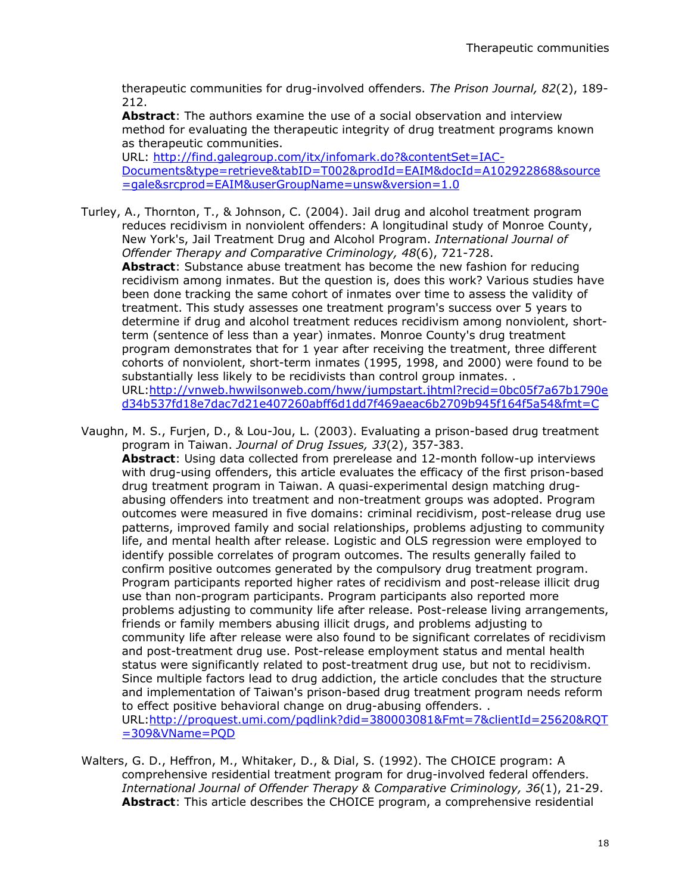therapeutic communities for drug-involved offenders. *The Prison Journal, 82*(2), 189- 212.

**Abstract**: The authors examine the use of a social observation and interview method for evaluating the therapeutic integrity of drug treatment programs known as therapeutic communities.

URL: [http://find.galegroup.com/itx/infomark.do?&contentSet=IAC-](http://find.galegroup.com/itx/infomark.do?&contentSet=IAC-Documents&type=retrieve&tabID=T002&prodId=EAIM&docId=A102922868&source=gale&srcprod=EAIM&userGroupName=unsw&version=1.0%20)[Documents&type=retrieve&tabID=T002&prodId=EAIM&docId=A102922868&source](http://find.galegroup.com/itx/infomark.do?&contentSet=IAC-Documents&type=retrieve&tabID=T002&prodId=EAIM&docId=A102922868&source=gale&srcprod=EAIM&userGroupName=unsw&version=1.0%20) [=gale&srcprod=EAIM&userGroupName=unsw&version=1.0](http://find.galegroup.com/itx/infomark.do?&contentSet=IAC-Documents&type=retrieve&tabID=T002&prodId=EAIM&docId=A102922868&source=gale&srcprod=EAIM&userGroupName=unsw&version=1.0%20)

Turley, A., Thornton, T., & Johnson, C. (2004). Jail drug and alcohol treatment program reduces recidivism in nonviolent offenders: A longitudinal study of Monroe County, New York's, Jail Treatment Drug and Alcohol Program. *International Journal of Offender Therapy and Comparative Criminology, 48*(6), 721-728. **Abstract**: Substance abuse treatment has become the new fashion for reducing recidivism among inmates. But the question is, does this work? Various studies have been done tracking the same cohort of inmates over time to assess the validity of treatment. This study assesses one treatment program's success over 5 years to determine if drug and alcohol treatment reduces recidivism among nonviolent, shortterm (sentence of less than a year) inmates. Monroe County's drug treatment program demonstrates that for 1 year after receiving the treatment, three different cohorts of nonviolent, short-term inmates (1995, 1998, and 2000) were found to be substantially less likely to be recidivists than control group inmates. . URL[:http://vnweb.hwwilsonweb.com/hww/jumpstart.jhtml?recid=0bc05f7a67b1790e](http://vnweb.hwwilsonweb.com/hww/jumpstart.jhtml?recid=0bc05f7a67b1790ed34b537fd18e7dac7d21e407260abff6d1dd7f469aeac6b2709b945f164f5a54&fmt=C%20) [d34b537fd18e7dac7d21e407260abff6d1dd7f469aeac6b2709b945f164f5a54&fmt=C](http://vnweb.hwwilsonweb.com/hww/jumpstart.jhtml?recid=0bc05f7a67b1790ed34b537fd18e7dac7d21e407260abff6d1dd7f469aeac6b2709b945f164f5a54&fmt=C%20) 

Vaughn, M. S., Furjen, D., & Lou-Jou, L. (2003). Evaluating a prison-based drug treatment program in Taiwan. *Journal of Drug Issues, 33*(2), 357-383.

**Abstract**: Using data collected from prerelease and 12-month follow-up interviews with drug-using offenders, this article evaluates the efficacy of the first prison-based drug treatment program in Taiwan. A quasi-experimental design matching drugabusing offenders into treatment and non-treatment groups was adopted. Program outcomes were measured in five domains: criminal recidivism, post-release drug use patterns, improved family and social relationships, problems adjusting to community life, and mental health after release. Logistic and OLS regression were employed to identify possible correlates of program outcomes. The results generally failed to confirm positive outcomes generated by the compulsory drug treatment program. Program participants reported higher rates of recidivism and post-release illicit drug use than non-program participants. Program participants also reported more problems adjusting to community life after release. Post-release living arrangements, friends or family members abusing illicit drugs, and problems adjusting to community life after release were also found to be significant correlates of recidivism and post-treatment drug use. Post-release employment status and mental health status were significantly related to post-treatment drug use, but not to recidivism. Since multiple factors lead to drug addiction, the article concludes that the structure and implementation of Taiwan's prison-based drug treatment program needs reform to effect positive behavioral change on drug-abusing offenders. . URL[:http://proquest.umi.com/pqdlink?did=380003081&Fmt=7&clientId=25620&RQT](http://proquest.umi.com/pqdlink?did=380003081&Fmt=7&clientId=25620&RQT=309&VName=PQD%20) [=309&VName=PQD](http://proquest.umi.com/pqdlink?did=380003081&Fmt=7&clientId=25620&RQT=309&VName=PQD%20)

Walters, G. D., Heffron, M., Whitaker, D., & Dial, S. (1992). The CHOICE program: A comprehensive residential treatment program for drug-involved federal offenders. *International Journal of Offender Therapy & Comparative Criminology, 36*(1), 21-29. **Abstract**: This article describes the CHOICE program, a comprehensive residential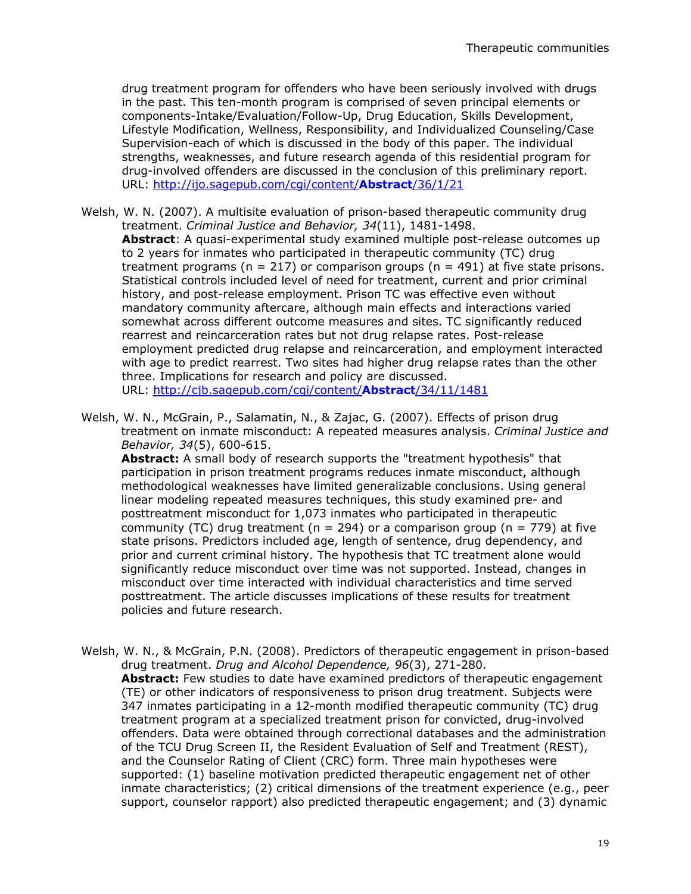drug treatment program for offenders who have been seriously involved with drugs in the past. This ten-month program is comprised of seven principal elements or components-Intake/Evaluation/Follow-Up, Drug Education, Skills Development, Lifestyle Modification, Wellness, Responsibility, and Individualized Counseling/Case Supervision-each of which is discussed in the body of this paper. The individual strengths, weaknesses, and future research agenda of this residential program for drug-involved offenders are discussed in the conclusion of this preliminary report. URL: [http://ijo.sagepub.com/cgi/content/](http://ijo.sagepub.com/cgi/content/abstract/36/1/21)**Abstract**/36/1/21

- Welsh, W. N. (2007). A multisite evaluation of prison-based therapeutic community drug treatment. *Criminal Justice and Behavior, 34*(11), 1481-1498. **Abstract**: A quasi-experimental study examined multiple post-release outcomes up to 2 years for inmates who participated in therapeutic community (TC) drug treatment programs ( $n = 217$ ) or comparison groups ( $n = 491$ ) at five state prisons. Statistical controls included level of need for treatment, current and prior criminal history, and post-release employment. Prison TC was effective even without mandatory community aftercare, although main effects and interactions varied somewhat across different outcome measures and sites. TC significantly reduced rearrest and reincarceration rates but not drug relapse rates. Post-release employment predicted drug relapse and reincarceration, and employment interacted with age to predict rearrest. Two sites had higher drug relapse rates than the other three. Implications for research and policy are discussed. URL: [http://cjb.sagepub.com/cgi/content/](http://cjb.sagepub.com/cgi/content/abstract/34/11/1481)**Abstract**/34/11/1481
- Welsh, W. N., McGrain, P., Salamatin, N., & Zajac, G. (2007). Effects of prison drug treatment on inmate misconduct: A repeated measures analysis. *Criminal Justice and Behavior, 34*(5), 600-615.

**Abstract:** A small body of research supports the "treatment hypothesis" that participation in prison treatment programs reduces inmate misconduct, although methodological weaknesses have limited generalizable conclusions. Using general linear modeling repeated measures techniques, this study examined pre- and posttreatment misconduct for 1,073 inmates who participated in therapeutic community (TC) drug treatment ( $n = 294$ ) or a comparison group ( $n = 779$ ) at five state prisons. Predictors included age, length of sentence, drug dependency, and prior and current criminal history. The hypothesis that TC treatment alone would significantly reduce misconduct over time was not supported. Instead, changes in misconduct over time interacted with individual characteristics and time served posttreatment. The article discusses implications of these results for treatment policies and future research.

Welsh, W. N., & McGrain, P.N. (2008). Predictors of therapeutic engagement in prison-based drug treatment. *Drug and Alcohol Dependence, 96*(3), 271-280. **Abstract:** Few studies to date have examined predictors of therapeutic engagement (TE) or other indicators of responsiveness to prison drug treatment. Subjects were 347 inmates participating in a 12-month modified therapeutic community (TC) drug treatment program at a specialized treatment prison for convicted, drug-involved offenders. Data were obtained through correctional databases and the administration of the TCU Drug Screen II, the Resident Evaluation of Self and Treatment (REST), and the Counselor Rating of Client (CRC) form. Three main hypotheses were supported: (1) baseline motivation predicted therapeutic engagement net of other inmate characteristics; (2) critical dimensions of the treatment experience (e.g., peer support, counselor rapport) also predicted therapeutic engagement; and (3) dynamic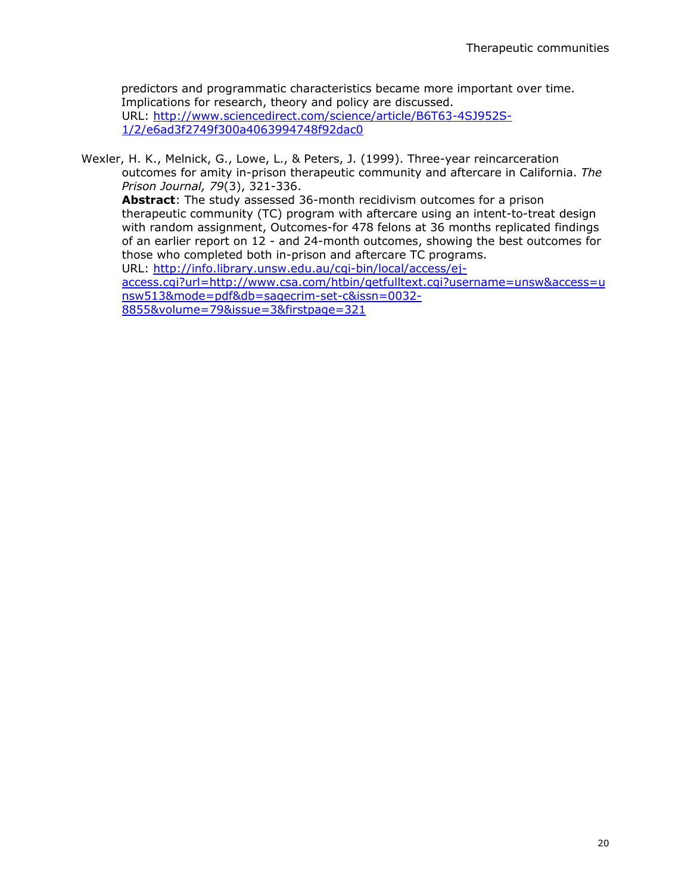predictors and programmatic characteristics became more important over time. Implications for research, theory and policy are discussed. URL: [http://www.sciencedirect.com/science/article/B6T63-4SJ952S-](http://www.sciencedirect.com/science/article/B6T63-4SJ952S-1/2/e6ad3f2749f300a4063994748f92dac0)[1/2/e6ad3f2749f300a4063994748f92dac0](http://www.sciencedirect.com/science/article/B6T63-4SJ952S-1/2/e6ad3f2749f300a4063994748f92dac0)

Wexler, H. K., Melnick, G., Lowe, L., & Peters, J. (1999). Three-year reincarceration outcomes for amity in-prison therapeutic community and aftercare in California. *The Prison Journal, 79*(3), 321-336. **Abstract**: The study assessed 36-month recidivism outcomes for a prison

therapeutic community (TC) program with aftercare using an intent-to-treat design with random assignment, Outcomes-for 478 felons at 36 months replicated findings of an earlier report on 12 - and 24-month outcomes, showing the best outcomes for those who completed both in-prison and aftercare TC programs.

URL: [http://info.library.unsw.edu.au/cgi-bin/local/access/ej-](http://info.library.unsw.edu.au/cgi-bin/local/access/ej-access.cgi?url=http://www.csa.com/htbin/getfulltext.cgi?username=unsw&access=unsw513&mode=pdf&db=sagecrim-set-c&issn=0032-8855&volume=79&issue=3&firstpage=321)

[access.cgi?url=http://www.csa.com/htbin/getfulltext.cgi?username=unsw&access=u](http://info.library.unsw.edu.au/cgi-bin/local/access/ej-access.cgi?url=http://www.csa.com/htbin/getfulltext.cgi?username=unsw&access=unsw513&mode=pdf&db=sagecrim-set-c&issn=0032-8855&volume=79&issue=3&firstpage=321) [nsw513&mode=pdf&db=sagecrim-set-c&issn=0032-](http://info.library.unsw.edu.au/cgi-bin/local/access/ej-access.cgi?url=http://www.csa.com/htbin/getfulltext.cgi?username=unsw&access=unsw513&mode=pdf&db=sagecrim-set-c&issn=0032-8855&volume=79&issue=3&firstpage=321) [8855&volume=79&issue=3&firstpage=321](http://info.library.unsw.edu.au/cgi-bin/local/access/ej-access.cgi?url=http://www.csa.com/htbin/getfulltext.cgi?username=unsw&access=unsw513&mode=pdf&db=sagecrim-set-c&issn=0032-8855&volume=79&issue=3&firstpage=321)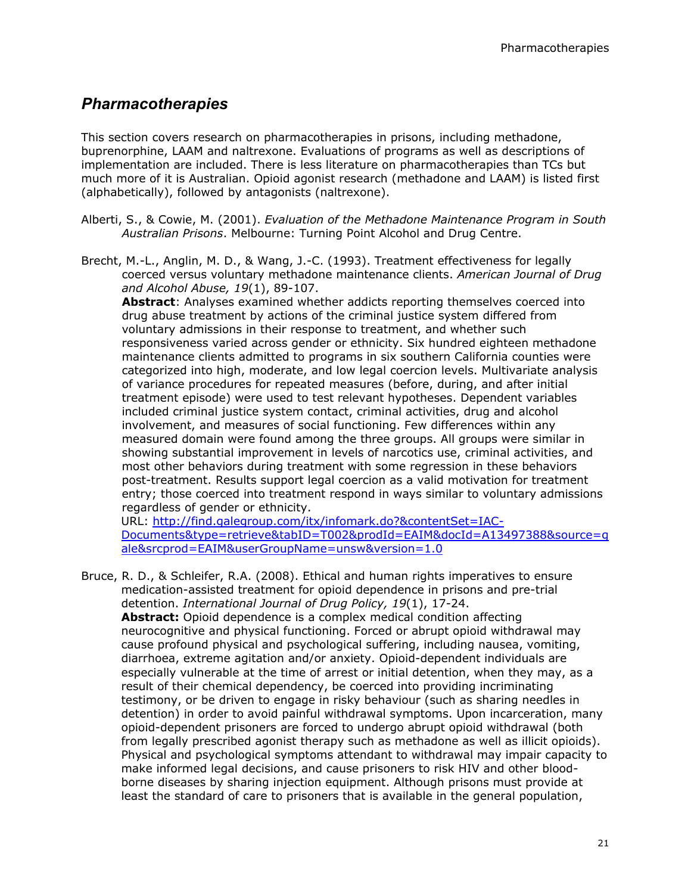## <span id="page-20-0"></span>*Pharmacotherapies*

This section covers research on pharmacotherapies in prisons, including methadone, buprenorphine, LAAM and naltrexone. Evaluations of programs as well as descriptions of implementation are included. There is less literature on pharmacotherapies than TCs but much more of it is Australian. Opioid agonist research (methadone and LAAM) is listed first (alphabetically), followed by antagonists (naltrexone).

- Alberti, S., & Cowie, M. (2001). *Evaluation of the Methadone Maintenance Program in South Australian Prisons*. Melbourne: Turning Point Alcohol and Drug Centre.
- Brecht, M.-L., Anglin, M. D., & Wang, J.-C. (1993). Treatment effectiveness for legally coerced versus voluntary methadone maintenance clients. *American Journal of Drug and Alcohol Abuse, 19*(1), 89-107.

**Abstract**: Analyses examined whether addicts reporting themselves coerced into drug abuse treatment by actions of the criminal justice system differed from voluntary admissions in their response to treatment, and whether such responsiveness varied across gender or ethnicity. Six hundred eighteen methadone maintenance clients admitted to programs in six southern California counties were categorized into high, moderate, and low legal coercion levels. Multivariate analysis of variance procedures for repeated measures (before, during, and after initial treatment episode) were used to test relevant hypotheses. Dependent variables included criminal justice system contact, criminal activities, drug and alcohol involvement, and measures of social functioning. Few differences within any measured domain were found among the three groups. All groups were similar in showing substantial improvement in levels of narcotics use, criminal activities, and most other behaviors during treatment with some regression in these behaviors post-treatment. Results support legal coercion as a valid motivation for treatment entry; those coerced into treatment respond in ways similar to voluntary admissions regardless of gender or ethnicity.

 URL: [http://find.galegroup.com/itx/infomark.do?&contentSet=IAC-](http://find.galegroup.com/itx/infomark.do?&contentSet=IAC-Documents&type=retrieve&tabID=T002&prodId=EAIM&docId=A13497388&source=gale&srcprod=EAIM&userGroupName=unsw&version=1.0%20)[Documents&type=retrieve&tabID=T002&prodId=EAIM&docId=A13497388&source=g](http://find.galegroup.com/itx/infomark.do?&contentSet=IAC-Documents&type=retrieve&tabID=T002&prodId=EAIM&docId=A13497388&source=gale&srcprod=EAIM&userGroupName=unsw&version=1.0%20) [ale&srcprod=EAIM&userGroupName=unsw&version=1.0](http://find.galegroup.com/itx/infomark.do?&contentSet=IAC-Documents&type=retrieve&tabID=T002&prodId=EAIM&docId=A13497388&source=gale&srcprod=EAIM&userGroupName=unsw&version=1.0%20)

Bruce, R. D., & Schleifer, R.A. (2008). Ethical and human rights imperatives to ensure medication-assisted treatment for opioid dependence in prisons and pre-trial detention. *International Journal of Drug Policy, 19*(1), 17-24. **Abstract:** Opioid dependence is a complex medical condition affecting neurocognitive and physical functioning. Forced or abrupt opioid withdrawal may cause profound physical and psychological suffering, including nausea, vomiting, diarrhoea, extreme agitation and/or anxiety. Opioid-dependent individuals are especially vulnerable at the time of arrest or initial detention, when they may, as a result of their chemical dependency, be coerced into providing incriminating testimony, or be driven to engage in risky behaviour (such as sharing needles in detention) in order to avoid painful withdrawal symptoms. Upon incarceration, many opioid-dependent prisoners are forced to undergo abrupt opioid withdrawal (both from legally prescribed agonist therapy such as methadone as well as illicit opioids). Physical and psychological symptoms attendant to withdrawal may impair capacity to make informed legal decisions, and cause prisoners to risk HIV and other bloodborne diseases by sharing injection equipment. Although prisons must provide at least the standard of care to prisoners that is available in the general population,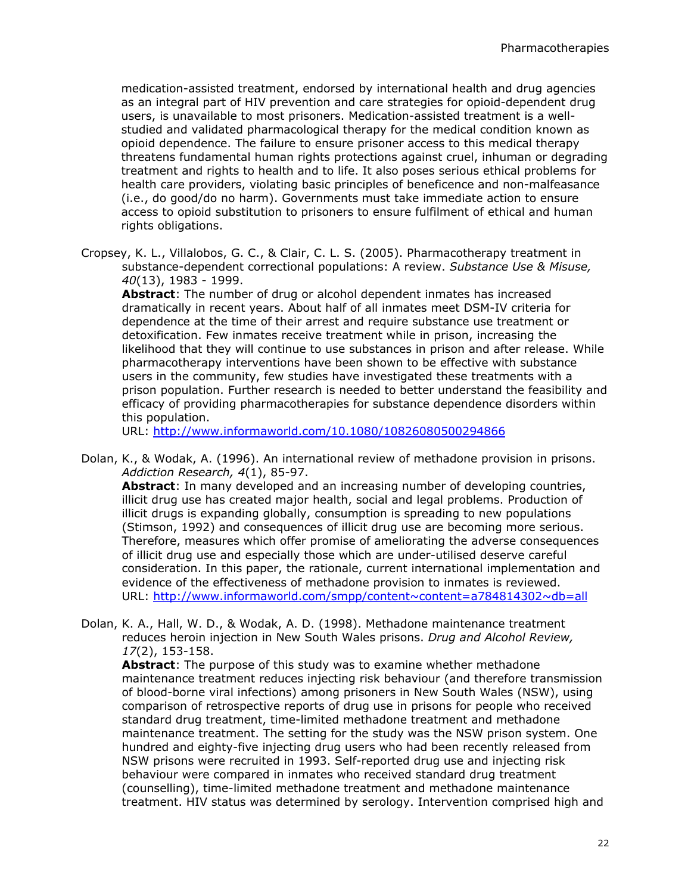medication-assisted treatment, endorsed by international health and drug agencies as an integral part of HIV prevention and care strategies for opioid-dependent drug users, is unavailable to most prisoners. Medication-assisted treatment is a wellstudied and validated pharmacological therapy for the medical condition known as opioid dependence. The failure to ensure prisoner access to this medical therapy threatens fundamental human rights protections against cruel, inhuman or degrading treatment and rights to health and to life. It also poses serious ethical problems for health care providers, violating basic principles of beneficence and non-malfeasance (i.e., do good/do no harm). Governments must take immediate action to ensure access to opioid substitution to prisoners to ensure fulfilment of ethical and human rights obligations.

Cropsey, K. L., Villalobos, G. C., & Clair, C. L. S. (2005). Pharmacotherapy treatment in substance-dependent correctional populations: A review. *Substance Use & Misuse, 40*(13), 1983 - 1999.

**Abstract**: The number of drug or alcohol dependent inmates has increased dramatically in recent years. About half of all inmates meet DSM-IV criteria for dependence at the time of their arrest and require substance use treatment or detoxification. Few inmates receive treatment while in prison, increasing the likelihood that they will continue to use substances in prison and after release. While pharmacotherapy interventions have been shown to be effective with substance users in the community, few studies have investigated these treatments with a prison population. Further research is needed to better understand the feasibility and efficacy of providing pharmacotherapies for substance dependence disorders within this population.

URL: <http://www.informaworld.com/10.1080/10826080500294866>

Dolan, K., & Wodak, A. (1996). An international review of methadone provision in prisons. *Addiction Research, 4*(1), 85-97.

**Abstract**: In many developed and an increasing number of developing countries, illicit drug use has created major health, social and legal problems. Production of illicit drugs is expanding globally, consumption is spreading to new populations (Stimson, 1992) and consequences of illicit drug use are becoming more serious. Therefore, measures which offer promise of ameliorating the adverse consequences of illicit drug use and especially those which are under-utilised deserve careful consideration. In this paper, the rationale, current international implementation and evidence of the effectiveness of methadone provision to inmates is reviewed. URL: [http://www.informaworld.com/smpp/content~content=a784814302~db=all](http://www.informaworld.com/smpp/content%7Econtent=a784814302%7Edb=all)

Dolan, K. A., Hall, W. D., & Wodak, A. D. (1998). Methadone maintenance treatment reduces heroin injection in New South Wales prisons. *Drug and Alcohol Review, 17*(2), 153-158.

**Abstract**: The purpose of this study was to examine whether methadone maintenance treatment reduces injecting risk behaviour (and therefore transmission of blood-borne viral infections) among prisoners in New South Wales (NSW), using comparison of retrospective reports of drug use in prisons for people who received standard drug treatment, time-limited methadone treatment and methadone maintenance treatment. The setting for the study was the NSW prison system. One hundred and eighty-five injecting drug users who had been recently released from NSW prisons were recruited in 1993. Self-reported drug use and injecting risk behaviour were compared in inmates who received standard drug treatment (counselling), time-limited methadone treatment and methadone maintenance treatment. HIV status was determined by serology. Intervention comprised high and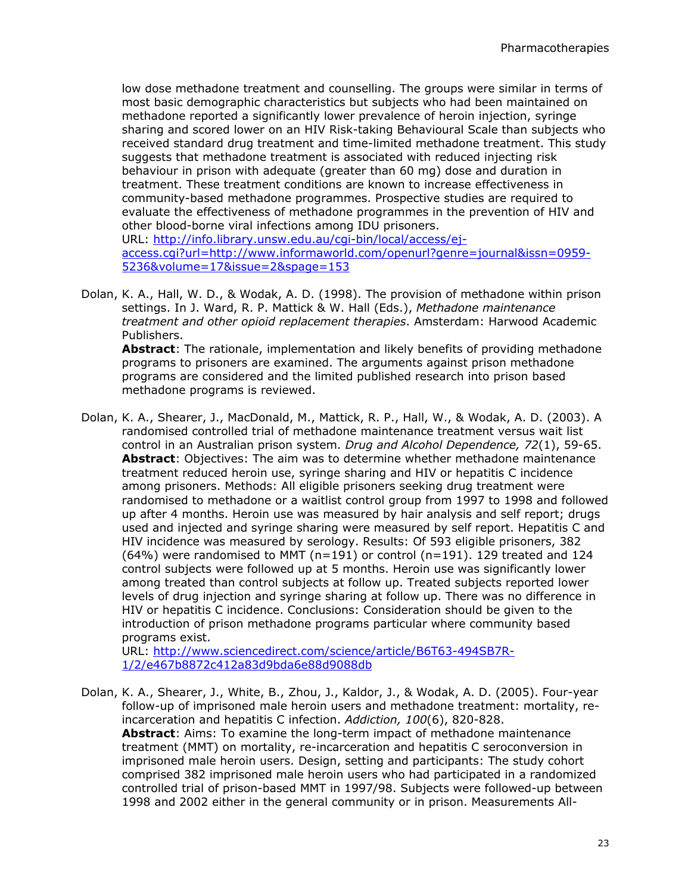low dose methadone treatment and counselling. The groups were similar in terms of most basic demographic characteristics but subjects who had been maintained on methadone reported a significantly lower prevalence of heroin injection, syringe sharing and scored lower on an HIV Risk-taking Behavioural Scale than subjects who received standard drug treatment and time-limited methadone treatment. This study suggests that methadone treatment is associated with reduced injecting risk behaviour in prison with adequate (greater than 60 mg) dose and duration in treatment. These treatment conditions are known to increase effectiveness in community-based methadone programmes. Prospective studies are required to evaluate the effectiveness of methadone programmes in the prevention of HIV and other blood-borne viral infections among IDU prisoners. URL: [http://info.library.unsw.edu.au/cgi-bin/local/access/ej-](http://info.library.unsw.edu.au/cgi-bin/local/access/ej-access.cgi?url=http://www.informaworld.com/openurl?genre=journal&issn=0959-5236&volume=17&issue=2&spage=153)

[access.cgi?url=http://www.informaworld.com/openurl?genre=journal&issn=0959-](http://info.library.unsw.edu.au/cgi-bin/local/access/ej-access.cgi?url=http://www.informaworld.com/openurl?genre=journal&issn=0959-5236&volume=17&issue=2&spage=153) [5236&volume=17&issue=2&spage=153](http://info.library.unsw.edu.au/cgi-bin/local/access/ej-access.cgi?url=http://www.informaworld.com/openurl?genre=journal&issn=0959-5236&volume=17&issue=2&spage=153)

Dolan, K. A., Hall, W. D., & Wodak, A. D. (1998). The provision of methadone within prison settings. In J. Ward, R. P. Mattick & W. Hall (Eds.), *Methadone maintenance treatment and other opioid replacement therapies*. Amsterdam: Harwood Academic Publishers. **Abstract**: The rationale, implementation and likely benefits of providing methadone

programs to prisoners are examined. The arguments against prison methadone programs are considered and the limited published research into prison based methadone programs is reviewed.

Dolan, K. A., Shearer, J., MacDonald, M., Mattick, R. P., Hall, W., & Wodak, A. D. (2003). A randomised controlled trial of methadone maintenance treatment versus wait list control in an Australian prison system. *Drug and Alcohol Dependence, 72*(1), 59-65. **Abstract**: Objectives: The aim was to determine whether methadone maintenance treatment reduced heroin use, syringe sharing and HIV or hepatitis C incidence among prisoners. Methods: All eligible prisoners seeking drug treatment were randomised to methadone or a waitlist control group from 1997 to 1998 and followed up after 4 months. Heroin use was measured by hair analysis and self report; drugs used and injected and syringe sharing were measured by self report. Hepatitis C and HIV incidence was measured by serology. Results: Of 593 eligible prisoners, 382  $(64%)$  were randomised to MMT  $(n=191)$  or control  $(n=191)$ . 129 treated and 124 control subjects were followed up at 5 months. Heroin use was significantly lower among treated than control subjects at follow up. Treated subjects reported lower levels of drug injection and syringe sharing at follow up. There was no difference in HIV or hepatitis C incidence. Conclusions: Consideration should be given to the introduction of prison methadone programs particular where community based programs exist.

URL: [http://www.sciencedirect.com/science/article/B6T63-494SB7R-](http://www.sciencedirect.com/science/article/B6T63-494SB7R-1/2/e467b8872c412a83d9bda6e88d9088db)[1/2/e467b8872c412a83d9bda6e88d9088db](http://www.sciencedirect.com/science/article/B6T63-494SB7R-1/2/e467b8872c412a83d9bda6e88d9088db)

Dolan, K. A., Shearer, J., White, B., Zhou, J., Kaldor, J., & Wodak, A. D. (2005). Four-year follow-up of imprisoned male heroin users and methadone treatment: mortality, reincarceration and hepatitis C infection. *Addiction, 100*(6), 820-828. **Abstract**: Aims: To examine the long-term impact of methadone maintenance treatment (MMT) on mortality, re-incarceration and hepatitis C seroconversion in imprisoned male heroin users. Design, setting and participants: The study cohort comprised 382 imprisoned male heroin users who had participated in a randomized controlled trial of prison-based MMT in 1997/98. Subjects were followed-up between 1998 and 2002 either in the general community or in prison. Measurements All-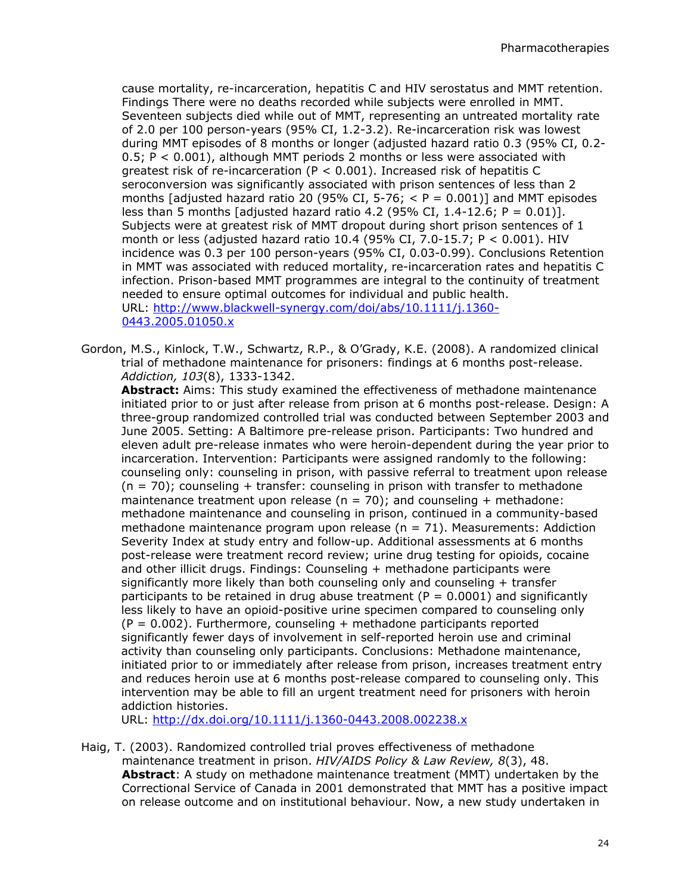cause mortality, re-incarceration, hepatitis C and HIV serostatus and MMT retention. Findings There were no deaths recorded while subjects were enrolled in MMT. Seventeen subjects died while out of MMT, representing an untreated mortality rate of 2.0 per 100 person-years (95% CI, 1.2-3.2). Re-incarceration risk was lowest during MMT episodes of 8 months or longer (adjusted hazard ratio 0.3 (95% CI, 0.2- 0.5; P < 0.001), although MMT periods 2 months or less were associated with greatest risk of re-incarceration (P < 0.001). Increased risk of hepatitis C seroconversion was significantly associated with prison sentences of less than 2 months [adjusted hazard ratio 20 (95% CI, 5-76;  $\lt P = 0.001$ )] and MMT episodes less than 5 months [adjusted hazard ratio 4.2 (95% CI, 1.4-12.6;  $P = 0.01$ )]. Subjects were at greatest risk of MMT dropout during short prison sentences of 1 month or less (adjusted hazard ratio 10.4 (95% CI, 7.0-15.7; P < 0.001). HIV incidence was 0.3 per 100 person-years (95% CI, 0.03-0.99). Conclusions Retention in MMT was associated with reduced mortality, re-incarceration rates and hepatitis C infection. Prison-based MMT programmes are integral to the continuity of treatment needed to ensure optimal outcomes for individual and public health. URL: [http://www.blackwell-synergy.com/doi/abs/10.1111/j.1360-](http://www.blackwell-synergy.com/doi/abs/10.1111/j.1360-0443.2005.01050.x) [0443.2005.01050.x](http://www.blackwell-synergy.com/doi/abs/10.1111/j.1360-0443.2005.01050.x)

Gordon, M.S., Kinlock, T.W., Schwartz, R.P., & O'Grady, K.E. (2008). A randomized clinical trial of methadone maintenance for prisoners: findings at 6 months post-release. *Addiction, 103*(8), 1333-1342.

**Abstract:** Aims: This study examined the effectiveness of methadone maintenance initiated prior to or just after release from prison at 6 months post-release. Design: A three-group randomized controlled trial was conducted between September 2003 and June 2005. Setting: A Baltimore pre-release prison. Participants: Two hundred and eleven adult pre-release inmates who were heroin-dependent during the year prior to incarceration. Intervention: Participants were assigned randomly to the following: counseling only: counseling in prison, with passive referral to treatment upon release  $(n = 70)$ ; counseling + transfer: counseling in prison with transfer to methadone maintenance treatment upon release ( $n = 70$ ); and counseling + methadone: methadone maintenance and counseling in prison, continued in a community-based methadone maintenance program upon release ( $n = 71$ ). Measurements: Addiction Severity Index at study entry and follow-up. Additional assessments at 6 months post-release were treatment record review; urine drug testing for opioids, cocaine and other illicit drugs. Findings: Counseling + methadone participants were significantly more likely than both counseling only and counseling + transfer participants to be retained in drug abuse treatment ( $P = 0.0001$ ) and significantly less likely to have an opioid-positive urine specimen compared to counseling only  $(P = 0.002)$ . Furthermore, counseling + methadone participants reported significantly fewer days of involvement in self-reported heroin use and criminal activity than counseling only participants. Conclusions: Methadone maintenance, initiated prior to or immediately after release from prison, increases treatment entry and reduces heroin use at 6 months post-release compared to counseling only. This intervention may be able to fill an urgent treatment need for prisoners with heroin addiction histories.

URL:<http://dx.doi.org/10.1111/j.1360-0443.2008.002238.x>

Haig, T. (2003). Randomized controlled trial proves effectiveness of methadone maintenance treatment in prison. *HIV/AIDS Policy & Law Review, 8*(3), 48. **Abstract**: A study on methadone maintenance treatment (MMT) undertaken by the Correctional Service of Canada in 2001 demonstrated that MMT has a positive impact on release outcome and on institutional behaviour. Now, a new study undertaken in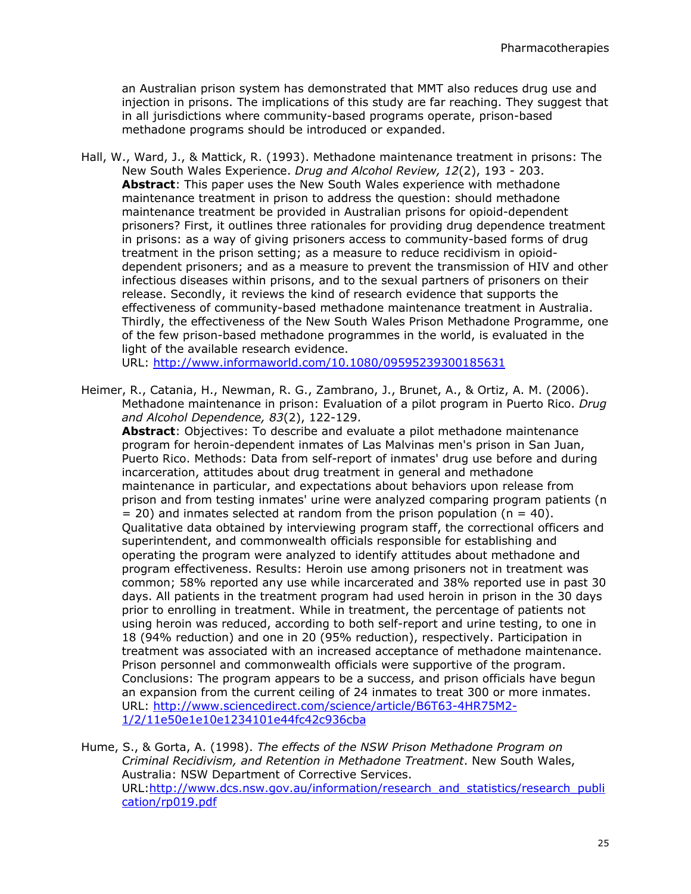an Australian prison system has demonstrated that MMT also reduces drug use and injection in prisons. The implications of this study are far reaching. They suggest that in all jurisdictions where community-based programs operate, prison-based methadone programs should be introduced or expanded.

Hall, W., Ward, J., & Mattick, R. (1993). Methadone maintenance treatment in prisons: The New South Wales Experience. *Drug and Alcohol Review, 12*(2), 193 - 203. **Abstract**: This paper uses the New South Wales experience with methadone maintenance treatment in prison to address the question: should methadone maintenance treatment be provided in Australian prisons for opioid-dependent prisoners? First, it outlines three rationales for providing drug dependence treatment in prisons: as a way of giving prisoners access to community-based forms of drug treatment in the prison setting; as a measure to reduce recidivism in opioiddependent prisoners; and as a measure to prevent the transmission of HIV and other infectious diseases within prisons, and to the sexual partners of prisoners on their release. Secondly, it reviews the kind of research evidence that supports the effectiveness of community-based methadone maintenance treatment in Australia. Thirdly, the effectiveness of the New South Wales Prison Methadone Programme, one of the few prison-based methadone programmes in the world, is evaluated in the light of the available research evidence.

URL: <http://www.informaworld.com/10.1080/09595239300185631>

Heimer, R., Catania, H., Newman, R. G., Zambrano, J., Brunet, A., & Ortiz, A. M. (2006). Methadone maintenance in prison: Evaluation of a pilot program in Puerto Rico. *Drug and Alcohol Dependence, 83*(2), 122-129.

**Abstract**: Objectives: To describe and evaluate a pilot methadone maintenance program for heroin-dependent inmates of Las Malvinas men's prison in San Juan, Puerto Rico. Methods: Data from self-report of inmates' drug use before and during incarceration, attitudes about drug treatment in general and methadone maintenance in particular, and expectations about behaviors upon release from prison and from testing inmates' urine were analyzed comparing program patients (n  $=$  20) and inmates selected at random from the prison population (n = 40). Qualitative data obtained by interviewing program staff, the correctional officers and superintendent, and commonwealth officials responsible for establishing and operating the program were analyzed to identify attitudes about methadone and program effectiveness. Results: Heroin use among prisoners not in treatment was common; 58% reported any use while incarcerated and 38% reported use in past 30 days. All patients in the treatment program had used heroin in prison in the 30 days prior to enrolling in treatment. While in treatment, the percentage of patients not using heroin was reduced, according to both self-report and urine testing, to one in 18 (94% reduction) and one in 20 (95% reduction), respectively. Participation in treatment was associated with an increased acceptance of methadone maintenance. Prison personnel and commonwealth officials were supportive of the program. Conclusions: The program appears to be a success, and prison officials have begun an expansion from the current ceiling of 24 inmates to treat 300 or more inmates. URL: [http://www.sciencedirect.com/science/article/B6T63-4HR75M2-](http://www.sciencedirect.com/science/article/B6T63-4HR75M2-1/2/11e50e1e10e1234101e44fc42c936cba) [1/2/11e50e1e10e1234101e44fc42c936cba](http://www.sciencedirect.com/science/article/B6T63-4HR75M2-1/2/11e50e1e10e1234101e44fc42c936cba)

Hume, S., & Gorta, A. (1998). *The effects of the NSW Prison Methadone Program on Criminal Recidivism, and Retention in Methadone Treatment*. New South Wales, Australia: NSW Department of Corrective Services. URL[:http://www.dcs.nsw.gov.au/information/research\\_and\\_statistics/research\\_publi](http://www.dcs.nsw.gov.au/information/research_and_statistics/research_publication/rp019.pdf) [cation/rp019.pdf](http://www.dcs.nsw.gov.au/information/research_and_statistics/research_publication/rp019.pdf)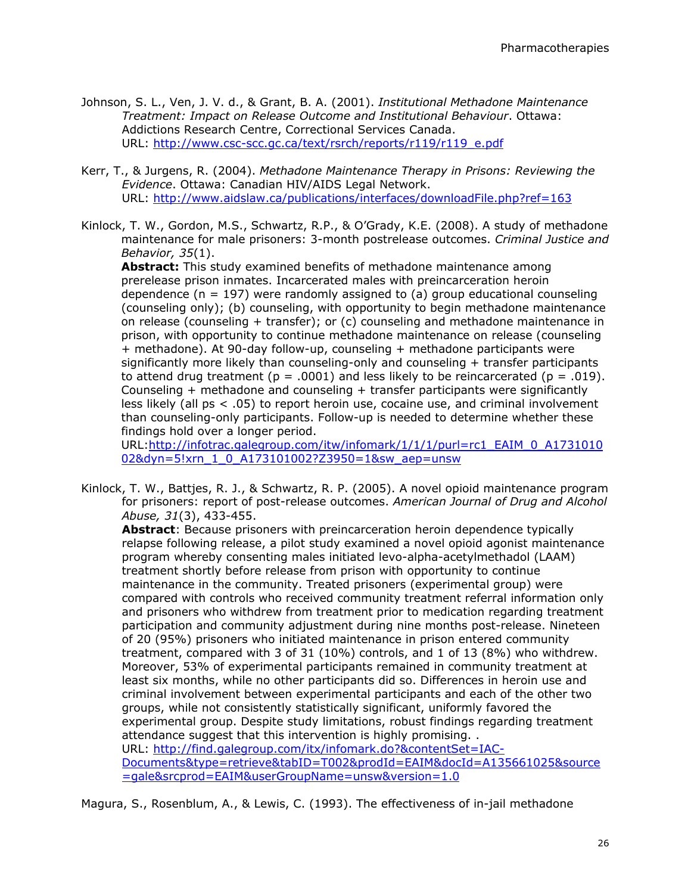- Johnson, S. L., Ven, J. V. d., & Grant, B. A. (2001). *Institutional Methadone Maintenance Treatment: Impact on Release Outcome and Institutional Behaviour*. Ottawa: Addictions Research Centre, Correctional Services Canada. URL: [http://www.csc-scc.gc.ca/text/rsrch/reports/r119/r119\\_e.pdf](http://www.csc-scc.gc.ca/text/rsrch/reports/r119/r119_e.pdf)
- Kerr, T., & Jurgens, R. (2004). *Methadone Maintenance Therapy in Prisons: Reviewing the Evidence*. Ottawa: Canadian HIV/AIDS Legal Network. URL: <http://www.aidslaw.ca/publications/interfaces/downloadFile.php?ref=163>
- Kinlock, T. W., Gordon, M.S., Schwartz, R.P., & O'Grady, K.E. (2008). A study of methadone maintenance for male prisoners: 3-month postrelease outcomes. *Criminal Justice and Behavior, 35*(1).

**Abstract:** This study examined benefits of methadone maintenance among prerelease prison inmates. Incarcerated males with preincarceration heroin dependence ( $n = 197$ ) were randomly assigned to (a) group educational counseling (counseling only); (b) counseling, with opportunity to begin methadone maintenance on release (counseling + transfer); or (c) counseling and methadone maintenance in prison, with opportunity to continue methadone maintenance on release (counseling + methadone). At 90-day follow-up, counseling + methadone participants were significantly more likely than counseling-only and counseling + transfer participants to attend drug treatment ( $p = .0001$ ) and less likely to be reincarcerated ( $p = .019$ ). Counseling + methadone and counseling + transfer participants were significantly less likely (all ps < .05) to report heroin use, cocaine use, and criminal involvement than counseling-only participants. Follow-up is needed to determine whether these findings hold over a longer period.

URL:[http://infotrac.galegroup.com/itw/infomark/1/1/1/purl=rc1\\_EAIM\\_0\\_A1731010](http://infotrac.galegroup.com/itw/infomark/1/1/1/purl=rc1_EAIM_0_A173101002&dyn=5!xrn_1_0_A173101002?Z3950=1&sw_aep=unsw) 02&dyn=5!xrn 1 0 A173101002?Z3950=1&sw aep=unsw

Kinlock, T. W., Battjes, R. J., & Schwartz, R. P. (2005). A novel opioid maintenance program for prisoners: report of post-release outcomes. *American Journal of Drug and Alcohol Abuse, 31*(3), 433-455.

**Abstract**: Because prisoners with preincarceration heroin dependence typically relapse following release, a pilot study examined a novel opioid agonist maintenance program whereby consenting males initiated levo-alpha-acetylmethadol (LAAM) treatment shortly before release from prison with opportunity to continue maintenance in the community. Treated prisoners (experimental group) were compared with controls who received community treatment referral information only and prisoners who withdrew from treatment prior to medication regarding treatment participation and community adjustment during nine months post-release. Nineteen of 20 (95%) prisoners who initiated maintenance in prison entered community treatment, compared with 3 of 31 (10%) controls, and 1 of 13 (8%) who withdrew. Moreover, 53% of experimental participants remained in community treatment at least six months, while no other participants did so. Differences in heroin use and criminal involvement between experimental participants and each of the other two groups, while not consistently statistically significant, uniformly favored the experimental group. Despite study limitations, robust findings regarding treatment attendance suggest that this intervention is highly promising. . URL: [http://find.galegroup.com/itx/infomark.do?&contentSet=IAC-](http://find.galegroup.com/itx/infomark.do?&contentSet=IAC-Documents&type=retrieve&tabID=T002&prodId=EAIM&docId=A135661025&source=gale&srcprod=EAIM&userGroupName=unsw&version=1.0)[Documents&type=retrieve&tabID=T002&prodId=EAIM&docId=A135661025&source](http://find.galegroup.com/itx/infomark.do?&contentSet=IAC-Documents&type=retrieve&tabID=T002&prodId=EAIM&docId=A135661025&source=gale&srcprod=EAIM&userGroupName=unsw&version=1.0) [=gale&srcprod=EAIM&userGroupName=unsw&version=1.0](http://find.galegroup.com/itx/infomark.do?&contentSet=IAC-Documents&type=retrieve&tabID=T002&prodId=EAIM&docId=A135661025&source=gale&srcprod=EAIM&userGroupName=unsw&version=1.0)

Magura, S., Rosenblum, A., & Lewis, C. (1993). The effectiveness of in-jail methadone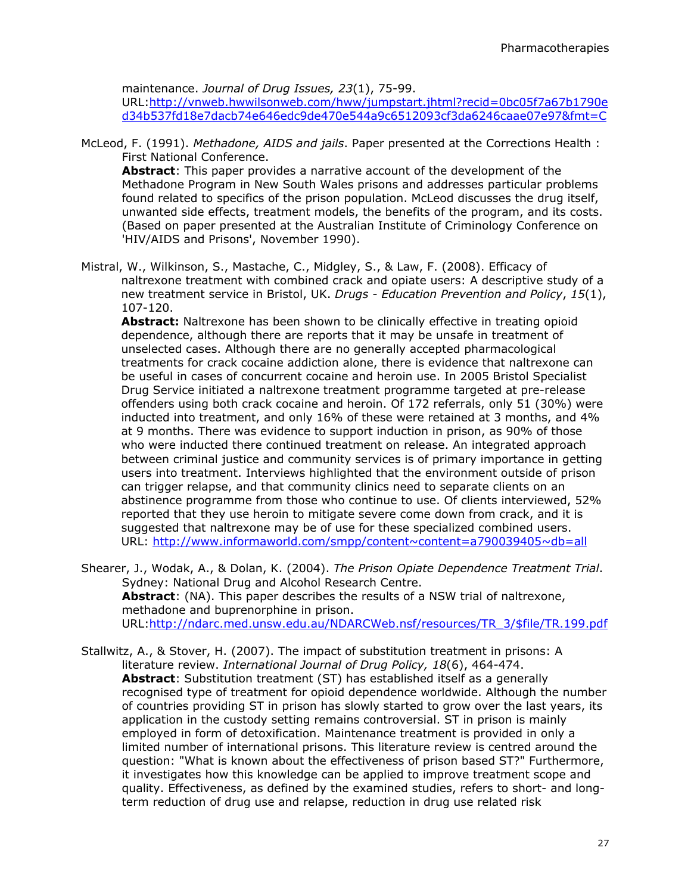maintenance. *Journal of Drug Issues, 23*(1), 75-99.

URL[:http://vnweb.hwwilsonweb.com/hww/jumpstart.jhtml?recid=0bc05f7a67b1790e](http://vnweb.hwwilsonweb.com/hww/jumpstart.jhtml?recid=0bc05f7a67b1790ed34b537fd18e7dacb74e646edc9de470e544a9c6512093cf3da6246caae07e97&fmt=C) [d34b537fd18e7dacb74e646edc9de470e544a9c6512093cf3da6246caae07e97&fmt=C](http://vnweb.hwwilsonweb.com/hww/jumpstart.jhtml?recid=0bc05f7a67b1790ed34b537fd18e7dacb74e646edc9de470e544a9c6512093cf3da6246caae07e97&fmt=C)

McLeod, F. (1991). *Methadone, AIDS and jails*. Paper presented at the Corrections Health : First National Conference.

**Abstract**: This paper provides a narrative account of the development of the Methadone Program in New South Wales prisons and addresses particular problems found related to specifics of the prison population. McLeod discusses the drug itself, unwanted side effects, treatment models, the benefits of the program, and its costs. (Based on paper presented at the Australian Institute of Criminology Conference on 'HIV/AIDS and Prisons', November 1990).

Mistral, W., Wilkinson, S., Mastache, C., Midgley, S., & Law, F. (2008). Efficacy of naltrexone treatment with combined crack and opiate users: A descriptive study of a new treatment service in Bristol, UK. *Drugs - Education Prevention and Policy*, *15*(1), 107-120.

**Abstract:** Naltrexone has been shown to be clinically effective in treating opioid dependence, although there are reports that it may be unsafe in treatment of unselected cases. Although there are no generally accepted pharmacological treatments for crack cocaine addiction alone, there is evidence that naltrexone can be useful in cases of concurrent cocaine and heroin use. In 2005 Bristol Specialist Drug Service initiated a naltrexone treatment programme targeted at pre-release offenders using both crack cocaine and heroin. Of 172 referrals, only 51 (30%) were inducted into treatment, and only 16% of these were retained at 3 months, and 4% at 9 months. There was evidence to support induction in prison, as 90% of those who were inducted there continued treatment on release. An integrated approach between criminal justice and community services is of primary importance in getting users into treatment. Interviews highlighted that the environment outside of prison can trigger relapse, and that community clinics need to separate clients on an abstinence programme from those who continue to use. Of clients interviewed, 52% reported that they use heroin to mitigate severe come down from crack, and it is suggested that naltrexone may be of use for these specialized combined users. URL: [http://www.informaworld.com/smpp/content~content=a790039405~db=all](http://www.informaworld.com/smpp/content%7Econtent=a790039405%7Edb=all)

Shearer, J., Wodak, A., & Dolan, K. (2004). *The Prison Opiate Dependence Treatment Trial*. Sydney: National Drug and Alcohol Research Centre. **Abstract**: (NA). This paper describes the results of a NSW trial of naltrexone, methadone and buprenorphine in prison. URL[:http://ndarc.med.unsw.edu.au/NDARCWeb.nsf/resources/TR\\_3/\\$file/TR.199.pdf](http://ndarc.med.unsw.edu.au/NDARCWeb.nsf/resources/TR_3/$file/TR.199.pdf)

Stallwitz, A., & Stover, H. (2007). The impact of substitution treatment in prisons: A literature review. *International Journal of Drug Policy, 18*(6), 464-474. **Abstract**: Substitution treatment (ST) has established itself as a generally recognised type of treatment for opioid dependence worldwide. Although the number of countries providing ST in prison has slowly started to grow over the last years, its application in the custody setting remains controversial. ST in prison is mainly employed in form of detoxification. Maintenance treatment is provided in only a limited number of international prisons. This literature review is centred around the question: "What is known about the effectiveness of prison based ST?" Furthermore, it investigates how this knowledge can be applied to improve treatment scope and quality. Effectiveness, as defined by the examined studies, refers to short- and longterm reduction of drug use and relapse, reduction in drug use related risk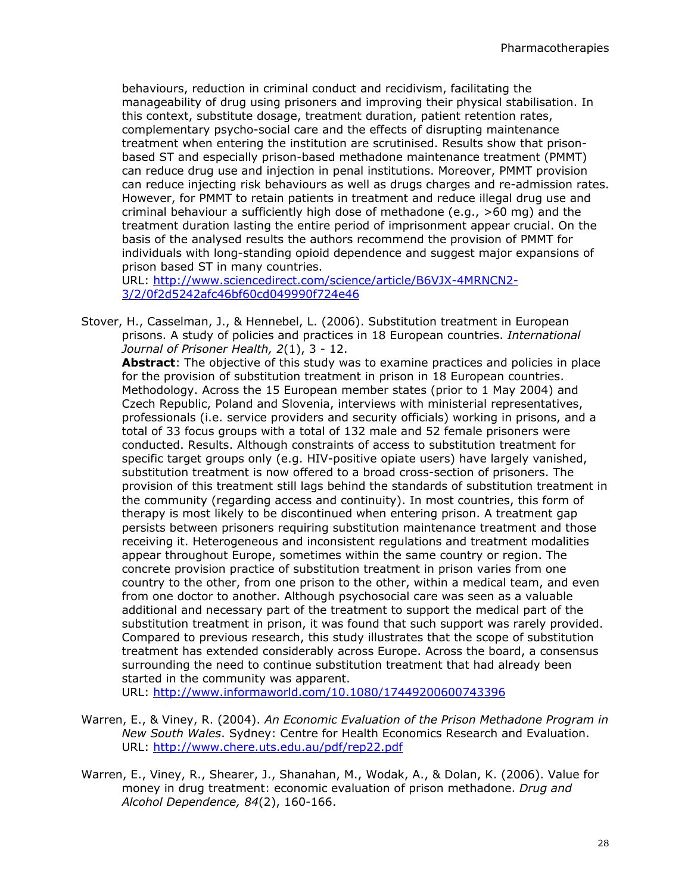behaviours, reduction in criminal conduct and recidivism, facilitating the manageability of drug using prisoners and improving their physical stabilisation. In this context, substitute dosage, treatment duration, patient retention rates, complementary psycho-social care and the effects of disrupting maintenance treatment when entering the institution are scrutinised. Results show that prisonbased ST and especially prison-based methadone maintenance treatment (PMMT) can reduce drug use and injection in penal institutions. Moreover, PMMT provision can reduce injecting risk behaviours as well as drugs charges and re-admission rates. However, for PMMT to retain patients in treatment and reduce illegal drug use and criminal behaviour a sufficiently high dose of methadone (e.g., >60 mg) and the treatment duration lasting the entire period of imprisonment appear crucial. On the basis of the analysed results the authors recommend the provision of PMMT for individuals with long-standing opioid dependence and suggest major expansions of prison based ST in many countries.

URL: [http://www.sciencedirect.com/science/article/B6VJX-4MRNCN2-](http://www.sciencedirect.com/science/article/B6VJX-4MRNCN2-3/2/0f2d5242afc46bf60cd049990f724e46) [3/2/0f2d5242afc46bf60cd049990f724e46](http://www.sciencedirect.com/science/article/B6VJX-4MRNCN2-3/2/0f2d5242afc46bf60cd049990f724e46)

Stover, H., Casselman, J., & Hennebel, L. (2006). Substitution treatment in European prisons. A study of policies and practices in 18 European countries. *International Journal of Prisoner Health, 2*(1), 3 - 12.

**Abstract**: The objective of this study was to examine practices and policies in place for the provision of substitution treatment in prison in 18 European countries. Methodology. Across the 15 European member states (prior to 1 May 2004) and Czech Republic, Poland and Slovenia, interviews with ministerial representatives, professionals (i.e. service providers and security officials) working in prisons, and a total of 33 focus groups with a total of 132 male and 52 female prisoners were conducted. Results. Although constraints of access to substitution treatment for specific target groups only (e.g. HIV-positive opiate users) have largely vanished, substitution treatment is now offered to a broad cross-section of prisoners. The provision of this treatment still lags behind the standards of substitution treatment in the community (regarding access and continuity). In most countries, this form of therapy is most likely to be discontinued when entering prison. A treatment gap persists between prisoners requiring substitution maintenance treatment and those receiving it. Heterogeneous and inconsistent regulations and treatment modalities appear throughout Europe, sometimes within the same country or region. The concrete provision practice of substitution treatment in prison varies from one country to the other, from one prison to the other, within a medical team, and even from one doctor to another. Although psychosocial care was seen as a valuable additional and necessary part of the treatment to support the medical part of the substitution treatment in prison, it was found that such support was rarely provided. Compared to previous research, this study illustrates that the scope of substitution treatment has extended considerably across Europe. Across the board, a consensus surrounding the need to continue substitution treatment that had already been started in the community was apparent.

URL: <http://www.informaworld.com/10.1080/17449200600743396>

- Warren, E., & Viney, R. (2004). *An Economic Evaluation of the Prison Methadone Program in New South Wales*. Sydney: Centre for Health Economics Research and Evaluation. URL: <http://www.chere.uts.edu.au/pdf/rep22.pdf>
- Warren, E., Viney, R., Shearer, J., Shanahan, M., Wodak, A., & Dolan, K. (2006). Value for money in drug treatment: economic evaluation of prison methadone. *Drug and Alcohol Dependence, 84*(2), 160-166.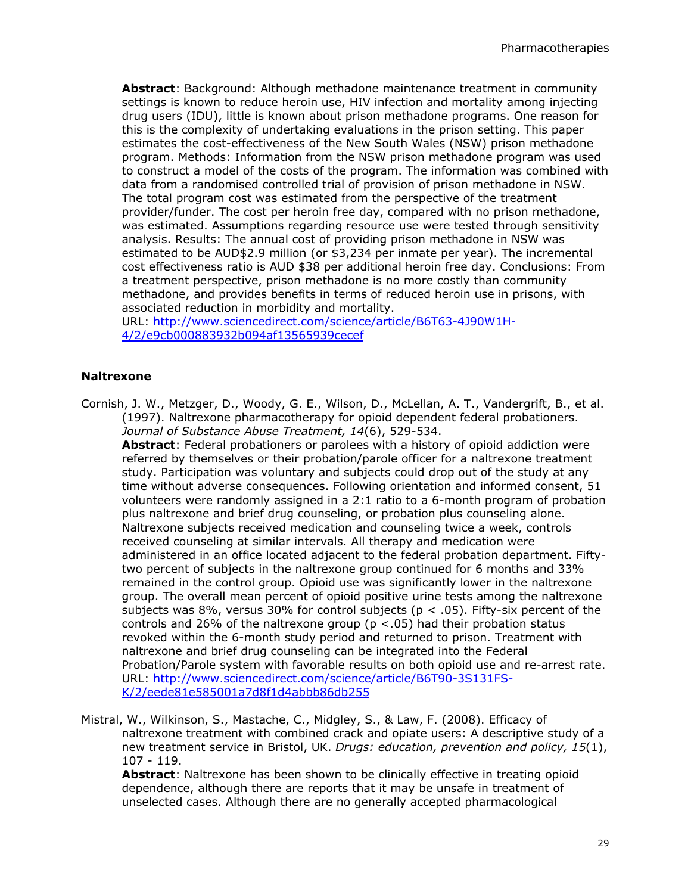**Abstract**: Background: Although methadone maintenance treatment in community settings is known to reduce heroin use, HIV infection and mortality among injecting drug users (IDU), little is known about prison methadone programs. One reason for this is the complexity of undertaking evaluations in the prison setting. This paper estimates the cost-effectiveness of the New South Wales (NSW) prison methadone program. Methods: Information from the NSW prison methadone program was used to construct a model of the costs of the program. The information was combined with data from a randomised controlled trial of provision of prison methadone in NSW. The total program cost was estimated from the perspective of the treatment provider/funder. The cost per heroin free day, compared with no prison methadone, was estimated. Assumptions regarding resource use were tested through sensitivity analysis. Results: The annual cost of providing prison methadone in NSW was estimated to be AUD\$2.9 million (or \$3,234 per inmate per year). The incremental cost effectiveness ratio is AUD \$38 per additional heroin free day. Conclusions: From a treatment perspective, prison methadone is no more costly than community methadone, and provides benefits in terms of reduced heroin use in prisons, with associated reduction in morbidity and mortality.

URL: [http://www.sciencedirect.com/science/article/B6T63-4J90W1H-](http://www.sciencedirect.com/science/article/B6T63-4J90W1H-4/2/e9cb000883932b094af13565939cecef)[4/2/e9cb000883932b094af13565939cecef](http://www.sciencedirect.com/science/article/B6T63-4J90W1H-4/2/e9cb000883932b094af13565939cecef)

#### **Naltrexone**

Cornish, J. W., Metzger, D., Woody, G. E., Wilson, D., McLellan, A. T., Vandergrift, B., et al. (1997). Naltrexone pharmacotherapy for opioid dependent federal probationers. *Journal of Substance Abuse Treatment, 14*(6), 529-534.

**Abstract**: Federal probationers or parolees with a history of opioid addiction were referred by themselves or their probation/parole officer for a naltrexone treatment study. Participation was voluntary and subjects could drop out of the study at any time without adverse consequences. Following orientation and informed consent, 51 volunteers were randomly assigned in a 2:1 ratio to a 6-month program of probation plus naltrexone and brief drug counseling, or probation plus counseling alone. Naltrexone subjects received medication and counseling twice a week, controls received counseling at similar intervals. All therapy and medication were administered in an office located adjacent to the federal probation department. Fiftytwo percent of subjects in the naltrexone group continued for 6 months and 33% remained in the control group. Opioid use was significantly lower in the naltrexone group. The overall mean percent of opioid positive urine tests among the naltrexone subjects was  $8\%$ , versus 30% for control subjects ( $p < .05$ ). Fifty-six percent of the controls and 26% of the naltrexone group ( $p < .05$ ) had their probation status revoked within the 6-month study period and returned to prison. Treatment with naltrexone and brief drug counseling can be integrated into the Federal Probation/Parole system with favorable results on both opioid use and re-arrest rate. URL: [http://www.sciencedirect.com/science/article/B6T90-3S131FS-](http://www.sciencedirect.com/science/article/B6T90-3S131FS-K/2/eede81e585001a7d8f1d4abbb86db255)[K/2/eede81e585001a7d8f1d4abbb86db255](http://www.sciencedirect.com/science/article/B6T90-3S131FS-K/2/eede81e585001a7d8f1d4abbb86db255) 

Mistral, W., Wilkinson, S., Mastache, C., Midgley, S., & Law, F. (2008). Efficacy of naltrexone treatment with combined crack and opiate users: A descriptive study of a new treatment service in Bristol, UK. *Drugs: education, prevention and policy, 15*(1), 107 - 119.

**Abstract**: Naltrexone has been shown to be clinically effective in treating opioid dependence, although there are reports that it may be unsafe in treatment of unselected cases. Although there are no generally accepted pharmacological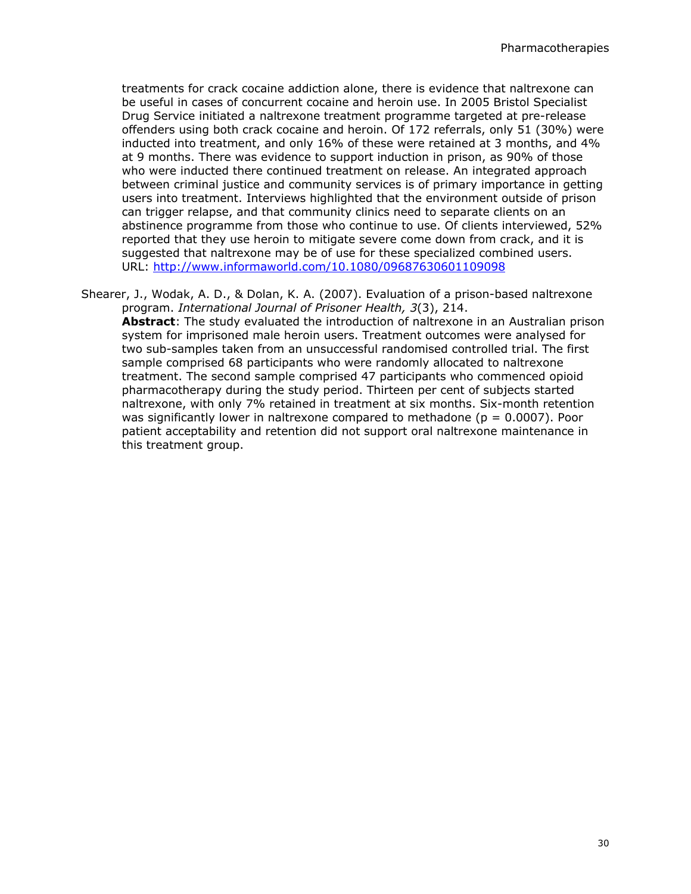treatments for crack cocaine addiction alone, there is evidence that naltrexone can be useful in cases of concurrent cocaine and heroin use. In 2005 Bristol Specialist Drug Service initiated a naltrexone treatment programme targeted at pre-release offenders using both crack cocaine and heroin. Of 172 referrals, only 51 (30%) were inducted into treatment, and only 16% of these were retained at 3 months, and 4% at 9 months. There was evidence to support induction in prison, as 90% of those who were inducted there continued treatment on release. An integrated approach between criminal justice and community services is of primary importance in getting users into treatment. Interviews highlighted that the environment outside of prison can trigger relapse, and that community clinics need to separate clients on an abstinence programme from those who continue to use. Of clients interviewed, 52% reported that they use heroin to mitigate severe come down from crack, and it is suggested that naltrexone may be of use for these specialized combined users. URL: <http://www.informaworld.com/10.1080/09687630601109098>

Shearer, J., Wodak, A. D., & Dolan, K. A. (2007). Evaluation of a prison-based naltrexone program. *International Journal of Prisoner Health, 3*(3), 214.

**Abstract**: The study evaluated the introduction of naltrexone in an Australian prison system for imprisoned male heroin users. Treatment outcomes were analysed for two sub-samples taken from an unsuccessful randomised controlled trial. The first sample comprised 68 participants who were randomly allocated to naltrexone treatment. The second sample comprised 47 participants who commenced opioid pharmacotherapy during the study period. Thirteen per cent of subjects started naltrexone, with only 7% retained in treatment at six months. Six-month retention was significantly lower in naltrexone compared to methadone ( $p = 0.0007$ ). Poor patient acceptability and retention did not support oral naltrexone maintenance in this treatment group.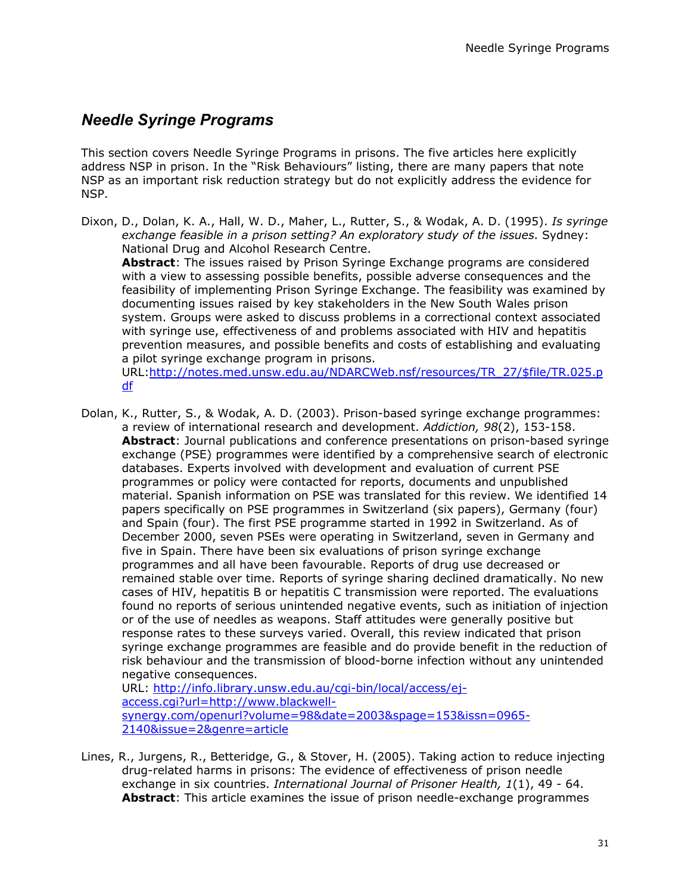# <span id="page-30-0"></span>*Needle Syringe Programs*

This section covers Needle Syringe Programs in prisons. The five articles here explicitly address NSP in prison. In the "Risk Behaviours" listing, there are many papers that note NSP as an important risk reduction strategy but do not explicitly address the evidence for NSP.

Dixon, D., Dolan, K. A., Hall, W. D., Maher, L., Rutter, S., & Wodak, A. D. (1995). *Is syringe exchange feasible in a prison setting? An exploratory study of the issues*. Sydney: National Drug and Alcohol Research Centre.

**Abstract**: The issues raised by Prison Syringe Exchange programs are considered with a view to assessing possible benefits, possible adverse consequences and the feasibility of implementing Prison Syringe Exchange. The feasibility was examined by documenting issues raised by key stakeholders in the New South Wales prison system. Groups were asked to discuss problems in a correctional context associated with syringe use, effectiveness of and problems associated with HIV and hepatitis prevention measures, and possible benefits and costs of establishing and evaluating a pilot syringe exchange program in prisons.

URL[:http://notes.med.unsw.edu.au/NDARCWeb.nsf/resources/TR\\_27/\\$file/TR.025.p](http://notes.med.unsw.edu.au/NDARCWeb.nsf/resources/TR_27/$file/TR.025.pdf) [df](http://notes.med.unsw.edu.au/NDARCWeb.nsf/resources/TR_27/$file/TR.025.pdf)

Dolan, K., Rutter, S., & Wodak, A. D. (2003). Prison-based syringe exchange programmes: a review of international research and development. *Addiction, 98*(2), 153-158. **Abstract**: Journal publications and conference presentations on prison-based syringe exchange (PSE) programmes were identified by a comprehensive search of electronic databases. Experts involved with development and evaluation of current PSE programmes or policy were contacted for reports, documents and unpublished material. Spanish information on PSE was translated for this review. We identified 14 papers specifically on PSE programmes in Switzerland (six papers), Germany (four) and Spain (four). The first PSE programme started in 1992 in Switzerland. As of December 2000, seven PSEs were operating in Switzerland, seven in Germany and five in Spain. There have been six evaluations of prison syringe exchange programmes and all have been favourable. Reports of drug use decreased or remained stable over time. Reports of syringe sharing declined dramatically. No new cases of HIV, hepatitis B or hepatitis C transmission were reported. The evaluations found no reports of serious unintended negative events, such as initiation of injection or of the use of needles as weapons. Staff attitudes were generally positive but response rates to these surveys varied. Overall, this review indicated that prison syringe exchange programmes are feasible and do provide benefit in the reduction of risk behaviour and the transmission of blood-borne infection without any unintended negative consequences.

URL: [http://info.library.unsw.edu.au/cgi-bin/local/access/ej](http://info.library.unsw.edu.au/cgi-bin/local/access/ej-access.cgi?url=http://www.blackwell-synergy.com/openurl?volume=98&date=2003&spage=153&issn=0965-2140&issue=2&genre=article)[access.cgi?url=http://www.blackwell](http://info.library.unsw.edu.au/cgi-bin/local/access/ej-access.cgi?url=http://www.blackwell-synergy.com/openurl?volume=98&date=2003&spage=153&issn=0965-2140&issue=2&genre=article)[synergy.com/openurl?volume=98&date=2003&spage=153&issn=0965-](http://info.library.unsw.edu.au/cgi-bin/local/access/ej-access.cgi?url=http://www.blackwell-synergy.com/openurl?volume=98&date=2003&spage=153&issn=0965-2140&issue=2&genre=article) [2140&issue=2&genre=article](http://info.library.unsw.edu.au/cgi-bin/local/access/ej-access.cgi?url=http://www.blackwell-synergy.com/openurl?volume=98&date=2003&spage=153&issn=0965-2140&issue=2&genre=article)

Lines, R., Jurgens, R., Betteridge, G., & Stover, H. (2005). Taking action to reduce injecting drug-related harms in prisons: The evidence of effectiveness of prison needle exchange in six countries. *International Journal of Prisoner Health, 1*(1), 49 - 64. **Abstract**: This article examines the issue of prison needle-exchange programmes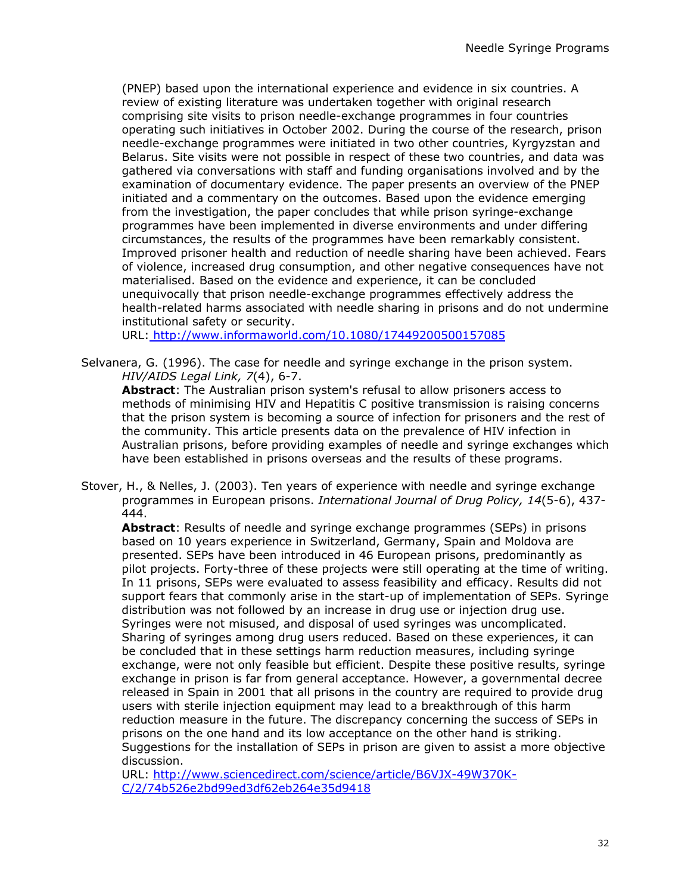(PNEP) based upon the international experience and evidence in six countries. A review of existing literature was undertaken together with original research comprising site visits to prison needle-exchange programmes in four countries operating such initiatives in October 2002. During the course of the research, prison needle-exchange programmes were initiated in two other countries, Kyrgyzstan and Belarus. Site visits were not possible in respect of these two countries, and data was gathered via conversations with staff and funding organisations involved and by the examination of documentary evidence. The paper presents an overview of the PNEP initiated and a commentary on the outcomes. Based upon the evidence emerging from the investigation, the paper concludes that while prison syringe-exchange programmes have been implemented in diverse environments and under differing circumstances, the results of the programmes have been remarkably consistent. Improved prisoner health and reduction of needle sharing have been achieved. Fears of violence, increased drug consumption, and other negative consequences have not materialised. Based on the evidence and experience, it can be concluded unequivocally that prison needle-exchange programmes effectively address the health-related harms associated with needle sharing in prisons and do not undermine institutional safety or security.

URL[: http://www.informaworld.com/10.1080/17449200500157085](http://www.informaworld.com/10.1080/17449200500157085) 

Selvanera, G. (1996). The case for needle and syringe exchange in the prison system. *HIV/AIDS Legal Link, 7*(4), 6-7.

**Abstract**: The Australian prison system's refusal to allow prisoners access to methods of minimising HIV and Hepatitis C positive transmission is raising concerns that the prison system is becoming a source of infection for prisoners and the rest of the community. This article presents data on the prevalence of HIV infection in Australian prisons, before providing examples of needle and syringe exchanges which have been established in prisons overseas and the results of these programs.

Stover, H., & Nelles, J. (2003). Ten years of experience with needle and syringe exchange programmes in European prisons. *International Journal of Drug Policy, 14*(5-6), 437- 444.

**Abstract**: Results of needle and syringe exchange programmes (SEPs) in prisons based on 10 years experience in Switzerland, Germany, Spain and Moldova are presented. SEPs have been introduced in 46 European prisons, predominantly as pilot projects. Forty-three of these projects were still operating at the time of writing. In 11 prisons, SEPs were evaluated to assess feasibility and efficacy. Results did not support fears that commonly arise in the start-up of implementation of SEPs. Syringe distribution was not followed by an increase in drug use or injection drug use. Syringes were not misused, and disposal of used syringes was uncomplicated. Sharing of syringes among drug users reduced. Based on these experiences, it can be concluded that in these settings harm reduction measures, including syringe exchange, were not only feasible but efficient. Despite these positive results, syringe exchange in prison is far from general acceptance. However, a governmental decree released in Spain in 2001 that all prisons in the country are required to provide drug users with sterile injection equipment may lead to a breakthrough of this harm reduction measure in the future. The discrepancy concerning the success of SEPs in prisons on the one hand and its low acceptance on the other hand is striking. Suggestions for the installation of SEPs in prison are given to assist a more objective discussion.

URL: [http://www.sciencedirect.com/science/article/B6VJX-49W370K-](http://www.sciencedirect.com/science/article/B6VJX-49W370K-C/2/74b526e2bd99ed3df62eb264e35d9418)[C/2/74b526e2bd99ed3df62eb264e35d9418](http://www.sciencedirect.com/science/article/B6VJX-49W370K-C/2/74b526e2bd99ed3df62eb264e35d9418)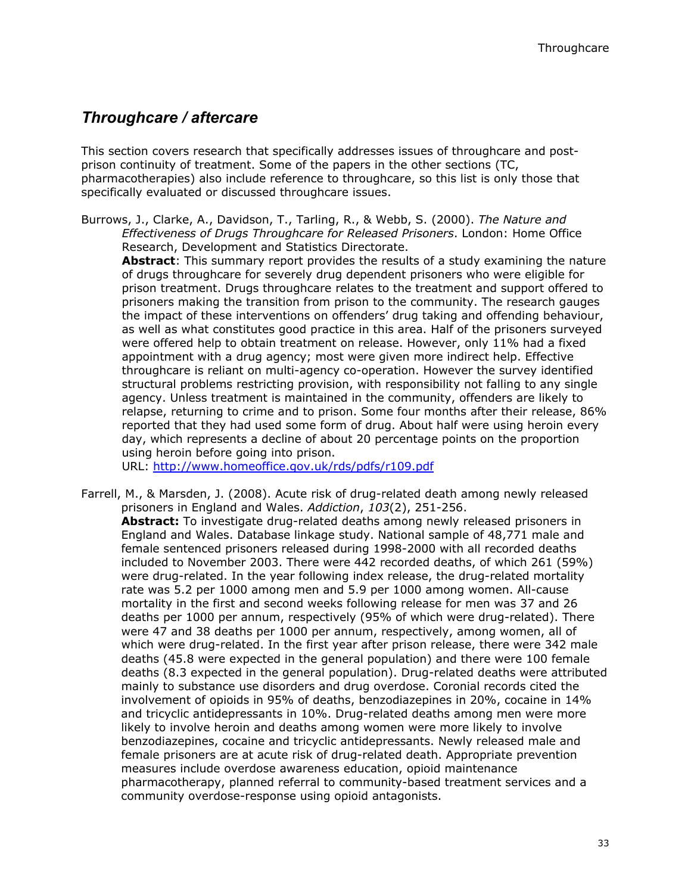## <span id="page-32-0"></span>*Throughcare / aftercare*

This section covers research that specifically addresses issues of throughcare and postprison continuity of treatment. Some of the papers in the other sections (TC, pharmacotherapies) also include reference to throughcare, so this list is only those that specifically evaluated or discussed throughcare issues.

Burrows, J., Clarke, A., Davidson, T., Tarling, R., & Webb, S. (2000). *The Nature and Effectiveness of Drugs Throughcare for Released Prisoners*. London: Home Office Research, Development and Statistics Directorate.

**Abstract**: This summary report provides the results of a study examining the nature of drugs throughcare for severely drug dependent prisoners who were eligible for prison treatment. Drugs throughcare relates to the treatment and support offered to prisoners making the transition from prison to the community. The research gauges the impact of these interventions on offenders' drug taking and offending behaviour, as well as what constitutes good practice in this area. Half of the prisoners surveyed were offered help to obtain treatment on release. However, only 11% had a fixed appointment with a drug agency; most were given more indirect help. Effective throughcare is reliant on multi-agency co-operation. However the survey identified structural problems restricting provision, with responsibility not falling to any single agency. Unless treatment is maintained in the community, offenders are likely to relapse, returning to crime and to prison. Some four months after their release, 86% reported that they had used some form of drug. About half were using heroin every day, which represents a decline of about 20 percentage points on the proportion using heroin before going into prison.

URL: <http://www.homeoffice.gov.uk/rds/pdfs/r109.pdf>

Farrell, M., & Marsden, J. (2008). Acute risk of drug-related death among newly released prisoners in England and Wales. *Addiction*, *103*(2), 251-256. **Abstract:** To investigate drug-related deaths among newly released prisoners in England and Wales. Database linkage study. National sample of 48,771 male and female sentenced prisoners released during 1998-2000 with all recorded deaths included to November 2003. There were 442 recorded deaths, of which 261 (59%) were drug-related. In the year following index release, the drug-related mortality rate was 5.2 per 1000 among men and 5.9 per 1000 among women. All-cause mortality in the first and second weeks following release for men was 37 and 26 deaths per 1000 per annum, respectively (95% of which were drug-related). There were 47 and 38 deaths per 1000 per annum, respectively, among women, all of which were drug-related. In the first year after prison release, there were 342 male deaths (45.8 were expected in the general population) and there were 100 female deaths (8.3 expected in the general population). Drug-related deaths were attributed mainly to substance use disorders and drug overdose. Coronial records cited the involvement of opioids in 95% of deaths, benzodiazepines in 20%, cocaine in 14% and tricyclic antidepressants in 10%. Drug-related deaths among men were more likely to involve heroin and deaths among women were more likely to involve benzodiazepines, cocaine and tricyclic antidepressants. Newly released male and female prisoners are at acute risk of drug-related death. Appropriate prevention measures include overdose awareness education, opioid maintenance pharmacotherapy, planned referral to community-based treatment services and a community overdose-response using opioid antagonists.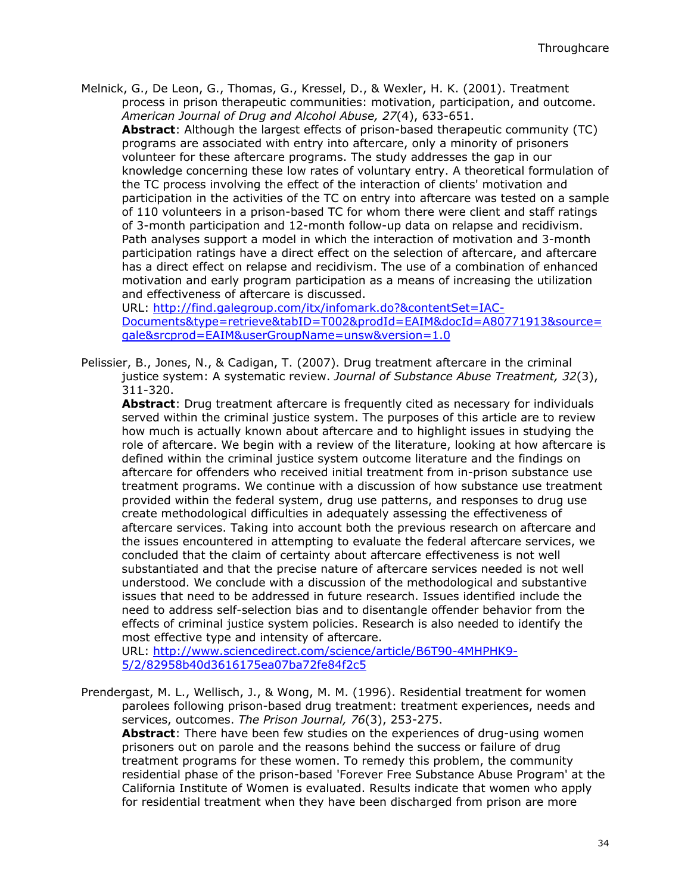Melnick, G., De Leon, G., Thomas, G., Kressel, D., & Wexler, H. K. (2001). Treatment process in prison therapeutic communities: motivation, participation, and outcome. *American Journal of Drug and Alcohol Abuse, 27*(4), 633-651.

**Abstract**: Although the largest effects of prison-based therapeutic community (TC) programs are associated with entry into aftercare, only a minority of prisoners volunteer for these aftercare programs. The study addresses the gap in our knowledge concerning these low rates of voluntary entry. A theoretical formulation of the TC process involving the effect of the interaction of clients' motivation and participation in the activities of the TC on entry into aftercare was tested on a sample of 110 volunteers in a prison-based TC for whom there were client and staff ratings of 3-month participation and 12-month follow-up data on relapse and recidivism. Path analyses support a model in which the interaction of motivation and 3-month participation ratings have a direct effect on the selection of aftercare, and aftercare has a direct effect on relapse and recidivism. The use of a combination of enhanced motivation and early program participation as a means of increasing the utilization and effectiveness of aftercare is discussed.

 URL: [http://find.galegroup.com/itx/infomark.do?&contentSet=IAC-](http://find.galegroup.com/itx/infomark.do?&contentSet=IAC-Documents&type=retrieve&tabID=T002&prodId=EAIM&docId=A80771913&source=gale&srcprod=EAIM&userGroupName=unsw&version=1.0)[Documents&type=retrieve&tabID=T002&prodId=EAIM&docId=A80771913&source=](http://find.galegroup.com/itx/infomark.do?&contentSet=IAC-Documents&type=retrieve&tabID=T002&prodId=EAIM&docId=A80771913&source=gale&srcprod=EAIM&userGroupName=unsw&version=1.0) [gale&srcprod=EAIM&userGroupName=unsw&version=1.0](http://find.galegroup.com/itx/infomark.do?&contentSet=IAC-Documents&type=retrieve&tabID=T002&prodId=EAIM&docId=A80771913&source=gale&srcprod=EAIM&userGroupName=unsw&version=1.0)

Pelissier, B., Jones, N., & Cadigan, T. (2007). Drug treatment aftercare in the criminal justice system: A systematic review. *Journal of Substance Abuse Treatment, 32*(3), 311-320.

**Abstract**: Drug treatment aftercare is frequently cited as necessary for individuals served within the criminal justice system. The purposes of this article are to review how much is actually known about aftercare and to highlight issues in studying the role of aftercare. We begin with a review of the literature, looking at how aftercare is defined within the criminal justice system outcome literature and the findings on aftercare for offenders who received initial treatment from in-prison substance use treatment programs. We continue with a discussion of how substance use treatment provided within the federal system, drug use patterns, and responses to drug use create methodological difficulties in adequately assessing the effectiveness of aftercare services. Taking into account both the previous research on aftercare and the issues encountered in attempting to evaluate the federal aftercare services, we concluded that the claim of certainty about aftercare effectiveness is not well substantiated and that the precise nature of aftercare services needed is not well understood. We conclude with a discussion of the methodological and substantive issues that need to be addressed in future research. Issues identified include the need to address self-selection bias and to disentangle offender behavior from the effects of criminal justice system policies. Research is also needed to identify the most effective type and intensity of aftercare.

URL: [http://www.sciencedirect.com/science/article/B6T90-4MHPHK9-](http://www.sciencedirect.com/science/article/B6T90-4MHPHK9-5/2/82958b40d3616175ea07ba72fe84f2c5) [5/2/82958b40d3616175ea07ba72fe84f2c5](http://www.sciencedirect.com/science/article/B6T90-4MHPHK9-5/2/82958b40d3616175ea07ba72fe84f2c5) 

Prendergast, M. L., Wellisch, J., & Wong, M. M. (1996). Residential treatment for women parolees following prison-based drug treatment: treatment experiences, needs and services, outcomes. *The Prison Journal, 76*(3), 253-275.

**Abstract**: There have been few studies on the experiences of drug-using women prisoners out on parole and the reasons behind the success or failure of drug treatment programs for these women. To remedy this problem, the community residential phase of the prison-based 'Forever Free Substance Abuse Program' at the California Institute of Women is evaluated. Results indicate that women who apply for residential treatment when they have been discharged from prison are more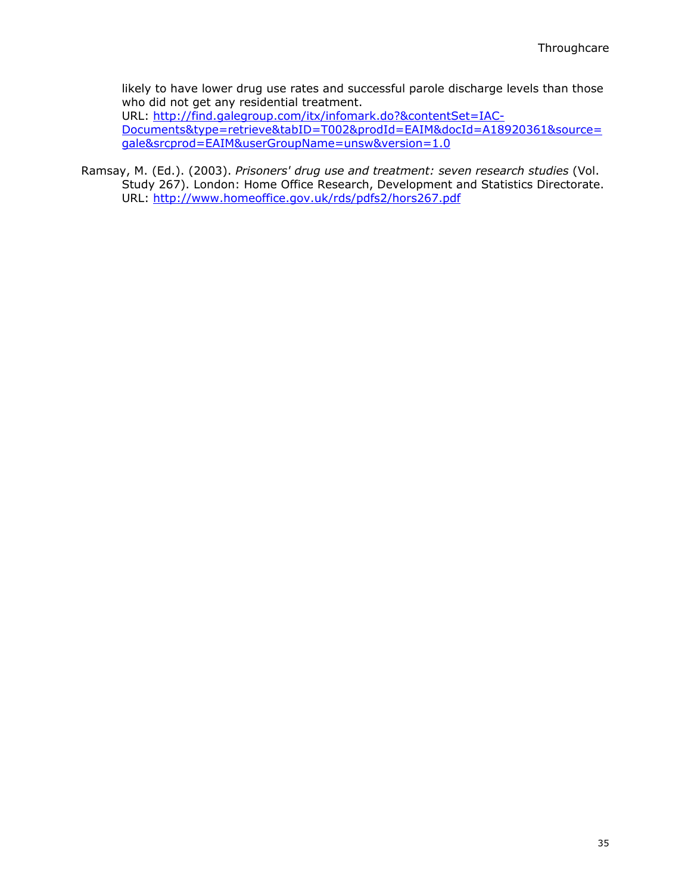likely to have lower drug use rates and successful parole discharge levels than those who did not get any residential treatment.

URL: [http://find.galegroup.com/itx/infomark.do?&contentSet=IAC-](http://find.galegroup.com/itx/infomark.do?&contentSet=IAC-Documents&type=retrieve&tabID=T002&prodId=EAIM&docId=A18920361&source=gale&srcprod=EAIM&userGroupName=unsw&version=1.0)[Documents&type=retrieve&tabID=T002&prodId=EAIM&docId=A18920361&source=](http://find.galegroup.com/itx/infomark.do?&contentSet=IAC-Documents&type=retrieve&tabID=T002&prodId=EAIM&docId=A18920361&source=gale&srcprod=EAIM&userGroupName=unsw&version=1.0) [gale&srcprod=EAIM&userGroupName=unsw&version=1.0](http://find.galegroup.com/itx/infomark.do?&contentSet=IAC-Documents&type=retrieve&tabID=T002&prodId=EAIM&docId=A18920361&source=gale&srcprod=EAIM&userGroupName=unsw&version=1.0)

Ramsay, M. (Ed.). (2003). *Prisoners' drug use and treatment: seven research studies* (Vol. Study 267). London: Home Office Research, Development and Statistics Directorate. URL: <http://www.homeoffice.gov.uk/rds/pdfs2/hors267.pdf>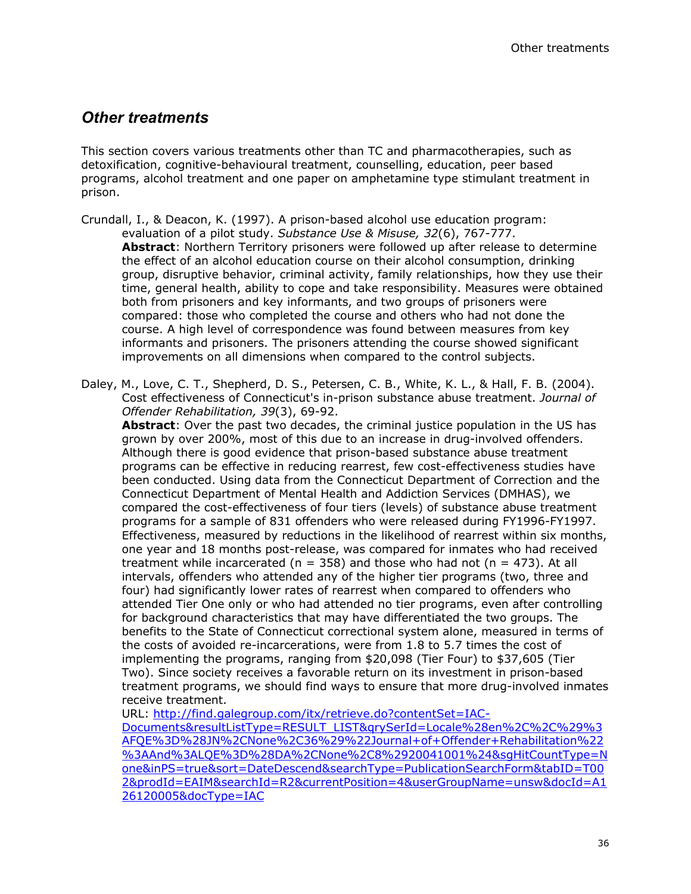### <span id="page-35-0"></span>*Other treatments*

This section covers various treatments other than TC and pharmacotherapies, such as detoxification, cognitive-behavioural treatment, counselling, education, peer based programs, alcohol treatment and one paper on amphetamine type stimulant treatment in prison.

Crundall, I., & Deacon, K. (1997). A prison-based alcohol use education program: evaluation of a pilot study. *Substance Use & Misuse, 32*(6), 767-777.

**Abstract**: Northern Territory prisoners were followed up after release to determine the effect of an alcohol education course on their alcohol consumption, drinking group, disruptive behavior, criminal activity, family relationships, how they use their time, general health, ability to cope and take responsibility. Measures were obtained both from prisoners and key informants, and two groups of prisoners were compared: those who completed the course and others who had not done the course. A high level of correspondence was found between measures from key informants and prisoners. The prisoners attending the course showed significant improvements on all dimensions when compared to the control subjects.

Daley, M., Love, C. T., Shepherd, D. S., Petersen, C. B., White, K. L., & Hall, F. B. (2004). Cost effectiveness of Connecticut's in-prison substance abuse treatment. *Journal of Offender Rehabilitation, 39*(3), 69-92.

**Abstract**: Over the past two decades, the criminal justice population in the US has grown by over 200%, most of this due to an increase in drug-involved offenders. Although there is good evidence that prison-based substance abuse treatment programs can be effective in reducing rearrest, few cost-effectiveness studies have been conducted. Using data from the Connecticut Department of Correction and the Connecticut Department of Mental Health and Addiction Services (DMHAS), we compared the cost-effectiveness of four tiers (levels) of substance abuse treatment programs for a sample of 831 offenders who were released during FY1996-FY1997. Effectiveness, measured by reductions in the likelihood of rearrest within six months, one year and 18 months post-release, was compared for inmates who had received treatment while incarcerated ( $n = 358$ ) and those who had not ( $n = 473$ ). At all intervals, offenders who attended any of the higher tier programs (two, three and four) had significantly lower rates of rearrest when compared to offenders who attended Tier One only or who had attended no tier programs, even after controlling for background characteristics that may have differentiated the two groups. The benefits to the State of Connecticut correctional system alone, measured in terms of the costs of avoided re-incarcerations, were from 1.8 to 5.7 times the cost of implementing the programs, ranging from \$20,098 (Tier Four) to \$37,605 (Tier Two). Since society receives a favorable return on its investment in prison-based treatment programs, we should find ways to ensure that more drug-involved inmates receive treatment.

URL: [http://find.galegroup.com/itx/retrieve.do?contentSet=IAC-](http://find.galegroup.com/itx/retrieve.do?contentSet=IAC-Documents&resultListType=RESULT_LIST&qrySerId=Locale%28en%2C%2C%29%3AFQE%3D%28JN%2CNone%2C36%29%22Journal+of+Offender+Rehabilitation%22%3AAnd%3ALQE%3D%28DA%2CNone%2C8%2920041001%24&sgHitCountType=None&inPS=true&sort=DateDescend&searchType=PublicationSearchForm&tabID=T002&prodId=EAIM&searchId=R2¤tPosition=4&userGroupName=unsw&docId=A126120005&docType=IAC)

[Documents&resultListType=RESULT\\_LIST&qrySerId=Locale%28en%2C%2C%29%3](http://find.galegroup.com/itx/retrieve.do?contentSet=IAC-Documents&resultListType=RESULT_LIST&qrySerId=Locale%28en%2C%2C%29%3AFQE%3D%28JN%2CNone%2C36%29%22Journal+of+Offender+Rehabilitation%22%3AAnd%3ALQE%3D%28DA%2CNone%2C8%2920041001%24&sgHitCountType=None&inPS=true&sort=DateDescend&searchType=PublicationSearchForm&tabID=T002&prodId=EAIM&searchId=R2¤tPosition=4&userGroupName=unsw&docId=A126120005&docType=IAC) [AFQE%3D%28JN%2CNone%2C36%29%22Journal+of+Offender+Rehabilitation%22](http://find.galegroup.com/itx/retrieve.do?contentSet=IAC-Documents&resultListType=RESULT_LIST&qrySerId=Locale%28en%2C%2C%29%3AFQE%3D%28JN%2CNone%2C36%29%22Journal+of+Offender+Rehabilitation%22%3AAnd%3ALQE%3D%28DA%2CNone%2C8%2920041001%24&sgHitCountType=None&inPS=true&sort=DateDescend&searchType=PublicationSearchForm&tabID=T002&prodId=EAIM&searchId=R2¤tPosition=4&userGroupName=unsw&docId=A126120005&docType=IAC) [%3AAnd%3ALQE%3D%28DA%2CNone%2C8%2920041001%24&sgHitCountType=N](http://find.galegroup.com/itx/retrieve.do?contentSet=IAC-Documents&resultListType=RESULT_LIST&qrySerId=Locale%28en%2C%2C%29%3AFQE%3D%28JN%2CNone%2C36%29%22Journal+of+Offender+Rehabilitation%22%3AAnd%3ALQE%3D%28DA%2CNone%2C8%2920041001%24&sgHitCountType=None&inPS=true&sort=DateDescend&searchType=PublicationSearchForm&tabID=T002&prodId=EAIM&searchId=R2¤tPosition=4&userGroupName=unsw&docId=A126120005&docType=IAC) [one&inPS=true&sort=DateDescend&searchType=PublicationSearchForm&tabID=T00](http://find.galegroup.com/itx/retrieve.do?contentSet=IAC-Documents&resultListType=RESULT_LIST&qrySerId=Locale%28en%2C%2C%29%3AFQE%3D%28JN%2CNone%2C36%29%22Journal+of+Offender+Rehabilitation%22%3AAnd%3ALQE%3D%28DA%2CNone%2C8%2920041001%24&sgHitCountType=None&inPS=true&sort=DateDescend&searchType=PublicationSearchForm&tabID=T002&prodId=EAIM&searchId=R2¤tPosition=4&userGroupName=unsw&docId=A126120005&docType=IAC) [2&prodId=EAIM&searchId=R2&currentPosition=4&userGroupName=unsw&docId=A1](http://find.galegroup.com/itx/retrieve.do?contentSet=IAC-Documents&resultListType=RESULT_LIST&qrySerId=Locale%28en%2C%2C%29%3AFQE%3D%28JN%2CNone%2C36%29%22Journal+of+Offender+Rehabilitation%22%3AAnd%3ALQE%3D%28DA%2CNone%2C8%2920041001%24&sgHitCountType=None&inPS=true&sort=DateDescend&searchType=PublicationSearchForm&tabID=T002&prodId=EAIM&searchId=R2¤tPosition=4&userGroupName=unsw&docId=A126120005&docType=IAC) [26120005&docType=IAC](http://find.galegroup.com/itx/retrieve.do?contentSet=IAC-Documents&resultListType=RESULT_LIST&qrySerId=Locale%28en%2C%2C%29%3AFQE%3D%28JN%2CNone%2C36%29%22Journal+of+Offender+Rehabilitation%22%3AAnd%3ALQE%3D%28DA%2CNone%2C8%2920041001%24&sgHitCountType=None&inPS=true&sort=DateDescend&searchType=PublicationSearchForm&tabID=T002&prodId=EAIM&searchId=R2¤tPosition=4&userGroupName=unsw&docId=A126120005&docType=IAC)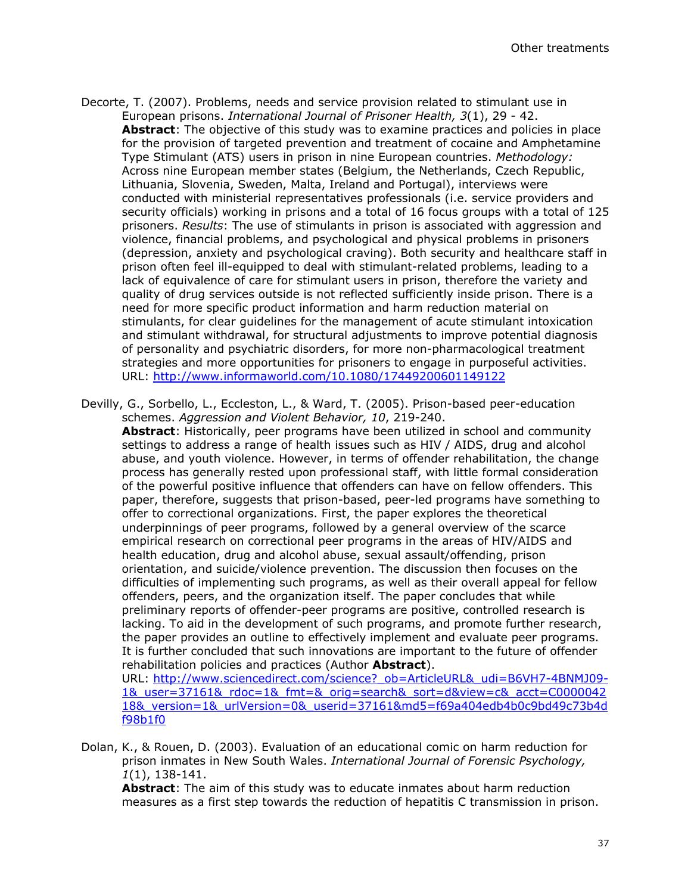- Decorte, T. (2007). Problems, needs and service provision related to stimulant use in European prisons. *International Journal of Prisoner Health, 3*(1), 29 - 42. **Abstract**: The objective of this study was to examine practices and policies in place for the provision of targeted prevention and treatment of cocaine and Amphetamine Type Stimulant (ATS) users in prison in nine European countries. *Methodology:* Across nine European member states (Belgium, the Netherlands, Czech Republic, Lithuania, Slovenia, Sweden, Malta, Ireland and Portugal), interviews were conducted with ministerial representatives professionals (i.e. service providers and security officials) working in prisons and a total of 16 focus groups with a total of 125 prisoners. *Results*: The use of stimulants in prison is associated with aggression and violence, financial problems, and psychological and physical problems in prisoners (depression, anxiety and psychological craving). Both security and healthcare staff in prison often feel ill-equipped to deal with stimulant-related problems, leading to a lack of equivalence of care for stimulant users in prison, therefore the variety and quality of drug services outside is not reflected sufficiently inside prison. There is a need for more specific product information and harm reduction material on stimulants, for clear guidelines for the management of acute stimulant intoxication and stimulant withdrawal, for structural adjustments to improve potential diagnosis of personality and psychiatric disorders, for more non-pharmacological treatment strategies and more opportunities for prisoners to engage in purposeful activities. URL: <http://www.informaworld.com/10.1080/17449200601149122>
- Devilly, G., Sorbello, L., Eccleston, L., & Ward, T. (2005). Prison-based peer-education schemes. *Aggression and Violent Behavior, 10*, 219-240.

**Abstract**: Historically, peer programs have been utilized in school and community settings to address a range of health issues such as HIV / AIDS, drug and alcohol abuse, and youth violence. However, in terms of offender rehabilitation, the change process has generally rested upon professional staff, with little formal consideration of the powerful positive influence that offenders can have on fellow offenders. This paper, therefore, suggests that prison-based, peer-led programs have something to offer to correctional organizations. First, the paper explores the theoretical underpinnings of peer programs, followed by a general overview of the scarce empirical research on correctional peer programs in the areas of HIV/AIDS and health education, drug and alcohol abuse, sexual assault/offending, prison orientation, and suicide/violence prevention. The discussion then focuses on the difficulties of implementing such programs, as well as their overall appeal for fellow offenders, peers, and the organization itself. The paper concludes that while preliminary reports of offender-peer programs are positive, controlled research is lacking. To aid in the development of such programs, and promote further research, the paper provides an outline to effectively implement and evaluate peer programs. It is further concluded that such innovations are important to the future of offender rehabilitation policies and practices (Author **Abstract**).

URL: http://www.sciencedirect.com/science? ob=ArticleURL& udi=B6VH7-4BNMJ09-[1&\\_user=37161&\\_rdoc=1&\\_fmt=&\\_orig=search&\\_sort=d&view=c&\\_acct=C0000042](http://www.sciencedirect.com/science?_ob=ArticleURL&_udi=B6VH7-4BNMJ09-1&_user=37161&_rdoc=1&_fmt=&_orig=search&_sort=d&view=c&_acct=C000004218&_version=1&_urlVersion=0&_userid=37161&md5=f69a404edb4b0c9bd49c73b4df98b1f0) [18&\\_version=1&\\_urlVersion=0&\\_userid=37161&md5=f69a404edb4b0c9bd49c73b4d](http://www.sciencedirect.com/science?_ob=ArticleURL&_udi=B6VH7-4BNMJ09-1&_user=37161&_rdoc=1&_fmt=&_orig=search&_sort=d&view=c&_acct=C000004218&_version=1&_urlVersion=0&_userid=37161&md5=f69a404edb4b0c9bd49c73b4df98b1f0) [f98b1f0](http://www.sciencedirect.com/science?_ob=ArticleURL&_udi=B6VH7-4BNMJ09-1&_user=37161&_rdoc=1&_fmt=&_orig=search&_sort=d&view=c&_acct=C000004218&_version=1&_urlVersion=0&_userid=37161&md5=f69a404edb4b0c9bd49c73b4df98b1f0)

Dolan, K., & Rouen, D. (2003). Evaluation of an educational comic on harm reduction for prison inmates in New South Wales. *International Journal of Forensic Psychology, 1*(1), 138-141.

**Abstract**: The aim of this study was to educate inmates about harm reduction measures as a first step towards the reduction of hepatitis C transmission in prison.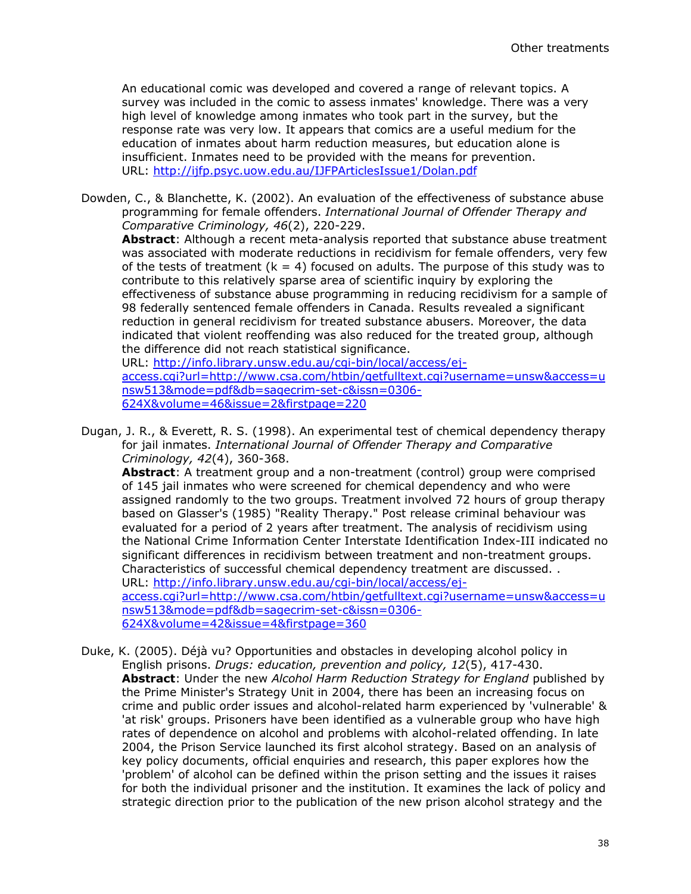An educational comic was developed and covered a range of relevant topics. A survey was included in the comic to assess inmates' knowledge. There was a very high level of knowledge among inmates who took part in the survey, but the response rate was very low. It appears that comics are a useful medium for the education of inmates about harm reduction measures, but education alone is insufficient. Inmates need to be provided with the means for prevention. URL: <http://ijfp.psyc.uow.edu.au/IJFPArticlesIssue1/Dolan.pdf>

Dowden, C., & Blanchette, K. (2002). An evaluation of the effectiveness of substance abuse programming for female offenders. *International Journal of Offender Therapy and Comparative Criminology, 46*(2), 220-229.

**Abstract**: Although a recent meta-analysis reported that substance abuse treatment was associated with moderate reductions in recidivism for female offenders, very few of the tests of treatment ( $k = 4$ ) focused on adults. The purpose of this study was to contribute to this relatively sparse area of scientific inquiry by exploring the effectiveness of substance abuse programming in reducing recidivism for a sample of 98 federally sentenced female offenders in Canada. Results revealed a significant reduction in general recidivism for treated substance abusers. Moreover, the data indicated that violent reoffending was also reduced for the treated group, although the difference did not reach statistical significance.

URL: [http://info.library.unsw.edu.au/cgi-bin/local/access/ej](http://info.library.unsw.edu.au/cgi-bin/local/access/ej-access.cgi?url=http://www.csa.com/htbin/getfulltext.cgi?username=unsw&access=unsw513&mode=pdf&db=sagecrim-set-c&issn=0306-624X&volume=46&issue=2&firstpage=220)[access.cgi?url=http://www.csa.com/htbin/getfulltext.cgi?username=unsw&access=u](http://info.library.unsw.edu.au/cgi-bin/local/access/ej-access.cgi?url=http://www.csa.com/htbin/getfulltext.cgi?username=unsw&access=unsw513&mode=pdf&db=sagecrim-set-c&issn=0306-624X&volume=46&issue=2&firstpage=220) [nsw513&mode=pdf&db=sagecrim-set-c&issn=0306-](http://info.library.unsw.edu.au/cgi-bin/local/access/ej-access.cgi?url=http://www.csa.com/htbin/getfulltext.cgi?username=unsw&access=unsw513&mode=pdf&db=sagecrim-set-c&issn=0306-624X&volume=46&issue=2&firstpage=220) [624X&volume=46&issue=2&firstpage=220](http://info.library.unsw.edu.au/cgi-bin/local/access/ej-access.cgi?url=http://www.csa.com/htbin/getfulltext.cgi?username=unsw&access=unsw513&mode=pdf&db=sagecrim-set-c&issn=0306-624X&volume=46&issue=2&firstpage=220)

Dugan, J. R., & Everett, R. S. (1998). An experimental test of chemical dependency therapy for jail inmates. *International Journal of Offender Therapy and Comparative Criminology, 42*(4), 360-368.

**Abstract**: A treatment group and a non-treatment (control) group were comprised of 145 jail inmates who were screened for chemical dependency and who were assigned randomly to the two groups. Treatment involved 72 hours of group therapy based on Glasser's (1985) "Reality Therapy." Post release criminal behaviour was evaluated for a period of 2 years after treatment. The analysis of recidivism using the National Crime Information Center Interstate Identification Index-III indicated no significant differences in recidivism between treatment and non-treatment groups. Characteristics of successful chemical dependency treatment are discussed. . URL: [http://info.library.unsw.edu.au/cgi-bin/local/access/ej-](http://info.library.unsw.edu.au/cgi-bin/local/access/ej-access.cgi?url=http://www.csa.com/htbin/getfulltext.cgi?username=unsw&access=unsw513&mode=pdf&db=sagecrim-set-c&issn=0306-624X&volume=42&issue=4&firstpage=360)

[access.cgi?url=http://www.csa.com/htbin/getfulltext.cgi?username=unsw&access=u](http://info.library.unsw.edu.au/cgi-bin/local/access/ej-access.cgi?url=http://www.csa.com/htbin/getfulltext.cgi?username=unsw&access=unsw513&mode=pdf&db=sagecrim-set-c&issn=0306-624X&volume=42&issue=4&firstpage=360) [nsw513&mode=pdf&db=sagecrim-set-c&issn=0306-](http://info.library.unsw.edu.au/cgi-bin/local/access/ej-access.cgi?url=http://www.csa.com/htbin/getfulltext.cgi?username=unsw&access=unsw513&mode=pdf&db=sagecrim-set-c&issn=0306-624X&volume=42&issue=4&firstpage=360) [624X&volume=42&issue=4&firstpage=360](http://info.library.unsw.edu.au/cgi-bin/local/access/ej-access.cgi?url=http://www.csa.com/htbin/getfulltext.cgi?username=unsw&access=unsw513&mode=pdf&db=sagecrim-set-c&issn=0306-624X&volume=42&issue=4&firstpage=360)

Duke, K. (2005). Déjà vu? Opportunities and obstacles in developing alcohol policy in English prisons. *Drugs: education, prevention and policy, 12*(5), 417-430. **Abstract**: Under the new *Alcohol Harm Reduction Strategy for England* published by the Prime Minister's Strategy Unit in 2004, there has been an increasing focus on crime and public order issues and alcohol-related harm experienced by 'vulnerable' & 'at risk' groups. Prisoners have been identified as a vulnerable group who have high rates of dependence on alcohol and problems with alcohol-related offending. In late 2004, the Prison Service launched its first alcohol strategy. Based on an analysis of key policy documents, official enquiries and research, this paper explores how the 'problem' of alcohol can be defined within the prison setting and the issues it raises for both the individual prisoner and the institution. It examines the lack of policy and strategic direction prior to the publication of the new prison alcohol strategy and the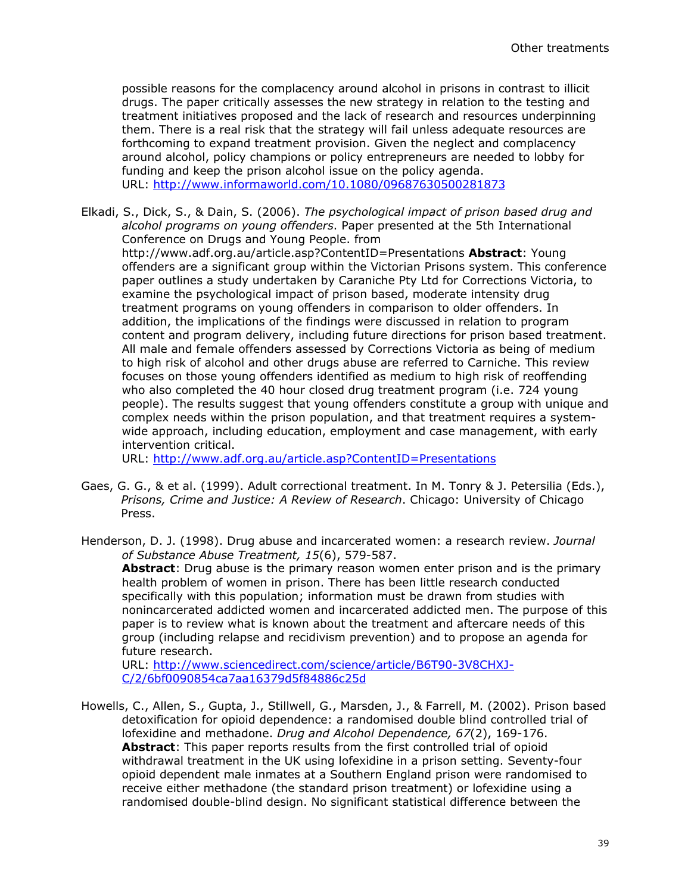possible reasons for the complacency around alcohol in prisons in contrast to illicit drugs. The paper critically assesses the new strategy in relation to the testing and treatment initiatives proposed and the lack of research and resources underpinning them. There is a real risk that the strategy will fail unless adequate resources are forthcoming to expand treatment provision. Given the neglect and complacency around alcohol, policy champions or policy entrepreneurs are needed to lobby for funding and keep the prison alcohol issue on the policy agenda. URL: <http://www.informaworld.com/10.1080/09687630500281873>

Elkadi, S., Dick, S., & Dain, S. (2006). *The psychological impact of prison based drug and alcohol programs on young offenders*. Paper presented at the 5th International Conference on Drugs and Young People. from

http://www.adf.org.au/article.asp?ContentID=Presentations **Abstract**: Young offenders are a significant group within the Victorian Prisons system. This conference paper outlines a study undertaken by Caraniche Pty Ltd for Corrections Victoria, to examine the psychological impact of prison based, moderate intensity drug treatment programs on young offenders in comparison to older offenders. In addition, the implications of the findings were discussed in relation to program content and program delivery, including future directions for prison based treatment. All male and female offenders assessed by Corrections Victoria as being of medium to high risk of alcohol and other drugs abuse are referred to Carniche. This review focuses on those young offenders identified as medium to high risk of reoffending who also completed the 40 hour closed drug treatment program (i.e. 724 young people). The results suggest that young offenders constitute a group with unique and complex needs within the prison population, and that treatment requires a systemwide approach, including education, employment and case management, with early intervention critical.

URL: <http://www.adf.org.au/article.asp?ContentID=Presentations>

Gaes, G. G., & et al. (1999). Adult correctional treatment. In M. Tonry & J. Petersilia (Eds.), *Prisons, Crime and Justice: A Review of Research*. Chicago: University of Chicago Press.

Henderson, D. J. (1998). Drug abuse and incarcerated women: a research review. *Journal of Substance Abuse Treatment, 15*(6), 579-587.

**Abstract**: Drug abuse is the primary reason women enter prison and is the primary health problem of women in prison. There has been little research conducted specifically with this population; information must be drawn from studies with nonincarcerated addicted women and incarcerated addicted men. The purpose of this paper is to review what is known about the treatment and aftercare needs of this group (including relapse and recidivism prevention) and to propose an agenda for future research.

URL: [http://www.sciencedirect.com/science/article/B6T90-3V8CHXJ-](http://www.sciencedirect.com/science/article/B6T90-3V8CHXJ-C/2/6bf0090854ca7aa16379d5f84886c25d)[C/2/6bf0090854ca7aa16379d5f84886c25d](http://www.sciencedirect.com/science/article/B6T90-3V8CHXJ-C/2/6bf0090854ca7aa16379d5f84886c25d) 

Howells, C., Allen, S., Gupta, J., Stillwell, G., Marsden, J., & Farrell, M. (2002). Prison based detoxification for opioid dependence: a randomised double blind controlled trial of lofexidine and methadone. *Drug and Alcohol Dependence, 67*(2), 169-176. **Abstract**: This paper reports results from the first controlled trial of opioid withdrawal treatment in the UK using lofexidine in a prison setting. Seventy-four opioid dependent male inmates at a Southern England prison were randomised to receive either methadone (the standard prison treatment) or lofexidine using a randomised double-blind design. No significant statistical difference between the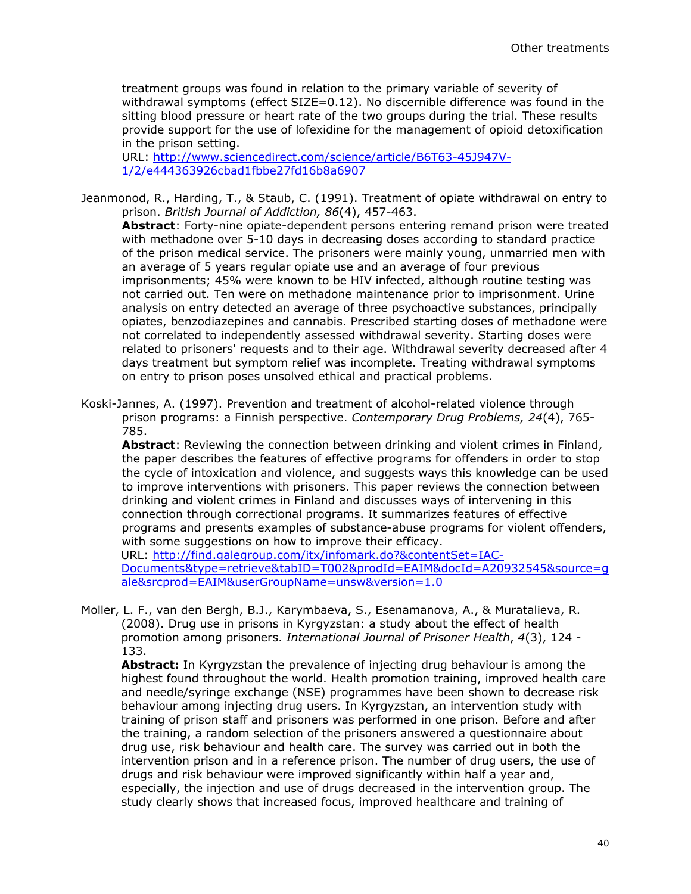treatment groups was found in relation to the primary variable of severity of withdrawal symptoms (effect SIZE=0.12). No discernible difference was found in the sitting blood pressure or heart rate of the two groups during the trial. These results provide support for the use of lofexidine for the management of opioid detoxification in the prison setting.

URL: [http://www.sciencedirect.com/science/article/B6T63-45J947V-](http://www.sciencedirect.com/science/article/B6T63-45J947V-1/2/e444363926cbad1fbbe27fd16b8a6907)[1/2/e444363926cbad1fbbe27fd16b8a6907](http://www.sciencedirect.com/science/article/B6T63-45J947V-1/2/e444363926cbad1fbbe27fd16b8a6907)

Jeanmonod, R., Harding, T., & Staub, C. (1991). Treatment of opiate withdrawal on entry to prison. *British Journal of Addiction, 86*(4), 457-463.

**Abstract**: Forty-nine opiate-dependent persons entering remand prison were treated with methadone over 5-10 days in decreasing doses according to standard practice of the prison medical service. The prisoners were mainly young, unmarried men with an average of 5 years regular opiate use and an average of four previous imprisonments; 45% were known to be HIV infected, although routine testing was not carried out. Ten were on methadone maintenance prior to imprisonment. Urine analysis on entry detected an average of three psychoactive substances, principally opiates, benzodiazepines and cannabis. Prescribed starting doses of methadone were not correlated to independently assessed withdrawal severity. Starting doses were related to prisoners' requests and to their age. Withdrawal severity decreased after 4 days treatment but symptom relief was incomplete. Treating withdrawal symptoms on entry to prison poses unsolved ethical and practical problems.

Koski-Jannes, A. (1997). Prevention and treatment of alcohol-related violence through prison programs: a Finnish perspective. *Contemporary Drug Problems, 24*(4), 765- 785.

**Abstract**: Reviewing the connection between drinking and violent crimes in Finland, the paper describes the features of effective programs for offenders in order to stop the cycle of intoxication and violence, and suggests ways this knowledge can be used to improve interventions with prisoners. This paper reviews the connection between drinking and violent crimes in Finland and discusses ways of intervening in this connection through correctional programs. It summarizes features of effective programs and presents examples of substance-abuse programs for violent offenders, with some suggestions on how to improve their efficacy.

URL: [http://find.galegroup.com/itx/infomark.do?&contentSet=IAC-](http://find.galegroup.com/itx/infomark.do?&contentSet=IAC-Documents&type=retrieve&tabID=T002&prodId=EAIM&docId=A20932545&source=gale&srcprod=EAIM&userGroupName=unsw&version=1.0)[Documents&type=retrieve&tabID=T002&prodId=EAIM&docId=A20932545&source=g](http://find.galegroup.com/itx/infomark.do?&contentSet=IAC-Documents&type=retrieve&tabID=T002&prodId=EAIM&docId=A20932545&source=gale&srcprod=EAIM&userGroupName=unsw&version=1.0) [ale&srcprod=EAIM&userGroupName=unsw&version=1.0](http://find.galegroup.com/itx/infomark.do?&contentSet=IAC-Documents&type=retrieve&tabID=T002&prodId=EAIM&docId=A20932545&source=gale&srcprod=EAIM&userGroupName=unsw&version=1.0)

Moller, L. F., van den Bergh, B.J., Karymbaeva, S., Esenamanova, A., & Muratalieva, R. (2008). Drug use in prisons in Kyrgyzstan: a study about the effect of health promotion among prisoners. *International Journal of Prisoner Health*, *4*(3), 124 - 133.

**Abstract:** In Kyrgyzstan the prevalence of injecting drug behaviour is among the highest found throughout the world. Health promotion training, improved health care and needle/syringe exchange (NSE) programmes have been shown to decrease risk behaviour among injecting drug users. In Kyrgyzstan, an intervention study with training of prison staff and prisoners was performed in one prison. Before and after the training, a random selection of the prisoners answered a questionnaire about drug use, risk behaviour and health care. The survey was carried out in both the intervention prison and in a reference prison. The number of drug users, the use of drugs and risk behaviour were improved significantly within half a year and, especially, the injection and use of drugs decreased in the intervention group. The study clearly shows that increased focus, improved healthcare and training of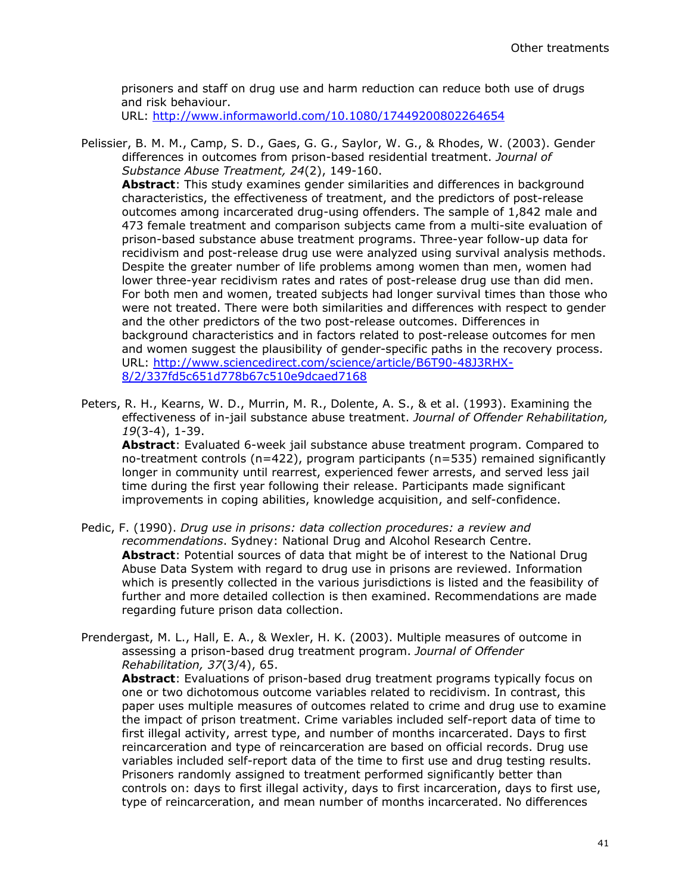prisoners and staff on drug use and harm reduction can reduce both use of drugs and risk behaviour.

URL:<http://www.informaworld.com/10.1080/17449200802264654>

Pelissier, B. M. M., Camp, S. D., Gaes, G. G., Saylor, W. G., & Rhodes, W. (2003). Gender differences in outcomes from prison-based residential treatment. *Journal of Substance Abuse Treatment, 24*(2), 149-160.

**Abstract**: This study examines gender similarities and differences in background characteristics, the effectiveness of treatment, and the predictors of post-release outcomes among incarcerated drug-using offenders. The sample of 1,842 male and 473 female treatment and comparison subjects came from a multi-site evaluation of prison-based substance abuse treatment programs. Three-year follow-up data for recidivism and post-release drug use were analyzed using survival analysis methods. Despite the greater number of life problems among women than men, women had lower three-year recidivism rates and rates of post-release drug use than did men. For both men and women, treated subjects had longer survival times than those who were not treated. There were both similarities and differences with respect to gender and the other predictors of the two post-release outcomes. Differences in background characteristics and in factors related to post-release outcomes for men and women suggest the plausibility of gender-specific paths in the recovery process. URL: [http://www.sciencedirect.com/science/article/B6T90-48J3RHX-](http://www.sciencedirect.com/science/article/B6T90-48J3RHX-8/2/337fd5c651d778b67c510e9dcaed7168)[8/2/337fd5c651d778b67c510e9dcaed7168](http://www.sciencedirect.com/science/article/B6T90-48J3RHX-8/2/337fd5c651d778b67c510e9dcaed7168)

Peters, R. H., Kearns, W. D., Murrin, M. R., Dolente, A. S., & et al. (1993). Examining the effectiveness of in-jail substance abuse treatment. *Journal of Offender Rehabilitation, 19*(3-4), 1-39.

**Abstract**: Evaluated 6-week jail substance abuse treatment program. Compared to no-treatment controls (n=422), program participants (n=535) remained significantly longer in community until rearrest, experienced fewer arrests, and served less jail time during the first year following their release. Participants made significant improvements in coping abilities, knowledge acquisition, and self-confidence.

Pedic, F. (1990). *Drug use in prisons: data collection procedures: a review and recommendations*. Sydney: National Drug and Alcohol Research Centre. **Abstract**: Potential sources of data that might be of interest to the National Drug Abuse Data System with regard to drug use in prisons are reviewed. Information which is presently collected in the various jurisdictions is listed and the feasibility of further and more detailed collection is then examined. Recommendations are made regarding future prison data collection.

Prendergast, M. L., Hall, E. A., & Wexler, H. K. (2003). Multiple measures of outcome in assessing a prison-based drug treatment program. *Journal of Offender Rehabilitation, 37*(3/4), 65.

**Abstract**: Evaluations of prison-based drug treatment programs typically focus on one or two dichotomous outcome variables related to recidivism. In contrast, this paper uses multiple measures of outcomes related to crime and drug use to examine the impact of prison treatment. Crime variables included self-report data of time to first illegal activity, arrest type, and number of months incarcerated. Days to first reincarceration and type of reincarceration are based on official records. Drug use variables included self-report data of the time to first use and drug testing results. Prisoners randomly assigned to treatment performed significantly better than controls on: days to first illegal activity, days to first incarceration, days to first use, type of reincarceration, and mean number of months incarcerated. No differences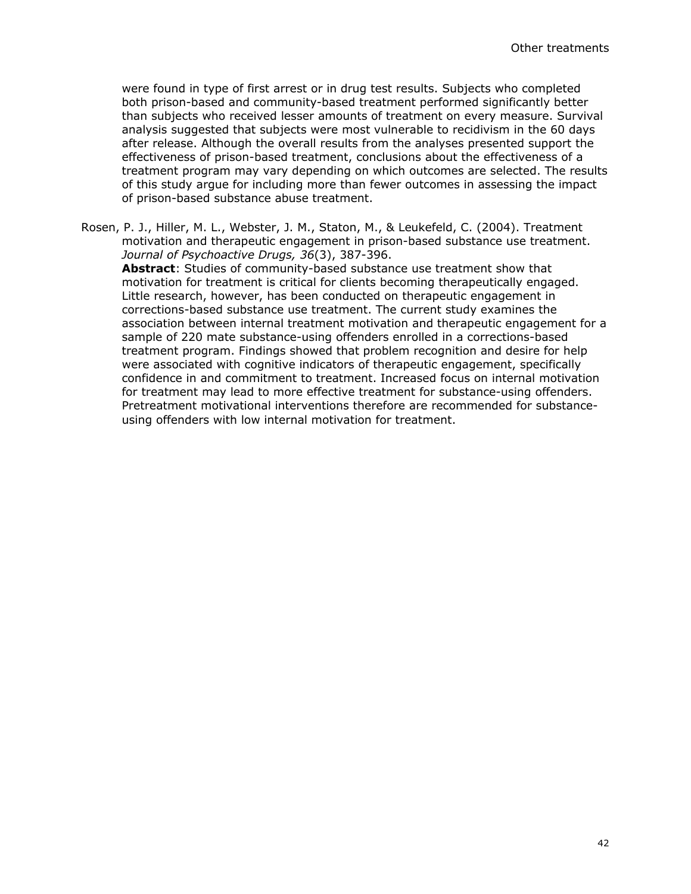were found in type of first arrest or in drug test results. Subjects who completed both prison-based and community-based treatment performed significantly better than subjects who received lesser amounts of treatment on every measure. Survival analysis suggested that subjects were most vulnerable to recidivism in the 60 days after release. Although the overall results from the analyses presented support the effectiveness of prison-based treatment, conclusions about the effectiveness of a treatment program may vary depending on which outcomes are selected. The results of this study argue for including more than fewer outcomes in assessing the impact of prison-based substance abuse treatment.

Rosen, P. J., Hiller, M. L., Webster, J. M., Staton, M., & Leukefeld, C. (2004). Treatment motivation and therapeutic engagement in prison-based substance use treatment. *Journal of Psychoactive Drugs, 36*(3), 387-396.

**Abstract**: Studies of community-based substance use treatment show that motivation for treatment is critical for clients becoming therapeutically engaged. Little research, however, has been conducted on therapeutic engagement in corrections-based substance use treatment. The current study examines the association between internal treatment motivation and therapeutic engagement for a sample of 220 mate substance-using offenders enrolled in a corrections-based treatment program. Findings showed that problem recognition and desire for help were associated with cognitive indicators of therapeutic engagement, specifically confidence in and commitment to treatment. Increased focus on internal motivation for treatment may lead to more effective treatment for substance-using offenders. Pretreatment motivational interventions therefore are recommended for substanceusing offenders with low internal motivation for treatment.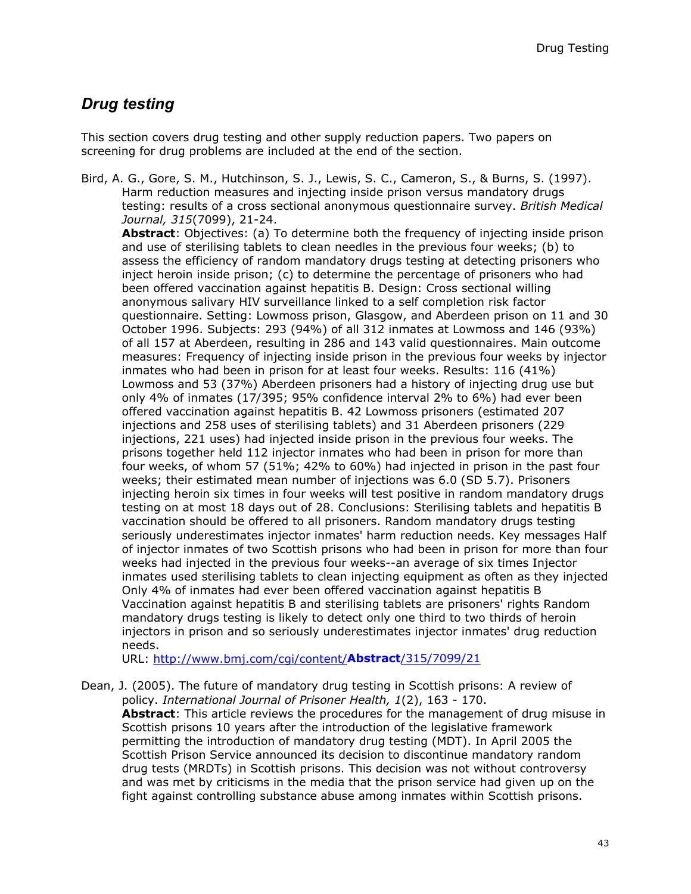# *Drug testing*

This section covers drug testing and other supply reduction papers. Two papers on screening for drug problems are included at the end of the section.

Bird, A. G., Gore, S. M., Hutchinson, S. J., Lewis, S. C., Cameron, S., & Burns, S. (1997). Harm reduction measures and injecting inside prison versus mandatory drugs testing: results of a cross sectional anonymous questionnaire survey. *British Medical Journal, 315*(7099), 21-24. **Abstract**: Objectives: (a) To determine both the frequency of injecting inside prison and use of sterilising tablets to clean needles in the previous four weeks; (b) to assess the efficiency of random mandatory drugs testing at detecting prisoners who inject heroin inside prison; (c) to determine the percentage of prisoners who had been offered vaccination against hepatitis B. Design: Cross sectional willing anonymous salivary HIV surveillance linked to a self completion risk factor questionnaire. Setting: Lowmoss prison, Glasgow, and Aberdeen prison on 11 and 30 October 1996. Subjects: 293 (94%) of all 312 inmates at Lowmoss and 146 (93%) of all 157 at Aberdeen, resulting in 286 and 143 valid questionnaires. Main outcome measures: Frequency of injecting inside prison in the previous four weeks by injector inmates who had been in prison for at least four weeks. Results: 116 (41%) Lowmoss and 53 (37%) Aberdeen prisoners had a history of injecting drug use but only 4% of inmates (17/395; 95% confidence interval 2% to 6%) had ever been offered vaccination against hepatitis B. 42 Lowmoss prisoners (estimated 207 injections and 258 uses of sterilising tablets) and 31 Aberdeen prisoners (229 injections, 221 uses) had injected inside prison in the previous four weeks. The prisons together held 112 injector inmates who had been in prison for more than four weeks, of whom 57 (51%; 42% to 60%) had injected in prison in the past four weeks; their estimated mean number of injections was 6.0 (SD 5.7). Prisoners injecting heroin six times in four weeks will test positive in random mandatory drugs testing on at most 18 days out of 28. Conclusions: Sterilising tablets and hepatitis B vaccination should be offered to all prisoners. Random mandatory drugs testing seriously underestimates injector inmates' harm reduction needs. Key messages Half of injector inmates of two Scottish prisons who had been in prison for more than four weeks had injected in the previous four weeks--an average of six times Injector inmates used sterilising tablets to clean injecting equipment as often as they injected Only 4% of inmates had ever been offered vaccination against hepatitis B Vaccination against hepatitis B and sterilising tablets are prisoners' rights Random mandatory drugs testing is likely to detect only one third to two thirds of heroin injectors in prison and so seriously underestimates injector inmates' drug reduction needs.

URL: [http://www.bmj.com/cgi/content/](http://www.bmj.com/cgi/content/abstract/315/7099/21)**Abstract**/315/7099/21

Dean, J. (2005). The future of mandatory drug testing in Scottish prisons: A review of policy. *International Journal of Prisoner Health, 1*(2), 163 - 170. **Abstract**: This article reviews the procedures for the management of drug misuse in Scottish prisons 10 years after the introduction of the legislative framework permitting the introduction of mandatory drug testing (MDT). In April 2005 the Scottish Prison Service announced its decision to discontinue mandatory random drug tests (MRDTs) in Scottish prisons. This decision was not without controversy and was met by criticisms in the media that the prison service had given up on the fight against controlling substance abuse among inmates within Scottish prisons.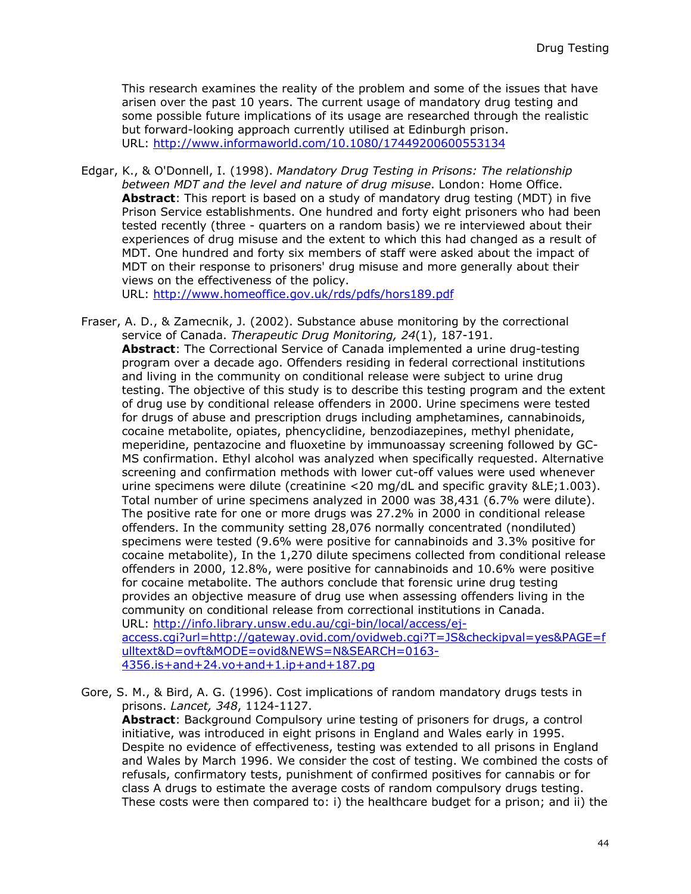This research examines the reality of the problem and some of the issues that have arisen over the past 10 years. The current usage of mandatory drug testing and some possible future implications of its usage are researched through the realistic but forward-looking approach currently utilised at Edinburgh prison. URL: <http://www.informaworld.com/10.1080/17449200600553134>

Edgar, K., & O'Donnell, I. (1998). *Mandatory Drug Testing in Prisons: The relationship between MDT and the level and nature of drug misuse*. London: Home Office. **Abstract**: This report is based on a study of mandatory drug testing (MDT) in five Prison Service establishments. One hundred and forty eight prisoners who had been tested recently (three - quarters on a random basis) we re interviewed about their experiences of drug misuse and the extent to which this had changed as a result of MDT. One hundred and forty six members of staff were asked about the impact of MDT on their response to prisoners' drug misuse and more generally about their views on the effectiveness of the policy.

URL: <http://www.homeoffice.gov.uk/rds/pdfs/hors189.pdf>

Fraser, A. D., & Zamecnik, J. (2002). Substance abuse monitoring by the correctional service of Canada. *Therapeutic Drug Monitoring, 24*(1), 187-191. **Abstract**: The Correctional Service of Canada implemented a urine drug-testing program over a decade ago. Offenders residing in federal correctional institutions and living in the community on conditional release were subject to urine drug testing. The objective of this study is to describe this testing program and the extent of drug use by conditional release offenders in 2000. Urine specimens were tested for drugs of abuse and prescription drugs including amphetamines, cannabinoids, cocaine metabolite, opiates, phencyclidine, benzodiazepines, methyl phenidate, meperidine, pentazocine and fluoxetine by immunoassay screening followed by GC-MS confirmation. Ethyl alcohol was analyzed when specifically requested. Alternative screening and confirmation methods with lower cut-off values were used whenever urine specimens were dilute (creatinine <20 mg/dL and specific gravity &LE;1.003). Total number of urine specimens analyzed in 2000 was 38,431 (6.7% were dilute). The positive rate for one or more drugs was 27.2% in 2000 in conditional release offenders. In the community setting 28,076 normally concentrated (nondiluted) specimens were tested (9.6% were positive for cannabinoids and 3.3% positive for cocaine metabolite), In the 1,270 dilute specimens collected from conditional release offenders in 2000, 12.8%, were positive for cannabinoids and 10.6% were positive for cocaine metabolite. The authors conclude that forensic urine drug testing provides an objective measure of drug use when assessing offenders living in the community on conditional release from correctional institutions in Canada. URL: [http://info.library.unsw.edu.au/cgi-bin/local/access/ej](http://info.library.unsw.edu.au/cgi-bin/local/access/ej-access.cgi?url=http://gateway.ovid.com/ovidweb.cgi?T=JS&checkipval=yes&PAGE=fulltext&D=ovft&MODE=ovid&NEWS=N&SEARCH=0163-4356.is+and+24.vo+and+1.ip+and+187.pg)[access.cgi?url=http://gateway.ovid.com/ovidweb.cgi?T=JS&checkipval=yes&PAGE=f](http://info.library.unsw.edu.au/cgi-bin/local/access/ej-access.cgi?url=http://gateway.ovid.com/ovidweb.cgi?T=JS&checkipval=yes&PAGE=fulltext&D=ovft&MODE=ovid&NEWS=N&SEARCH=0163-4356.is+and+24.vo+and+1.ip+and+187.pg) [ulltext&D=ovft&MODE=ovid&NEWS=N&SEARCH=0163-](http://info.library.unsw.edu.au/cgi-bin/local/access/ej-access.cgi?url=http://gateway.ovid.com/ovidweb.cgi?T=JS&checkipval=yes&PAGE=fulltext&D=ovft&MODE=ovid&NEWS=N&SEARCH=0163-4356.is+and+24.vo+and+1.ip+and+187.pg) [4356.is+and+24.vo+and+1.ip+and+187.pg](http://info.library.unsw.edu.au/cgi-bin/local/access/ej-access.cgi?url=http://gateway.ovid.com/ovidweb.cgi?T=JS&checkipval=yes&PAGE=fulltext&D=ovft&MODE=ovid&NEWS=N&SEARCH=0163-4356.is+and+24.vo+and+1.ip+and+187.pg)

Gore, S. M., & Bird, A. G. (1996). Cost implications of random mandatory drugs tests in prisons. *Lancet, 348*, 1124-1127.

**Abstract**: Background Compulsory urine testing of prisoners for drugs, a control initiative, was introduced in eight prisons in England and Wales early in 1995. Despite no evidence of effectiveness, testing was extended to all prisons in England and Wales by March 1996. We consider the cost of testing. We combined the costs of refusals, confirmatory tests, punishment of confirmed positives for cannabis or for class A drugs to estimate the average costs of random compulsory drugs testing. These costs were then compared to: i) the healthcare budget for a prison; and ii) the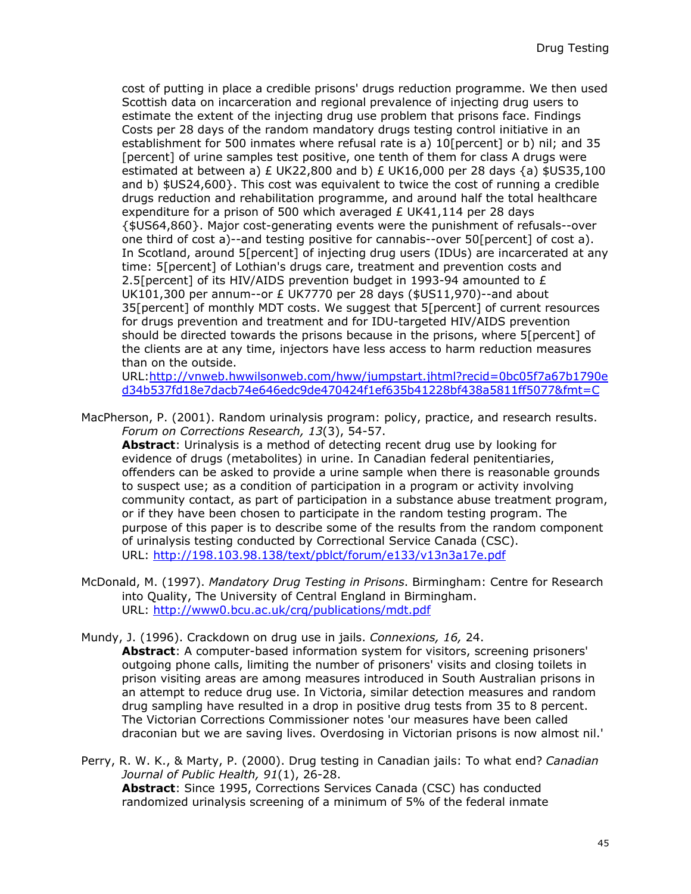cost of putting in place a credible prisons' drugs reduction programme. We then used Scottish data on incarceration and regional prevalence of injecting drug users to estimate the extent of the injecting drug use problem that prisons face. Findings Costs per 28 days of the random mandatory drugs testing control initiative in an establishment for 500 inmates where refusal rate is a) 10[percent] or b) nil; and 35 [percent] of urine samples test positive, one tenth of them for class A drugs were estimated at between a)  $\angle$  UK22,800 and b)  $\angle$  UK16,000 per 28 days  $\{a\}$  \$US35,100 and b) \$US24,600}. This cost was equivalent to twice the cost of running a credible drugs reduction and rehabilitation programme, and around half the total healthcare expenditure for a prison of 500 which averaged  $E$  UK41,114 per 28 days {\$US64,860}. Major cost-generating events were the punishment of refusals--over one third of cost a)--and testing positive for cannabis--over 50[percent] of cost a). In Scotland, around 5[percent] of injecting drug users (IDUs) are incarcerated at any time: 5[percent] of Lothian's drugs care, treatment and prevention costs and 2.5[percent] of its HIV/AIDS prevention budget in 1993-94 amounted to  $E$ UK101,300 per annum--or  $E$  UK7770 per 28 days (\$US11,970)--and about 35[percent] of monthly MDT costs. We suggest that 5[percent] of current resources for drugs prevention and treatment and for IDU-targeted HIV/AIDS prevention should be directed towards the prisons because in the prisons, where 5[percent] of the clients are at any time, injectors have less access to harm reduction measures than on the outside.

URL[:http://vnweb.hwwilsonweb.com/hww/jumpstart.jhtml?recid=0bc05f7a67b1790e](http://vnweb.hwwilsonweb.com/hww/jumpstart.jhtml?recid=0bc05f7a67b1790ed34b537fd18e7dacb74e646edc9de470424f1ef635b41228bf438a5811ff5077&fmt=C%20) [d34b537fd18e7dacb74e646edc9de470424f1ef635b41228bf438a5811ff5077&fmt=C](http://vnweb.hwwilsonweb.com/hww/jumpstart.jhtml?recid=0bc05f7a67b1790ed34b537fd18e7dacb74e646edc9de470424f1ef635b41228bf438a5811ff5077&fmt=C%20)

MacPherson, P. (2001). Random urinalysis program: policy, practice, and research results. *Forum on Corrections Research, 13*(3), 54-57.

**Abstract**: Urinalysis is a method of detecting recent drug use by looking for evidence of drugs (metabolites) in urine. In Canadian federal penitentiaries, offenders can be asked to provide a urine sample when there is reasonable grounds to suspect use; as a condition of participation in a program or activity involving community contact, as part of participation in a substance abuse treatment program, or if they have been chosen to participate in the random testing program. The purpose of this paper is to describe some of the results from the random component of urinalysis testing conducted by Correctional Service Canada (CSC). URL: <http://198.103.98.138/text/pblct/forum/e133/v13n3a17e.pdf>

- McDonald, M. (1997). *Mandatory Drug Testing in Prisons*. Birmingham: Centre for Research into Quality, The University of Central England in Birmingham. URL: <http://www0.bcu.ac.uk/crq/publications/mdt.pdf>
- Mundy, J. (1996). Crackdown on drug use in jails. *Connexions, 16,* 24.

**Abstract**: A computer-based information system for visitors, screening prisoners' outgoing phone calls, limiting the number of prisoners' visits and closing toilets in prison visiting areas are among measures introduced in South Australian prisons in an attempt to reduce drug use. In Victoria, similar detection measures and random drug sampling have resulted in a drop in positive drug tests from 35 to 8 percent. The Victorian Corrections Commissioner notes 'our measures have been called draconian but we are saving lives. Overdosing in Victorian prisons is now almost nil.'

Perry, R. W. K., & Marty, P. (2000). Drug testing in Canadian jails: To what end? *Canadian Journal of Public Health, 91*(1), 26-28. **Abstract**: Since 1995, Corrections Services Canada (CSC) has conducted randomized urinalysis screening of a minimum of 5% of the federal inmate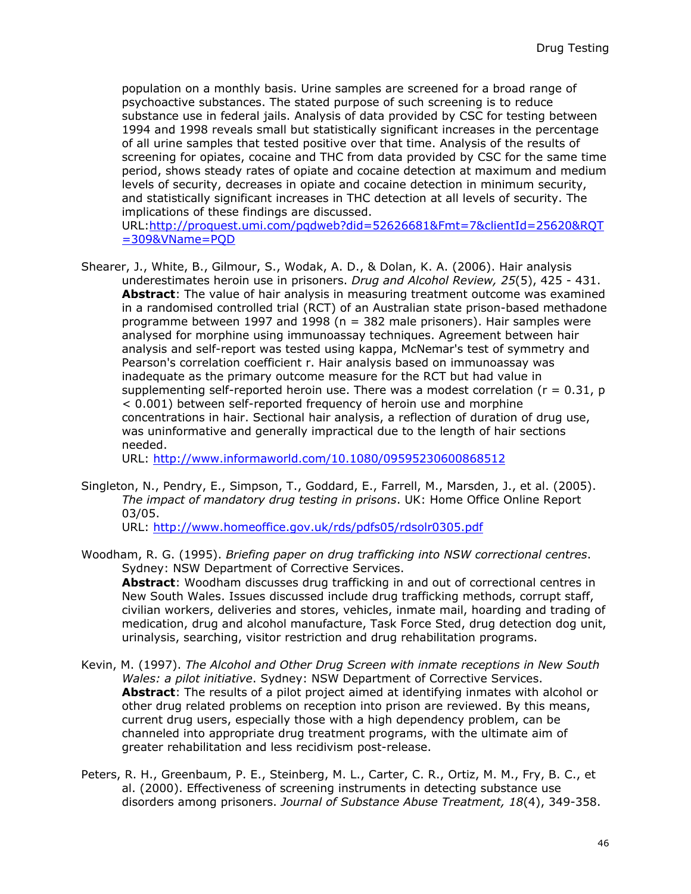population on a monthly basis. Urine samples are screened for a broad range of psychoactive substances. The stated purpose of such screening is to reduce substance use in federal jails. Analysis of data provided by CSC for testing between 1994 and 1998 reveals small but statistically significant increases in the percentage of all urine samples that tested positive over that time. Analysis of the results of screening for opiates, cocaine and THC from data provided by CSC for the same time period, shows steady rates of opiate and cocaine detection at maximum and medium levels of security, decreases in opiate and cocaine detection in minimum security, and statistically significant increases in THC detection at all levels of security. The implications of these findings are discussed.

URL[:http://proquest.umi.com/pqdweb?did=52626681&Fmt=7&clientId=25620&RQT](http://proquest.umi.com/pqdweb?did=52626681&Fmt=7&clientId=25620&RQT=309&VName=PQD%20) [=309&VName=PQD](http://proquest.umi.com/pqdweb?did=52626681&Fmt=7&clientId=25620&RQT=309&VName=PQD%20)

Shearer, J., White, B., Gilmour, S., Wodak, A. D., & Dolan, K. A. (2006). Hair analysis underestimates heroin use in prisoners. *Drug and Alcohol Review, 25*(5), 425 - 431. **Abstract**: The value of hair analysis in measuring treatment outcome was examined in a randomised controlled trial (RCT) of an Australian state prison-based methadone programme between 1997 and 1998 (n = 382 male prisoners). Hair samples were analysed for morphine using immunoassay techniques. Agreement between hair analysis and self-report was tested using kappa, McNemar's test of symmetry and Pearson's correlation coefficient r. Hair analysis based on immunoassay was inadequate as the primary outcome measure for the RCT but had value in supplementing self-reported heroin use. There was a modest correlation ( $r = 0.31$ , p < 0.001) between self-reported frequency of heroin use and morphine concentrations in hair. Sectional hair analysis, a reflection of duration of drug use, was uninformative and generally impractical due to the length of hair sections needed.

URL: <http://www.informaworld.com/10.1080/09595230600868512>

Singleton, N., Pendry, E., Simpson, T., Goddard, E., Farrell, M., Marsden, J., et al. (2005). *The impact of mandatory drug testing in prisons*. UK: Home Office Online Report 03/05.

URL: <http://www.homeoffice.gov.uk/rds/pdfs05/rdsolr0305.pdf>

Woodham, R. G. (1995). *Briefing paper on drug trafficking into NSW correctional centres*. Sydney: NSW Department of Corrective Services. **Abstract**: Woodham discusses drug trafficking in and out of correctional centres in New South Wales. Issues discussed include drug trafficking methods, corrupt staff, civilian workers, deliveries and stores, vehicles, inmate mail, hoarding and trading of medication, drug and alcohol manufacture, Task Force Sted, drug detection dog unit, urinalysis, searching, visitor restriction and drug rehabilitation programs.

- Kevin, M. (1997). *The Alcohol and Other Drug Screen with inmate receptions in New South Wales: a pilot initiative*. Sydney: NSW Department of Corrective Services. **Abstract**: The results of a pilot project aimed at identifying inmates with alcohol or other drug related problems on reception into prison are reviewed. By this means, current drug users, especially those with a high dependency problem, can be channeled into appropriate drug treatment programs, with the ultimate aim of greater rehabilitation and less recidivism post-release.
- Peters, R. H., Greenbaum, P. E., Steinberg, M. L., Carter, C. R., Ortiz, M. M., Fry, B. C., et al. (2000). Effectiveness of screening instruments in detecting substance use disorders among prisoners. *Journal of Substance Abuse Treatment, 18*(4), 349-358.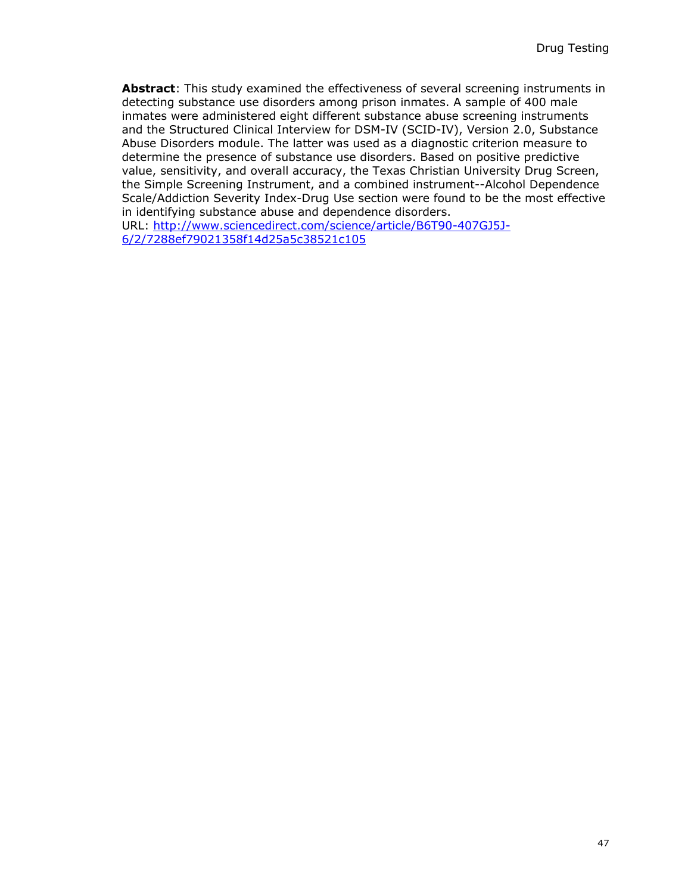**Abstract**: This study examined the effectiveness of several screening instruments in detecting substance use disorders among prison inmates. A sample of 400 male inmates were administered eight different substance abuse screening instruments and the Structured Clinical Interview for DSM-IV (SCID-IV), Version 2.0, Substance Abuse Disorders module. The latter was used as a diagnostic criterion measure to determine the presence of substance use disorders. Based on positive predictive value, sensitivity, and overall accuracy, the Texas Christian University Drug Screen, the Simple Screening Instrument, and a combined instrument--Alcohol Dependence Scale/Addiction Severity Index-Drug Use section were found to be the most effective in identifying substance abuse and dependence disorders. URL: [http://www.sciencedirect.com/science/article/B6T90-407GJ5J-](http://www.sciencedirect.com/science/article/B6T90-407GJ5J-6/2/7288ef79021358f14d25a5c38521c105)

[6/2/7288ef79021358f14d25a5c38521c105](http://www.sciencedirect.com/science/article/B6T90-407GJ5J-6/2/7288ef79021358f14d25a5c38521c105)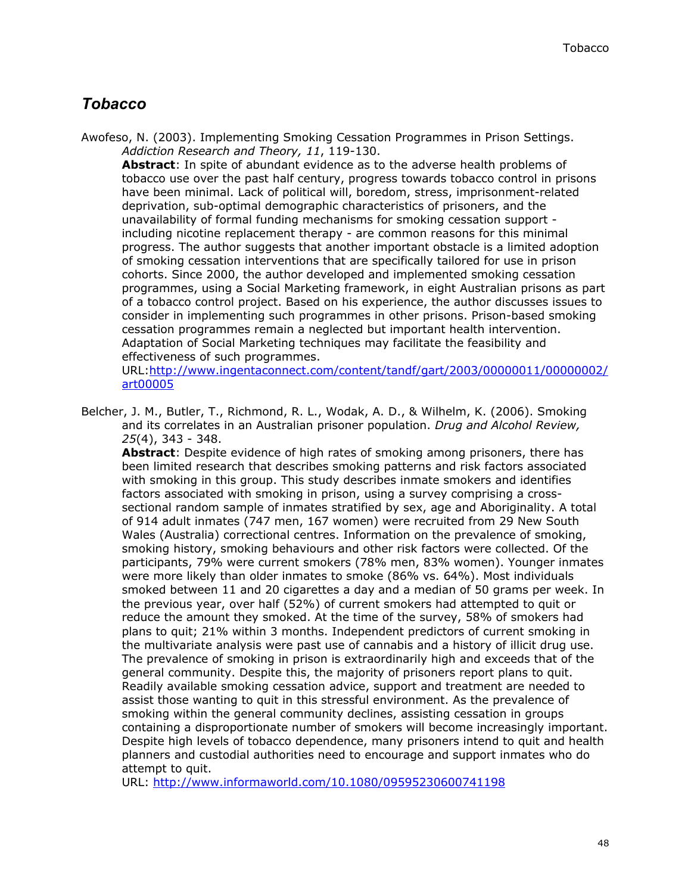### *Tobacco*

Awofeso, N. (2003). Implementing Smoking Cessation Programmes in Prison Settings. *Addiction Research and Theory, 11*, 119-130.

**Abstract**: In spite of abundant evidence as to the adverse health problems of tobacco use over the past half century, progress towards tobacco control in prisons have been minimal. Lack of political will, boredom, stress, imprisonment-related deprivation, sub-optimal demographic characteristics of prisoners, and the unavailability of formal funding mechanisms for smoking cessation support including nicotine replacement therapy - are common reasons for this minimal progress. The author suggests that another important obstacle is a limited adoption of smoking cessation interventions that are specifically tailored for use in prison cohorts. Since 2000, the author developed and implemented smoking cessation programmes, using a Social Marketing framework, in eight Australian prisons as part of a tobacco control project. Based on his experience, the author discusses issues to consider in implementing such programmes in other prisons. Prison-based smoking cessation programmes remain a neglected but important health intervention. Adaptation of Social Marketing techniques may facilitate the feasibility and effectiveness of such programmes.

URL[:http://www.ingentaconnect.com/content/tandf/gart/2003/00000011/00000002/](http://www.ingentaconnect.com/content/tandf/gart/2003/00000011/00000002/art00005) [art00005](http://www.ingentaconnect.com/content/tandf/gart/2003/00000011/00000002/art00005)

Belcher, J. M., Butler, T., Richmond, R. L., Wodak, A. D., & Wilhelm, K. (2006). Smoking and its correlates in an Australian prisoner population. *Drug and Alcohol Review, 25*(4), 343 - 348.

**Abstract**: Despite evidence of high rates of smoking among prisoners, there has been limited research that describes smoking patterns and risk factors associated with smoking in this group. This study describes inmate smokers and identifies factors associated with smoking in prison, using a survey comprising a crosssectional random sample of inmates stratified by sex, age and Aboriginality. A total of 914 adult inmates (747 men, 167 women) were recruited from 29 New South Wales (Australia) correctional centres. Information on the prevalence of smoking, smoking history, smoking behaviours and other risk factors were collected. Of the participants, 79% were current smokers (78% men, 83% women). Younger inmates were more likely than older inmates to smoke (86% vs. 64%). Most individuals smoked between 11 and 20 cigarettes a day and a median of 50 grams per week. In the previous year, over half (52%) of current smokers had attempted to quit or reduce the amount they smoked. At the time of the survey, 58% of smokers had plans to quit; 21% within 3 months. Independent predictors of current smoking in the multivariate analysis were past use of cannabis and a history of illicit drug use. The prevalence of smoking in prison is extraordinarily high and exceeds that of the general community. Despite this, the majority of prisoners report plans to quit. Readily available smoking cessation advice, support and treatment are needed to assist those wanting to quit in this stressful environment. As the prevalence of smoking within the general community declines, assisting cessation in groups containing a disproportionate number of smokers will become increasingly important. Despite high levels of tobacco dependence, many prisoners intend to quit and health planners and custodial authorities need to encourage and support inmates who do attempt to quit.

URL: <http://www.informaworld.com/10.1080/09595230600741198>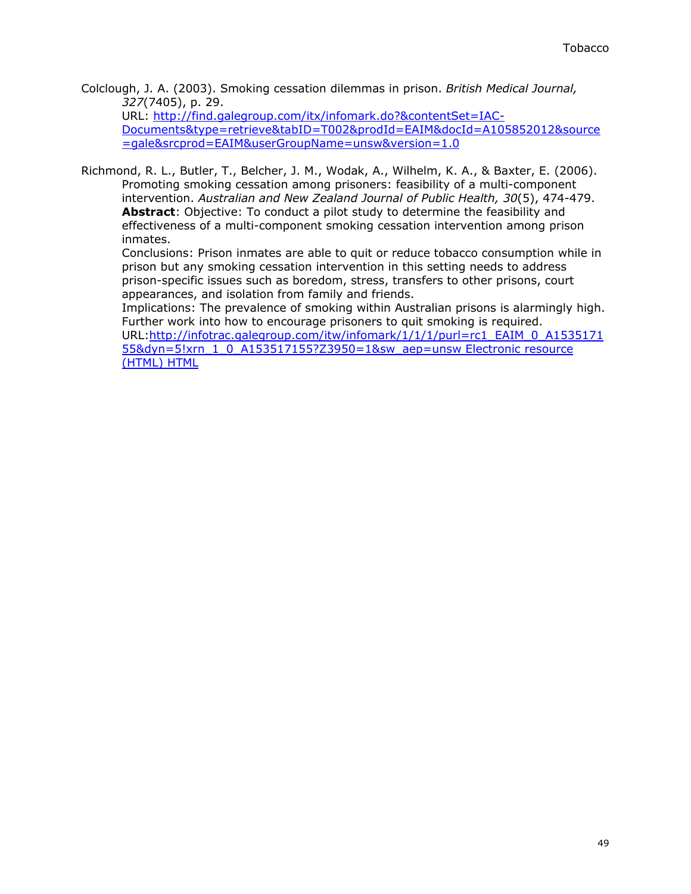Colclough, J. A. (2003). Smoking cessation dilemmas in prison. *British Medical Journal, 327*(7405), p. 29. URL: [http://find.galegroup.com/itx/infomark.do?&contentSet=IAC-](http://find.galegroup.com/itx/infomark.do?&contentSet=IAC-Documents&type=retrieve&tabID=T002&prodId=EAIM&docId=A105852012&source=gale&srcprod=EAIM&userGroupName=unsw&version=1.0)[Documents&type=retrieve&tabID=T002&prodId=EAIM&docId=A105852012&source](http://find.galegroup.com/itx/infomark.do?&contentSet=IAC-Documents&type=retrieve&tabID=T002&prodId=EAIM&docId=A105852012&source=gale&srcprod=EAIM&userGroupName=unsw&version=1.0) [=gale&srcprod=EAIM&userGroupName=unsw&version=1.0](http://find.galegroup.com/itx/infomark.do?&contentSet=IAC-Documents&type=retrieve&tabID=T002&prodId=EAIM&docId=A105852012&source=gale&srcprod=EAIM&userGroupName=unsw&version=1.0)

Richmond, R. L., Butler, T., Belcher, J. M., Wodak, A., Wilhelm, K. A., & Baxter, E. (2006). Promoting smoking cessation among prisoners: feasibility of a multi-component intervention. *Australian and New Zealand Journal of Public Health, 30*(5), 474-479. **Abstract**: Objective: To conduct a pilot study to determine the feasibility and effectiveness of a multi-component smoking cessation intervention among prison inmates.

Conclusions: Prison inmates are able to quit or reduce tobacco consumption while in prison but any smoking cessation intervention in this setting needs to address prison-specific issues such as boredom, stress, transfers to other prisons, court appearances, and isolation from family and friends.

Implications: The prevalence of smoking within Australian prisons is alarmingly high. Further work into how to encourage prisoners to quit smoking is required.

URL[:http://infotrac.galegroup.com/itw/infomark/1/1/1/purl=rc1\\_EAIM\\_0\\_A1535171](http://infotrac.galegroup.com/itw/infomark/1/1/1/purl=rc1_EAIM_0_A153517155&dyn=5!xrn_1_0_A153517155?Z3950=1&sw_aep=unsw%20Electronic%20resource%20(HTML)%20HTML) [55&dyn=5!xrn\\_1\\_0\\_A153517155?Z3950=1&sw\\_aep=unsw Electronic resource](http://infotrac.galegroup.com/itw/infomark/1/1/1/purl=rc1_EAIM_0_A153517155&dyn=5!xrn_1_0_A153517155?Z3950=1&sw_aep=unsw%20Electronic%20resource%20(HTML)%20HTML)  [\(HTML\) HTML](http://infotrac.galegroup.com/itw/infomark/1/1/1/purl=rc1_EAIM_0_A153517155&dyn=5!xrn_1_0_A153517155?Z3950=1&sw_aep=unsw%20Electronic%20resource%20(HTML)%20HTML)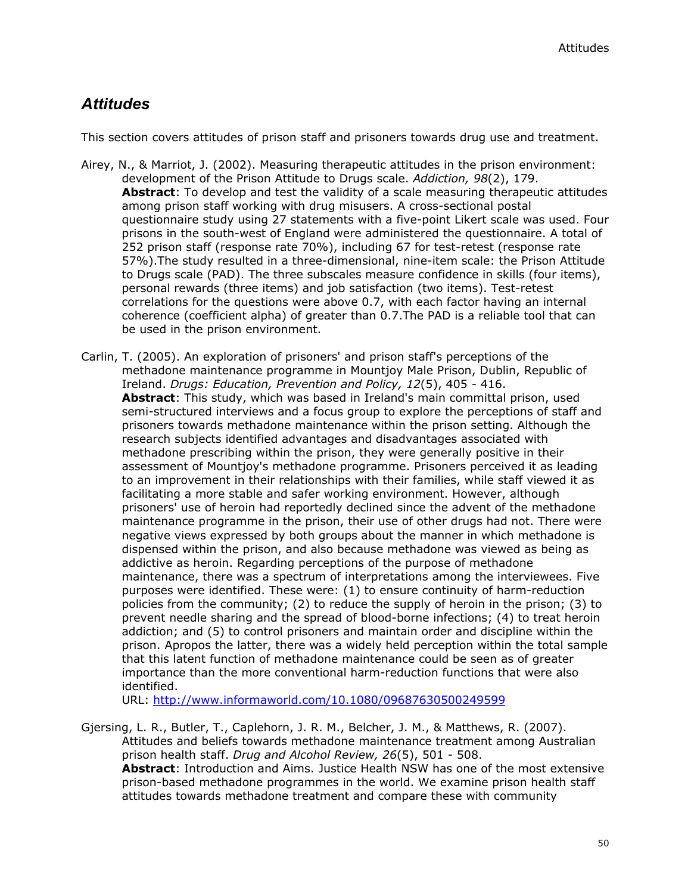# *Attitudes*

This section covers attitudes of prison staff and prisoners towards drug use and treatment.

- Airey, N., & Marriot, J. (2002). Measuring therapeutic attitudes in the prison environment: development of the Prison Attitude to Drugs scale. *Addiction, 98*(2), 179. **Abstract**: To develop and test the validity of a scale measuring therapeutic attitudes among prison staff working with drug misusers. A cross-sectional postal questionnaire study using 27 statements with a five-point Likert scale was used. Four prisons in the south-west of England were administered the questionnaire. A total of 252 prison staff (response rate 70%), including 67 for test-retest (response rate 57%).The study resulted in a three-dimensional, nine-item scale: the Prison Attitude to Drugs scale (PAD). The three subscales measure confidence in skills (four items), personal rewards (three items) and job satisfaction (two items). Test-retest correlations for the questions were above 0.7, with each factor having an internal coherence (coefficient alpha) of greater than 0.7.The PAD is a reliable tool that can be used in the prison environment.
- Carlin, T. (2005). An exploration of prisoners' and prison staff's perceptions of the methadone maintenance programme in Mountjoy Male Prison, Dublin, Republic of Ireland. *Drugs: Education, Prevention and Policy, 12*(5), 405 - 416. **Abstract**: This study, which was based in Ireland's main committal prison, used semi-structured interviews and a focus group to explore the perceptions of staff and prisoners towards methadone maintenance within the prison setting. Although the research subjects identified advantages and disadvantages associated with methadone prescribing within the prison, they were generally positive in their assessment of Mountjoy's methadone programme. Prisoners perceived it as leading to an improvement in their relationships with their families, while staff viewed it as facilitating a more stable and safer working environment. However, although prisoners' use of heroin had reportedly declined since the advent of the methadone maintenance programme in the prison, their use of other drugs had not. There were negative views expressed by both groups about the manner in which methadone is dispensed within the prison, and also because methadone was viewed as being as addictive as heroin. Regarding perceptions of the purpose of methadone maintenance, there was a spectrum of interpretations among the interviewees. Five purposes were identified. These were: (1) to ensure continuity of harm-reduction policies from the community; (2) to reduce the supply of heroin in the prison; (3) to prevent needle sharing and the spread of blood-borne infections; (4) to treat heroin addiction; and (5) to control prisoners and maintain order and discipline within the prison. Apropos the latter, there was a widely held perception within the total sample that this latent function of methadone maintenance could be seen as of greater importance than the more conventional harm-reduction functions that were also identified.

URL: <http://www.informaworld.com/10.1080/09687630500249599>

Gjersing, L. R., Butler, T., Caplehorn, J. R. M., Belcher, J. M., & Matthews, R. (2007). Attitudes and beliefs towards methadone maintenance treatment among Australian prison health staff. *Drug and Alcohol Review, 26*(5), 501 - 508. **Abstract**: Introduction and Aims. Justice Health NSW has one of the most extensive prison-based methadone programmes in the world. We examine prison health staff attitudes towards methadone treatment and compare these with community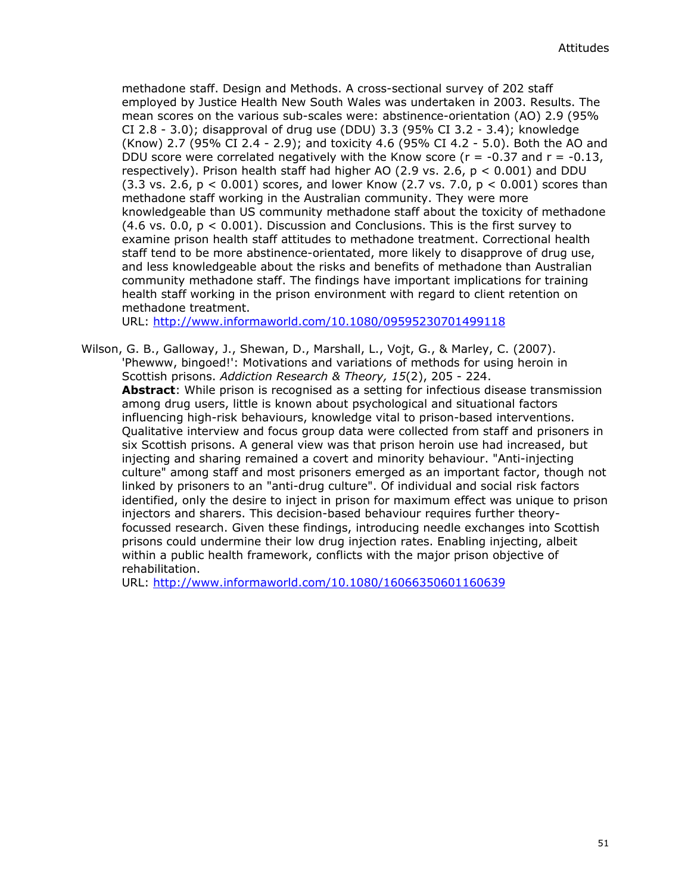methadone staff. Design and Methods. A cross-sectional survey of 202 staff employed by Justice Health New South Wales was undertaken in 2003. Results. The mean scores on the various sub-scales were: abstinence-orientation (AO) 2.9 (95% CI 2.8 - 3.0); disapproval of drug use (DDU) 3.3 (95% CI 3.2 - 3.4); knowledge (Know) 2.7 (95% CI 2.4 - 2.9); and toxicity 4.6 (95% CI 4.2 - 5.0). Both the AO and DDU score were correlated negatively with the Know score  $(r = -0.37$  and  $r = -0.13$ , respectively). Prison health staff had higher AO (2.9 vs. 2.6,  $p < 0.001$ ) and DDU  $(3.3 \text{ vs. } 2.6, \text{ p} < 0.001)$  scores, and lower Know  $(2.7 \text{ vs. } 7.0, \text{ p} < 0.001)$  scores than methadone staff working in the Australian community. They were more knowledgeable than US community methadone staff about the toxicity of methadone  $(4.6 \text{ vs. } 0.0, \text{ p} < 0.001)$ . Discussion and Conclusions. This is the first survey to examine prison health staff attitudes to methadone treatment. Correctional health staff tend to be more abstinence-orientated, more likely to disapprove of drug use, and less knowledgeable about the risks and benefits of methadone than Australian community methadone staff. The findings have important implications for training health staff working in the prison environment with regard to client retention on methadone treatment.

URL: <http://www.informaworld.com/10.1080/09595230701499118>

Wilson, G. B., Galloway, J., Shewan, D., Marshall, L., Vojt, G., & Marley, C. (2007). 'Phewww, bingoed!': Motivations and variations of methods for using heroin in Scottish prisons. *Addiction Research & Theory, 15*(2), 205 - 224. **Abstract**: While prison is recognised as a setting for infectious disease transmission among drug users, little is known about psychological and situational factors influencing high-risk behaviours, knowledge vital to prison-based interventions. Qualitative interview and focus group data were collected from staff and prisoners in six Scottish prisons. A general view was that prison heroin use had increased, but injecting and sharing remained a covert and minority behaviour. "Anti-injecting culture" among staff and most prisoners emerged as an important factor, though not linked by prisoners to an "anti-drug culture". Of individual and social risk factors identified, only the desire to inject in prison for maximum effect was unique to prison injectors and sharers. This decision-based behaviour requires further theoryfocussed research. Given these findings, introducing needle exchanges into Scottish prisons could undermine their low drug injection rates. Enabling injecting, albeit within a public health framework, conflicts with the major prison objective of rehabilitation.

URL: <http://www.informaworld.com/10.1080/16066350601160639>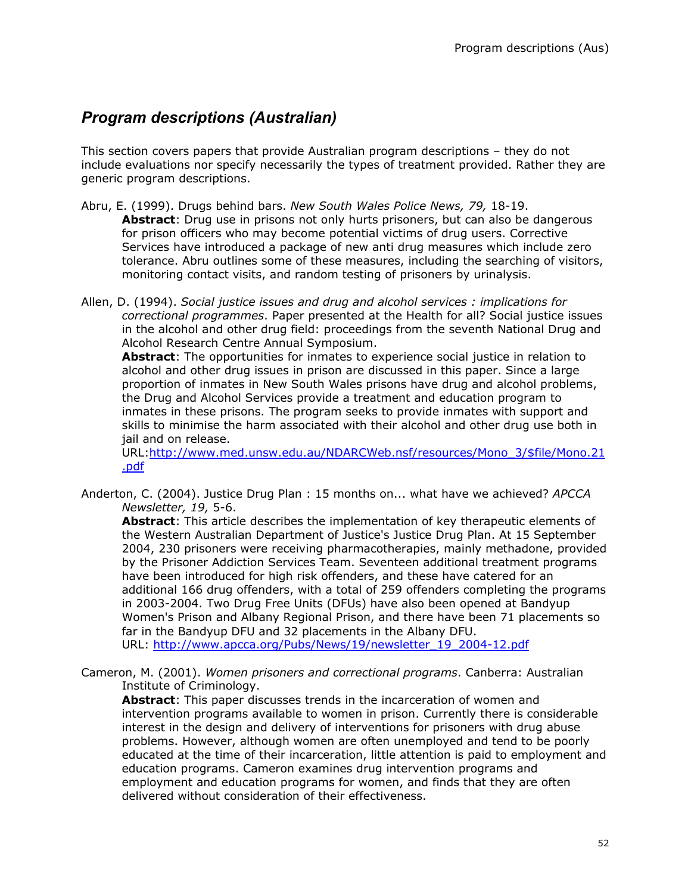### *Program descriptions (Australian)*

This section covers papers that provide Australian program descriptions – they do not include evaluations nor specify necessarily the types of treatment provided. Rather they are generic program descriptions.

- Abru, E. (1999). Drugs behind bars. *New South Wales Police News, 79,* 18-19. **Abstract**: Drug use in prisons not only hurts prisoners, but can also be dangerous for prison officers who may become potential victims of drug users. Corrective Services have introduced a package of new anti drug measures which include zero tolerance. Abru outlines some of these measures, including the searching of visitors, monitoring contact visits, and random testing of prisoners by urinalysis.
- Allen, D. (1994). *Social justice issues and drug and alcohol services : implications for correctional programmes*. Paper presented at the Health for all? Social justice issues in the alcohol and other drug field: proceedings from the seventh National Drug and Alcohol Research Centre Annual Symposium.

**Abstract**: The opportunities for inmates to experience social justice in relation to alcohol and other drug issues in prison are discussed in this paper. Since a large proportion of inmates in New South Wales prisons have drug and alcohol problems, the Drug and Alcohol Services provide a treatment and education program to inmates in these prisons. The program seeks to provide inmates with support and skills to minimise the harm associated with their alcohol and other drug use both in jail and on release.

URL[:http://www.med.unsw.edu.au/NDARCWeb.nsf/resources/Mono\\_3/\\$file/Mono.21](http://www.med.unsw.edu.au/NDARCWeb.nsf/resources/Mono_3/$file/Mono.21.pdf) [.pdf](http://www.med.unsw.edu.au/NDARCWeb.nsf/resources/Mono_3/$file/Mono.21.pdf)

Anderton, C. (2004). Justice Drug Plan : 15 months on... what have we achieved? *APCCA Newsletter, 19,* 5-6.

**Abstract**: This article describes the implementation of key therapeutic elements of the Western Australian Department of Justice's Justice Drug Plan. At 15 September 2004, 230 prisoners were receiving pharmacotherapies, mainly methadone, provided by the Prisoner Addiction Services Team. Seventeen additional treatment programs have been introduced for high risk offenders, and these have catered for an additional 166 drug offenders, with a total of 259 offenders completing the programs in 2003-2004. Two Drug Free Units (DFUs) have also been opened at Bandyup Women's Prison and Albany Regional Prison, and there have been 71 placements so far in the Bandyup DFU and 32 placements in the Albany DFU. URL: [http://www.apcca.org/Pubs/News/19/newsletter\\_19\\_2004-12.pdf](http://www.apcca.org/Pubs/News/19/newsletter_19_2004-12.pdf)

Cameron, M. (2001). *Women prisoners and correctional programs*. Canberra: Australian Institute of Criminology.

**Abstract**: This paper discusses trends in the incarceration of women and intervention programs available to women in prison. Currently there is considerable interest in the design and delivery of interventions for prisoners with drug abuse problems. However, although women are often unemployed and tend to be poorly educated at the time of their incarceration, little attention is paid to employment and education programs. Cameron examines drug intervention programs and employment and education programs for women, and finds that they are often delivered without consideration of their effectiveness.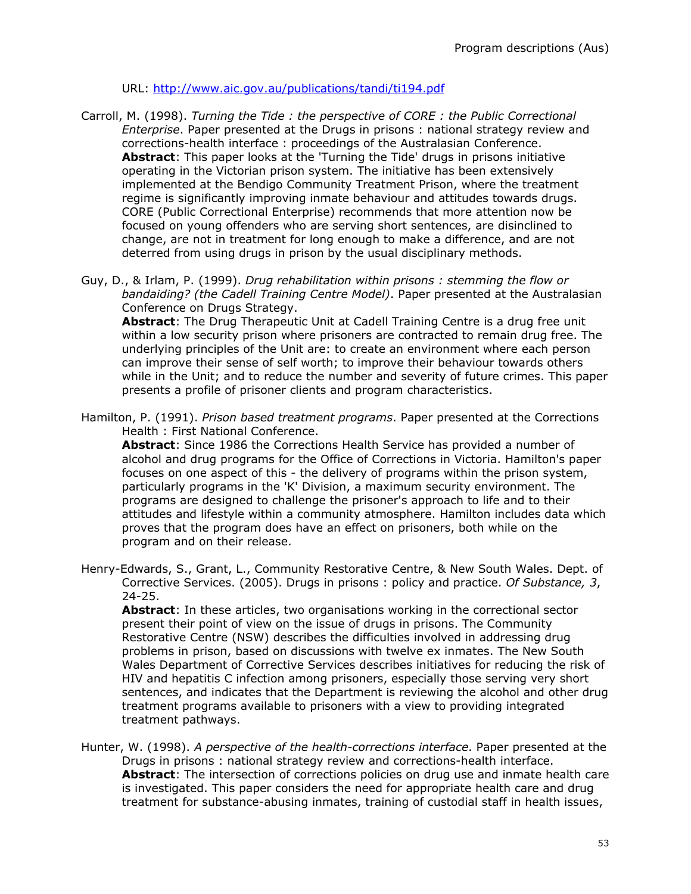#### URL: <http://www.aic.gov.au/publications/tandi/ti194.pdf>

- Carroll, M. (1998). *Turning the Tide : the perspective of CORE : the Public Correctional Enterprise*. Paper presented at the Drugs in prisons : national strategy review and corrections-health interface : proceedings of the Australasian Conference. **Abstract**: This paper looks at the 'Turning the Tide' drugs in prisons initiative operating in the Victorian prison system. The initiative has been extensively implemented at the Bendigo Community Treatment Prison, where the treatment regime is significantly improving inmate behaviour and attitudes towards drugs. CORE (Public Correctional Enterprise) recommends that more attention now be focused on young offenders who are serving short sentences, are disinclined to change, are not in treatment for long enough to make a difference, and are not deterred from using drugs in prison by the usual disciplinary methods.
- Guy, D., & Irlam, P. (1999). *Drug rehabilitation within prisons : stemming the flow or bandaiding? (the Cadell Training Centre Model)*. Paper presented at the Australasian Conference on Drugs Strategy.

**Abstract**: The Drug Therapeutic Unit at Cadell Training Centre is a drug free unit within a low security prison where prisoners are contracted to remain drug free. The underlying principles of the Unit are: to create an environment where each person can improve their sense of self worth; to improve their behaviour towards others while in the Unit; and to reduce the number and severity of future crimes. This paper presents a profile of prisoner clients and program characteristics.

Hamilton, P. (1991). *Prison based treatment programs*. Paper presented at the Corrections Health : First National Conference.

**Abstract**: Since 1986 the Corrections Health Service has provided a number of alcohol and drug programs for the Office of Corrections in Victoria. Hamilton's paper focuses on one aspect of this - the delivery of programs within the prison system, particularly programs in the 'K' Division, a maximum security environment. The programs are designed to challenge the prisoner's approach to life and to their attitudes and lifestyle within a community atmosphere. Hamilton includes data which proves that the program does have an effect on prisoners, both while on the program and on their release.

Henry-Edwards, S., Grant, L., Community Restorative Centre, & New South Wales. Dept. of Corrective Services. (2005). Drugs in prisons : policy and practice. *Of Substance, 3*, 24-25.

**Abstract**: In these articles, two organisations working in the correctional sector present their point of view on the issue of drugs in prisons. The Community Restorative Centre (NSW) describes the difficulties involved in addressing drug problems in prison, based on discussions with twelve ex inmates. The New South Wales Department of Corrective Services describes initiatives for reducing the risk of HIV and hepatitis C infection among prisoners, especially those serving very short sentences, and indicates that the Department is reviewing the alcohol and other drug treatment programs available to prisoners with a view to providing integrated treatment pathways.

Hunter, W. (1998). *A perspective of the health-corrections interface*. Paper presented at the Drugs in prisons : national strategy review and corrections-health interface. **Abstract**: The intersection of corrections policies on drug use and inmate health care is investigated. This paper considers the need for appropriate health care and drug treatment for substance-abusing inmates, training of custodial staff in health issues,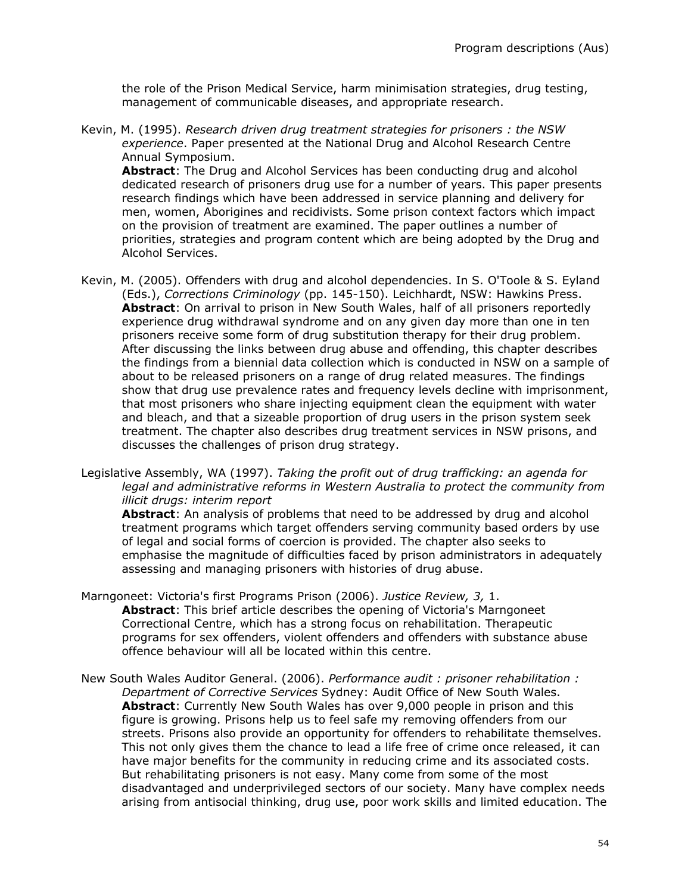the role of the Prison Medical Service, harm minimisation strategies, drug testing, management of communicable diseases, and appropriate research.

Kevin, M. (1995). *Research driven drug treatment strategies for prisoners : the NSW experience*. Paper presented at the National Drug and Alcohol Research Centre Annual Symposium.

**Abstract**: The Drug and Alcohol Services has been conducting drug and alcohol dedicated research of prisoners drug use for a number of years. This paper presents research findings which have been addressed in service planning and delivery for men, women, Aborigines and recidivists. Some prison context factors which impact on the provision of treatment are examined. The paper outlines a number of priorities, strategies and program content which are being adopted by the Drug and Alcohol Services.

- Kevin, M. (2005). Offenders with drug and alcohol dependencies. In S. O'Toole & S. Eyland (Eds.), *Corrections Criminology* (pp. 145-150). Leichhardt, NSW: Hawkins Press. **Abstract**: On arrival to prison in New South Wales, half of all prisoners reportedly experience drug withdrawal syndrome and on any given day more than one in ten prisoners receive some form of drug substitution therapy for their drug problem. After discussing the links between drug abuse and offending, this chapter describes the findings from a biennial data collection which is conducted in NSW on a sample of about to be released prisoners on a range of drug related measures. The findings show that drug use prevalence rates and frequency levels decline with imprisonment, that most prisoners who share injecting equipment clean the equipment with water and bleach, and that a sizeable proportion of drug users in the prison system seek treatment. The chapter also describes drug treatment services in NSW prisons, and discusses the challenges of prison drug strategy.
- Legislative Assembly, WA (1997). *Taking the profit out of drug trafficking: an agenda for*  legal and administrative reforms in Western Australia to protect the community from *illicit drugs: interim report*

**Abstract**: An analysis of problems that need to be addressed by drug and alcohol treatment programs which target offenders serving community based orders by use of legal and social forms of coercion is provided. The chapter also seeks to emphasise the magnitude of difficulties faced by prison administrators in adequately assessing and managing prisoners with histories of drug abuse.

- Marngoneet: Victoria's first Programs Prison (2006). *Justice Review, 3,* 1. **Abstract**: This brief article describes the opening of Victoria's Marngoneet Correctional Centre, which has a strong focus on rehabilitation. Therapeutic programs for sex offenders, violent offenders and offenders with substance abuse offence behaviour will all be located within this centre.
- New South Wales Auditor General. (2006). *Performance audit : prisoner rehabilitation : Department of Corrective Services* Sydney: Audit Office of New South Wales. **Abstract**: Currently New South Wales has over 9,000 people in prison and this figure is growing. Prisons help us to feel safe my removing offenders from our streets. Prisons also provide an opportunity for offenders to rehabilitate themselves. This not only gives them the chance to lead a life free of crime once released, it can have major benefits for the community in reducing crime and its associated costs. But rehabilitating prisoners is not easy. Many come from some of the most disadvantaged and underprivileged sectors of our society. Many have complex needs arising from antisocial thinking, drug use, poor work skills and limited education. The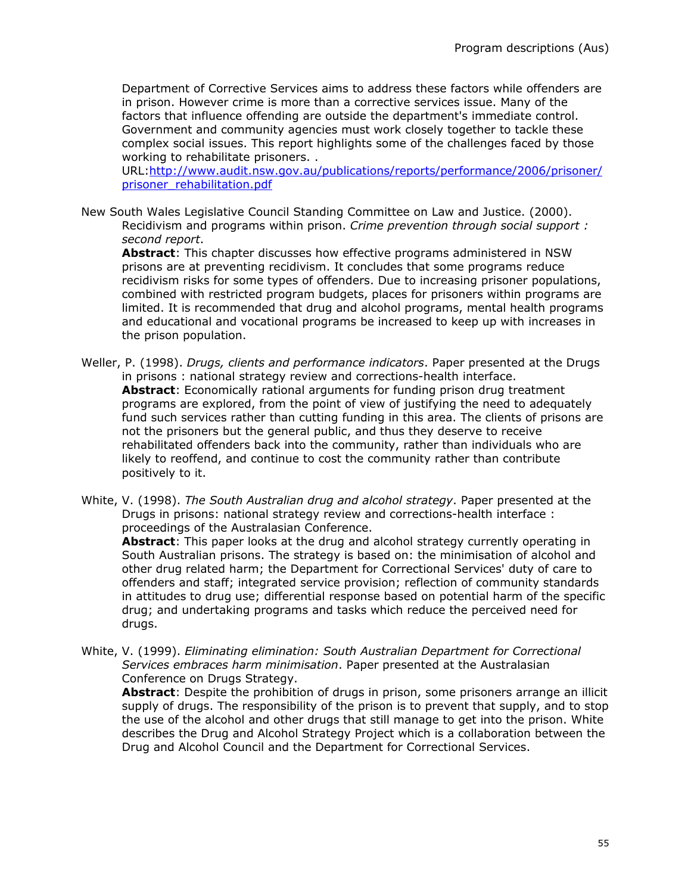Department of Corrective Services aims to address these factors while offenders are in prison. However crime is more than a corrective services issue. Many of the factors that influence offending are outside the department's immediate control. Government and community agencies must work closely together to tackle these complex social issues. This report highlights some of the challenges faced by those working to rehabilitate prisoners. .

URL[:http://www.audit.nsw.gov.au/publications/reports/performance/2006/prisoner/](http://www.audit.nsw.gov.au/publications/reports/performance/2006/prisoner/prisoner_rehabilitation.pdf) [prisoner\\_rehabilitation.pdf](http://www.audit.nsw.gov.au/publications/reports/performance/2006/prisoner/prisoner_rehabilitation.pdf)

New South Wales Legislative Council Standing Committee on Law and Justice. (2000). Recidivism and programs within prison. *Crime prevention through social support : second report*.

**Abstract**: This chapter discusses how effective programs administered in NSW prisons are at preventing recidivism. It concludes that some programs reduce recidivism risks for some types of offenders. Due to increasing prisoner populations, combined with restricted program budgets, places for prisoners within programs are limited. It is recommended that drug and alcohol programs, mental health programs and educational and vocational programs be increased to keep up with increases in the prison population.

- Weller, P. (1998). *Drugs, clients and performance indicators*. Paper presented at the Drugs in prisons : national strategy review and corrections-health interface. **Abstract**: Economically rational arguments for funding prison drug treatment programs are explored, from the point of view of justifying the need to adequately fund such services rather than cutting funding in this area. The clients of prisons are not the prisoners but the general public, and thus they deserve to receive rehabilitated offenders back into the community, rather than individuals who are likely to reoffend, and continue to cost the community rather than contribute positively to it.
- White, V. (1998). *The South Australian drug and alcohol strategy*. Paper presented at the Drugs in prisons: national strategy review and corrections-health interface : proceedings of the Australasian Conference.

**Abstract**: This paper looks at the drug and alcohol strategy currently operating in South Australian prisons. The strategy is based on: the minimisation of alcohol and other drug related harm; the Department for Correctional Services' duty of care to offenders and staff; integrated service provision; reflection of community standards in attitudes to drug use; differential response based on potential harm of the specific drug; and undertaking programs and tasks which reduce the perceived need for drugs.

White, V. (1999). *Eliminating elimination: South Australian Department for Correctional Services embraces harm minimisation*. Paper presented at the Australasian Conference on Drugs Strategy.

**Abstract**: Despite the prohibition of drugs in prison, some prisoners arrange an illicit supply of drugs. The responsibility of the prison is to prevent that supply, and to stop the use of the alcohol and other drugs that still manage to get into the prison. White describes the Drug and Alcohol Strategy Project which is a collaboration between the Drug and Alcohol Council and the Department for Correctional Services.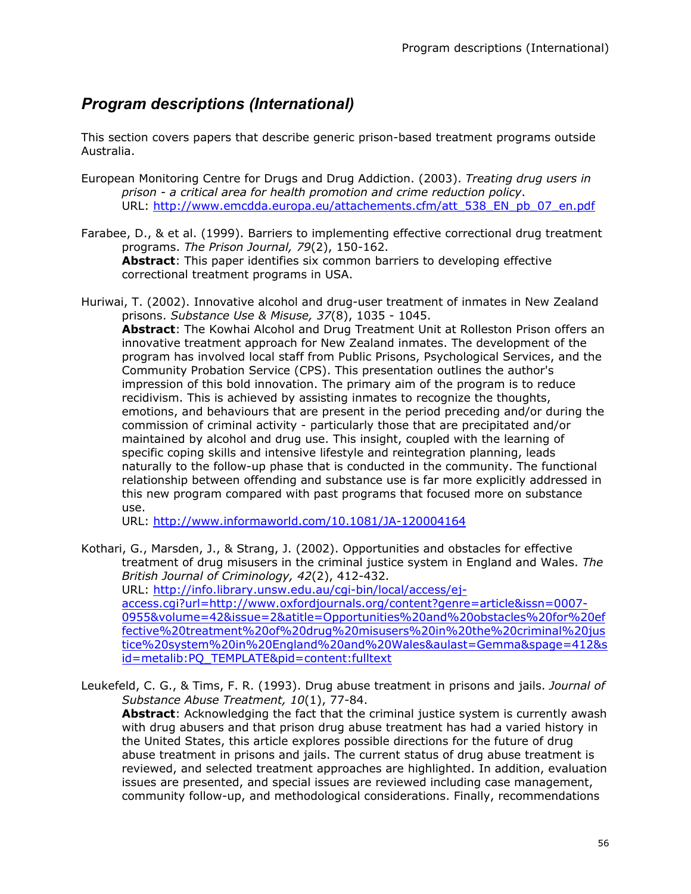## *Program descriptions (International)*

This section covers papers that describe generic prison-based treatment programs outside Australia.

- European Monitoring Centre for Drugs and Drug Addiction. (2003). *Treating drug users in prison - a critical area for health promotion and crime reduction policy*. URL: [http://www.emcdda.europa.eu/attachements.cfm/att\\_538\\_EN\\_pb\\_07\\_en.pdf](http://www.emcdda.europa.eu/attachements.cfm/att_538_EN_pb_07_en.pdf)
- Farabee, D., & et al. (1999). Barriers to implementing effective correctional drug treatment programs. *The Prison Journal, 79*(2), 150-162. **Abstract**: This paper identifies six common barriers to developing effective correctional treatment programs in USA.
- Huriwai, T. (2002). Innovative alcohol and drug-user treatment of inmates in New Zealand prisons. *Substance Use & Misuse, 37*(8), 1035 - 1045. **Abstract**: The Kowhai Alcohol and Drug Treatment Unit at Rolleston Prison offers an innovative treatment approach for New Zealand inmates. The development of the program has involved local staff from Public Prisons, Psychological Services, and the Community Probation Service (CPS). This presentation outlines the author's impression of this bold innovation. The primary aim of the program is to reduce recidivism. This is achieved by assisting inmates to recognize the thoughts, emotions, and behaviours that are present in the period preceding and/or during the commission of criminal activity - particularly those that are precipitated and/or maintained by alcohol and drug use. This insight, coupled with the learning of specific coping skills and intensive lifestyle and reintegration planning, leads naturally to the follow-up phase that is conducted in the community. The functional relationship between offending and substance use is far more explicitly addressed in this new program compared with past programs that focused more on substance use.

URL: <http://www.informaworld.com/10.1081/JA-120004164>

- Kothari, G., Marsden, J., & Strang, J. (2002). Opportunities and obstacles for effective treatment of drug misusers in the criminal justice system in England and Wales. *The British Journal of Criminology, 42*(2), 412-432. URL: [http://info.library.unsw.edu.au/cgi-bin/local/access/ej](http://info.library.unsw.edu.au/cgi-bin/local/access/ej-access.cgi?url=http://www.oxfordjournals.org/content?genre=article&issn=0007-0955&volume=42&issue=2&atitle=Opportunities%20and%20obstacles%20for%20effective%20treatment%20of%20drug%20misusers%20in%20the%20criminal%20justice%20system%20in%20England%20and%20Wales&aulast=Gemma&spage=412&sid=metalib:PQ_TEMPLATE&pid=content:fulltext)[access.cgi?url=http://www.oxfordjournals.org/content?genre=article&issn=0007-](http://info.library.unsw.edu.au/cgi-bin/local/access/ej-access.cgi?url=http://www.oxfordjournals.org/content?genre=article&issn=0007-0955&volume=42&issue=2&atitle=Opportunities%20and%20obstacles%20for%20effective%20treatment%20of%20drug%20misusers%20in%20the%20criminal%20justice%20system%20in%20England%20and%20Wales&aulast=Gemma&spage=412&sid=metalib:PQ_TEMPLATE&pid=content:fulltext) [0955&volume=42&issue=2&atitle=Opportunities%20and%20obstacles%20for%20ef](http://info.library.unsw.edu.au/cgi-bin/local/access/ej-access.cgi?url=http://www.oxfordjournals.org/content?genre=article&issn=0007-0955&volume=42&issue=2&atitle=Opportunities%20and%20obstacles%20for%20effective%20treatment%20of%20drug%20misusers%20in%20the%20criminal%20justice%20system%20in%20England%20and%20Wales&aulast=Gemma&spage=412&sid=metalib:PQ_TEMPLATE&pid=content:fulltext) [fective%20treatment%20of%20drug%20misusers%20in%20the%20criminal%20jus](http://info.library.unsw.edu.au/cgi-bin/local/access/ej-access.cgi?url=http://www.oxfordjournals.org/content?genre=article&issn=0007-0955&volume=42&issue=2&atitle=Opportunities%20and%20obstacles%20for%20effective%20treatment%20of%20drug%20misusers%20in%20the%20criminal%20justice%20system%20in%20England%20and%20Wales&aulast=Gemma&spage=412&sid=metalib:PQ_TEMPLATE&pid=content:fulltext) [tice%20system%20in%20England%20and%20Wales&aulast=Gemma&spage=412&s](http://info.library.unsw.edu.au/cgi-bin/local/access/ej-access.cgi?url=http://www.oxfordjournals.org/content?genre=article&issn=0007-0955&volume=42&issue=2&atitle=Opportunities%20and%20obstacles%20for%20effective%20treatment%20of%20drug%20misusers%20in%20the%20criminal%20justice%20system%20in%20England%20and%20Wales&aulast=Gemma&spage=412&sid=metalib:PQ_TEMPLATE&pid=content:fulltext) [id=metalib:PQ\\_TEMPLATE&pid=content:fulltext](http://info.library.unsw.edu.au/cgi-bin/local/access/ej-access.cgi?url=http://www.oxfordjournals.org/content?genre=article&issn=0007-0955&volume=42&issue=2&atitle=Opportunities%20and%20obstacles%20for%20effective%20treatment%20of%20drug%20misusers%20in%20the%20criminal%20justice%20system%20in%20England%20and%20Wales&aulast=Gemma&spage=412&sid=metalib:PQ_TEMPLATE&pid=content:fulltext)
- Leukefeld, C. G., & Tims, F. R. (1993). Drug abuse treatment in prisons and jails. *Journal of Substance Abuse Treatment, 10*(1), 77-84.

**Abstract**: Acknowledging the fact that the criminal justice system is currently awash with drug abusers and that prison drug abuse treatment has had a varied history in the United States, this article explores possible directions for the future of drug abuse treatment in prisons and jails. The current status of drug abuse treatment is reviewed, and selected treatment approaches are highlighted. In addition, evaluation issues are presented, and special issues are reviewed including case management, community follow-up, and methodological considerations. Finally, recommendations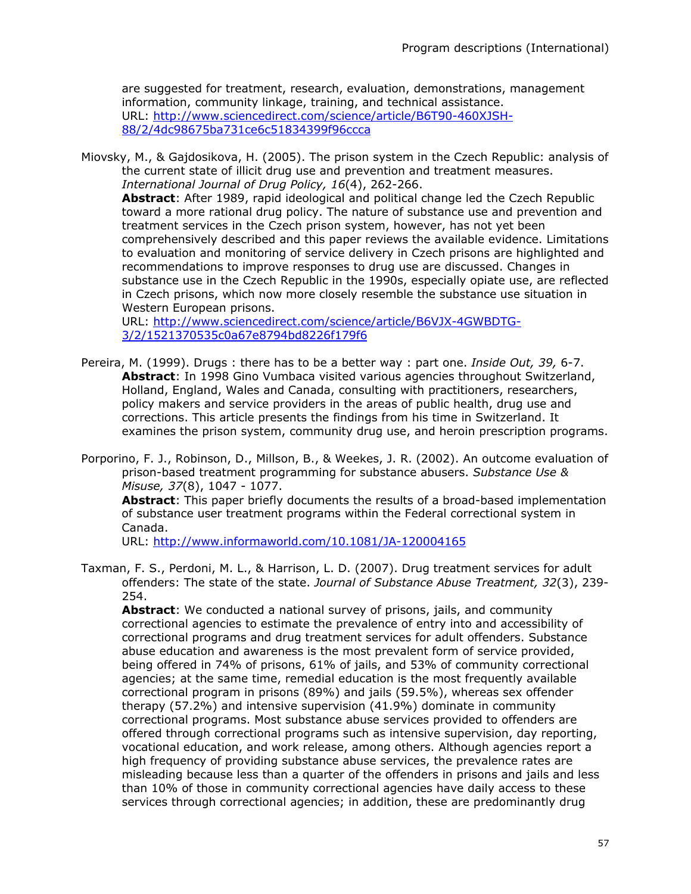are suggested for treatment, research, evaluation, demonstrations, management information, community linkage, training, and technical assistance. URL: [http://www.sciencedirect.com/science/article/B6T90-460XJSH-](http://www.sciencedirect.com/science/article/B6T90-460XJSH-88/2/4dc98675ba731ce6c51834399f96ccca)[88/2/4dc98675ba731ce6c51834399f96ccca](http://www.sciencedirect.com/science/article/B6T90-460XJSH-88/2/4dc98675ba731ce6c51834399f96ccca) 

Miovsky, M., & Gajdosikova, H. (2005). The prison system in the Czech Republic: analysis of the current state of illicit drug use and prevention and treatment measures. *International Journal of Drug Policy, 16*(4), 262-266. **Abstract**: After 1989, rapid ideological and political change led the Czech Republic toward a more rational drug policy. The nature of substance use and prevention and treatment services in the Czech prison system, however, has not yet been comprehensively described and this paper reviews the available evidence. Limitations to evaluation and monitoring of service delivery in Czech prisons are highlighted and recommendations to improve responses to drug use are discussed. Changes in substance use in the Czech Republic in the 1990s, especially opiate use, are reflected in Czech prisons, which now more closely resemble the substance use situation in Western European prisons.

URL: [http://www.sciencedirect.com/science/article/B6VJX-4GWBDTG-](http://www.sciencedirect.com/science/article/B6VJX-4GWBDTG-3/2/1521370535c0a67e8794bd8226f179f6)[3/2/1521370535c0a67e8794bd8226f179f6](http://www.sciencedirect.com/science/article/B6VJX-4GWBDTG-3/2/1521370535c0a67e8794bd8226f179f6)

- Pereira, M. (1999). Drugs : there has to be a better way : part one. *Inside Out, 39,* 6-7. **Abstract**: In 1998 Gino Vumbaca visited various agencies throughout Switzerland, Holland, England, Wales and Canada, consulting with practitioners, researchers, policy makers and service providers in the areas of public health, drug use and corrections. This article presents the findings from his time in Switzerland. It examines the prison system, community drug use, and heroin prescription programs.
- Porporino, F. J., Robinson, D., Millson, B., & Weekes, J. R. (2002). An outcome evaluation of prison-based treatment programming for substance abusers. *Substance Use & Misuse, 37*(8), 1047 - 1077.

**Abstract**: This paper briefly documents the results of a broad-based implementation of substance user treatment programs within the Federal correctional system in Canada.

URL: <http://www.informaworld.com/10.1081/JA-120004165>

Taxman, F. S., Perdoni, M. L., & Harrison, L. D. (2007). Drug treatment services for adult offenders: The state of the state. *Journal of Substance Abuse Treatment, 32*(3), 239- 254.

**Abstract**: We conducted a national survey of prisons, jails, and community correctional agencies to estimate the prevalence of entry into and accessibility of correctional programs and drug treatment services for adult offenders. Substance abuse education and awareness is the most prevalent form of service provided, being offered in 74% of prisons, 61% of jails, and 53% of community correctional agencies; at the same time, remedial education is the most frequently available correctional program in prisons (89%) and jails (59.5%), whereas sex offender therapy (57.2%) and intensive supervision (41.9%) dominate in community correctional programs. Most substance abuse services provided to offenders are offered through correctional programs such as intensive supervision, day reporting, vocational education, and work release, among others. Although agencies report a high frequency of providing substance abuse services, the prevalence rates are misleading because less than a quarter of the offenders in prisons and jails and less than 10% of those in community correctional agencies have daily access to these services through correctional agencies; in addition, these are predominantly drug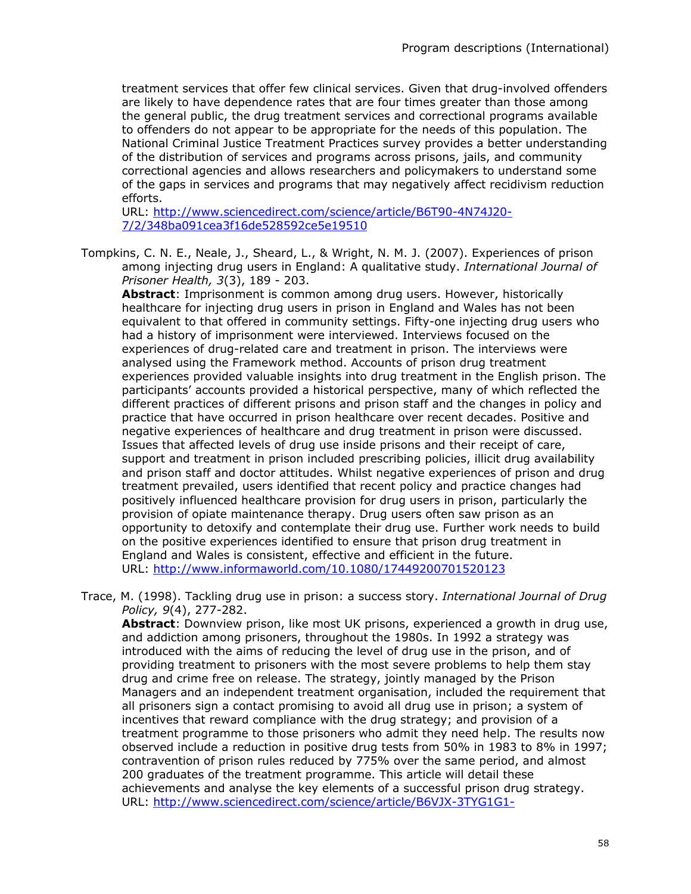treatment services that offer few clinical services. Given that drug-involved offenders are likely to have dependence rates that are four times greater than those among the general public, the drug treatment services and correctional programs available to offenders do not appear to be appropriate for the needs of this population. The National Criminal Justice Treatment Practices survey provides a better understanding of the distribution of services and programs across prisons, jails, and community correctional agencies and allows researchers and policymakers to understand some of the gaps in services and programs that may negatively affect recidivism reduction efforts.

URL: [http://www.sciencedirect.com/science/article/B6T90-4N74J20-](http://www.sciencedirect.com/science/article/B6T90-4N74J20-7/2/348ba091cea3f16de528592ce5e19510) [7/2/348ba091cea3f16de528592ce5e19510](http://www.sciencedirect.com/science/article/B6T90-4N74J20-7/2/348ba091cea3f16de528592ce5e19510) 

Tompkins, C. N. E., Neale, J., Sheard, L., & Wright, N. M. J. (2007). Experiences of prison among injecting drug users in England: A qualitative study. *International Journal of Prisoner Health, 3*(3), 189 - 203.

**Abstract**: Imprisonment is common among drug users. However, historically healthcare for injecting drug users in prison in England and Wales has not been equivalent to that offered in community settings. Fifty-one injecting drug users who had a history of imprisonment were interviewed. Interviews focused on the experiences of drug-related care and treatment in prison. The interviews were analysed using the Framework method. Accounts of prison drug treatment experiences provided valuable insights into drug treatment in the English prison. The participants' accounts provided a historical perspective, many of which reflected the different practices of different prisons and prison staff and the changes in policy and practice that have occurred in prison healthcare over recent decades. Positive and negative experiences of healthcare and drug treatment in prison were discussed. Issues that affected levels of drug use inside prisons and their receipt of care, support and treatment in prison included prescribing policies, illicit drug availability and prison staff and doctor attitudes. Whilst negative experiences of prison and drug treatment prevailed, users identified that recent policy and practice changes had positively influenced healthcare provision for drug users in prison, particularly the provision of opiate maintenance therapy. Drug users often saw prison as an opportunity to detoxify and contemplate their drug use. Further work needs to build on the positive experiences identified to ensure that prison drug treatment in England and Wales is consistent, effective and efficient in the future. URL: <http://www.informaworld.com/10.1080/17449200701520123>

Trace, M. (1998). Tackling drug use in prison: a success story. *International Journal of Drug Policy, 9*(4), 277-282.

**Abstract**: Downview prison, like most UK prisons, experienced a growth in drug use, and addiction among prisoners, throughout the 1980s. In 1992 a strategy was introduced with the aims of reducing the level of drug use in the prison, and of providing treatment to prisoners with the most severe problems to help them stay drug and crime free on release. The strategy, jointly managed by the Prison Managers and an independent treatment organisation, included the requirement that all prisoners sign a contact promising to avoid all drug use in prison; a system of incentives that reward compliance with the drug strategy; and provision of a treatment programme to those prisoners who admit they need help. The results now observed include a reduction in positive drug tests from 50% in 1983 to 8% in 1997; contravention of prison rules reduced by 775% over the same period, and almost 200 graduates of the treatment programme. This article will detail these achievements and analyse the key elements of a successful prison drug strategy. URL: [http://www.sciencedirect.com/science/article/B6VJX-3TYG1G1-](http://www.sciencedirect.com/science/article/B6VJX-3TYG1G1-C/2/18852d5cb10f3f53fd06919667f2922f)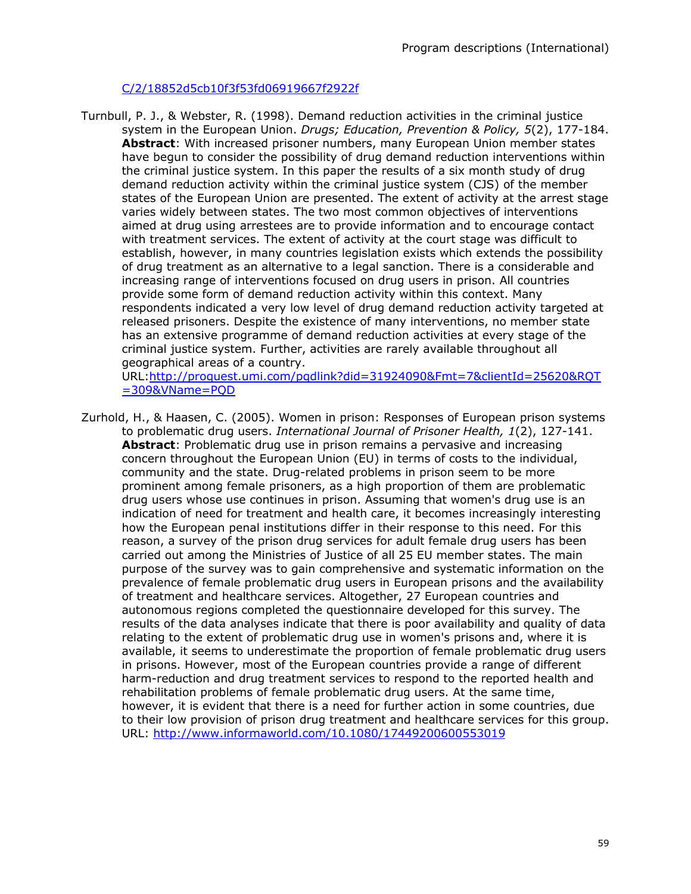#### [C/2/18852d5cb10f3f53fd06919667f2922f](http://www.sciencedirect.com/science/article/B6VJX-3TYG1G1-C/2/18852d5cb10f3f53fd06919667f2922f)

Turnbull, P. J., & Webster, R. (1998). Demand reduction activities in the criminal justice system in the European Union. *Drugs; Education, Prevention & Policy, 5*(2), 177-184. **Abstract**: With increased prisoner numbers, many European Union member states have begun to consider the possibility of drug demand reduction interventions within the criminal justice system. In this paper the results of a six month study of drug demand reduction activity within the criminal justice system (CJS) of the member states of the European Union are presented. The extent of activity at the arrest stage varies widely between states. The two most common objectives of interventions aimed at drug using arrestees are to provide information and to encourage contact with treatment services. The extent of activity at the court stage was difficult to establish, however, in many countries legislation exists which extends the possibility of drug treatment as an alternative to a legal sanction. There is a considerable and increasing range of interventions focused on drug users in prison. All countries provide some form of demand reduction activity within this context. Many respondents indicated a very low level of drug demand reduction activity targeted at released prisoners. Despite the existence of many interventions, no member state has an extensive programme of demand reduction activities at every stage of the criminal justice system. Further, activities are rarely available throughout all geographical areas of a country.

URL[:http://proquest.umi.com/pqdlink?did=31924090&Fmt=7&clientId=25620&RQT](http://proquest.umi.com/pqdlink?did=31924090&Fmt=7&clientId=25620&RQT=309&VName=PQD%20) [=309&VName=PQD](http://proquest.umi.com/pqdlink?did=31924090&Fmt=7&clientId=25620&RQT=309&VName=PQD%20)

Zurhold, H., & Haasen, C. (2005). Women in prison: Responses of European prison systems to problematic drug users. *International Journal of Prisoner Health, 1*(2), 127-141. **Abstract**: Problematic drug use in prison remains a pervasive and increasing concern throughout the European Union (EU) in terms of costs to the individual, community and the state. Drug-related problems in prison seem to be more prominent among female prisoners, as a high proportion of them are problematic drug users whose use continues in prison. Assuming that women's drug use is an indication of need for treatment and health care, it becomes increasingly interesting how the European penal institutions differ in their response to this need. For this reason, a survey of the prison drug services for adult female drug users has been carried out among the Ministries of Justice of all 25 EU member states. The main purpose of the survey was to gain comprehensive and systematic information on the prevalence of female problematic drug users in European prisons and the availability of treatment and healthcare services. Altogether, 27 European countries and autonomous regions completed the questionnaire developed for this survey. The results of the data analyses indicate that there is poor availability and quality of data relating to the extent of problematic drug use in women's prisons and, where it is available, it seems to underestimate the proportion of female problematic drug users in prisons. However, most of the European countries provide a range of different harm-reduction and drug treatment services to respond to the reported health and rehabilitation problems of female problematic drug users. At the same time, however, it is evident that there is a need for further action in some countries, due to their low provision of prison drug treatment and healthcare services for this group. URL: <http://www.informaworld.com/10.1080/17449200600553019>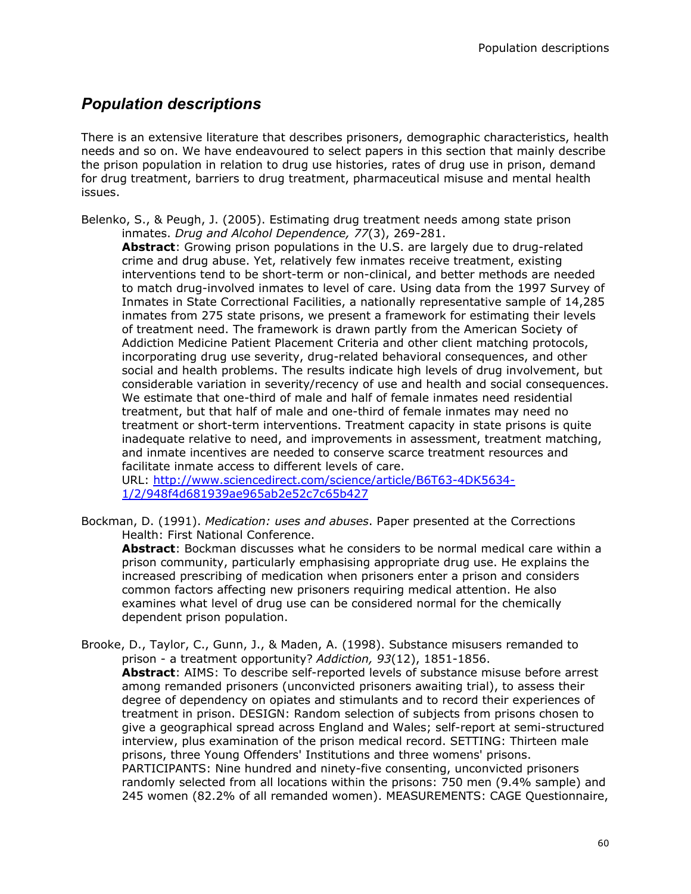### *Population descriptions*

There is an extensive literature that describes prisoners, demographic characteristics, health needs and so on. We have endeavoured to select papers in this section that mainly describe the prison population in relation to drug use histories, rates of drug use in prison, demand for drug treatment, barriers to drug treatment, pharmaceutical misuse and mental health issues.

Belenko, S., & Peugh, J. (2005). Estimating drug treatment needs among state prison inmates. *Drug and Alcohol Dependence, 77*(3), 269-281.

**Abstract**: Growing prison populations in the U.S. are largely due to drug-related crime and drug abuse. Yet, relatively few inmates receive treatment, existing interventions tend to be short-term or non-clinical, and better methods are needed to match drug-involved inmates to level of care. Using data from the 1997 Survey of Inmates in State Correctional Facilities, a nationally representative sample of 14,285 inmates from 275 state prisons, we present a framework for estimating their levels of treatment need. The framework is drawn partly from the American Society of Addiction Medicine Patient Placement Criteria and other client matching protocols, incorporating drug use severity, drug-related behavioral consequences, and other social and health problems. The results indicate high levels of drug involvement, but considerable variation in severity/recency of use and health and social consequences. We estimate that one-third of male and half of female inmates need residential treatment, but that half of male and one-third of female inmates may need no treatment or short-term interventions. Treatment capacity in state prisons is quite inadequate relative to need, and improvements in assessment, treatment matching, and inmate incentives are needed to conserve scarce treatment resources and facilitate inmate access to different levels of care.

URL: [http://www.sciencedirect.com/science/article/B6T63-4DK5634-](http://www.sciencedirect.com/science/article/B6T63-4DK5634-1/2/948f4d681939ae965ab2e52c7c65b427) [1/2/948f4d681939ae965ab2e52c7c65b427](http://www.sciencedirect.com/science/article/B6T63-4DK5634-1/2/948f4d681939ae965ab2e52c7c65b427)

Bockman, D. (1991). *Medication: uses and abuses*. Paper presented at the Corrections Health: First National Conference.

**Abstract**: Bockman discusses what he considers to be normal medical care within a prison community, particularly emphasising appropriate drug use. He explains the increased prescribing of medication when prisoners enter a prison and considers common factors affecting new prisoners requiring medical attention. He also examines what level of drug use can be considered normal for the chemically dependent prison population.

Brooke, D., Taylor, C., Gunn, J., & Maden, A. (1998). Substance misusers remanded to prison - a treatment opportunity? *Addiction, 93*(12), 1851-1856.

**Abstract**: AIMS: To describe self-reported levels of substance misuse before arrest among remanded prisoners (unconvicted prisoners awaiting trial), to assess their degree of dependency on opiates and stimulants and to record their experiences of treatment in prison. DESIGN: Random selection of subjects from prisons chosen to give a geographical spread across England and Wales; self-report at semi-structured interview, plus examination of the prison medical record. SETTING: Thirteen male prisons, three Young Offenders' Institutions and three womens' prisons. PARTICIPANTS: Nine hundred and ninety-five consenting, unconvicted prisoners randomly selected from all locations within the prisons: 750 men (9.4% sample) and 245 women (82.2% of all remanded women). MEASUREMENTS: CAGE Questionnaire,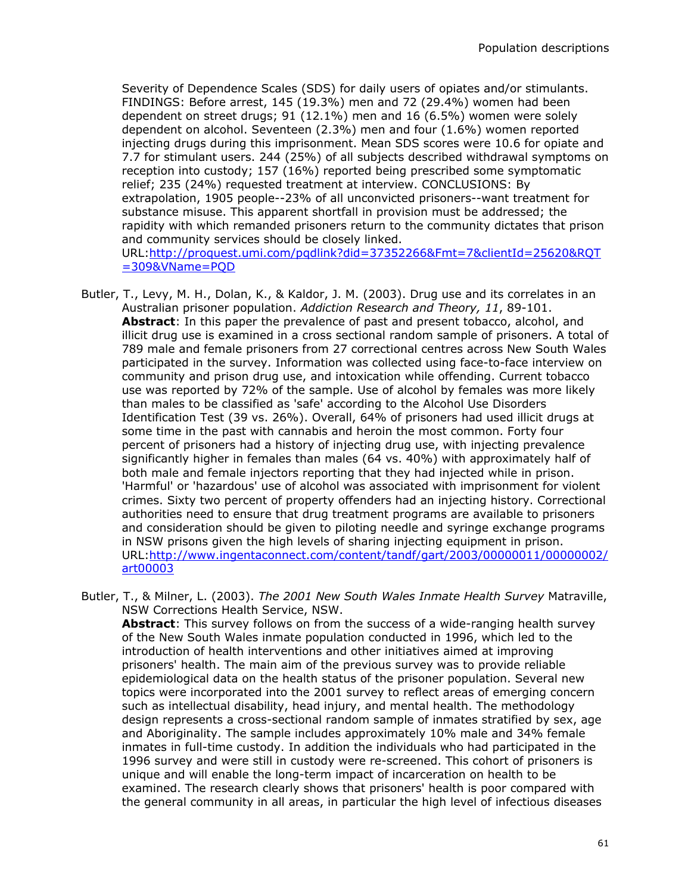Severity of Dependence Scales (SDS) for daily users of opiates and/or stimulants. FINDINGS: Before arrest, 145 (19.3%) men and 72 (29.4%) women had been dependent on street drugs; 91 (12.1%) men and 16 (6.5%) women were solely dependent on alcohol. Seventeen (2.3%) men and four (1.6%) women reported injecting drugs during this imprisonment. Mean SDS scores were 10.6 for opiate and 7.7 for stimulant users. 244 (25%) of all subjects described withdrawal symptoms on reception into custody; 157 (16%) reported being prescribed some symptomatic relief; 235 (24%) requested treatment at interview. CONCLUSIONS: By extrapolation, 1905 people--23% of all unconvicted prisoners--want treatment for substance misuse. This apparent shortfall in provision must be addressed; the rapidity with which remanded prisoners return to the community dictates that prison and community services should be closely linked. URL[:http://proquest.umi.com/pqdlink?did=37352266&Fmt=7&clientId=25620&RQT](http://proquest.umi.com/pqdlink?did=37352266&Fmt=7&clientId=25620&RQT=309&VName=PQD%20) [=309&VName=PQD](http://proquest.umi.com/pqdlink?did=37352266&Fmt=7&clientId=25620&RQT=309&VName=PQD%20)

- Butler, T., Levy, M. H., Dolan, K., & Kaldor, J. M. (2003). Drug use and its correlates in an Australian prisoner population. *Addiction Research and Theory, 11*, 89-101. **Abstract**: In this paper the prevalence of past and present tobacco, alcohol, and illicit drug use is examined in a cross sectional random sample of prisoners. A total of 789 male and female prisoners from 27 correctional centres across New South Wales participated in the survey. Information was collected using face-to-face interview on community and prison drug use, and intoxication while offending. Current tobacco use was reported by 72% of the sample. Use of alcohol by females was more likely than males to be classified as 'safe' according to the Alcohol Use Disorders Identification Test (39 vs. 26%). Overall, 64% of prisoners had used illicit drugs at some time in the past with cannabis and heroin the most common. Forty four percent of prisoners had a history of injecting drug use, with injecting prevalence significantly higher in females than males (64 vs. 40%) with approximately half of both male and female injectors reporting that they had injected while in prison. 'Harmful' or 'hazardous' use of alcohol was associated with imprisonment for violent crimes. Sixty two percent of property offenders had an injecting history. Correctional authorities need to ensure that drug treatment programs are available to prisoners and consideration should be given to piloting needle and syringe exchange programs in NSW prisons given the high levels of sharing injecting equipment in prison. URL[:http://www.ingentaconnect.com/content/tandf/gart/2003/00000011/00000002/](http://www.ingentaconnect.com/content/tandf/gart/2003/00000011/00000002/art00003) [art00003](http://www.ingentaconnect.com/content/tandf/gart/2003/00000011/00000002/art00003)
- Butler, T., & Milner, L. (2003). *The 2001 New South Wales Inmate Health Survey* Matraville, NSW Corrections Health Service, NSW.

**Abstract**: This survey follows on from the success of a wide-ranging health survey of the New South Wales inmate population conducted in 1996, which led to the introduction of health interventions and other initiatives aimed at improving prisoners' health. The main aim of the previous survey was to provide reliable epidemiological data on the health status of the prisoner population. Several new topics were incorporated into the 2001 survey to reflect areas of emerging concern such as intellectual disability, head injury, and mental health. The methodology design represents a cross-sectional random sample of inmates stratified by sex, age and Aboriginality. The sample includes approximately 10% male and 34% female inmates in full-time custody. In addition the individuals who had participated in the 1996 survey and were still in custody were re-screened. This cohort of prisoners is unique and will enable the long-term impact of incarceration on health to be examined. The research clearly shows that prisoners' health is poor compared with the general community in all areas, in particular the high level of infectious diseases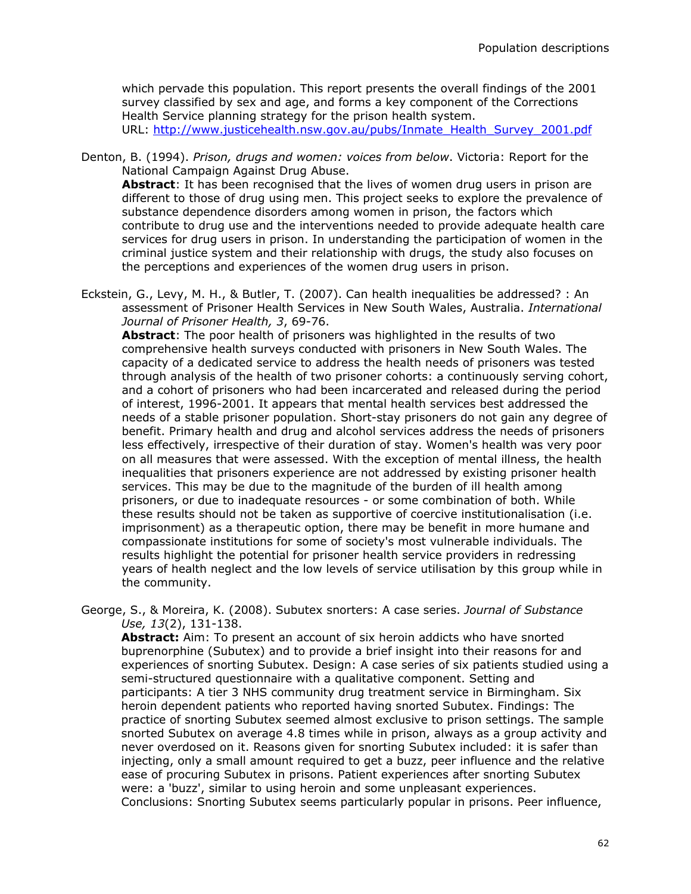which pervade this population. This report presents the overall findings of the 2001 survey classified by sex and age, and forms a key component of the Corrections Health Service planning strategy for the prison health system. URL: [http://www.justicehealth.nsw.gov.au/pubs/Inmate\\_Health\\_Survey\\_2001.pdf](http://www.justicehealth.nsw.gov.au/pubs/Inmate_Health_Survey_2001.pdf)

Denton, B. (1994). *Prison, drugs and women: voices from below*. Victoria: Report for the National Campaign Against Drug Abuse.

**Abstract:** It has been recognised that the lives of women drug users in prison are different to those of drug using men. This project seeks to explore the prevalence of substance dependence disorders among women in prison, the factors which contribute to drug use and the interventions needed to provide adequate health care services for drug users in prison. In understanding the participation of women in the criminal justice system and their relationship with drugs, the study also focuses on the perceptions and experiences of the women drug users in prison.

Eckstein, G., Levy, M. H., & Butler, T. (2007). Can health inequalities be addressed? : An assessment of Prisoner Health Services in New South Wales, Australia. *International Journal of Prisoner Health, 3*, 69-76.

**Abstract**: The poor health of prisoners was highlighted in the results of two comprehensive health surveys conducted with prisoners in New South Wales. The capacity of a dedicated service to address the health needs of prisoners was tested through analysis of the health of two prisoner cohorts: a continuously serving cohort, and a cohort of prisoners who had been incarcerated and released during the period of interest, 1996-2001. It appears that mental health services best addressed the needs of a stable prisoner population. Short-stay prisoners do not gain any degree of benefit. Primary health and drug and alcohol services address the needs of prisoners less effectively, irrespective of their duration of stay. Women's health was very poor on all measures that were assessed. With the exception of mental illness, the health inequalities that prisoners experience are not addressed by existing prisoner health services. This may be due to the magnitude of the burden of ill health among prisoners, or due to inadequate resources - or some combination of both. While these results should not be taken as supportive of coercive institutionalisation (i.e. imprisonment) as a therapeutic option, there may be benefit in more humane and compassionate institutions for some of society's most vulnerable individuals. The results highlight the potential for prisoner health service providers in redressing years of health neglect and the low levels of service utilisation by this group while in the community.

George, S., & Moreira, K. (2008). Subutex snorters: A case series. *Journal of Substance Use, 13*(2), 131-138.

**Abstract:** Aim: To present an account of six heroin addicts who have snorted buprenorphine (Subutex) and to provide a brief insight into their reasons for and experiences of snorting Subutex. Design: A case series of six patients studied using a semi-structured questionnaire with a qualitative component. Setting and participants: A tier 3 NHS community drug treatment service in Birmingham. Six heroin dependent patients who reported having snorted Subutex. Findings: The practice of snorting Subutex seemed almost exclusive to prison settings. The sample snorted Subutex on average 4.8 times while in prison, always as a group activity and never overdosed on it. Reasons given for snorting Subutex included: it is safer than injecting, only a small amount required to get a buzz, peer influence and the relative ease of procuring Subutex in prisons. Patient experiences after snorting Subutex were: a 'buzz', similar to using heroin and some unpleasant experiences. Conclusions: Snorting Subutex seems particularly popular in prisons. Peer influence,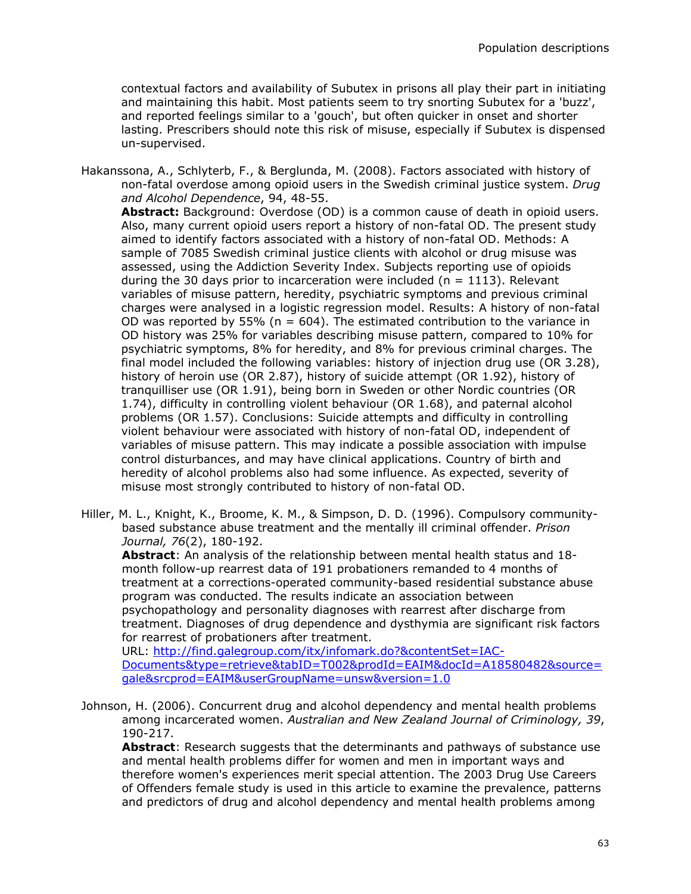contextual factors and availability of Subutex in prisons all play their part in initiating and maintaining this habit. Most patients seem to try snorting Subutex for a 'buzz', and reported feelings similar to a 'gouch', but often quicker in onset and shorter lasting. Prescribers should note this risk of misuse, especially if Subutex is dispensed un-supervised.

Hakanssona, A., Schlyterb, F., & Berglunda, M. (2008). Factors associated with history of non-fatal overdose among opioid users in the Swedish criminal justice system. *Drug and Alcohol Dependence*, 94, 48-55. **Abstract:** Background: Overdose (OD) is a common cause of death in opioid users. Also, many current opioid users report a history of non-fatal OD. The present study aimed to identify factors associated with a history of non-fatal OD. Methods: A sample of 7085 Swedish criminal justice clients with alcohol or drug misuse was assessed, using the Addiction Severity Index. Subjects reporting use of opioids during the 30 days prior to incarceration were included ( $n = 1113$ ). Relevant variables of misuse pattern, heredity, psychiatric symptoms and previous criminal charges were analysed in a logistic regression model. Results: A history of non-fatal OD was reported by 55% ( $n = 604$ ). The estimated contribution to the variance in OD history was 25% for variables describing misuse pattern, compared to 10% for psychiatric symptoms, 8% for heredity, and 8% for previous criminal charges. The final model included the following variables: history of injection drug use (OR 3.28), history of heroin use (OR 2.87), history of suicide attempt (OR 1.92), history of tranquilliser use (OR 1.91), being born in Sweden or other Nordic countries (OR 1.74), difficulty in controlling violent behaviour (OR 1.68), and paternal alcohol problems (OR 1.57). Conclusions: Suicide attempts and difficulty in controlling violent behaviour were associated with history of non-fatal OD, independent of variables of misuse pattern. This may indicate a possible association with impulse control disturbances, and may have clinical applications. Country of birth and heredity of alcohol problems also had some influence. As expected, severity of misuse most strongly contributed to history of non-fatal OD.

Hiller, M. L., Knight, K., Broome, K. M., & Simpson, D. D. (1996). Compulsory communitybased substance abuse treatment and the mentally ill criminal offender. *Prison Journal, 76*(2), 180-192.

**Abstract**: An analysis of the relationship between mental health status and 18 month follow-up rearrest data of 191 probationers remanded to 4 months of treatment at a corrections-operated community-based residential substance abuse program was conducted. The results indicate an association between psychopathology and personality diagnoses with rearrest after discharge from treatment. Diagnoses of drug dependence and dysthymia are significant risk factors for rearrest of probationers after treatment.

URL: [http://find.galegroup.com/itx/infomark.do?&contentSet=IAC-](http://find.galegroup.com/itx/infomark.do?&contentSet=IAC-Documents&type=retrieve&tabID=T002&prodId=EAIM&docId=A18580482&source=gale&srcprod=EAIM&userGroupName=unsw&version=1.0%20)[Documents&type=retrieve&tabID=T002&prodId=EAIM&docId=A18580482&source=](http://find.galegroup.com/itx/infomark.do?&contentSet=IAC-Documents&type=retrieve&tabID=T002&prodId=EAIM&docId=A18580482&source=gale&srcprod=EAIM&userGroupName=unsw&version=1.0%20) [gale&srcprod=EAIM&userGroupName=unsw&version=1.0](http://find.galegroup.com/itx/infomark.do?&contentSet=IAC-Documents&type=retrieve&tabID=T002&prodId=EAIM&docId=A18580482&source=gale&srcprod=EAIM&userGroupName=unsw&version=1.0%20)

Johnson, H. (2006). Concurrent drug and alcohol dependency and mental health problems among incarcerated women. *Australian and New Zealand Journal of Criminology, 39*, 190-217.

**Abstract**: Research suggests that the determinants and pathways of substance use and mental health problems differ for women and men in important ways and therefore women's experiences merit special attention. The 2003 Drug Use Careers of Offenders female study is used in this article to examine the prevalence, patterns and predictors of drug and alcohol dependency and mental health problems among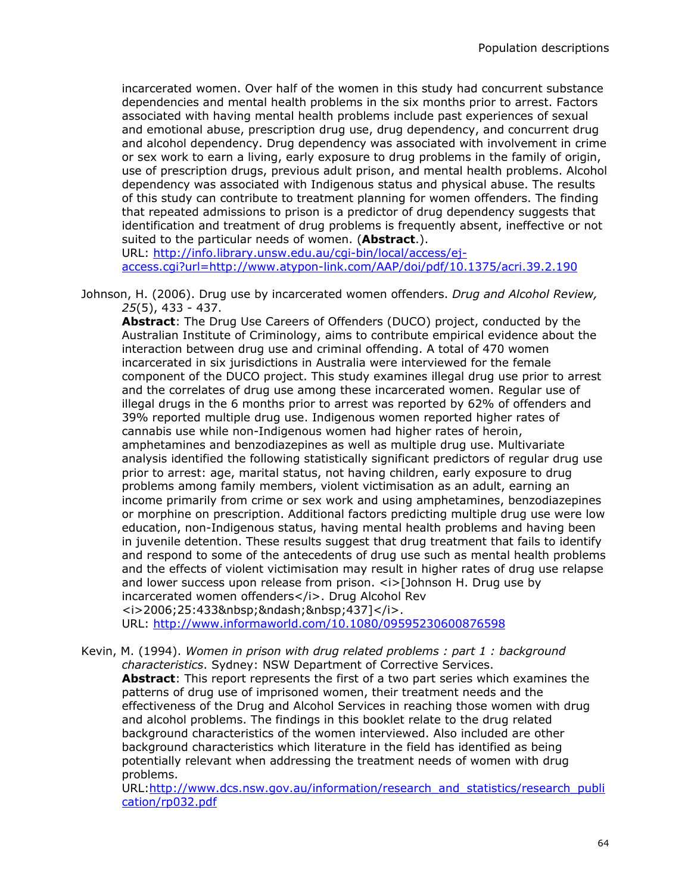incarcerated women. Over half of the women in this study had concurrent substance dependencies and mental health problems in the six months prior to arrest. Factors associated with having mental health problems include past experiences of sexual and emotional abuse, prescription drug use, drug dependency, and concurrent drug and alcohol dependency. Drug dependency was associated with involvement in crime or sex work to earn a living, early exposure to drug problems in the family of origin, use of prescription drugs, previous adult prison, and mental health problems. Alcohol dependency was associated with Indigenous status and physical abuse. The results of this study can contribute to treatment planning for women offenders. The finding that repeated admissions to prison is a predictor of drug dependency suggests that identification and treatment of drug problems is frequently absent, ineffective or not suited to the particular needs of women. (**Abstract**.).

URL: [http://info.library.unsw.edu.au/cgi-bin/local/access/ej](http://info.library.unsw.edu.au/cgi-bin/local/access/ej-access.cgi?url=http://www.atypon-link.com/AAP/doi/pdf/10.1375/acri.39.2.190)[access.cgi?url=http://www.atypon-link.com/AAP/doi/pdf/10.1375/acri.39.2.190](http://info.library.unsw.edu.au/cgi-bin/local/access/ej-access.cgi?url=http://www.atypon-link.com/AAP/doi/pdf/10.1375/acri.39.2.190)

Johnson, H. (2006). Drug use by incarcerated women offenders. *Drug and Alcohol Review, 25*(5), 433 - 437.

**Abstract**: The Drug Use Careers of Offenders (DUCO) project, conducted by the Australian Institute of Criminology, aims to contribute empirical evidence about the interaction between drug use and criminal offending. A total of 470 women incarcerated in six jurisdictions in Australia were interviewed for the female component of the DUCO project. This study examines illegal drug use prior to arrest and the correlates of drug use among these incarcerated women. Regular use of illegal drugs in the 6 months prior to arrest was reported by 62% of offenders and 39% reported multiple drug use. Indigenous women reported higher rates of cannabis use while non-Indigenous women had higher rates of heroin, amphetamines and benzodiazepines as well as multiple drug use. Multivariate analysis identified the following statistically significant predictors of regular drug use prior to arrest: age, marital status, not having children, early exposure to drug problems among family members, violent victimisation as an adult, earning an income primarily from crime or sex work and using amphetamines, benzodiazepines or morphine on prescription. Additional factors predicting multiple drug use were low education, non-Indigenous status, having mental health problems and having been in juvenile detention. These results suggest that drug treatment that fails to identify and respond to some of the antecedents of drug use such as mental health problems and the effects of violent victimisation may result in higher rates of drug use relapse and lower success upon release from prison. <i>[Johnson H. Drug use by incarcerated women offenders</i>. Drug Alcohol Rev  $2006;25:433$  – 437]</*i*>. URL: <http://www.informaworld.com/10.1080/09595230600876598>

Kevin, M. (1994). *Women in prison with drug related problems : part 1 : background characteristics*. Sydney: NSW Department of Corrective Services. **Abstract**: This report represents the first of a two part series which examines the patterns of drug use of imprisoned women, their treatment needs and the effectiveness of the Drug and Alcohol Services in reaching those women with drug and alcohol problems. The findings in this booklet relate to the drug related background characteristics of the women interviewed. Also included are other background characteristics which literature in the field has identified as being potentially relevant when addressing the treatment needs of women with drug problems.

URL[:http://www.dcs.nsw.gov.au/information/research\\_and\\_statistics/research\\_publi](http://www.dcs.nsw.gov.au/information/research_and_statistics/research_publication/rp032.pdf) [cation/rp032.pdf](http://www.dcs.nsw.gov.au/information/research_and_statistics/research_publication/rp032.pdf)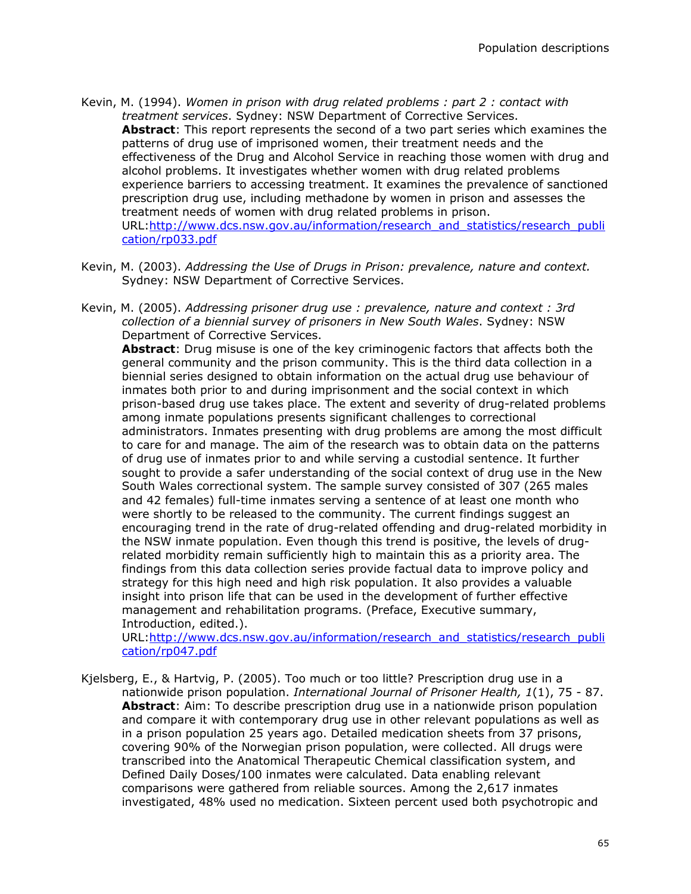- Kevin, M. (1994). *Women in prison with drug related problems : part 2 : contact with treatment services*. Sydney: NSW Department of Corrective Services. **Abstract**: This report represents the second of a two part series which examines the patterns of drug use of imprisoned women, their treatment needs and the effectiveness of the Drug and Alcohol Service in reaching those women with drug and alcohol problems. It investigates whether women with drug related problems experience barriers to accessing treatment. It examines the prevalence of sanctioned prescription drug use, including methadone by women in prison and assesses the treatment needs of women with drug related problems in prison. URL[:http://www.dcs.nsw.gov.au/information/research\\_and\\_statistics/research\\_publi](http://www.dcs.nsw.gov.au/information/research_and_statistics/research_publication/rp033.pdf) [cation/rp033.pdf](http://www.dcs.nsw.gov.au/information/research_and_statistics/research_publication/rp033.pdf)
- Kevin, M. (2003). *Addressing the Use of Drugs in Prison: prevalence, nature and context.* Sydney: NSW Department of Corrective Services.
- Kevin, M. (2005). *Addressing prisoner drug use : prevalence, nature and context : 3rd collection of a biennial survey of prisoners in New South Wales*. Sydney: NSW Department of Corrective Services.

**Abstract**: Drug misuse is one of the key criminogenic factors that affects both the general community and the prison community. This is the third data collection in a biennial series designed to obtain information on the actual drug use behaviour of inmates both prior to and during imprisonment and the social context in which prison-based drug use takes place. The extent and severity of drug-related problems among inmate populations presents significant challenges to correctional administrators. Inmates presenting with drug problems are among the most difficult to care for and manage. The aim of the research was to obtain data on the patterns of drug use of inmates prior to and while serving a custodial sentence. It further sought to provide a safer understanding of the social context of drug use in the New South Wales correctional system. The sample survey consisted of 307 (265 males and 42 females) full-time inmates serving a sentence of at least one month who were shortly to be released to the community. The current findings suggest an encouraging trend in the rate of drug-related offending and drug-related morbidity in the NSW inmate population. Even though this trend is positive, the levels of drugrelated morbidity remain sufficiently high to maintain this as a priority area. The findings from this data collection series provide factual data to improve policy and strategy for this high need and high risk population. It also provides a valuable insight into prison life that can be used in the development of further effective management and rehabilitation programs. (Preface, Executive summary, Introduction, edited.).

URL[:http://www.dcs.nsw.gov.au/information/research\\_and\\_statistics/research\\_publi](http://www.dcs.nsw.gov.au/information/research_and_statistics/research_publication/rp047.pdf) [cation/rp047.pdf](http://www.dcs.nsw.gov.au/information/research_and_statistics/research_publication/rp047.pdf)

Kjelsberg, E., & Hartvig, P. (2005). Too much or too little? Prescription drug use in a nationwide prison population. *International Journal of Prisoner Health, 1*(1), 75 - 87. **Abstract**: Aim: To describe prescription drug use in a nationwide prison population and compare it with contemporary drug use in other relevant populations as well as in a prison population 25 years ago. Detailed medication sheets from 37 prisons, covering 90% of the Norwegian prison population, were collected. All drugs were transcribed into the Anatomical Therapeutic Chemical classification system, and Defined Daily Doses/100 inmates were calculated. Data enabling relevant comparisons were gathered from reliable sources. Among the 2,617 inmates investigated, 48% used no medication. Sixteen percent used both psychotropic and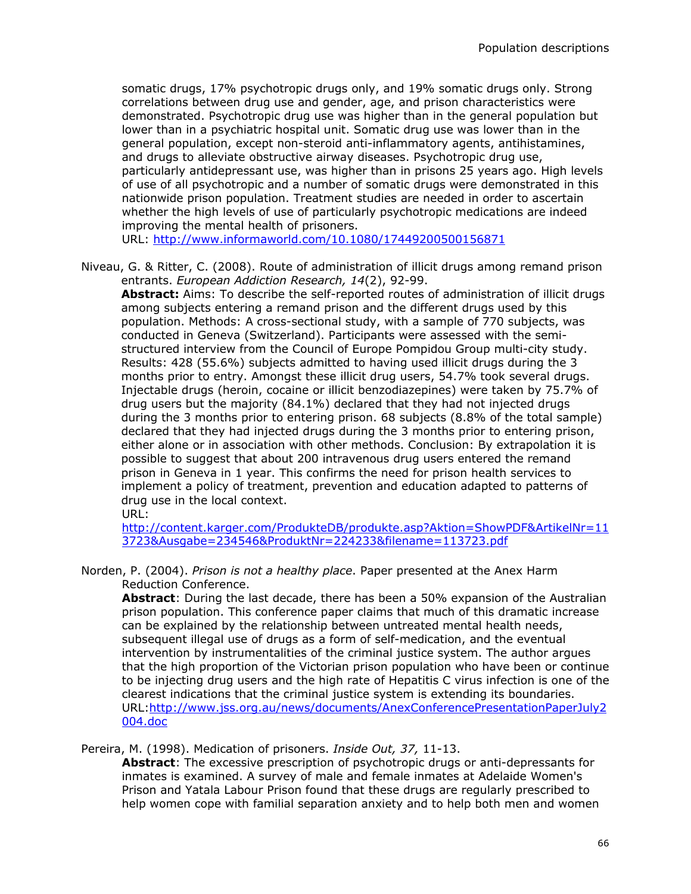somatic drugs, 17% psychotropic drugs only, and 19% somatic drugs only. Strong correlations between drug use and gender, age, and prison characteristics were demonstrated. Psychotropic drug use was higher than in the general population but lower than in a psychiatric hospital unit. Somatic drug use was lower than in the general population, except non-steroid anti-inflammatory agents, antihistamines, and drugs to alleviate obstructive airway diseases. Psychotropic drug use, particularly antidepressant use, was higher than in prisons 25 years ago. High levels of use of all psychotropic and a number of somatic drugs were demonstrated in this nationwide prison population. Treatment studies are needed in order to ascertain whether the high levels of use of particularly psychotropic medications are indeed improving the mental health of prisoners.

URL: <http://www.informaworld.com/10.1080/17449200500156871>

Niveau, G. & Ritter, C. (2008). Route of administration of illicit drugs among remand prison entrants. *European Addiction Research, 14*(2), 92-99.

**Abstract:** Aims: To describe the self-reported routes of administration of illicit drugs among subjects entering a remand prison and the different drugs used by this population. Methods: A cross-sectional study, with a sample of 770 subjects, was conducted in Geneva (Switzerland). Participants were assessed with the semistructured interview from the Council of Europe Pompidou Group multi-city study. Results: 428 (55.6%) subjects admitted to having used illicit drugs during the 3 months prior to entry. Amongst these illicit drug users, 54.7% took several drugs. Injectable drugs (heroin, cocaine or illicit benzodiazepines) were taken by 75.7% of drug users but the majority (84.1%) declared that they had not injected drugs during the 3 months prior to entering prison. 68 subjects (8.8% of the total sample) declared that they had injected drugs during the 3 months prior to entering prison, either alone or in association with other methods. Conclusion: By extrapolation it is possible to suggest that about 200 intravenous drug users entered the remand prison in Geneva in 1 year. This confirms the need for prison health services to implement a policy of treatment, prevention and education adapted to patterns of drug use in the local context.

URL:

[http://content.karger.com/ProdukteDB/produkte.asp?Aktion=ShowPDF&ArtikelNr=11](http://content.karger.com/ProdukteDB/produkte.asp?Aktion=ShowPDF&ArtikelNr=113723&Ausgabe=234546&ProduktNr=224233&filename=113723.pdf) [3723&Ausgabe=234546&ProduktNr=224233&filename=113723.pdf](http://content.karger.com/ProdukteDB/produkte.asp?Aktion=ShowPDF&ArtikelNr=113723&Ausgabe=234546&ProduktNr=224233&filename=113723.pdf)

Norden, P. (2004). *Prison is not a healthy place*. Paper presented at the Anex Harm Reduction Conference.

**Abstract**: During the last decade, there has been a 50% expansion of the Australian prison population. This conference paper claims that much of this dramatic increase can be explained by the relationship between untreated mental health needs, subsequent illegal use of drugs as a form of self-medication, and the eventual intervention by instrumentalities of the criminal justice system. The author argues that the high proportion of the Victorian prison population who have been or continue to be injecting drug users and the high rate of Hepatitis C virus infection is one of the clearest indications that the criminal justice system is extending its boundaries. URL[:http://www.jss.org.au/news/documents/AnexConferencePresentationPaperJuly2](http://www.jss.org.au/news/documents/AnexConferencePresentationPaperJuly2004.doc) [004.doc](http://www.jss.org.au/news/documents/AnexConferencePresentationPaperJuly2004.doc)

Pereira, M. (1998). Medication of prisoners. *Inside Out, 37,* 11-13.

**Abstract**: The excessive prescription of psychotropic drugs or anti-depressants for inmates is examined. A survey of male and female inmates at Adelaide Women's Prison and Yatala Labour Prison found that these drugs are regularly prescribed to help women cope with familial separation anxiety and to help both men and women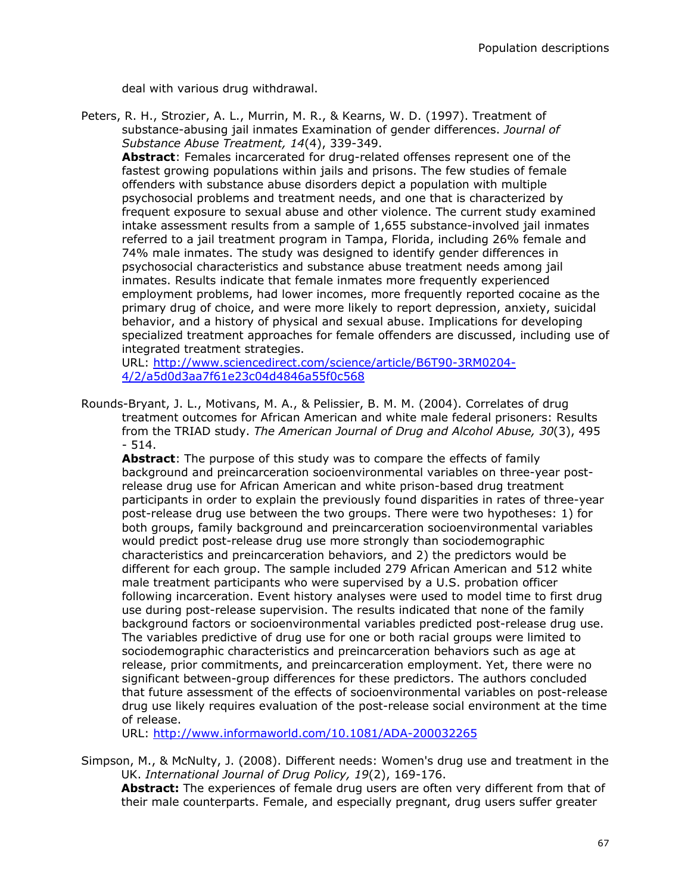deal with various drug withdrawal.

Peters, R. H., Strozier, A. L., Murrin, M. R., & Kearns, W. D. (1997). Treatment of substance-abusing jail inmates Examination of gender differences. *Journal of Substance Abuse Treatment, 14*(4), 339-349.

**Abstract**: Females incarcerated for drug-related offenses represent one of the fastest growing populations within jails and prisons. The few studies of female offenders with substance abuse disorders depict a population with multiple psychosocial problems and treatment needs, and one that is characterized by frequent exposure to sexual abuse and other violence. The current study examined intake assessment results from a sample of 1,655 substance-involved jail inmates referred to a jail treatment program in Tampa, Florida, including 26% female and 74% male inmates. The study was designed to identify gender differences in psychosocial characteristics and substance abuse treatment needs among jail inmates. Results indicate that female inmates more frequently experienced employment problems, had lower incomes, more frequently reported cocaine as the primary drug of choice, and were more likely to report depression, anxiety, suicidal behavior, and a history of physical and sexual abuse. Implications for developing specialized treatment approaches for female offenders are discussed, including use of integrated treatment strategies.

URL: [http://www.sciencedirect.com/science/article/B6T90-3RM0204-](http://www.sciencedirect.com/science/article/B6T90-3RM0204-4/2/a5d0d3aa7f61e23c04d4846a55f0c568) [4/2/a5d0d3aa7f61e23c04d4846a55f0c568](http://www.sciencedirect.com/science/article/B6T90-3RM0204-4/2/a5d0d3aa7f61e23c04d4846a55f0c568)

Rounds-Bryant, J. L., Motivans, M. A., & Pelissier, B. M. M. (2004). Correlates of drug treatment outcomes for African American and white male federal prisoners: Results from the TRIAD study. *The American Journal of Drug and Alcohol Abuse, 30*(3), 495 - 514.

**Abstract**: The purpose of this study was to compare the effects of family background and preincarceration socioenvironmental variables on three-year postrelease drug use for African American and white prison-based drug treatment participants in order to explain the previously found disparities in rates of three-year post-release drug use between the two groups. There were two hypotheses: 1) for both groups, family background and preincarceration socioenvironmental variables would predict post-release drug use more strongly than sociodemographic characteristics and preincarceration behaviors, and 2) the predictors would be different for each group. The sample included 279 African American and 512 white male treatment participants who were supervised by a U.S. probation officer following incarceration. Event history analyses were used to model time to first drug use during post-release supervision. The results indicated that none of the family background factors or socioenvironmental variables predicted post-release drug use. The variables predictive of drug use for one or both racial groups were limited to sociodemographic characteristics and preincarceration behaviors such as age at release, prior commitments, and preincarceration employment. Yet, there were no significant between-group differences for these predictors. The authors concluded that future assessment of the effects of socioenvironmental variables on post-release drug use likely requires evaluation of the post-release social environment at the time of release.

URL: <http://www.informaworld.com/10.1081/ADA-200032265>

Simpson, M., & McNulty, J. (2008). Different needs: Women's drug use and treatment in the UK. *International Journal of Drug Policy, 19*(2), 169-176.

**Abstract:** The experiences of female drug users are often very different from that of their male counterparts. Female, and especially pregnant, drug users suffer greater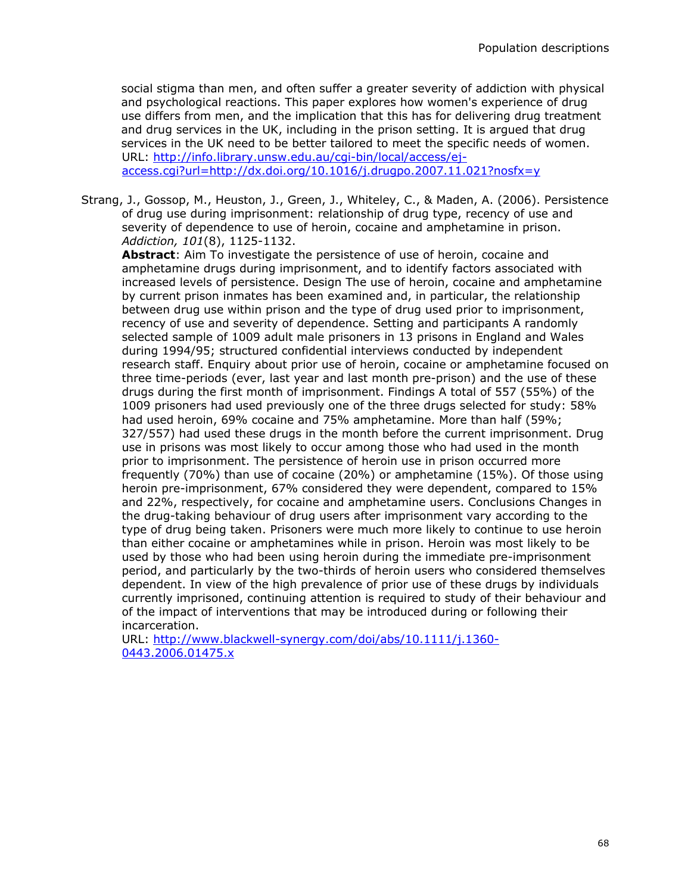social stigma than men, and often suffer a greater severity of addiction with physical and psychological reactions. This paper explores how women's experience of drug use differs from men, and the implication that this has for delivering drug treatment and drug services in the UK, including in the prison setting. It is argued that drug services in the UK need to be better tailored to meet the specific needs of women. URL: [http://info.library.unsw.edu.au/cgi-bin/local/access/ej](http://info.library.unsw.edu.au/cgi-bin/local/access/ej-access.cgi?url=http://dx.doi.org/10.1016/j.drugpo.2007.11.021?nosfx=y)[access.cgi?url=http://dx.doi.org/10.1016/j.drugpo.2007.11.021?nosfx=y](http://info.library.unsw.edu.au/cgi-bin/local/access/ej-access.cgi?url=http://dx.doi.org/10.1016/j.drugpo.2007.11.021?nosfx=y)

Strang, J., Gossop, M., Heuston, J., Green, J., Whiteley, C., & Maden, A. (2006). Persistence of drug use during imprisonment: relationship of drug type, recency of use and severity of dependence to use of heroin, cocaine and amphetamine in prison. *Addiction, 101*(8), 1125-1132.

**Abstract**: Aim To investigate the persistence of use of heroin, cocaine and amphetamine drugs during imprisonment, and to identify factors associated with increased levels of persistence. Design The use of heroin, cocaine and amphetamine by current prison inmates has been examined and, in particular, the relationship between drug use within prison and the type of drug used prior to imprisonment, recency of use and severity of dependence. Setting and participants A randomly selected sample of 1009 adult male prisoners in 13 prisons in England and Wales during 1994/95; structured confidential interviews conducted by independent research staff. Enquiry about prior use of heroin, cocaine or amphetamine focused on three time-periods (ever, last year and last month pre-prison) and the use of these drugs during the first month of imprisonment. Findings A total of 557 (55%) of the 1009 prisoners had used previously one of the three drugs selected for study: 58% had used heroin, 69% cocaine and 75% amphetamine. More than half (59%; 327/557) had used these drugs in the month before the current imprisonment. Drug use in prisons was most likely to occur among those who had used in the month prior to imprisonment. The persistence of heroin use in prison occurred more frequently (70%) than use of cocaine (20%) or amphetamine (15%). Of those using heroin pre-imprisonment, 67% considered they were dependent, compared to 15% and 22%, respectively, for cocaine and amphetamine users. Conclusions Changes in the drug-taking behaviour of drug users after imprisonment vary according to the type of drug being taken. Prisoners were much more likely to continue to use heroin than either cocaine or amphetamines while in prison. Heroin was most likely to be used by those who had been using heroin during the immediate pre-imprisonment period, and particularly by the two-thirds of heroin users who considered themselves dependent. In view of the high prevalence of prior use of these drugs by individuals currently imprisoned, continuing attention is required to study of their behaviour and of the impact of interventions that may be introduced during or following their incarceration.

URL: [http://www.blackwell-synergy.com/doi/abs/10.1111/j.1360-](http://www.blackwell-synergy.com/doi/abs/10.1111/j.1360-0443.2006.01475.x) [0443.2006.01475.x](http://www.blackwell-synergy.com/doi/abs/10.1111/j.1360-0443.2006.01475.x)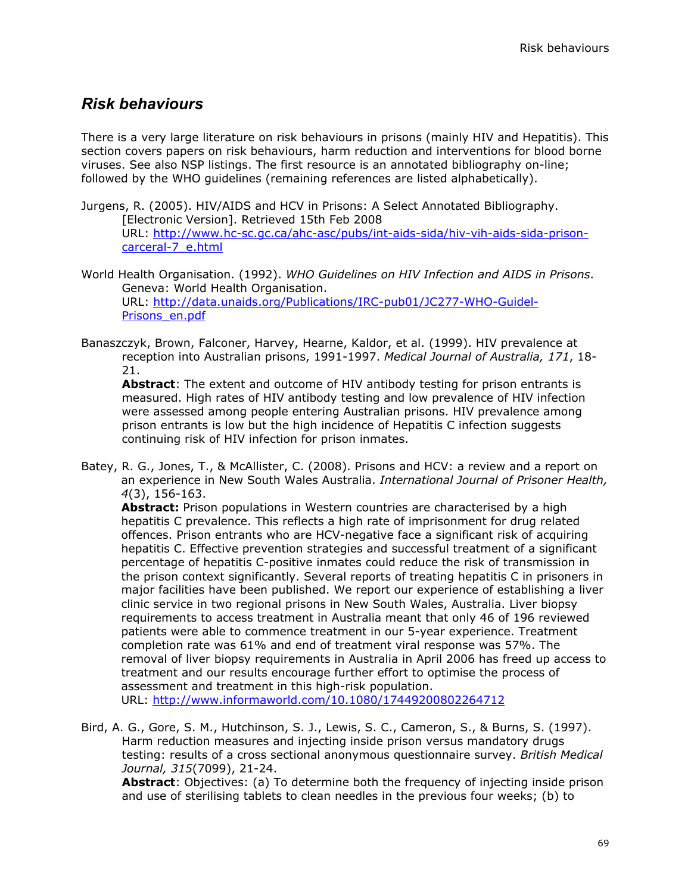### *Risk behaviours*

There is a very large literature on risk behaviours in prisons (mainly HIV and Hepatitis). This section covers papers on risk behaviours, harm reduction and interventions for blood borne viruses. See also NSP listings. The first resource is an annotated bibliography on-line; followed by the WHO guidelines (remaining references are listed alphabetically).

- Jurgens, R. (2005). HIV/AIDS and HCV in Prisons: A Select Annotated Bibliography. [Electronic Version]. Retrieved 15th Feb 2008 URL: [http://www.hc-sc.gc.ca/ahc-asc/pubs/int-aids-sida/hiv-vih-aids-sida-prison](http://www.hc-sc.gc.ca/ahc-asc/pubs/int-aids-sida/hiv-vih-aids-sida-prison-carceral-7_e.html)[carceral-7\\_e.html](http://www.hc-sc.gc.ca/ahc-asc/pubs/int-aids-sida/hiv-vih-aids-sida-prison-carceral-7_e.html)
- World Health Organisation. (1992). *WHO Guidelines on HIV Infection and AIDS in Prisons*. Geneva: World Health Organisation. URL: [http://data.unaids.org/Publications/IRC-pub01/JC277-WHO-Guidel-](http://data.unaids.org/Publications/IRC-pub01/JC277-WHO-Guidel-Prisons_en.pdf)[Prisons\\_en.pdf](http://data.unaids.org/Publications/IRC-pub01/JC277-WHO-Guidel-Prisons_en.pdf)
- Banaszczyk, Brown, Falconer, Harvey, Hearne, Kaldor, et al. (1999). HIV prevalence at reception into Australian prisons, 1991-1997. *Medical Journal of Australia, 171*, 18- 21.

**Abstract**: The extent and outcome of HIV antibody testing for prison entrants is measured. High rates of HIV antibody testing and low prevalence of HIV infection were assessed among people entering Australian prisons. HIV prevalence among prison entrants is low but the high incidence of Hepatitis C infection suggests continuing risk of HIV infection for prison inmates.

Batey, R. G., Jones, T., & McAllister, C. (2008). Prisons and HCV: a review and a report on an experience in New South Wales Australia. *International Journal of Prisoner Health, 4*(3), 156-163.

**Abstract:** Prison populations in Western countries are characterised by a high hepatitis C prevalence. This reflects a high rate of imprisonment for drug related offences. Prison entrants who are HCV-negative face a significant risk of acquiring hepatitis C. Effective prevention strategies and successful treatment of a significant percentage of hepatitis C-positive inmates could reduce the risk of transmission in the prison context significantly. Several reports of treating hepatitis C in prisoners in major facilities have been published. We report our experience of establishing a liver clinic service in two regional prisons in New South Wales, Australia. Liver biopsy requirements to access treatment in Australia meant that only 46 of 196 reviewed patients were able to commence treatment in our 5-year experience. Treatment completion rate was 61% and end of treatment viral response was 57%. The removal of liver biopsy requirements in Australia in April 2006 has freed up access to treatment and our results encourage further effort to optimise the process of assessment and treatment in this high-risk population.

URL:<http://www.informaworld.com/10.1080/17449200802264712>

Bird, A. G., Gore, S. M., Hutchinson, S. J., Lewis, S. C., Cameron, S., & Burns, S. (1997). Harm reduction measures and injecting inside prison versus mandatory drugs testing: results of a cross sectional anonymous questionnaire survey. *British Medical Journal, 315*(7099), 21-24.

**Abstract**: Objectives: (a) To determine both the frequency of injecting inside prison and use of sterilising tablets to clean needles in the previous four weeks; (b) to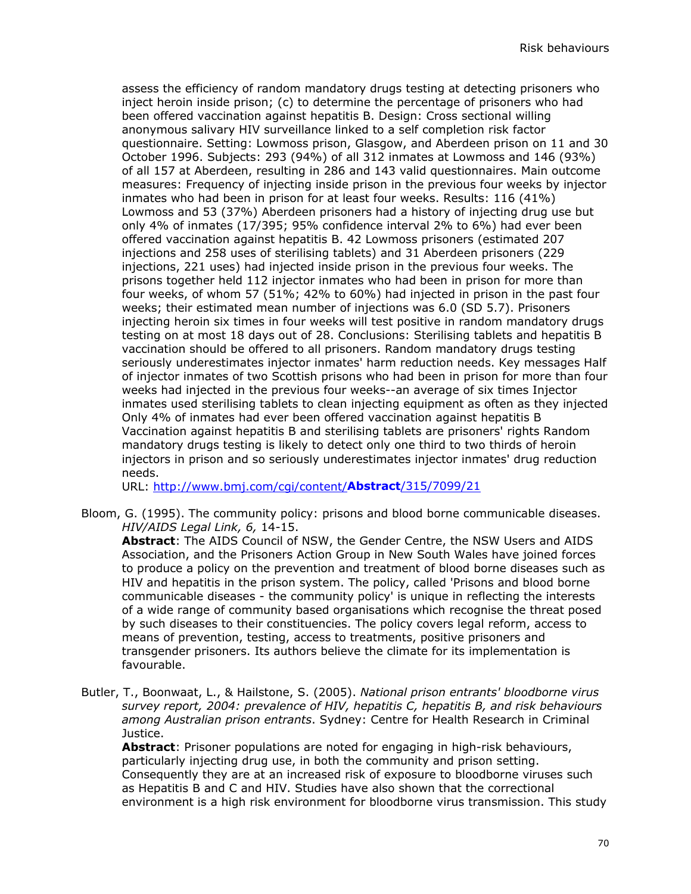assess the efficiency of random mandatory drugs testing at detecting prisoners who inject heroin inside prison; (c) to determine the percentage of prisoners who had been offered vaccination against hepatitis B. Design: Cross sectional willing anonymous salivary HIV surveillance linked to a self completion risk factor questionnaire. Setting: Lowmoss prison, Glasgow, and Aberdeen prison on 11 and 30 October 1996. Subjects: 293 (94%) of all 312 inmates at Lowmoss and 146 (93%) of all 157 at Aberdeen, resulting in 286 and 143 valid questionnaires. Main outcome measures: Frequency of injecting inside prison in the previous four weeks by injector inmates who had been in prison for at least four weeks. Results: 116 (41%) Lowmoss and 53 (37%) Aberdeen prisoners had a history of injecting drug use but only 4% of inmates (17/395; 95% confidence interval 2% to 6%) had ever been offered vaccination against hepatitis B. 42 Lowmoss prisoners (estimated 207 injections and 258 uses of sterilising tablets) and 31 Aberdeen prisoners (229 injections, 221 uses) had injected inside prison in the previous four weeks. The prisons together held 112 injector inmates who had been in prison for more than four weeks, of whom 57 (51%; 42% to 60%) had injected in prison in the past four weeks; their estimated mean number of injections was 6.0 (SD 5.7). Prisoners injecting heroin six times in four weeks will test positive in random mandatory drugs testing on at most 18 days out of 28. Conclusions: Sterilising tablets and hepatitis B vaccination should be offered to all prisoners. Random mandatory drugs testing seriously underestimates injector inmates' harm reduction needs. Key messages Half of injector inmates of two Scottish prisons who had been in prison for more than four weeks had injected in the previous four weeks--an average of six times Injector inmates used sterilising tablets to clean injecting equipment as often as they injected Only 4% of inmates had ever been offered vaccination against hepatitis B Vaccination against hepatitis B and sterilising tablets are prisoners' rights Random mandatory drugs testing is likely to detect only one third to two thirds of heroin injectors in prison and so seriously underestimates injector inmates' drug reduction needs.

URL: [http://www.bmj.com/cgi/content/](http://www.bmj.com/cgi/content/abstract/315/7099/21)**Abstract**/315/7099/21

Bloom, G. (1995). The community policy: prisons and blood borne communicable diseases. *HIV/AIDS Legal Link, 6,* 14-15.

**Abstract**: The AIDS Council of NSW, the Gender Centre, the NSW Users and AIDS Association, and the Prisoners Action Group in New South Wales have joined forces to produce a policy on the prevention and treatment of blood borne diseases such as HIV and hepatitis in the prison system. The policy, called 'Prisons and blood borne communicable diseases - the community policy' is unique in reflecting the interests of a wide range of community based organisations which recognise the threat posed by such diseases to their constituencies. The policy covers legal reform, access to means of prevention, testing, access to treatments, positive prisoners and transgender prisoners. Its authors believe the climate for its implementation is favourable.

Butler, T., Boonwaat, L., & Hailstone, S. (2005). *National prison entrants' bloodborne virus survey report, 2004: prevalence of HIV, hepatitis C, hepatitis B, and risk behaviours among Australian prison entrants*. Sydney: Centre for Health Research in Criminal Justice.

**Abstract**: Prisoner populations are noted for engaging in high-risk behaviours, particularly injecting drug use, in both the community and prison setting. Consequently they are at an increased risk of exposure to bloodborne viruses such as Hepatitis B and C and HIV. Studies have also shown that the correctional environment is a high risk environment for bloodborne virus transmission. This study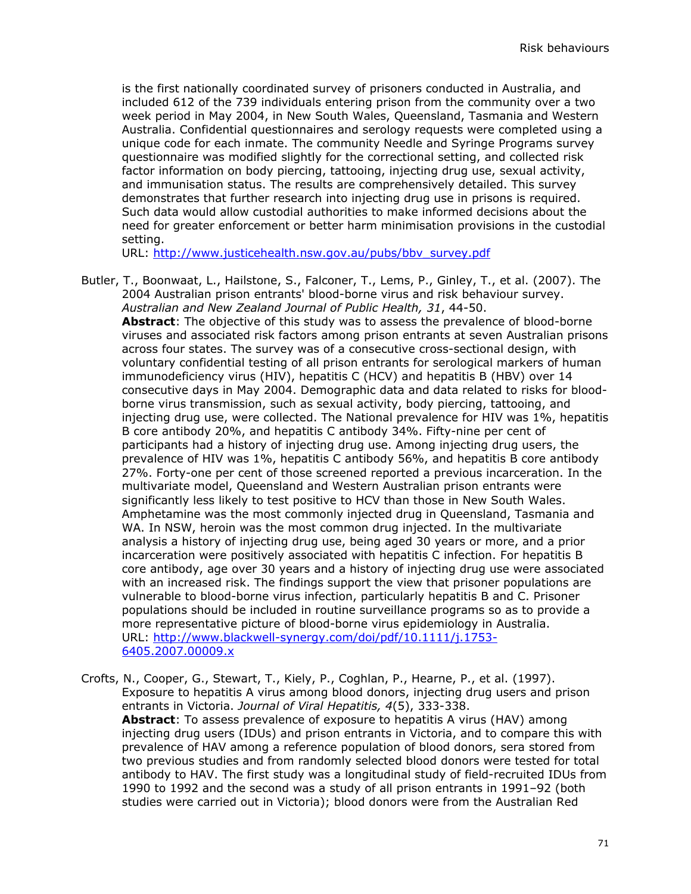is the first nationally coordinated survey of prisoners conducted in Australia, and included 612 of the 739 individuals entering prison from the community over a two week period in May 2004, in New South Wales, Queensland, Tasmania and Western Australia. Confidential questionnaires and serology requests were completed using a unique code for each inmate. The community Needle and Syringe Programs survey questionnaire was modified slightly for the correctional setting, and collected risk factor information on body piercing, tattooing, injecting drug use, sexual activity, and immunisation status. The results are comprehensively detailed. This survey demonstrates that further research into injecting drug use in prisons is required. Such data would allow custodial authorities to make informed decisions about the need for greater enforcement or better harm minimisation provisions in the custodial setting.

URL: [http://www.justicehealth.nsw.gov.au/pubs/bbv\\_survey.pdf](http://www.justicehealth.nsw.gov.au/pubs/bbv_survey.pdf)

Butler, T., Boonwaat, L., Hailstone, S., Falconer, T., Lems, P., Ginley, T., et al. (2007). The 2004 Australian prison entrants' blood-borne virus and risk behaviour survey. *Australian and New Zealand Journal of Public Health, 31*, 44-50.

**Abstract**: The objective of this study was to assess the prevalence of blood-borne viruses and associated risk factors among prison entrants at seven Australian prisons across four states. The survey was of a consecutive cross-sectional design, with voluntary confidential testing of all prison entrants for serological markers of human immunodeficiency virus (HIV), hepatitis C (HCV) and hepatitis B (HBV) over 14 consecutive days in May 2004. Demographic data and data related to risks for bloodborne virus transmission, such as sexual activity, body piercing, tattooing, and injecting drug use, were collected. The National prevalence for HIV was 1%, hepatitis B core antibody 20%, and hepatitis C antibody 34%. Fifty-nine per cent of participants had a history of injecting drug use. Among injecting drug users, the prevalence of HIV was 1%, hepatitis C antibody 56%, and hepatitis B core antibody 27%. Forty-one per cent of those screened reported a previous incarceration. In the multivariate model, Queensland and Western Australian prison entrants were significantly less likely to test positive to HCV than those in New South Wales. Amphetamine was the most commonly injected drug in Queensland, Tasmania and WA. In NSW, heroin was the most common drug injected. In the multivariate analysis a history of injecting drug use, being aged 30 years or more, and a prior incarceration were positively associated with hepatitis C infection. For hepatitis B core antibody, age over 30 years and a history of injecting drug use were associated with an increased risk. The findings support the view that prisoner populations are vulnerable to blood-borne virus infection, particularly hepatitis B and C. Prisoner populations should be included in routine surveillance programs so as to provide a more representative picture of blood-borne virus epidemiology in Australia. URL: [http://www.blackwell-synergy.com/doi/pdf/10.1111/j.1753-](http://www.blackwell-synergy.com/doi/pdf/10.1111/j.1753-6405.2007.00009.x) [6405.2007.00009.x](http://www.blackwell-synergy.com/doi/pdf/10.1111/j.1753-6405.2007.00009.x)

Crofts, N., Cooper, G., Stewart, T., Kiely, P., Coghlan, P., Hearne, P., et al. (1997). Exposure to hepatitis A virus among blood donors, injecting drug users and prison entrants in Victoria. *Journal of Viral Hepatitis, 4*(5), 333-338. **Abstract**: To assess prevalence of exposure to hepatitis A virus (HAV) among injecting drug users (IDUs) and prison entrants in Victoria, and to compare this with prevalence of HAV among a reference population of blood donors, sera stored from two previous studies and from randomly selected blood donors were tested for total antibody to HAV. The first study was a longitudinal study of field-recruited IDUs from 1990 to 1992 and the second was a study of all prison entrants in 1991–92 (both studies were carried out in Victoria); blood donors were from the Australian Red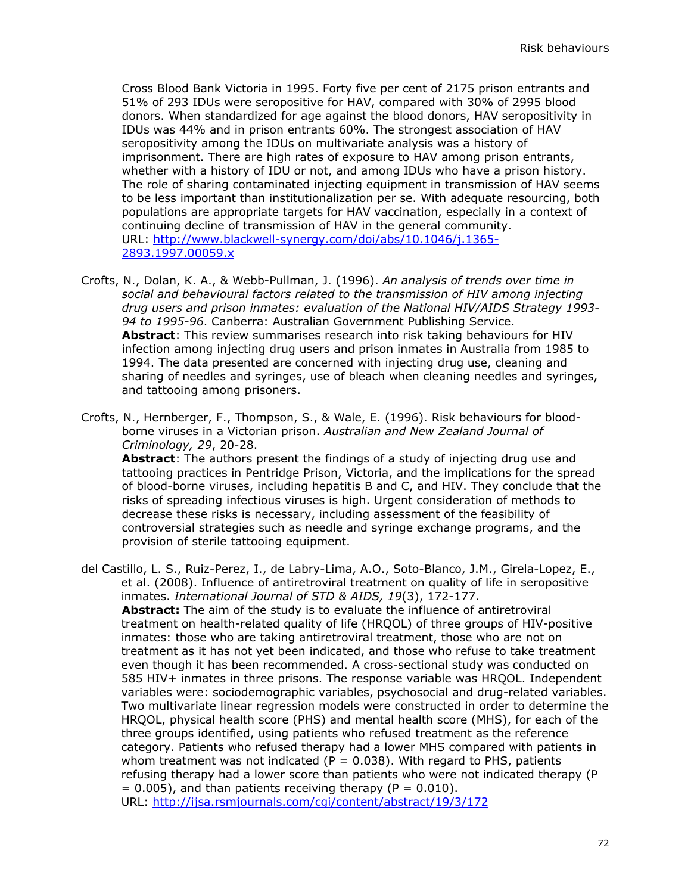Cross Blood Bank Victoria in 1995. Forty five per cent of 2175 prison entrants and 51% of 293 IDUs were seropositive for HAV, compared with 30% of 2995 blood donors. When standardized for age against the blood donors, HAV seropositivity in IDUs was 44% and in prison entrants 60%. The strongest association of HAV seropositivity among the IDUs on multivariate analysis was a history of imprisonment. There are high rates of exposure to HAV among prison entrants, whether with a history of IDU or not, and among IDUs who have a prison history. The role of sharing contaminated injecting equipment in transmission of HAV seems to be less important than institutionalization per se. With adequate resourcing, both populations are appropriate targets for HAV vaccination, especially in a context of continuing decline of transmission of HAV in the general community. URL: [http://www.blackwell-synergy.com/doi/abs/10.1046/j.1365-](http://www.blackwell-synergy.com/doi/abs/10.1046/j.1365-2893.1997.00059.x) [2893.1997.00059.x](http://www.blackwell-synergy.com/doi/abs/10.1046/j.1365-2893.1997.00059.x)

- Crofts, N., Dolan, K. A., & Webb-Pullman, J. (1996). *An analysis of trends over time in social and behavioural factors related to the transmission of HIV among injecting drug users and prison inmates: evaluation of the National HIV/AIDS Strategy 1993- 94 to 1995-96*. Canberra: Australian Government Publishing Service. **Abstract**: This review summarises research into risk taking behaviours for HIV infection among injecting drug users and prison inmates in Australia from 1985 to 1994. The data presented are concerned with injecting drug use, cleaning and sharing of needles and syringes, use of bleach when cleaning needles and syringes, and tattooing among prisoners.
- Crofts, N., Hernberger, F., Thompson, S., & Wale, E. (1996). Risk behaviours for bloodborne viruses in a Victorian prison. *Australian and New Zealand Journal of Criminology, 29*, 20-28.

**Abstract**: The authors present the findings of a study of injecting drug use and tattooing practices in Pentridge Prison, Victoria, and the implications for the spread of blood-borne viruses, including hepatitis B and C, and HIV. They conclude that the risks of spreading infectious viruses is high. Urgent consideration of methods to decrease these risks is necessary, including assessment of the feasibility of controversial strategies such as needle and syringe exchange programs, and the provision of sterile tattooing equipment.

del Castillo, L. S., Ruiz-Perez, I., de Labry-Lima, A.O., Soto-Blanco, J.M., Girela-Lopez, E., et al. (2008). Influence of antiretroviral treatment on quality of life in seropositive inmates. *International Journal of STD & AIDS, 19*(3), 172-177. **Abstract:** The aim of the study is to evaluate the influence of antiretroviral treatment on health-related quality of life (HRQOL) of three groups of HIV-positive inmates: those who are taking antiretroviral treatment, those who are not on treatment as it has not yet been indicated, and those who refuse to take treatment even though it has been recommended. A cross-sectional study was conducted on 585 HIV+ inmates in three prisons. The response variable was HRQOL. Independent variables were: sociodemographic variables, psychosocial and drug-related variables. Two multivariate linear regression models were constructed in order to determine the HRQOL, physical health score (PHS) and mental health score (MHS), for each of the three groups identified, using patients who refused treatment as the reference category. Patients who refused therapy had a lower MHS compared with patients in whom treatment was not indicated ( $P = 0.038$ ). With regard to PHS, patients refusing therapy had a lower score than patients who were not indicated therapy (P  $= 0.005$ ), and than patients receiving therapy (P  $= 0.010$ ). URL:<http://ijsa.rsmjournals.com/cgi/content/abstract/19/3/172>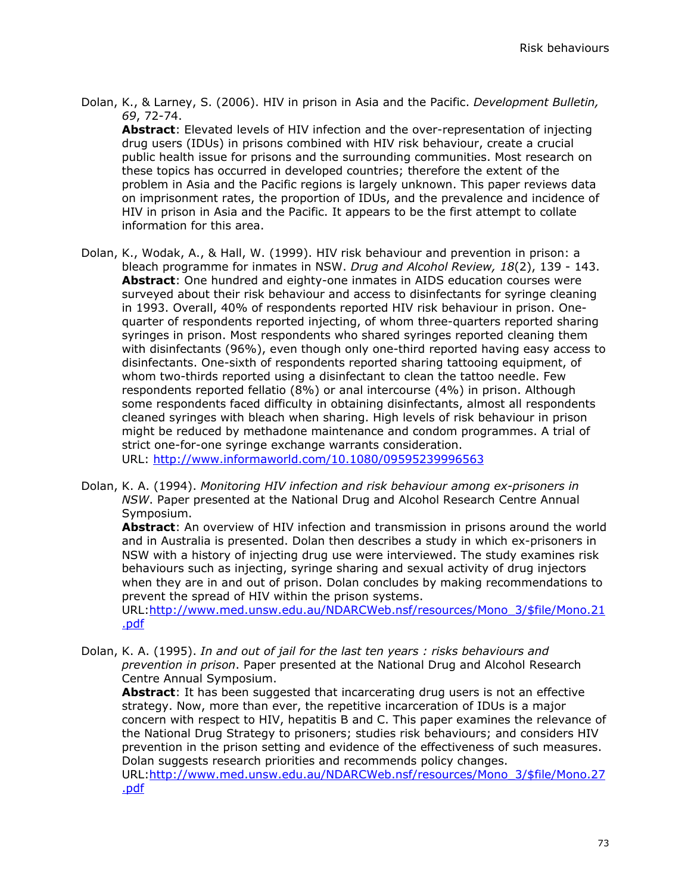Dolan, K., & Larney, S. (2006). HIV in prison in Asia and the Pacific. *Development Bulletin, 69*, 72-74.

**Abstract**: Elevated levels of HIV infection and the over-representation of injecting drug users (IDUs) in prisons combined with HIV risk behaviour, create a crucial public health issue for prisons and the surrounding communities. Most research on these topics has occurred in developed countries; therefore the extent of the problem in Asia and the Pacific regions is largely unknown. This paper reviews data on imprisonment rates, the proportion of IDUs, and the prevalence and incidence of HIV in prison in Asia and the Pacific. It appears to be the first attempt to collate information for this area.

- Dolan, K., Wodak, A., & Hall, W. (1999). HIV risk behaviour and prevention in prison: a bleach programme for inmates in NSW. *Drug and Alcohol Review, 18*(2), 139 - 143. **Abstract**: One hundred and eighty-one inmates in AIDS education courses were surveyed about their risk behaviour and access to disinfectants for syringe cleaning in 1993. Overall, 40% of respondents reported HIV risk behaviour in prison. Onequarter of respondents reported injecting, of whom three-quarters reported sharing syringes in prison. Most respondents who shared syringes reported cleaning them with disinfectants (96%), even though only one-third reported having easy access to disinfectants. One-sixth of respondents reported sharing tattooing equipment, of whom two-thirds reported using a disinfectant to clean the tattoo needle. Few respondents reported fellatio (8%) or anal intercourse (4%) in prison. Although some respondents faced difficulty in obtaining disinfectants, almost all respondents cleaned syringes with bleach when sharing. High levels of risk behaviour in prison might be reduced by methadone maintenance and condom programmes. A trial of strict one-for-one syringe exchange warrants consideration. URL: <http://www.informaworld.com/10.1080/09595239996563>
- Dolan, K. A. (1994). *Monitoring HIV infection and risk behaviour among ex-prisoners in NSW*. Paper presented at the National Drug and Alcohol Research Centre Annual Symposium.

**Abstract**: An overview of HIV infection and transmission in prisons around the world and in Australia is presented. Dolan then describes a study in which ex-prisoners in NSW with a history of injecting drug use were interviewed. The study examines risk behaviours such as injecting, syringe sharing and sexual activity of drug injectors when they are in and out of prison. Dolan concludes by making recommendations to prevent the spread of HIV within the prison systems.

URL[:http://www.med.unsw.edu.au/NDARCWeb.nsf/resources/Mono\\_3/\\$file/Mono.21](http://www.med.unsw.edu.au/NDARCWeb.nsf/resources/Mono_3/$file/Mono.21.pdf) [.pdf](http://www.med.unsw.edu.au/NDARCWeb.nsf/resources/Mono_3/$file/Mono.21.pdf)

Dolan, K. A. (1995). *In and out of jail for the last ten years : risks behaviours and prevention in prison*. Paper presented at the National Drug and Alcohol Research Centre Annual Symposium.

**Abstract**: It has been suggested that incarcerating drug users is not an effective strategy. Now, more than ever, the repetitive incarceration of IDUs is a major concern with respect to HIV, hepatitis B and C. This paper examines the relevance of the National Drug Strategy to prisoners; studies risk behaviours; and considers HIV prevention in the prison setting and evidence of the effectiveness of such measures. Dolan suggests research priorities and recommends policy changes. URL[:http://www.med.unsw.edu.au/NDARCWeb.nsf/resources/Mono\\_3/\\$file/Mono.27](http://www.med.unsw.edu.au/NDARCWeb.nsf/resources/Mono_3/$file/Mono.27.pdf)

[.pdf](http://www.med.unsw.edu.au/NDARCWeb.nsf/resources/Mono_3/$file/Mono.27.pdf)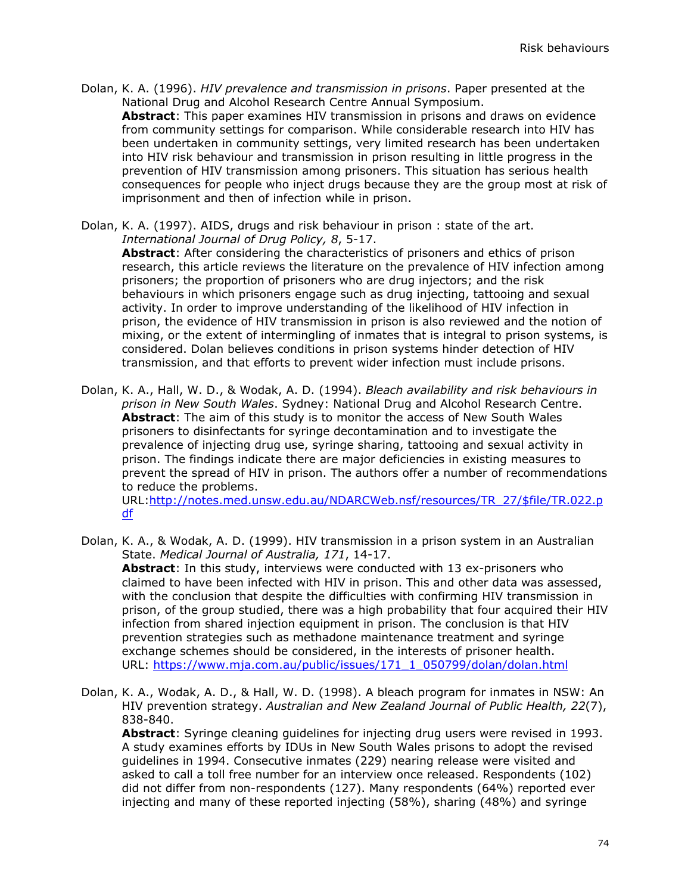Dolan, K. A. (1996). *HIV prevalence and transmission in prisons*. Paper presented at the National Drug and Alcohol Research Centre Annual Symposium.

**Abstract**: This paper examines HIV transmission in prisons and draws on evidence from community settings for comparison. While considerable research into HIV has been undertaken in community settings, very limited research has been undertaken into HIV risk behaviour and transmission in prison resulting in little progress in the prevention of HIV transmission among prisoners. This situation has serious health consequences for people who inject drugs because they are the group most at risk of imprisonment and then of infection while in prison.

Dolan, K. A. (1997). AIDS, drugs and risk behaviour in prison : state of the art. *International Journal of Drug Policy, 8*, 5-17.

**Abstract**: After considering the characteristics of prisoners and ethics of prison research, this article reviews the literature on the prevalence of HIV infection among prisoners; the proportion of prisoners who are drug injectors; and the risk behaviours in which prisoners engage such as drug injecting, tattooing and sexual activity. In order to improve understanding of the likelihood of HIV infection in prison, the evidence of HIV transmission in prison is also reviewed and the notion of mixing, or the extent of intermingling of inmates that is integral to prison systems, is considered. Dolan believes conditions in prison systems hinder detection of HIV transmission, and that efforts to prevent wider infection must include prisons.

Dolan, K. A., Hall, W. D., & Wodak, A. D. (1994). *Bleach availability and risk behaviours in prison in New South Wales*. Sydney: National Drug and Alcohol Research Centre. **Abstract**: The aim of this study is to monitor the access of New South Wales prisoners to disinfectants for syringe decontamination and to investigate the prevalence of injecting drug use, syringe sharing, tattooing and sexual activity in prison. The findings indicate there are major deficiencies in existing measures to prevent the spread of HIV in prison. The authors offer a number of recommendations to reduce the problems.

URL[:http://notes.med.unsw.edu.au/NDARCWeb.nsf/resources/TR\\_27/\\$file/TR.022.p](http://notes.med.unsw.edu.au/NDARCWeb.nsf/resources/TR_27/$file/TR.022.pdf) [df](http://notes.med.unsw.edu.au/NDARCWeb.nsf/resources/TR_27/$file/TR.022.pdf)

- Dolan, K. A., & Wodak, A. D. (1999). HIV transmission in a prison system in an Australian State. *Medical Journal of Australia, 171*, 14-17. **Abstract**: In this study, interviews were conducted with 13 ex-prisoners who claimed to have been infected with HIV in prison. This and other data was assessed, with the conclusion that despite the difficulties with confirming HIV transmission in prison, of the group studied, there was a high probability that four acquired their HIV infection from shared injection equipment in prison. The conclusion is that HIV prevention strategies such as methadone maintenance treatment and syringe exchange schemes should be considered, in the interests of prisoner health. URL: [https://www.mja.com.au/public/issues/171\\_1\\_050799/dolan/dolan.html](https://www.mja.com.au/public/issues/171_1_050799/dolan/dolan.html)
- Dolan, K. A., Wodak, A. D., & Hall, W. D. (1998). A bleach program for inmates in NSW: An HIV prevention strategy. *Australian and New Zealand Journal of Public Health, 22*(7), 838-840.

**Abstract**: Syringe cleaning guidelines for injecting drug users were revised in 1993. A study examines efforts by IDUs in New South Wales prisons to adopt the revised guidelines in 1994. Consecutive inmates (229) nearing release were visited and asked to call a toll free number for an interview once released. Respondents (102) did not differ from non-respondents (127). Many respondents (64%) reported ever injecting and many of these reported injecting (58%), sharing (48%) and syringe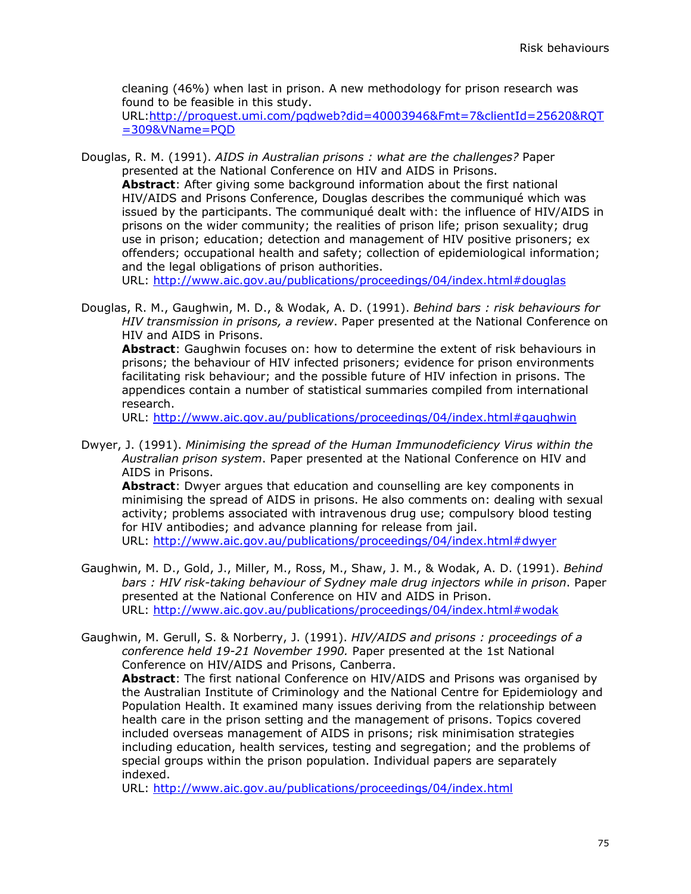cleaning (46%) when last in prison. A new methodology for prison research was found to be feasible in this study.

URL[:http://proquest.umi.com/pqdweb?did=40003946&Fmt=7&clientId=25620&RQT](http://proquest.umi.com/pqdweb?did=40003946&Fmt=7&clientId=25620&RQT=309&VName=PQD%20) [=309&VName=PQD](http://proquest.umi.com/pqdweb?did=40003946&Fmt=7&clientId=25620&RQT=309&VName=PQD%20)

Douglas, R. M. (1991). *AIDS in Australian prisons : what are the challenges?* Paper presented at the National Conference on HIV and AIDS in Prisons.

**Abstract**: After giving some background information about the first national HIV/AIDS and Prisons Conference, Douglas describes the communiqué which was issued by the participants. The communiqué dealt with: the influence of HIV/AIDS in prisons on the wider community; the realities of prison life; prison sexuality; drug use in prison; education; detection and management of HIV positive prisoners; ex offenders; occupational health and safety; collection of epidemiological information; and the legal obligations of prison authorities.

URL: <http://www.aic.gov.au/publications/proceedings/04/index.html#douglas>

Douglas, R. M., Gaughwin, M. D., & Wodak, A. D. (1991). *Behind bars : risk behaviours for HIV transmission in prisons, a review*. Paper presented at the National Conference on HIV and AIDS in Prisons.

**Abstract**: Gaughwin focuses on: how to determine the extent of risk behaviours in prisons; the behaviour of HIV infected prisoners; evidence for prison environments facilitating risk behaviour; and the possible future of HIV infection in prisons. The appendices contain a number of statistical summaries compiled from international research.

URL: <http://www.aic.gov.au/publications/proceedings/04/index.html#gaughwin>

Dwyer, J. (1991). *Minimising the spread of the Human Immunodeficiency Virus within the Australian prison system*. Paper presented at the National Conference on HIV and AIDS in Prisons.

**Abstract**: Dwyer argues that education and counselling are key components in minimising the spread of AIDS in prisons. He also comments on: dealing with sexual activity; problems associated with intravenous drug use; compulsory blood testing for HIV antibodies; and advance planning for release from jail. URL: <http://www.aic.gov.au/publications/proceedings/04/index.html#dwyer>

- Gaughwin, M. D., Gold, J., Miller, M., Ross, M., Shaw, J. M., & Wodak, A. D. (1991). *Behind bars : HIV risk-taking behaviour of Sydney male drug injectors while in prison*. Paper presented at the National Conference on HIV and AIDS in Prison. URL: <http://www.aic.gov.au/publications/proceedings/04/index.html#wodak>
- Gaughwin, M. Gerull, S. & Norberry, J. (1991). *HIV/AIDS and prisons : proceedings of a conference held 19-21 November 1990.* Paper presented at the 1st National Conference on HIV/AIDS and Prisons, Canberra.

**Abstract**: The first national Conference on HIV/AIDS and Prisons was organised by the Australian Institute of Criminology and the National Centre for Epidemiology and Population Health. It examined many issues deriving from the relationship between health care in the prison setting and the management of prisons. Topics covered included overseas management of AIDS in prisons; risk minimisation strategies including education, health services, testing and segregation; and the problems of special groups within the prison population. Individual papers are separately indexed.

URL: <http://www.aic.gov.au/publications/proceedings/04/index.html>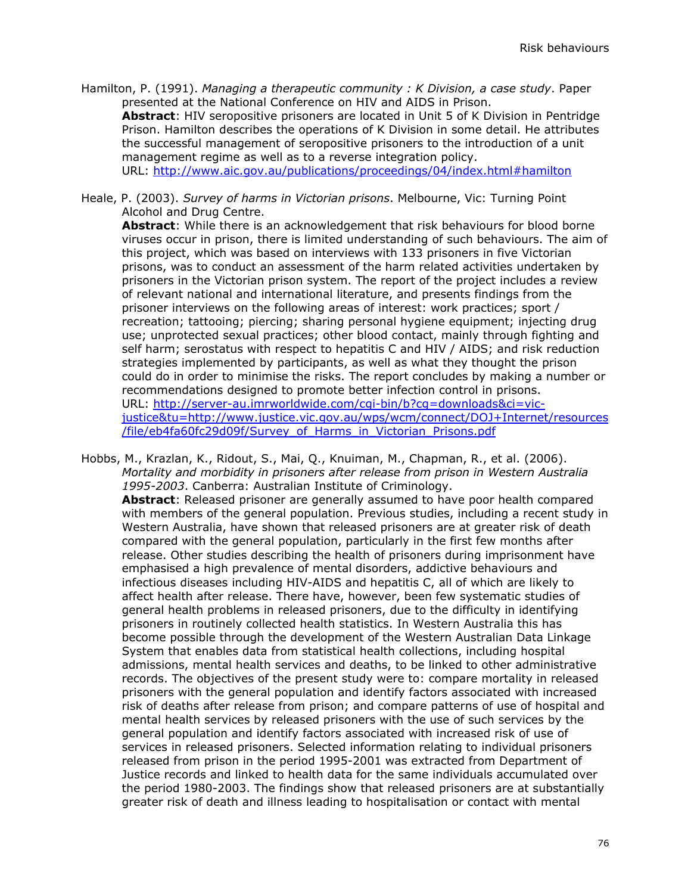Hamilton, P. (1991). *Managing a therapeutic community : K Division, a case study*. Paper presented at the National Conference on HIV and AIDS in Prison.

**Abstract**: HIV seropositive prisoners are located in Unit 5 of K Division in Pentridge Prison. Hamilton describes the operations of K Division in some detail. He attributes the successful management of seropositive prisoners to the introduction of a unit management regime as well as to a reverse integration policy.

URL: <http://www.aic.gov.au/publications/proceedings/04/index.html#hamilton>

Heale, P. (2003). *Survey of harms in Victorian prisons*. Melbourne, Vic: Turning Point Alcohol and Drug Centre.

**Abstract**: While there is an acknowledgement that risk behaviours for blood borne viruses occur in prison, there is limited understanding of such behaviours. The aim of this project, which was based on interviews with 133 prisoners in five Victorian prisons, was to conduct an assessment of the harm related activities undertaken by prisoners in the Victorian prison system. The report of the project includes a review of relevant national and international literature, and presents findings from the prisoner interviews on the following areas of interest: work practices; sport / recreation; tattooing; piercing; sharing personal hygiene equipment; injecting drug use; unprotected sexual practices; other blood contact, mainly through fighting and self harm; serostatus with respect to hepatitis C and HIV / AIDS; and risk reduction strategies implemented by participants, as well as what they thought the prison could do in order to minimise the risks. The report concludes by making a number or recommendations designed to promote better infection control in prisons. URL: [http://server-au.imrworldwide.com/cgi-bin/b?cg=downloads&ci=vic](http://server-au.imrworldwide.com/cgi-bin/b?cg=downloads&ci=vic-justice&tu=http://www.justice.vic.gov.au/wps/wcm/connect/DOJ+Internet/resources/file/eb4fa60fc29d09f/Survey_of_Harms_in_Victorian_Prisons.pdf)[justice&tu=http://www.justice.vic.gov.au/wps/wcm/connect/DOJ+Internet/resources](http://server-au.imrworldwide.com/cgi-bin/b?cg=downloads&ci=vic-justice&tu=http://www.justice.vic.gov.au/wps/wcm/connect/DOJ+Internet/resources/file/eb4fa60fc29d09f/Survey_of_Harms_in_Victorian_Prisons.pdf) [/file/eb4fa60fc29d09f/Survey\\_of\\_Harms\\_in\\_Victorian\\_Prisons.pdf](http://server-au.imrworldwide.com/cgi-bin/b?cg=downloads&ci=vic-justice&tu=http://www.justice.vic.gov.au/wps/wcm/connect/DOJ+Internet/resources/file/eb4fa60fc29d09f/Survey_of_Harms_in_Victorian_Prisons.pdf)

Hobbs, M., Krazlan, K., Ridout, S., Mai, Q., Knuiman, M., Chapman, R., et al. (2006). *Mortality and morbidity in prisoners after release from prison in Western Australia 1995-2003*. Canberra: Australian Institute of Criminology. **Abstract**: Released prisoner are generally assumed to have poor health compared with members of the general population. Previous studies, including a recent study in Western Australia, have shown that released prisoners are at greater risk of death compared with the general population, particularly in the first few months after release. Other studies describing the health of prisoners during imprisonment have emphasised a high prevalence of mental disorders, addictive behaviours and infectious diseases including HIV-AIDS and hepatitis C, all of which are likely to affect health after release. There have, however, been few systematic studies of general health problems in released prisoners, due to the difficulty in identifying prisoners in routinely collected health statistics. In Western Australia this has become possible through the development of the Western Australian Data Linkage System that enables data from statistical health collections, including hospital admissions, mental health services and deaths, to be linked to other administrative records. The objectives of the present study were to: compare mortality in released prisoners with the general population and identify factors associated with increased risk of deaths after release from prison; and compare patterns of use of hospital and mental health services by released prisoners with the use of such services by the general population and identify factors associated with increased risk of use of services in released prisoners. Selected information relating to individual prisoners released from prison in the period 1995-2001 was extracted from Department of Justice records and linked to health data for the same individuals accumulated over the period 1980-2003. The findings show that released prisoners are at substantially greater risk of death and illness leading to hospitalisation or contact with mental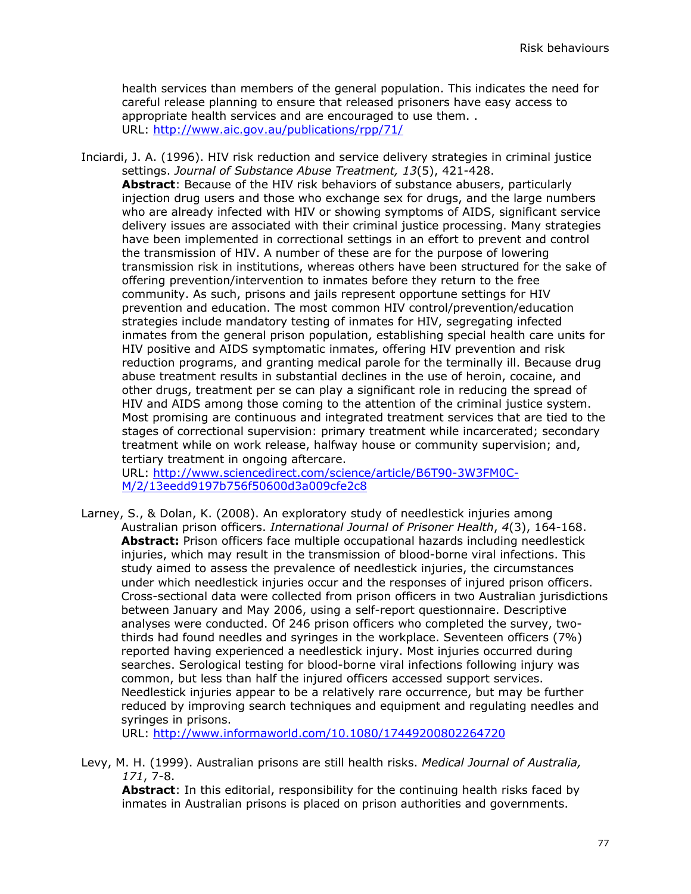health services than members of the general population. This indicates the need for careful release planning to ensure that released prisoners have easy access to appropriate health services and are encouraged to use them. . URL: <http://www.aic.gov.au/publications/rpp/71/>

Inciardi, J. A. (1996). HIV risk reduction and service delivery strategies in criminal justice settings. *Journal of Substance Abuse Treatment, 13*(5), 421-428. **Abstract**: Because of the HIV risk behaviors of substance abusers, particularly injection drug users and those who exchange sex for drugs, and the large numbers who are already infected with HIV or showing symptoms of AIDS, significant service delivery issues are associated with their criminal justice processing. Many strategies have been implemented in correctional settings in an effort to prevent and control the transmission of HIV. A number of these are for the purpose of lowering transmission risk in institutions, whereas others have been structured for the sake of offering prevention/intervention to inmates before they return to the free community. As such, prisons and jails represent opportune settings for HIV prevention and education. The most common HIV control/prevention/education strategies include mandatory testing of inmates for HIV, segregating infected inmates from the general prison population, establishing special health care units for HIV positive and AIDS symptomatic inmates, offering HIV prevention and risk reduction programs, and granting medical parole for the terminally ill. Because drug abuse treatment results in substantial declines in the use of heroin, cocaine, and other drugs, treatment per se can play a significant role in reducing the spread of HIV and AIDS among those coming to the attention of the criminal justice system. Most promising are continuous and integrated treatment services that are tied to the stages of correctional supervision: primary treatment while incarcerated; secondary treatment while on work release, halfway house or community supervision; and, tertiary treatment in ongoing aftercare.

 URL: [http://www.sciencedirect.com/science/article/B6T90-3W3FM0C-](http://www.sciencedirect.com/science/article/B6T90-3W3FM0C-M/2/13eedd9197b756f50600d3a009cfe2c8)[M/2/13eedd9197b756f50600d3a009cfe2c8](http://www.sciencedirect.com/science/article/B6T90-3W3FM0C-M/2/13eedd9197b756f50600d3a009cfe2c8)

Larney, S., & Dolan, K. (2008). An exploratory study of needlestick injuries among Australian prison officers. *International Journal of Prisoner Health*, *4*(3), 164-168. **Abstract:** Prison officers face multiple occupational hazards including needlestick injuries, which may result in the transmission of blood-borne viral infections. This study aimed to assess the prevalence of needlestick injuries, the circumstances under which needlestick injuries occur and the responses of injured prison officers. Cross-sectional data were collected from prison officers in two Australian jurisdictions between January and May 2006, using a self-report questionnaire. Descriptive analyses were conducted. Of 246 prison officers who completed the survey, twothirds had found needles and syringes in the workplace. Seventeen officers (7%) reported having experienced a needlestick injury. Most injuries occurred during searches. Serological testing for blood-borne viral infections following injury was common, but less than half the injured officers accessed support services. Needlestick injuries appear to be a relatively rare occurrence, but may be further reduced by improving search techniques and equipment and regulating needles and syringes in prisons.

URL: <http://www.informaworld.com/10.1080/17449200802264720>

Levy, M. H. (1999). Australian prisons are still health risks. *Medical Journal of Australia, 171*, 7-8.

**Abstract**: In this editorial, responsibility for the continuing health risks faced by inmates in Australian prisons is placed on prison authorities and governments.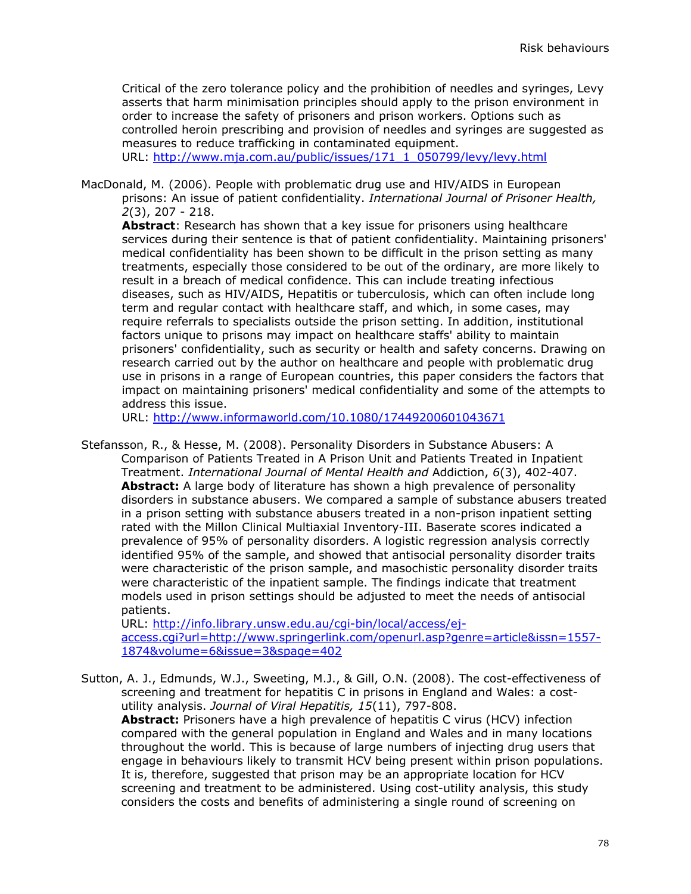Critical of the zero tolerance policy and the prohibition of needles and syringes, Levy asserts that harm minimisation principles should apply to the prison environment in order to increase the safety of prisoners and prison workers. Options such as controlled heroin prescribing and provision of needles and syringes are suggested as measures to reduce trafficking in contaminated equipment. URL: [http://www.mja.com.au/public/issues/171\\_1\\_050799/levy/levy.html](http://www.mja.com.au/public/issues/171_1_050799/levy/levy.html)

MacDonald, M. (2006). People with problematic drug use and HIV/AIDS in European prisons: An issue of patient confidentiality. *International Journal of Prisoner Health, 2*(3), 207 - 218.

**Abstract**: Research has shown that a key issue for prisoners using healthcare services during their sentence is that of patient confidentiality. Maintaining prisoners' medical confidentiality has been shown to be difficult in the prison setting as many treatments, especially those considered to be out of the ordinary, are more likely to result in a breach of medical confidence. This can include treating infectious diseases, such as HIV/AIDS, Hepatitis or tuberculosis, which can often include long term and regular contact with healthcare staff, and which, in some cases, may require referrals to specialists outside the prison setting. In addition, institutional factors unique to prisons may impact on healthcare staffs' ability to maintain prisoners' confidentiality, such as security or health and safety concerns. Drawing on research carried out by the author on healthcare and people with problematic drug use in prisons in a range of European countries, this paper considers the factors that impact on maintaining prisoners' medical confidentiality and some of the attempts to address this issue.

URL: <http://www.informaworld.com/10.1080/17449200601043671>

Stefansson, R., & Hesse, M. (2008). Personality Disorders in Substance Abusers: A Comparison of Patients Treated in A Prison Unit and Patients Treated in Inpatient Treatment. *International Journal of Mental Health and* Addiction, *6*(3), 402-407. **Abstract:** A large body of literature has shown a high prevalence of personality disorders in substance abusers. We compared a sample of substance abusers treated in a prison setting with substance abusers treated in a non-prison inpatient setting rated with the Millon Clinical Multiaxial Inventory-III. Baserate scores indicated a prevalence of 95% of personality disorders. A logistic regression analysis correctly identified 95% of the sample, and showed that antisocial personality disorder traits were characteristic of the prison sample, and masochistic personality disorder traits were characteristic of the inpatient sample. The findings indicate that treatment models used in prison settings should be adjusted to meet the needs of antisocial patients.

URL: [http://info.library.unsw.edu.au/cgi-bin/local/access/ej](http://info.library.unsw.edu.au/cgi-bin/local/access/ej-access.cgi?url=http://www.springerlink.com/openurl.asp?genre=article&issn=1557-1874&volume=6&issue=3&spage=402)[access.cgi?url=http://www.springerlink.com/openurl.asp?genre=article&issn=1557-](http://info.library.unsw.edu.au/cgi-bin/local/access/ej-access.cgi?url=http://www.springerlink.com/openurl.asp?genre=article&issn=1557-1874&volume=6&issue=3&spage=402) [1874&volume=6&issue=3&spage=402](http://info.library.unsw.edu.au/cgi-bin/local/access/ej-access.cgi?url=http://www.springerlink.com/openurl.asp?genre=article&issn=1557-1874&volume=6&issue=3&spage=402)

Sutton, A. J., Edmunds, W.J., Sweeting, M.J., & Gill, O.N. (2008). The cost-effectiveness of screening and treatment for hepatitis C in prisons in England and Wales: a costutility analysis. *Journal of Viral Hepatitis, 15*(11), 797-808.

**Abstract:** Prisoners have a high prevalence of hepatitis C virus (HCV) infection compared with the general population in England and Wales and in many locations throughout the world. This is because of large numbers of injecting drug users that engage in behaviours likely to transmit HCV being present within prison populations. It is, therefore, suggested that prison may be an appropriate location for HCV screening and treatment to be administered. Using cost-utility analysis, this study considers the costs and benefits of administering a single round of screening on